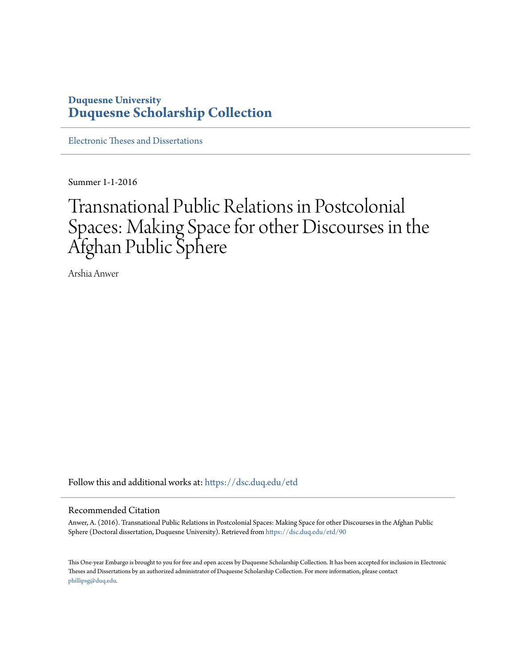## **Duquesne University [Duquesne Scholarship Collection](https://dsc.duq.edu?utm_source=dsc.duq.edu%2Fetd%2F90&utm_medium=PDF&utm_campaign=PDFCoverPages)**

[Electronic Theses and Dissertations](https://dsc.duq.edu/etd?utm_source=dsc.duq.edu%2Fetd%2F90&utm_medium=PDF&utm_campaign=PDFCoverPages)

Summer 1-1-2016

# Transnational Public Relations in Postcolonial Spaces: Making Space for other Discourses in the Afghan Public Sphere

Arshia Anwer

Follow this and additional works at: [https://dsc.duq.edu/etd](https://dsc.duq.edu/etd?utm_source=dsc.duq.edu%2Fetd%2F90&utm_medium=PDF&utm_campaign=PDFCoverPages)

#### Recommended Citation

Anwer, A. (2016). Transnational Public Relations in Postcolonial Spaces: Making Space for other Discourses in the Afghan Public Sphere (Doctoral dissertation, Duquesne University). Retrieved from [https://dsc.duq.edu/etd/90](https://dsc.duq.edu/etd/90?utm_source=dsc.duq.edu%2Fetd%2F90&utm_medium=PDF&utm_campaign=PDFCoverPages)

This One-year Embargo is brought to you for free and open access by Duquesne Scholarship Collection. It has been accepted for inclusion in Electronic Theses and Dissertations by an authorized administrator of Duquesne Scholarship Collection. For more information, please contact [phillipsg@duq.edu.](mailto:phillipsg@duq.edu)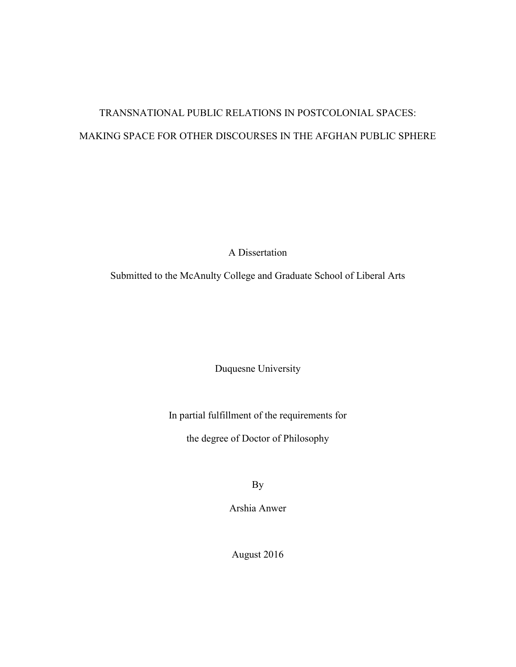## TRANSNATIONAL PUBLIC RELATIONS IN POSTCOLONIAL SPACES: MAKING SPACE FOR OTHER DISCOURSES IN THE AFGHAN PUBLIC SPHERE

A Dissertation

Submitted to the McAnulty College and Graduate School of Liberal Arts

Duquesne University

In partial fulfillment of the requirements for

the degree of Doctor of Philosophy

By

Arshia Anwer

August 2016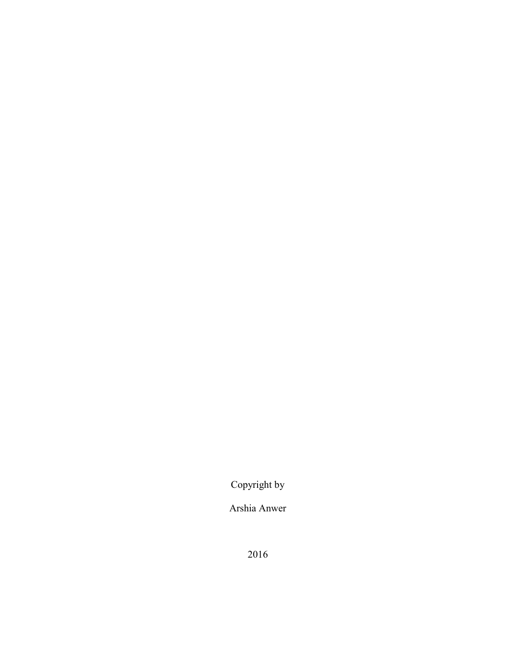Copyright by

Arshia Anwer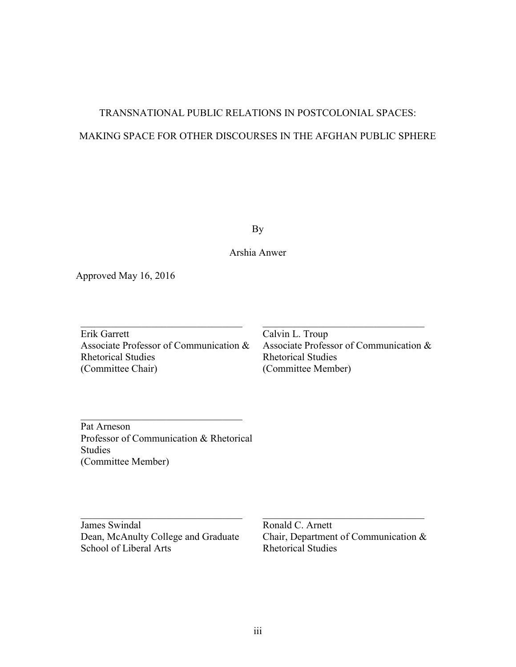## TRANSNATIONAL PUBLIC RELATIONS IN POSTCOLONIAL SPACES: MAKING SPACE FOR OTHER DISCOURSES IN THE AFGHAN PUBLIC SPHERE

By

Arshia Anwer

Approved May 16, 2016

Erik Garrett Associate Professor of Communication & Rhetorical Studies (Committee Chair)

 $\mathcal{L}_\text{max}$ 

Calvin L. Troup Associate Professor of Communication & Rhetorical Studies (Committee Member)

 $\mathcal{L}_\text{max}$ 

Pat Arneson Professor of Communication & Rhetorical Studies (Committee Member)

 $\mathcal{L}_\text{max}$ 

James Swindal Dean, McAnulty College and Graduate School of Liberal Arts

 $\mathcal{L}_\text{max}$ 

Ronald C. Arnett Chair, Department of Communication & Rhetorical Studies

 $\mathcal{L}_\text{max}$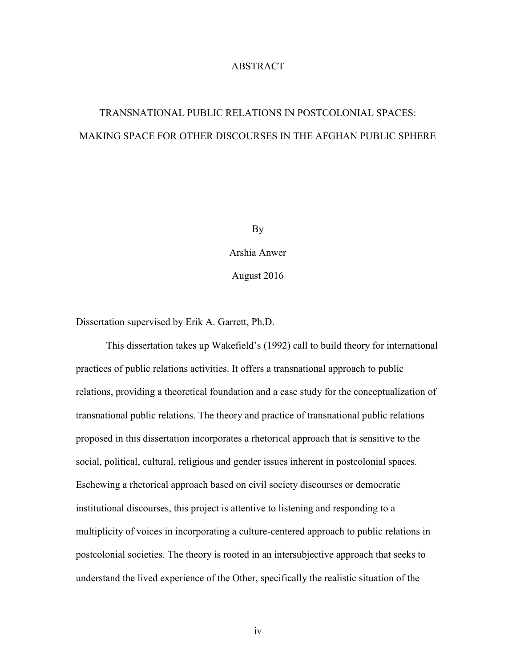## ABSTRACT

## TRANSNATIONAL PUBLIC RELATIONS IN POSTCOLONIAL SPACES: MAKING SPACE FOR OTHER DISCOURSES IN THE AFGHAN PUBLIC SPHERE

By

Arshia Anwer

August 2016

Dissertation supervised by Erik A. Garrett, Ph.D.

This dissertation takes up Wakefield's (1992) call to build theory for international practices of public relations activities. It offers a transnational approach to public relations, providing a theoretical foundation and a case study for the conceptualization of transnational public relations. The theory and practice of transnational public relations proposed in this dissertation incorporates a rhetorical approach that is sensitive to the social, political, cultural, religious and gender issues inherent in postcolonial spaces. Eschewing a rhetorical approach based on civil society discourses or democratic institutional discourses, this project is attentive to listening and responding to a multiplicity of voices in incorporating a culture-centered approach to public relations in postcolonial societies. The theory is rooted in an intersubjective approach that seeks to understand the lived experience of the Other, specifically the realistic situation of the

iv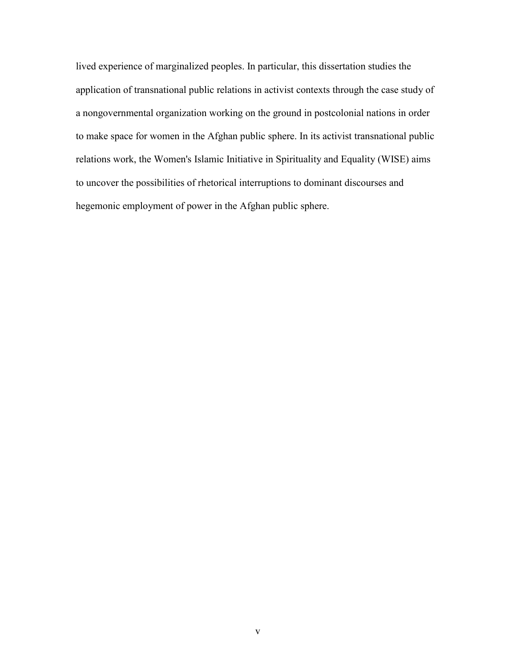lived experience of marginalized peoples. In particular, this dissertation studies the application of transnational public relations in activist contexts through the case study of a nongovernmental organization working on the ground in postcolonial nations in order to make space for women in the Afghan public sphere. In its activist transnational public relations work, the Women's Islamic Initiative in Spirituality and Equality (WISE) aims to uncover the possibilities of rhetorical interruptions to dominant discourses and hegemonic employment of power in the Afghan public sphere.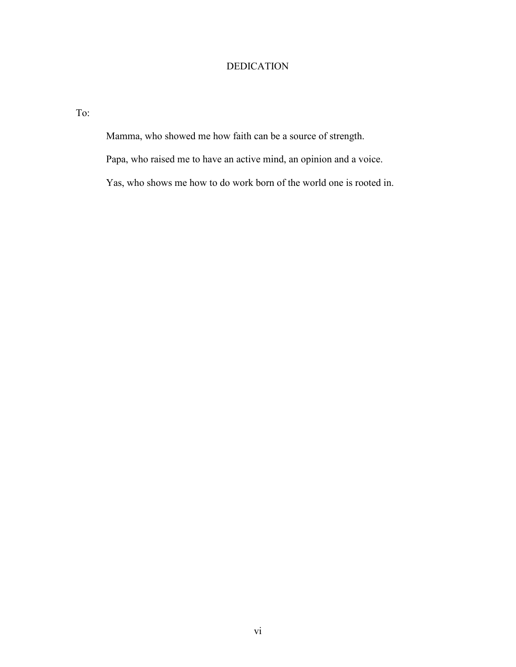## DEDICATION

To:

Mamma, who showed me how faith can be a source of strength.

Papa, who raised me to have an active mind, an opinion and a voice.

Yas, who shows me how to do work born of the world one is rooted in.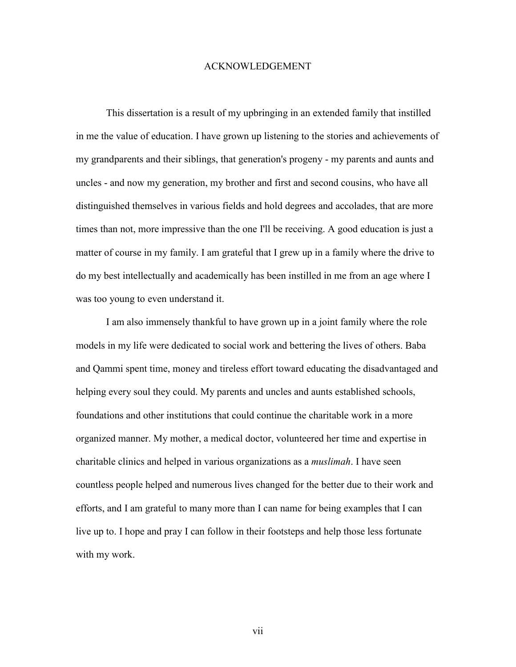### ACKNOWLEDGEMENT

This dissertation is a result of my upbringing in an extended family that instilled in me the value of education. I have grown up listening to the stories and achievements of my grandparents and their siblings, that generation's progeny - my parents and aunts and uncles - and now my generation, my brother and first and second cousins, who have all distinguished themselves in various fields and hold degrees and accolades, that are more times than not, more impressive than the one I'll be receiving. A good education is just a matter of course in my family. I am grateful that I grew up in a family where the drive to do my best intellectually and academically has been instilled in me from an age where I was too young to even understand it.

I am also immensely thankful to have grown up in a joint family where the role models in my life were dedicated to social work and bettering the lives of others. Baba and Qammi spent time, money and tireless effort toward educating the disadvantaged and helping every soul they could. My parents and uncles and aunts established schools, foundations and other institutions that could continue the charitable work in a more organized manner. My mother, a medical doctor, volunteered her time and expertise in charitable clinics and helped in various organizations as a *muslimah*. I have seen countless people helped and numerous lives changed for the better due to their work and efforts, and I am grateful to many more than I can name for being examples that I can live up to. I hope and pray I can follow in their footsteps and help those less fortunate with my work.

vii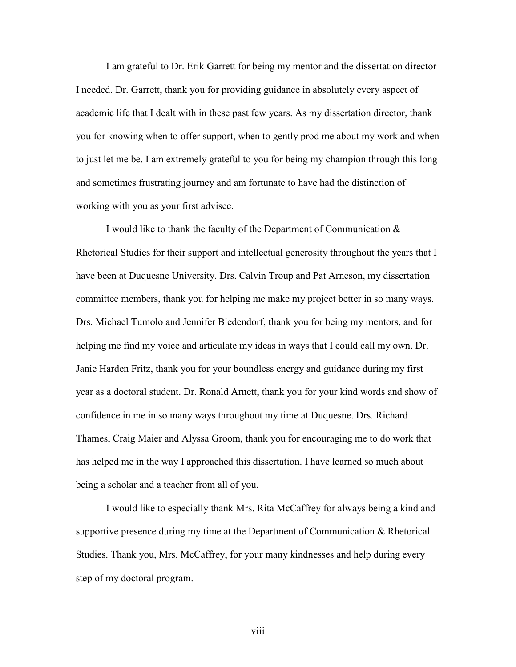I am grateful to Dr. Erik Garrett for being my mentor and the dissertation director I needed. Dr. Garrett, thank you for providing guidance in absolutely every aspect of academic life that I dealt with in these past few years. As my dissertation director, thank you for knowing when to offer support, when to gently prod me about my work and when to just let me be. I am extremely grateful to you for being my champion through this long and sometimes frustrating journey and am fortunate to have had the distinction of working with you as your first advisee.

I would like to thank the faculty of the Department of Communication & Rhetorical Studies for their support and intellectual generosity throughout the years that I have been at Duquesne University. Drs. Calvin Troup and Pat Arneson, my dissertation committee members, thank you for helping me make my project better in so many ways. Drs. Michael Tumolo and Jennifer Biedendorf, thank you for being my mentors, and for helping me find my voice and articulate my ideas in ways that I could call my own. Dr. Janie Harden Fritz, thank you for your boundless energy and guidance during my first year as a doctoral student. Dr. Ronald Arnett, thank you for your kind words and show of confidence in me in so many ways throughout my time at Duquesne. Drs. Richard Thames, Craig Maier and Alyssa Groom, thank you for encouraging me to do work that has helped me in the way I approached this dissertation. I have learned so much about being a scholar and a teacher from all of you.

I would like to especially thank Mrs. Rita McCaffrey for always being a kind and supportive presence during my time at the Department of Communication & Rhetorical Studies. Thank you, Mrs. McCaffrey, for your many kindnesses and help during every step of my doctoral program.

viii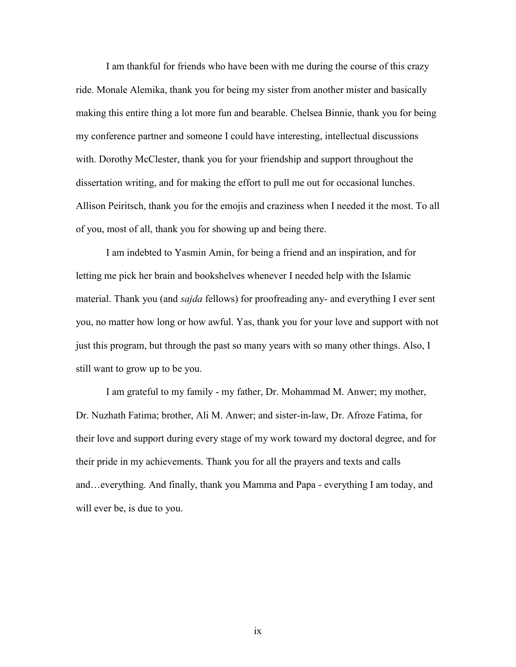I am thankful for friends who have been with me during the course of this crazy ride. Monale Alemika, thank you for being my sister from another mister and basically making this entire thing a lot more fun and bearable. Chelsea Binnie, thank you for being my conference partner and someone I could have interesting, intellectual discussions with. Dorothy McClester, thank you for your friendship and support throughout the dissertation writing, and for making the effort to pull me out for occasional lunches. Allison Peiritsch, thank you for the emojis and craziness when I needed it the most. To all of you, most of all, thank you for showing up and being there.

I am indebted to Yasmin Amin, for being a friend and an inspiration, and for letting me pick her brain and bookshelves whenever I needed help with the Islamic material. Thank you (and *sajda* fellows) for proofreading any- and everything I ever sent you, no matter how long or how awful. Yas, thank you for your love and support with not just this program, but through the past so many years with so many other things. Also, I still want to grow up to be you.

I am grateful to my family - my father, Dr. Mohammad M. Anwer; my mother, Dr. Nuzhath Fatima; brother, Ali M. Anwer; and sister-in-law, Dr. Afroze Fatima, for their love and support during every stage of my work toward my doctoral degree, and for their pride in my achievements. Thank you for all the prayers and texts and calls and…everything. And finally, thank you Mamma and Papa - everything I am today, and will ever be, is due to you.

ix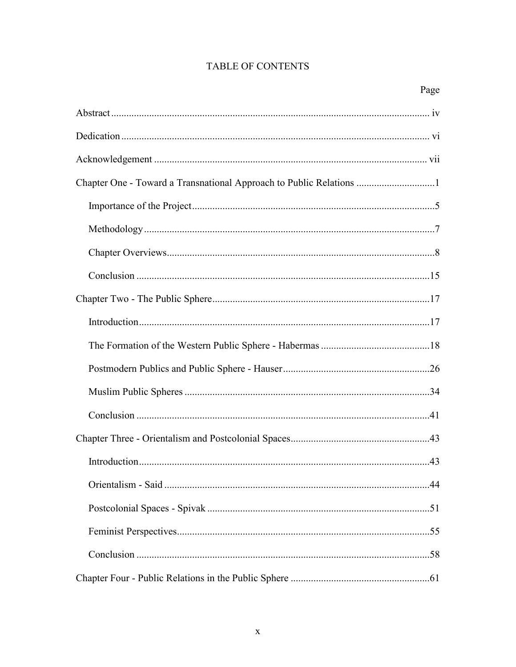## **TABLE OF CONTENTS**

| Page |
|------|
|      |
|      |
|      |
|      |
|      |
|      |
|      |
|      |
|      |
|      |
|      |
|      |
|      |
|      |
|      |
|      |
|      |
|      |
|      |
|      |
|      |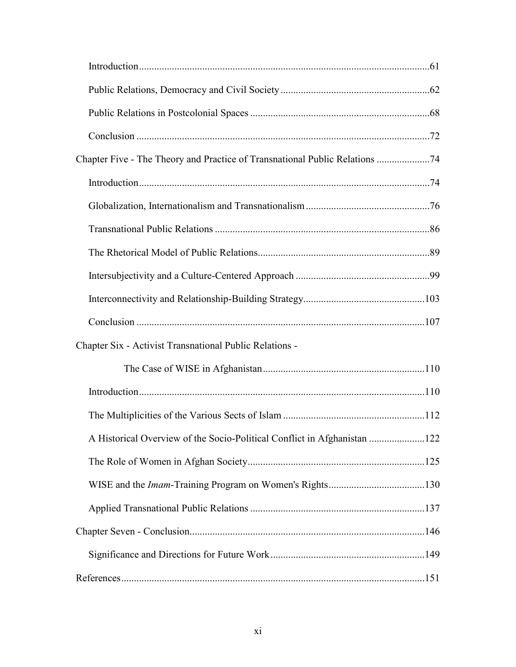| Chapter Six - Activist Transnational Public Relations -                  |  |
|--------------------------------------------------------------------------|--|
|                                                                          |  |
|                                                                          |  |
|                                                                          |  |
| A Historical Overview of the Socio-Political Conflict in Afghanistan 122 |  |
|                                                                          |  |
|                                                                          |  |
|                                                                          |  |
|                                                                          |  |
|                                                                          |  |
|                                                                          |  |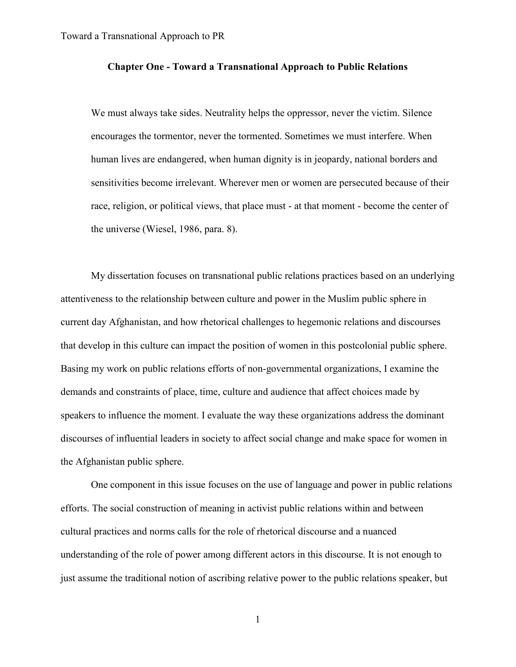## **Chapter One - Toward a Transnational Approach to Public Relations**

We must always take sides. Neutrality helps the oppressor, never the victim. Silence encourages the tormentor, never the tormented. Sometimes we must interfere. When human lives are endangered, when human dignity is in jeopardy, national borders and sensitivities become irrelevant. Wherever men or women are persecuted because of their race, religion, or political views, that place must - at that moment - become the center of the universe (Wiesel, 1986, para. 8).

My dissertation focuses on transnational public relations practices based on an underlying attentiveness to the relationship between culture and power in the Muslim public sphere in current day Afghanistan, and how rhetorical challenges to hegemonic relations and discourses that develop in this culture can impact the position of women in this postcolonial public sphere. Basing my work on public relations efforts of non-governmental organizations, I examine the demands and constraints of place, time, culture and audience that affect choices made by speakers to influence the moment. I evaluate the way these organizations address the dominant discourses of influential leaders in society to affect social change and make space for women in the Afghanistan public sphere.

One component in this issue focuses on the use of language and power in public relations efforts. The social construction of meaning in activist public relations within and between cultural practices and norms calls for the role of rhetorical discourse and a nuanced understanding of the role of power among different actors in this discourse. It is not enough to just assume the traditional notion of ascribing relative power to the public relations speaker, but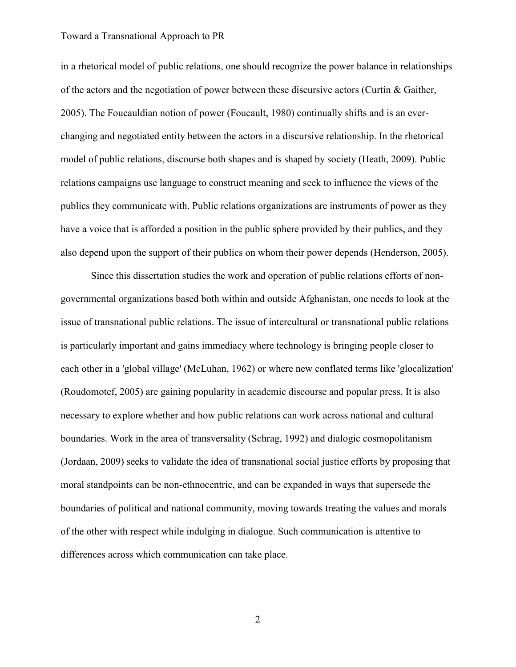in a rhetorical model of public relations, one should recognize the power balance in relationships of the actors and the negotiation of power between these discursive actors (Curtin & Gaither, 2005). The Foucauldian notion of power (Foucault, 1980) continually shifts and is an everchanging and negotiated entity between the actors in a discursive relationship. In the rhetorical model of public relations, discourse both shapes and is shaped by society (Heath, 2009). Public relations campaigns use language to construct meaning and seek to influence the views of the publics they communicate with. Public relations organizations are instruments of power as they have a voice that is afforded a position in the public sphere provided by their publics, and they also depend upon the support of their publics on whom their power depends (Henderson, 2005).

Since this dissertation studies the work and operation of public relations efforts of nongovernmental organizations based both within and outside Afghanistan, one needs to look at the issue of transnational public relations. The issue of intercultural or transnational public relations is particularly important and gains immediacy where technology is bringing people closer to each other in a 'global village' (McLuhan, 1962) or where new conflated terms like 'glocalization' (Roudomotef, 2005) are gaining popularity in academic discourse and popular press. It is also necessary to explore whether and how public relations can work across national and cultural boundaries. Work in the area of transversality (Schrag, 1992) and dialogic cosmopolitanism (Jordaan, 2009) seeks to validate the idea of transnational social justice efforts by proposing that moral standpoints can be non-ethnocentric, and can be expanded in ways that supersede the boundaries of political and national community, moving towards treating the values and morals of the other with respect while indulging in dialogue. Such communication is attentive to differences across which communication can take place.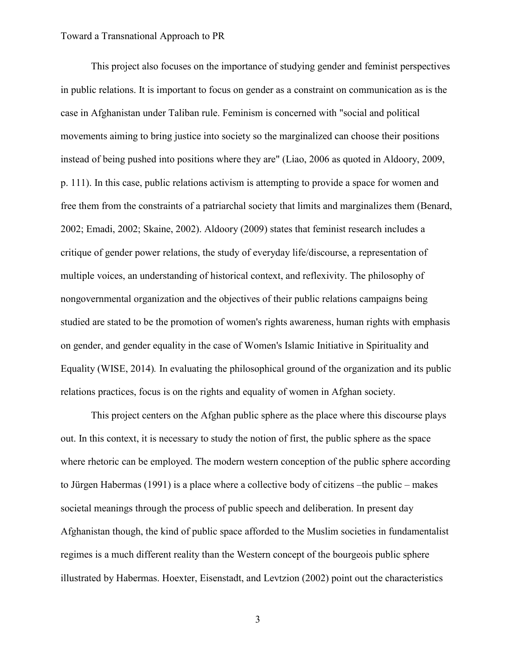This project also focuses on the importance of studying gender and feminist perspectives in public relations. It is important to focus on gender as a constraint on communication as is the case in Afghanistan under Taliban rule. Feminism is concerned with "social and political movements aiming to bring justice into society so the marginalized can choose their positions instead of being pushed into positions where they are" (Liao, 2006 as quoted in Aldoory, 2009, p. 111). In this case, public relations activism is attempting to provide a space for women and free them from the constraints of a patriarchal society that limits and marginalizes them (Benard, 2002; Emadi, 2002; Skaine, 2002). Aldoory (2009) states that feminist research includes a critique of gender power relations, the study of everyday life/discourse, a representation of multiple voices, an understanding of historical context, and reflexivity. The philosophy of nongovernmental organization and the objectives of their public relations campaigns being studied are stated to be the promotion of women's rights awareness, human rights with emphasis on gender, and gender equality in the case of Women's Islamic Initiative in Spirituality and Equality (WISE, 2014)*.* In evaluating the philosophical ground of the organization and its public relations practices, focus is on the rights and equality of women in Afghan society.

This project centers on the Afghan public sphere as the place where this discourse plays out. In this context, it is necessary to study the notion of first, the public sphere as the space where rhetoric can be employed. The modern western conception of the public sphere according to Jürgen Habermas (1991) is a place where a collective body of citizens –the public – makes societal meanings through the process of public speech and deliberation. In present day Afghanistan though, the kind of public space afforded to the Muslim societies in fundamentalist regimes is a much different reality than the Western concept of the bourgeois public sphere illustrated by Habermas. Hoexter, Eisenstadt, and Levtzion (2002) point out the characteristics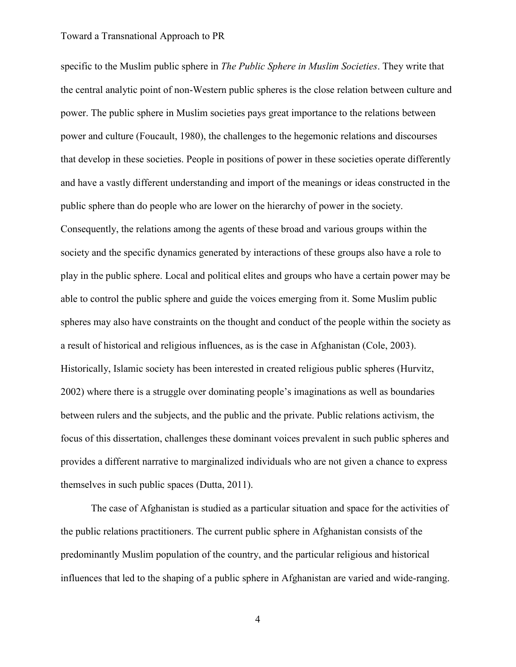specific to the Muslim public sphere in *The Public Sphere in Muslim Societies*. They write that the central analytic point of non-Western public spheres is the close relation between culture and power. The public sphere in Muslim societies pays great importance to the relations between power and culture (Foucault, 1980), the challenges to the hegemonic relations and discourses that develop in these societies. People in positions of power in these societies operate differently and have a vastly different understanding and import of the meanings or ideas constructed in the public sphere than do people who are lower on the hierarchy of power in the society. Consequently, the relations among the agents of these broad and various groups within the society and the specific dynamics generated by interactions of these groups also have a role to play in the public sphere. Local and political elites and groups who have a certain power may be able to control the public sphere and guide the voices emerging from it. Some Muslim public spheres may also have constraints on the thought and conduct of the people within the society as a result of historical and religious influences, as is the case in Afghanistan (Cole, 2003). Historically, Islamic society has been interested in created religious public spheres (Hurvitz, 2002) where there is a struggle over dominating people's imaginations as well as boundaries between rulers and the subjects, and the public and the private. Public relations activism, the focus of this dissertation, challenges these dominant voices prevalent in such public spheres and provides a different narrative to marginalized individuals who are not given a chance to express themselves in such public spaces (Dutta, 2011).

The case of Afghanistan is studied as a particular situation and space for the activities of the public relations practitioners. The current public sphere in Afghanistan consists of the predominantly Muslim population of the country, and the particular religious and historical influences that led to the shaping of a public sphere in Afghanistan are varied and wide-ranging.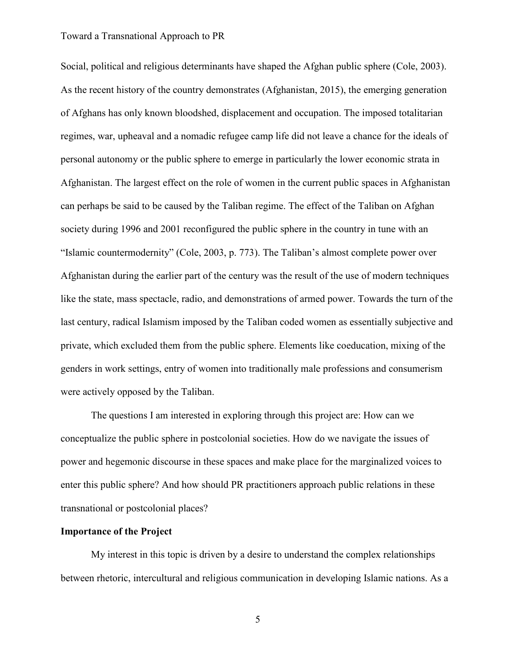Social, political and religious determinants have shaped the Afghan public sphere (Cole, 2003). As the recent history of the country demonstrates (Afghanistan, 2015), the emerging generation of Afghans has only known bloodshed, displacement and occupation. The imposed totalitarian regimes, war, upheaval and a nomadic refugee camp life did not leave a chance for the ideals of personal autonomy or the public sphere to emerge in particularly the lower economic strata in Afghanistan. The largest effect on the role of women in the current public spaces in Afghanistan can perhaps be said to be caused by the Taliban regime. The effect of the Taliban on Afghan society during 1996 and 2001 reconfigured the public sphere in the country in tune with an "Islamic countermodernity" (Cole, 2003, p. 773). The Taliban's almost complete power over Afghanistan during the earlier part of the century was the result of the use of modern techniques like the state, mass spectacle, radio, and demonstrations of armed power. Towards the turn of the last century, radical Islamism imposed by the Taliban coded women as essentially subjective and private, which excluded them from the public sphere. Elements like coeducation, mixing of the genders in work settings, entry of women into traditionally male professions and consumerism were actively opposed by the Taliban.

The questions I am interested in exploring through this project are: How can we conceptualize the public sphere in postcolonial societies. How do we navigate the issues of power and hegemonic discourse in these spaces and make place for the marginalized voices to enter this public sphere? And how should PR practitioners approach public relations in these transnational or postcolonial places?

## **Importance of the Project**

My interest in this topic is driven by a desire to understand the complex relationships between rhetoric, intercultural and religious communication in developing Islamic nations. As a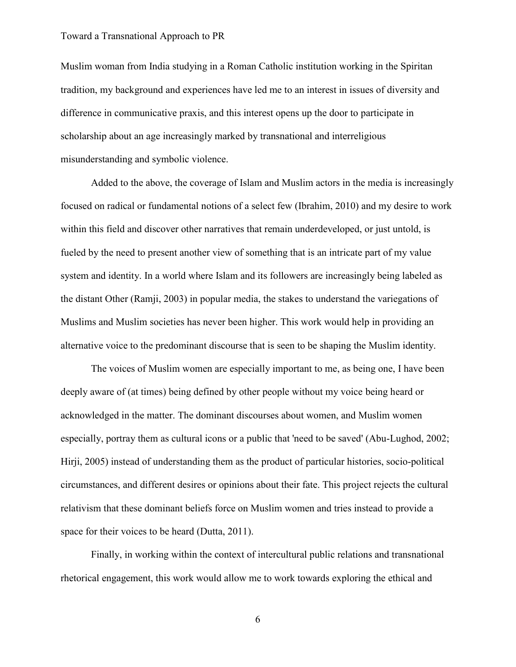Muslim woman from India studying in a Roman Catholic institution working in the Spiritan tradition, my background and experiences have led me to an interest in issues of diversity and difference in communicative praxis, and this interest opens up the door to participate in scholarship about an age increasingly marked by transnational and interreligious misunderstanding and symbolic violence.

Added to the above, the coverage of Islam and Muslim actors in the media is increasingly focused on radical or fundamental notions of a select few (Ibrahim, 2010) and my desire to work within this field and discover other narratives that remain underdeveloped, or just untold, is fueled by the need to present another view of something that is an intricate part of my value system and identity. In a world where Islam and its followers are increasingly being labeled as the distant Other (Ramji, 2003) in popular media, the stakes to understand the variegations of Muslims and Muslim societies has never been higher. This work would help in providing an alternative voice to the predominant discourse that is seen to be shaping the Muslim identity.

The voices of Muslim women are especially important to me, as being one, I have been deeply aware of (at times) being defined by other people without my voice being heard or acknowledged in the matter. The dominant discourses about women, and Muslim women especially, portray them as cultural icons or a public that 'need to be saved' (Abu-Lughod, 2002; Hirji, 2005) instead of understanding them as the product of particular histories, socio-political circumstances, and different desires or opinions about their fate. This project rejects the cultural relativism that these dominant beliefs force on Muslim women and tries instead to provide a space for their voices to be heard (Dutta, 2011).

Finally, in working within the context of intercultural public relations and transnational rhetorical engagement, this work would allow me to work towards exploring the ethical and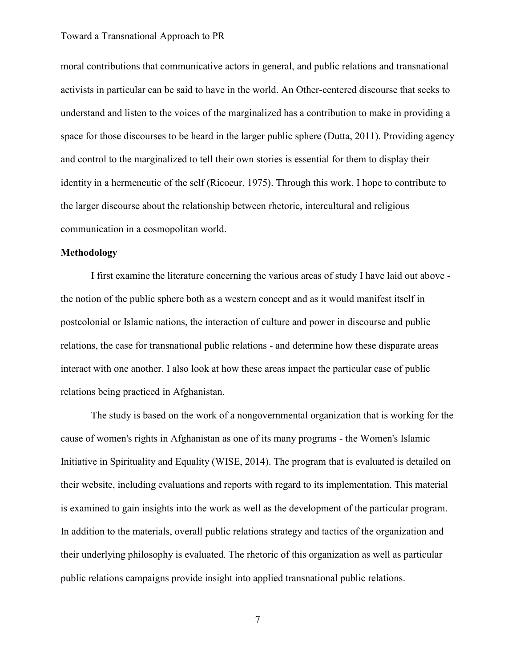moral contributions that communicative actors in general, and public relations and transnational activists in particular can be said to have in the world. An Other-centered discourse that seeks to understand and listen to the voices of the marginalized has a contribution to make in providing a space for those discourses to be heard in the larger public sphere (Dutta, 2011). Providing agency and control to the marginalized to tell their own stories is essential for them to display their identity in a hermeneutic of the self (Ricoeur, 1975). Through this work, I hope to contribute to the larger discourse about the relationship between rhetoric, intercultural and religious communication in a cosmopolitan world.

## **Methodology**

I first examine the literature concerning the various areas of study I have laid out above the notion of the public sphere both as a western concept and as it would manifest itself in postcolonial or Islamic nations, the interaction of culture and power in discourse and public relations, the case for transnational public relations - and determine how these disparate areas interact with one another. I also look at how these areas impact the particular case of public relations being practiced in Afghanistan.

The study is based on the work of a nongovernmental organization that is working for the cause of women's rights in Afghanistan as one of its many programs - the Women's Islamic Initiative in Spirituality and Equality (WISE, 2014). The program that is evaluated is detailed on their website, including evaluations and reports with regard to its implementation. This material is examined to gain insights into the work as well as the development of the particular program. In addition to the materials, overall public relations strategy and tactics of the organization and their underlying philosophy is evaluated. The rhetoric of this organization as well as particular public relations campaigns provide insight into applied transnational public relations.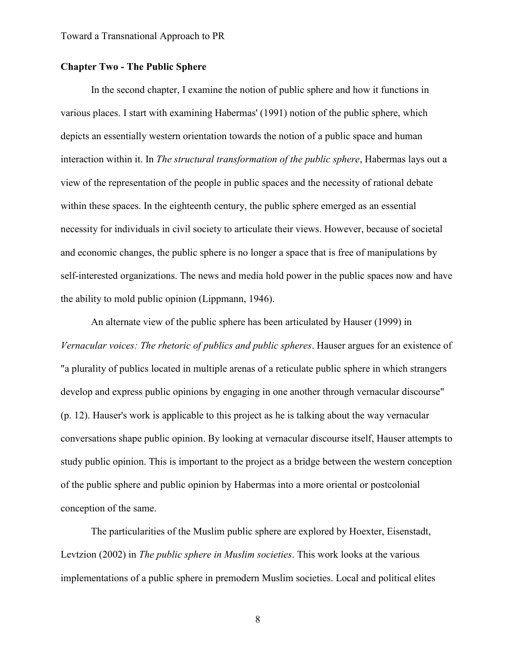## **Chapter Two - The Public Sphere**

In the second chapter, I examine the notion of public sphere and how it functions in various places. I start with examining Habermas' (1991) notion of the public sphere, which depicts an essentially western orientation towards the notion of a public space and human interaction within it. In *The structural transformation of the public sphere*, Habermas lays out a view of the representation of the people in public spaces and the necessity of rational debate within these spaces. In the eighteenth century, the public sphere emerged as an essential necessity for individuals in civil society to articulate their views. However, because of societal and economic changes, the public sphere is no longer a space that is free of manipulations by self-interested organizations. The news and media hold power in the public spaces now and have the ability to mold public opinion (Lippmann, 1946).

An alternate view of the public sphere has been articulated by Hauser (1999) in *Vernacular voices: The rhetoric of publics and public spheres*. Hauser argues for an existence of "a plurality of publics located in multiple arenas of a reticulate public sphere in which strangers develop and express public opinions by engaging in one another through vernacular discourse" (p. 12). Hauser's work is applicable to this project as he is talking about the way vernacular conversations shape public opinion. By looking at vernacular discourse itself, Hauser attempts to study public opinion. This is important to the project as a bridge between the western conception of the public sphere and public opinion by Habermas into a more oriental or postcolonial conception of the same.

The particularities of the Muslim public sphere are explored by Hoexter, Eisenstadt, Levtzion (2002) in *The public sphere in Muslim societies*. This work looks at the various implementations of a public sphere in premodern Muslim societies. Local and political elites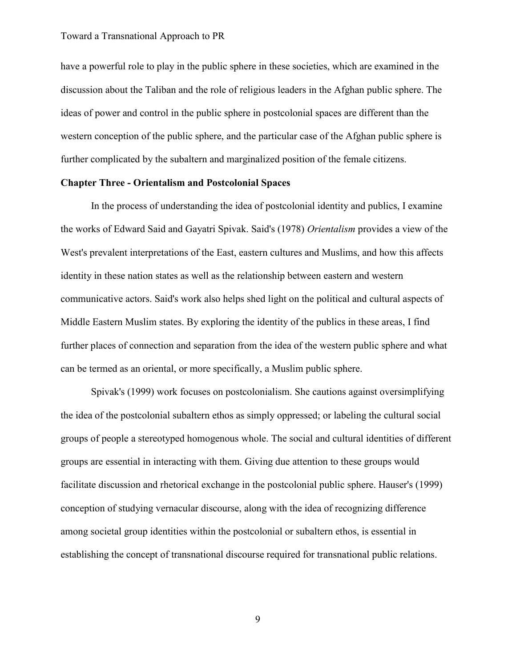have a powerful role to play in the public sphere in these societies, which are examined in the discussion about the Taliban and the role of religious leaders in the Afghan public sphere. The ideas of power and control in the public sphere in postcolonial spaces are different than the western conception of the public sphere, and the particular case of the Afghan public sphere is further complicated by the subaltern and marginalized position of the female citizens.

## **Chapter Three - Orientalism and Postcolonial Spaces**

In the process of understanding the idea of postcolonial identity and publics, I examine the works of Edward Said and Gayatri Spivak. Said's (1978) *Orientalism* provides a view of the West's prevalent interpretations of the East, eastern cultures and Muslims, and how this affects identity in these nation states as well as the relationship between eastern and western communicative actors. Said's work also helps shed light on the political and cultural aspects of Middle Eastern Muslim states. By exploring the identity of the publics in these areas, I find further places of connection and separation from the idea of the western public sphere and what can be termed as an oriental, or more specifically, a Muslim public sphere.

Spivak's (1999) work focuses on postcolonialism. She cautions against oversimplifying the idea of the postcolonial subaltern ethos as simply oppressed; or labeling the cultural social groups of people a stereotyped homogenous whole. The social and cultural identities of different groups are essential in interacting with them. Giving due attention to these groups would facilitate discussion and rhetorical exchange in the postcolonial public sphere. Hauser's (1999) conception of studying vernacular discourse, along with the idea of recognizing difference among societal group identities within the postcolonial or subaltern ethos, is essential in establishing the concept of transnational discourse required for transnational public relations.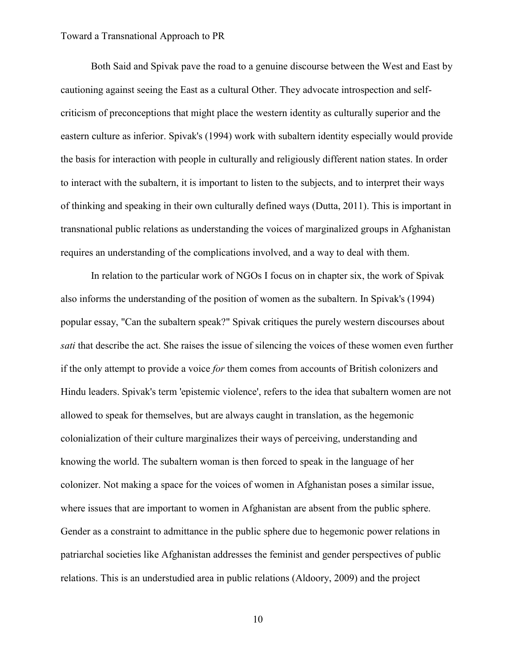Both Said and Spivak pave the road to a genuine discourse between the West and East by cautioning against seeing the East as a cultural Other. They advocate introspection and selfcriticism of preconceptions that might place the western identity as culturally superior and the eastern culture as inferior. Spivak's (1994) work with subaltern identity especially would provide the basis for interaction with people in culturally and religiously different nation states. In order to interact with the subaltern, it is important to listen to the subjects, and to interpret their ways of thinking and speaking in their own culturally defined ways (Dutta, 2011). This is important in transnational public relations as understanding the voices of marginalized groups in Afghanistan requires an understanding of the complications involved, and a way to deal with them.

In relation to the particular work of NGOs I focus on in chapter six, the work of Spivak also informs the understanding of the position of women as the subaltern. In Spivak's (1994) popular essay, "Can the subaltern speak?" Spivak critiques the purely western discourses about *sati* that describe the act. She raises the issue of silencing the voices of these women even further if the only attempt to provide a voice *for* them comes from accounts of British colonizers and Hindu leaders. Spivak's term 'epistemic violence', refers to the idea that subaltern women are not allowed to speak for themselves, but are always caught in translation, as the hegemonic colonialization of their culture marginalizes their ways of perceiving, understanding and knowing the world. The subaltern woman is then forced to speak in the language of her colonizer. Not making a space for the voices of women in Afghanistan poses a similar issue, where issues that are important to women in Afghanistan are absent from the public sphere. Gender as a constraint to admittance in the public sphere due to hegemonic power relations in patriarchal societies like Afghanistan addresses the feminist and gender perspectives of public relations. This is an understudied area in public relations (Aldoory, 2009) and the project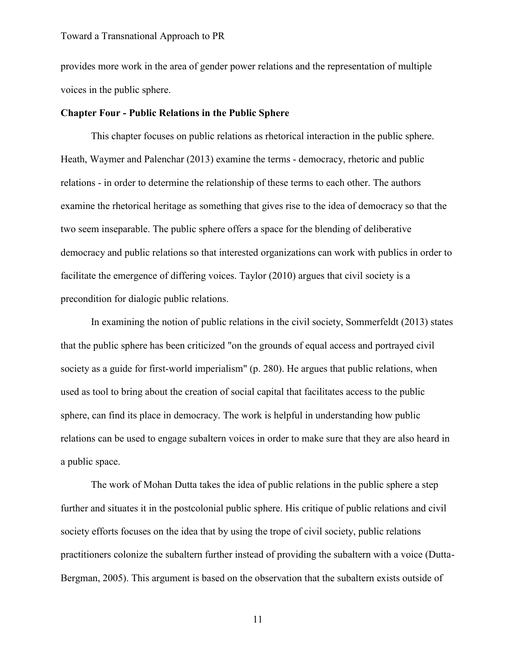provides more work in the area of gender power relations and the representation of multiple voices in the public sphere.

## **Chapter Four - Public Relations in the Public Sphere**

This chapter focuses on public relations as rhetorical interaction in the public sphere. Heath, Waymer and Palenchar (2013) examine the terms - democracy, rhetoric and public relations - in order to determine the relationship of these terms to each other. The authors examine the rhetorical heritage as something that gives rise to the idea of democracy so that the two seem inseparable. The public sphere offers a space for the blending of deliberative democracy and public relations so that interested organizations can work with publics in order to facilitate the emergence of differing voices. Taylor (2010) argues that civil society is a precondition for dialogic public relations.

In examining the notion of public relations in the civil society, Sommerfeldt (2013) states that the public sphere has been criticized "on the grounds of equal access and portrayed civil society as a guide for first-world imperialism" (p. 280). He argues that public relations, when used as tool to bring about the creation of social capital that facilitates access to the public sphere, can find its place in democracy. The work is helpful in understanding how public relations can be used to engage subaltern voices in order to make sure that they are also heard in a public space.

The work of Mohan Dutta takes the idea of public relations in the public sphere a step further and situates it in the postcolonial public sphere. His critique of public relations and civil society efforts focuses on the idea that by using the trope of civil society, public relations practitioners colonize the subaltern further instead of providing the subaltern with a voice (Dutta-Bergman, 2005). This argument is based on the observation that the subaltern exists outside of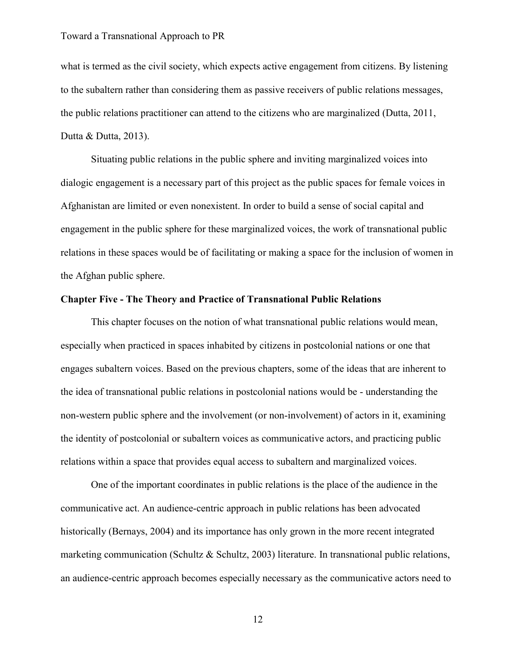what is termed as the civil society, which expects active engagement from citizens. By listening to the subaltern rather than considering them as passive receivers of public relations messages, the public relations practitioner can attend to the citizens who are marginalized (Dutta, 2011, Dutta & Dutta, 2013).

Situating public relations in the public sphere and inviting marginalized voices into dialogic engagement is a necessary part of this project as the public spaces for female voices in Afghanistan are limited or even nonexistent. In order to build a sense of social capital and engagement in the public sphere for these marginalized voices, the work of transnational public relations in these spaces would be of facilitating or making a space for the inclusion of women in the Afghan public sphere.

## **Chapter Five - The Theory and Practice of Transnational Public Relations**

This chapter focuses on the notion of what transnational public relations would mean, especially when practiced in spaces inhabited by citizens in postcolonial nations or one that engages subaltern voices. Based on the previous chapters, some of the ideas that are inherent to the idea of transnational public relations in postcolonial nations would be - understanding the non-western public sphere and the involvement (or non-involvement) of actors in it, examining the identity of postcolonial or subaltern voices as communicative actors, and practicing public relations within a space that provides equal access to subaltern and marginalized voices.

One of the important coordinates in public relations is the place of the audience in the communicative act. An audience-centric approach in public relations has been advocated historically (Bernays, 2004) and its importance has only grown in the more recent integrated marketing communication (Schultz & Schultz, 2003) literature. In transnational public relations, an audience-centric approach becomes especially necessary as the communicative actors need to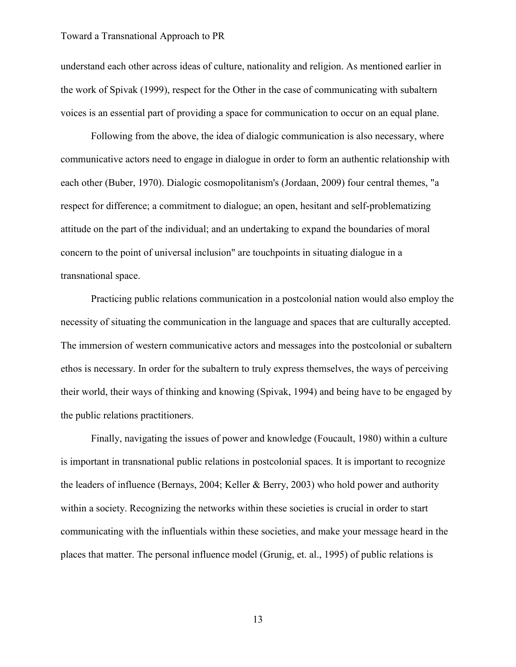understand each other across ideas of culture, nationality and religion. As mentioned earlier in the work of Spivak (1999), respect for the Other in the case of communicating with subaltern voices is an essential part of providing a space for communication to occur on an equal plane.

Following from the above, the idea of dialogic communication is also necessary, where communicative actors need to engage in dialogue in order to form an authentic relationship with each other (Buber, 1970). Dialogic cosmopolitanism's (Jordaan, 2009) four central themes, "a respect for difference; a commitment to dialogue; an open, hesitant and self-problematizing attitude on the part of the individual; and an undertaking to expand the boundaries of moral concern to the point of universal inclusion" are touchpoints in situating dialogue in a transnational space.

Practicing public relations communication in a postcolonial nation would also employ the necessity of situating the communication in the language and spaces that are culturally accepted. The immersion of western communicative actors and messages into the postcolonial or subaltern ethos is necessary. In order for the subaltern to truly express themselves, the ways of perceiving their world, their ways of thinking and knowing (Spivak, 1994) and being have to be engaged by the public relations practitioners.

Finally, navigating the issues of power and knowledge (Foucault, 1980) within a culture is important in transnational public relations in postcolonial spaces. It is important to recognize the leaders of influence (Bernays, 2004; Keller & Berry, 2003) who hold power and authority within a society. Recognizing the networks within these societies is crucial in order to start communicating with the influentials within these societies, and make your message heard in the places that matter. The personal influence model (Grunig, et. al., 1995) of public relations is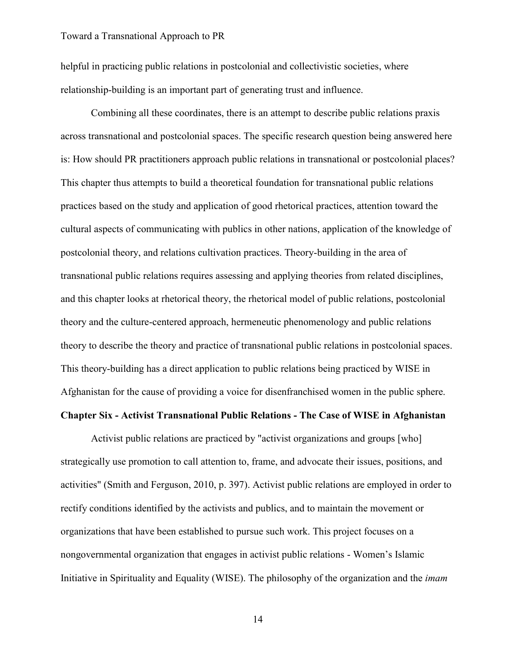helpful in practicing public relations in postcolonial and collectivistic societies, where relationship-building is an important part of generating trust and influence.

Combining all these coordinates, there is an attempt to describe public relations praxis across transnational and postcolonial spaces. The specific research question being answered here is: How should PR practitioners approach public relations in transnational or postcolonial places? This chapter thus attempts to build a theoretical foundation for transnational public relations practices based on the study and application of good rhetorical practices, attention toward the cultural aspects of communicating with publics in other nations, application of the knowledge of postcolonial theory, and relations cultivation practices. Theory-building in the area of transnational public relations requires assessing and applying theories from related disciplines, and this chapter looks at rhetorical theory, the rhetorical model of public relations, postcolonial theory and the culture-centered approach, hermeneutic phenomenology and public relations theory to describe the theory and practice of transnational public relations in postcolonial spaces. This theory-building has a direct application to public relations being practiced by WISE in Afghanistan for the cause of providing a voice for disenfranchised women in the public sphere.

## **Chapter Six - Activist Transnational Public Relations - The Case of WISE in Afghanistan**

Activist public relations are practiced by "activist organizations and groups [who] strategically use promotion to call attention to, frame, and advocate their issues, positions, and activities" (Smith and Ferguson, 2010, p. 397). Activist public relations are employed in order to rectify conditions identified by the activists and publics, and to maintain the movement or organizations that have been established to pursue such work. This project focuses on a nongovernmental organization that engages in activist public relations - Women's Islamic Initiative in Spirituality and Equality (WISE). The philosophy of the organization and the *imam*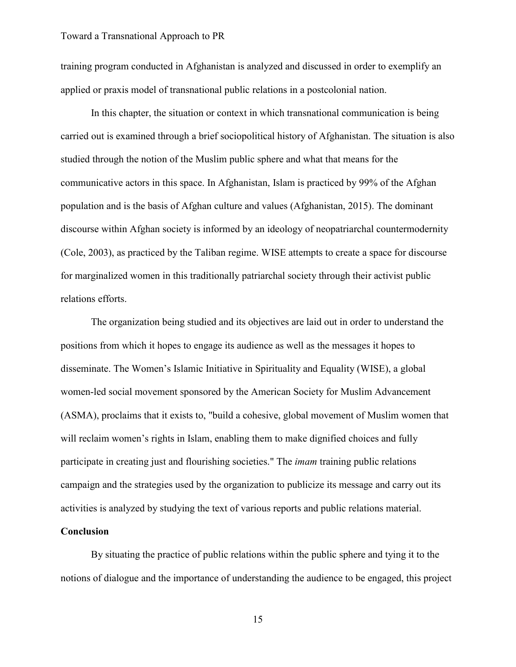training program conducted in Afghanistan is analyzed and discussed in order to exemplify an applied or praxis model of transnational public relations in a postcolonial nation.

In this chapter, the situation or context in which transnational communication is being carried out is examined through a brief sociopolitical history of Afghanistan. The situation is also studied through the notion of the Muslim public sphere and what that means for the communicative actors in this space. In Afghanistan, Islam is practiced by 99% of the Afghan population and is the basis of Afghan culture and values (Afghanistan, 2015). The dominant discourse within Afghan society is informed by an ideology of neopatriarchal countermodernity (Cole, 2003), as practiced by the Taliban regime. WISE attempts to create a space for discourse for marginalized women in this traditionally patriarchal society through their activist public relations efforts.

The organization being studied and its objectives are laid out in order to understand the positions from which it hopes to engage its audience as well as the messages it hopes to disseminate. The Women's Islamic Initiative in Spirituality and Equality (WISE), a global women-led social movement sponsored by the American Society for Muslim Advancement (ASMA), proclaims that it exists to, "build a cohesive, global movement of Muslim women that will reclaim women's rights in Islam, enabling them to make dignified choices and fully participate in creating just and flourishing societies." The *imam* training public relations campaign and the strategies used by the organization to publicize its message and carry out its activities is analyzed by studying the text of various reports and public relations material.

## **Conclusion**

By situating the practice of public relations within the public sphere and tying it to the notions of dialogue and the importance of understanding the audience to be engaged, this project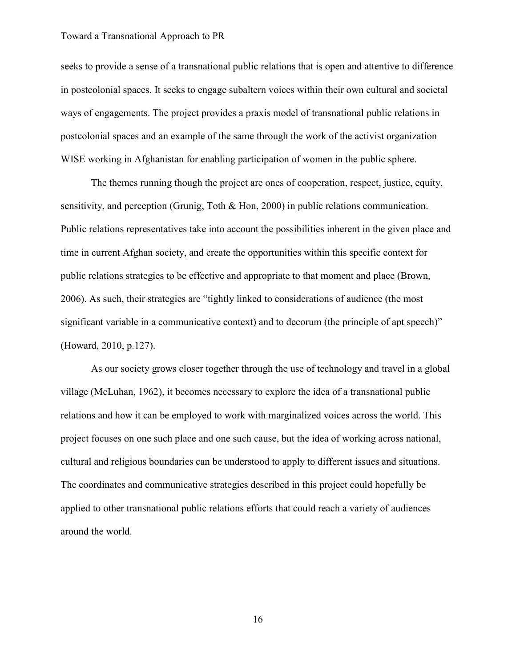seeks to provide a sense of a transnational public relations that is open and attentive to difference in postcolonial spaces. It seeks to engage subaltern voices within their own cultural and societal ways of engagements. The project provides a praxis model of transnational public relations in postcolonial spaces and an example of the same through the work of the activist organization WISE working in Afghanistan for enabling participation of women in the public sphere.

The themes running though the project are ones of cooperation, respect, justice, equity, sensitivity, and perception (Grunig, Toth & Hon, 2000) in public relations communication. Public relations representatives take into account the possibilities inherent in the given place and time in current Afghan society, and create the opportunities within this specific context for public relations strategies to be effective and appropriate to that moment and place (Brown, 2006). As such, their strategies are "tightly linked to considerations of audience (the most significant variable in a communicative context) and to decorum (the principle of apt speech)" (Howard, 2010, p.127).

As our society grows closer together through the use of technology and travel in a global village (McLuhan, 1962), it becomes necessary to explore the idea of a transnational public relations and how it can be employed to work with marginalized voices across the world. This project focuses on one such place and one such cause, but the idea of working across national, cultural and religious boundaries can be understood to apply to different issues and situations. The coordinates and communicative strategies described in this project could hopefully be applied to other transnational public relations efforts that could reach a variety of audiences around the world.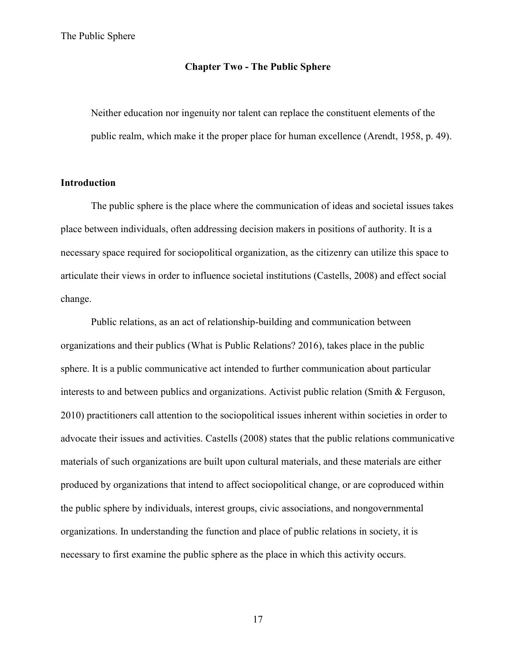## **Chapter Two - The Public Sphere**

Neither education nor ingenuity nor talent can replace the constituent elements of the public realm, which make it the proper place for human excellence (Arendt, 1958, p. 49).

## **Introduction**

The public sphere is the place where the communication of ideas and societal issues takes place between individuals, often addressing decision makers in positions of authority. It is a necessary space required for sociopolitical organization, as the citizenry can utilize this space to articulate their views in order to influence societal institutions (Castells, 2008) and effect social change.

Public relations, as an act of relationship-building and communication between organizations and their publics (What is Public Relations? 2016), takes place in the public sphere. It is a public communicative act intended to further communication about particular interests to and between publics and organizations. Activist public relation (Smith & Ferguson, 2010) practitioners call attention to the sociopolitical issues inherent within societies in order to advocate their issues and activities. Castells (2008) states that the public relations communicative materials of such organizations are built upon cultural materials, and these materials are either produced by organizations that intend to affect sociopolitical change, or are coproduced within the public sphere by individuals, interest groups, civic associations, and nongovernmental organizations. In understanding the function and place of public relations in society, it is necessary to first examine the public sphere as the place in which this activity occurs.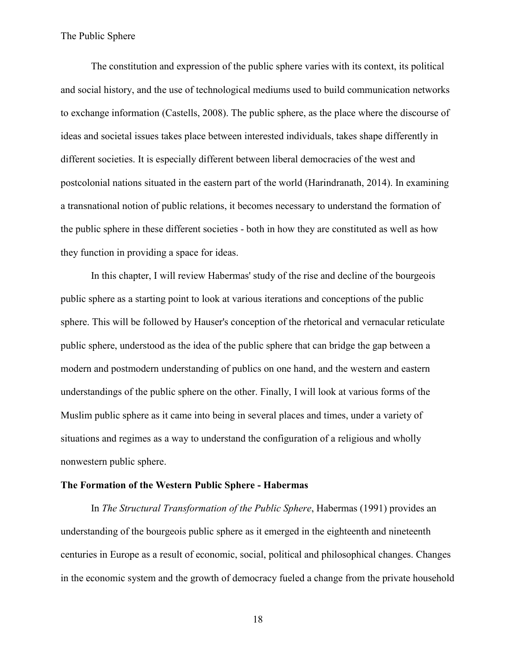The constitution and expression of the public sphere varies with its context, its political and social history, and the use of technological mediums used to build communication networks to exchange information (Castells, 2008). The public sphere, as the place where the discourse of ideas and societal issues takes place between interested individuals, takes shape differently in different societies. It is especially different between liberal democracies of the west and postcolonial nations situated in the eastern part of the world (Harindranath, 2014). In examining a transnational notion of public relations, it becomes necessary to understand the formation of the public sphere in these different societies - both in how they are constituted as well as how they function in providing a space for ideas.

In this chapter, I will review Habermas' study of the rise and decline of the bourgeois public sphere as a starting point to look at various iterations and conceptions of the public sphere. This will be followed by Hauser's conception of the rhetorical and vernacular reticulate public sphere, understood as the idea of the public sphere that can bridge the gap between a modern and postmodern understanding of publics on one hand, and the western and eastern understandings of the public sphere on the other. Finally, I will look at various forms of the Muslim public sphere as it came into being in several places and times, under a variety of situations and regimes as a way to understand the configuration of a religious and wholly nonwestern public sphere.

### **The Formation of the Western Public Sphere - Habermas**

In *The Structural Transformation of the Public Sphere*, Habermas (1991) provides an understanding of the bourgeois public sphere as it emerged in the eighteenth and nineteenth centuries in Europe as a result of economic, social, political and philosophical changes. Changes in the economic system and the growth of democracy fueled a change from the private household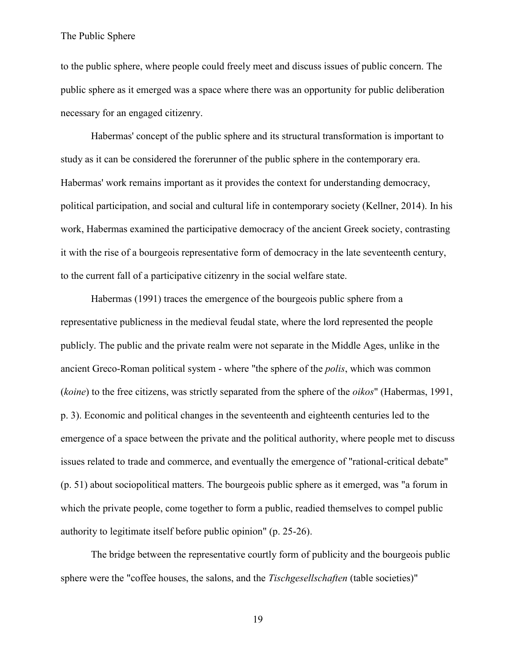to the public sphere, where people could freely meet and discuss issues of public concern. The public sphere as it emerged was a space where there was an opportunity for public deliberation necessary for an engaged citizenry.

Habermas' concept of the public sphere and its structural transformation is important to study as it can be considered the forerunner of the public sphere in the contemporary era. Habermas' work remains important as it provides the context for understanding democracy, political participation, and social and cultural life in contemporary society (Kellner, 2014). In his work, Habermas examined the participative democracy of the ancient Greek society, contrasting it with the rise of a bourgeois representative form of democracy in the late seventeenth century, to the current fall of a participative citizenry in the social welfare state.

Habermas (1991) traces the emergence of the bourgeois public sphere from a representative publicness in the medieval feudal state, where the lord represented the people publicly. The public and the private realm were not separate in the Middle Ages, unlike in the ancient Greco-Roman political system - where "the sphere of the *polis*, which was common (*koine*) to the free citizens, was strictly separated from the sphere of the *oikos*" (Habermas, 1991, p. 3). Economic and political changes in the seventeenth and eighteenth centuries led to the emergence of a space between the private and the political authority, where people met to discuss issues related to trade and commerce, and eventually the emergence of "rational-critical debate" (p. 51) about sociopolitical matters. The bourgeois public sphere as it emerged, was "a forum in which the private people, come together to form a public, readied themselves to compel public authority to legitimate itself before public opinion" (p. 25-26).

The bridge between the representative courtly form of publicity and the bourgeois public sphere were the "coffee houses, the salons, and the *Tischgesellschaften* (table societies)"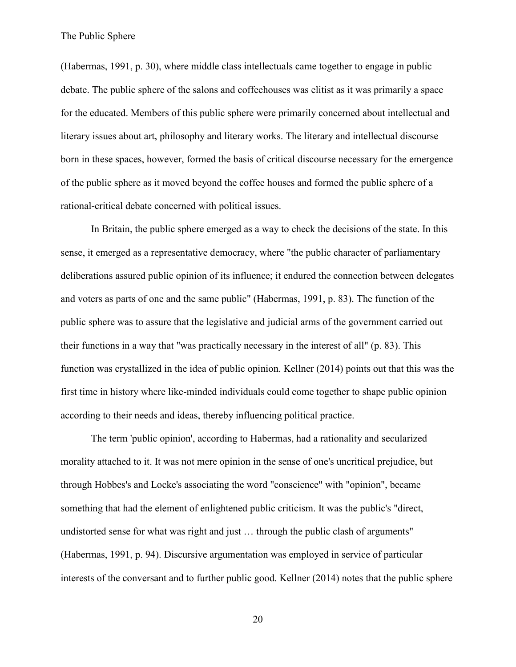(Habermas, 1991, p. 30), where middle class intellectuals came together to engage in public debate. The public sphere of the salons and coffeehouses was elitist as it was primarily a space for the educated. Members of this public sphere were primarily concerned about intellectual and literary issues about art, philosophy and literary works. The literary and intellectual discourse born in these spaces, however, formed the basis of critical discourse necessary for the emergence of the public sphere as it moved beyond the coffee houses and formed the public sphere of a rational-critical debate concerned with political issues.

In Britain, the public sphere emerged as a way to check the decisions of the state. In this sense, it emerged as a representative democracy, where "the public character of parliamentary deliberations assured public opinion of its influence; it endured the connection between delegates and voters as parts of one and the same public" (Habermas, 1991, p. 83). The function of the public sphere was to assure that the legislative and judicial arms of the government carried out their functions in a way that "was practically necessary in the interest of all" (p. 83). This function was crystallized in the idea of public opinion. Kellner (2014) points out that this was the first time in history where like-minded individuals could come together to shape public opinion according to their needs and ideas, thereby influencing political practice.

The term 'public opinion', according to Habermas, had a rationality and secularized morality attached to it. It was not mere opinion in the sense of one's uncritical prejudice, but through Hobbes's and Locke's associating the word "conscience" with "opinion", became something that had the element of enlightened public criticism. It was the public's "direct, undistorted sense for what was right and just … through the public clash of arguments" (Habermas, 1991, p. 94). Discursive argumentation was employed in service of particular interests of the conversant and to further public good. Kellner (2014) notes that the public sphere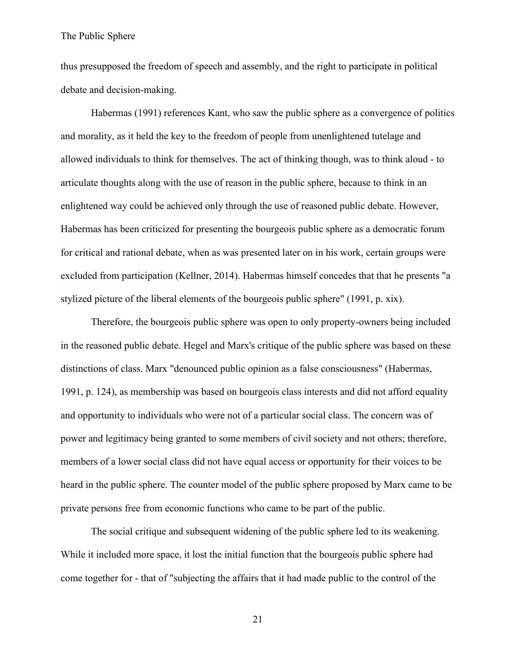thus presupposed the freedom of speech and assembly, and the right to participate in political debate and decision-making.

Habermas (1991) references Kant, who saw the public sphere as a convergence of politics and morality, as it held the key to the freedom of people from unenlightened tutelage and allowed individuals to think for themselves. The act of thinking though, was to think aloud - to articulate thoughts along with the use of reason in the public sphere, because to think in an enlightened way could be achieved only through the use of reasoned public debate. However, Habermas has been criticized for presenting the bourgeois public sphere as a democratic forum for critical and rational debate, when as was presented later on in his work, certain groups were excluded from participation (Kellner, 2014). Habermas himself concedes that that he presents "a stylized picture of the liberal elements of the bourgeois public sphere" (1991, p. xix).

Therefore, the bourgeois public sphere was open to only property-owners being included in the reasoned public debate. Hegel and Marx's critique of the public sphere was based on these distinctions of class. Marx "denounced public opinion as a false consciousness" (Habermas, 1991, p. 124), as membership was based on bourgeois class interests and did not afford equality and opportunity to individuals who were not of a particular social class. The concern was of power and legitimacy being granted to some members of civil society and not others; therefore, members of a lower social class did not have equal access or opportunity for their voices to be heard in the public sphere. The counter model of the public sphere proposed by Marx came to be private persons free from economic functions who came to be part of the public.

The social critique and subsequent widening of the public sphere led to its weakening. While it included more space, it lost the initial function that the bourgeois public sphere had come together for - that of "subjecting the affairs that it had made public to the control of the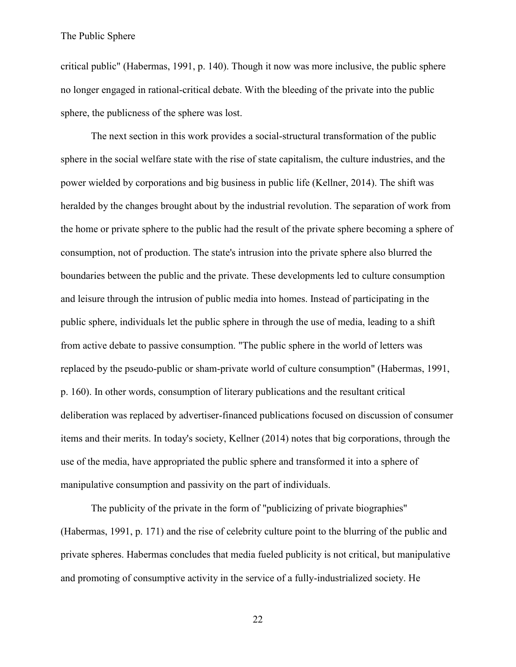critical public" (Habermas, 1991, p. 140). Though it now was more inclusive, the public sphere no longer engaged in rational-critical debate. With the bleeding of the private into the public sphere, the publicness of the sphere was lost.

The next section in this work provides a social-structural transformation of the public sphere in the social welfare state with the rise of state capitalism, the culture industries, and the power wielded by corporations and big business in public life (Kellner, 2014). The shift was heralded by the changes brought about by the industrial revolution. The separation of work from the home or private sphere to the public had the result of the private sphere becoming a sphere of consumption, not of production. The state's intrusion into the private sphere also blurred the boundaries between the public and the private. These developments led to culture consumption and leisure through the intrusion of public media into homes. Instead of participating in the public sphere, individuals let the public sphere in through the use of media, leading to a shift from active debate to passive consumption. "The public sphere in the world of letters was replaced by the pseudo-public or sham-private world of culture consumption" (Habermas, 1991, p. 160). In other words, consumption of literary publications and the resultant critical deliberation was replaced by advertiser-financed publications focused on discussion of consumer items and their merits. In today's society, Kellner (2014) notes that big corporations, through the use of the media, have appropriated the public sphere and transformed it into a sphere of manipulative consumption and passivity on the part of individuals.

The publicity of the private in the form of "publicizing of private biographies" (Habermas, 1991, p. 171) and the rise of celebrity culture point to the blurring of the public and private spheres. Habermas concludes that media fueled publicity is not critical, but manipulative and promoting of consumptive activity in the service of a fully-industrialized society. He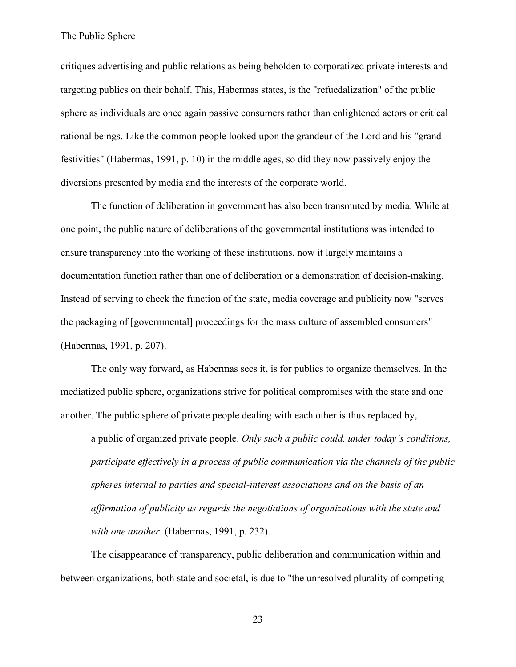critiques advertising and public relations as being beholden to corporatized private interests and targeting publics on their behalf. This, Habermas states, is the "refuedalization" of the public sphere as individuals are once again passive consumers rather than enlightened actors or critical rational beings. Like the common people looked upon the grandeur of the Lord and his "grand festivities" (Habermas, 1991, p. 10) in the middle ages, so did they now passively enjoy the diversions presented by media and the interests of the corporate world.

The function of deliberation in government has also been transmuted by media. While at one point, the public nature of deliberations of the governmental institutions was intended to ensure transparency into the working of these institutions, now it largely maintains a documentation function rather than one of deliberation or a demonstration of decision-making. Instead of serving to check the function of the state, media coverage and publicity now "serves the packaging of [governmental] proceedings for the mass culture of assembled consumers" (Habermas, 1991, p. 207).

The only way forward, as Habermas sees it, is for publics to organize themselves. In the mediatized public sphere, organizations strive for political compromises with the state and one another. The public sphere of private people dealing with each other is thus replaced by,

a public of organized private people. *Only such a public could, under today's conditions, participate effectively in a process of public communication via the channels of the public spheres internal to parties and special-interest associations and on the basis of an affirmation of publicity as regards the negotiations of organizations with the state and with one another*. (Habermas, 1991, p. 232).

The disappearance of transparency, public deliberation and communication within and between organizations, both state and societal, is due to "the unresolved plurality of competing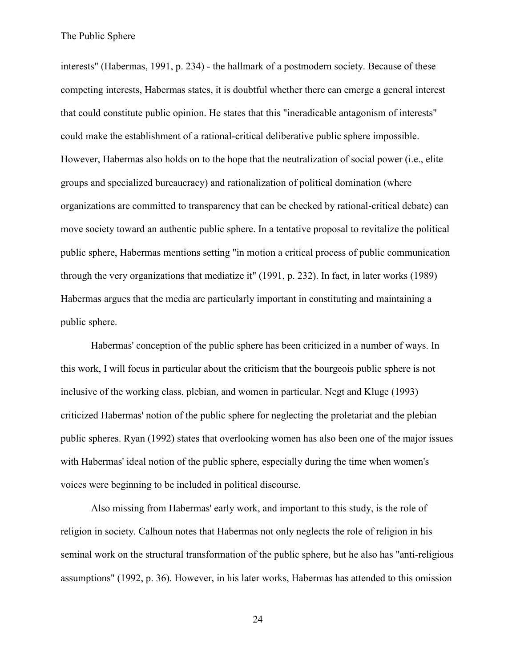interests" (Habermas, 1991, p. 234) - the hallmark of a postmodern society. Because of these competing interests, Habermas states, it is doubtful whether there can emerge a general interest that could constitute public opinion. He states that this "ineradicable antagonism of interests" could make the establishment of a rational-critical deliberative public sphere impossible. However, Habermas also holds on to the hope that the neutralization of social power (i.e., elite groups and specialized bureaucracy) and rationalization of political domination (where organizations are committed to transparency that can be checked by rational-critical debate) can move society toward an authentic public sphere. In a tentative proposal to revitalize the political public sphere, Habermas mentions setting "in motion a critical process of public communication through the very organizations that mediatize it" (1991, p. 232). In fact, in later works (1989) Habermas argues that the media are particularly important in constituting and maintaining a public sphere.

Habermas' conception of the public sphere has been criticized in a number of ways. In this work, I will focus in particular about the criticism that the bourgeois public sphere is not inclusive of the working class, plebian, and women in particular. Negt and Kluge (1993) criticized Habermas' notion of the public sphere for neglecting the proletariat and the plebian public spheres. Ryan (1992) states that overlooking women has also been one of the major issues with Habermas' ideal notion of the public sphere, especially during the time when women's voices were beginning to be included in political discourse.

Also missing from Habermas' early work, and important to this study, is the role of religion in society. Calhoun notes that Habermas not only neglects the role of religion in his seminal work on the structural transformation of the public sphere, but he also has "anti-religious assumptions" (1992, p. 36). However, in his later works, Habermas has attended to this omission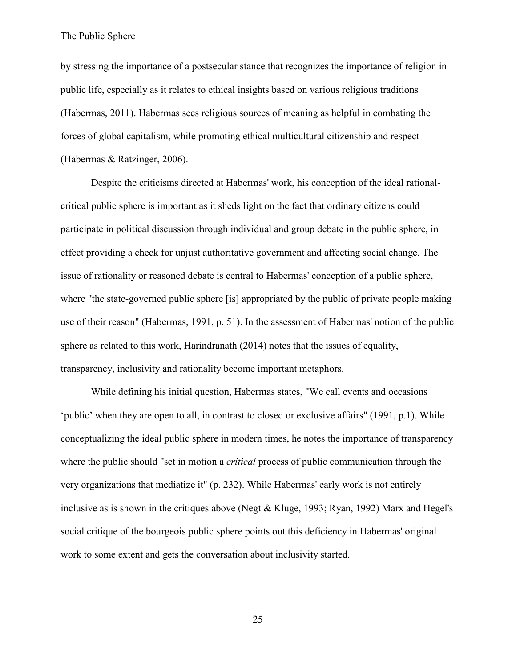by stressing the importance of a postsecular stance that recognizes the importance of religion in public life, especially as it relates to ethical insights based on various religious traditions (Habermas, 2011). Habermas sees religious sources of meaning as helpful in combating the forces of global capitalism, while promoting ethical multicultural citizenship and respect (Habermas & Ratzinger, 2006).

Despite the criticisms directed at Habermas' work, his conception of the ideal rationalcritical public sphere is important as it sheds light on the fact that ordinary citizens could participate in political discussion through individual and group debate in the public sphere, in effect providing a check for unjust authoritative government and affecting social change. The issue of rationality or reasoned debate is central to Habermas' conception of a public sphere, where "the state-governed public sphere [is] appropriated by the public of private people making use of their reason" (Habermas, 1991, p. 51). In the assessment of Habermas' notion of the public sphere as related to this work, Harindranath (2014) notes that the issues of equality, transparency, inclusivity and rationality become important metaphors.

While defining his initial question, Habermas states, "We call events and occasions 'public' when they are open to all, in contrast to closed or exclusive affairs" (1991, p.1). While conceptualizing the ideal public sphere in modern times, he notes the importance of transparency where the public should "set in motion a *critical* process of public communication through the very organizations that mediatize it" (p. 232). While Habermas' early work is not entirely inclusive as is shown in the critiques above (Negt & Kluge, 1993; Ryan, 1992) Marx and Hegel's social critique of the bourgeois public sphere points out this deficiency in Habermas' original work to some extent and gets the conversation about inclusivity started.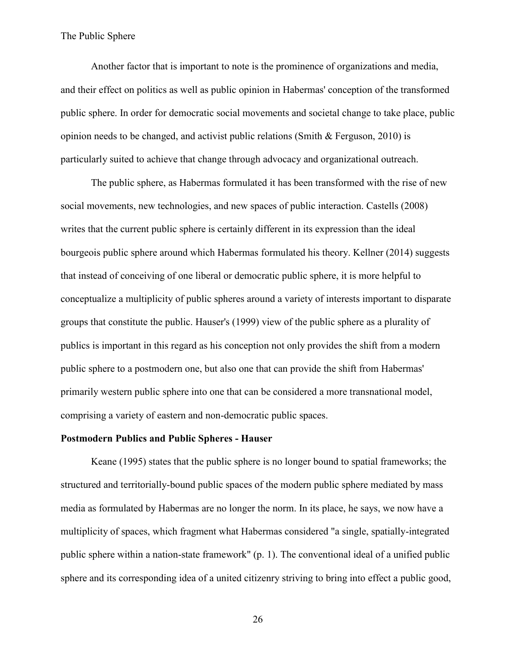Another factor that is important to note is the prominence of organizations and media, and their effect on politics as well as public opinion in Habermas' conception of the transformed public sphere. In order for democratic social movements and societal change to take place, public opinion needs to be changed, and activist public relations (Smith  $\&$  Ferguson, 2010) is particularly suited to achieve that change through advocacy and organizational outreach.

The public sphere, as Habermas formulated it has been transformed with the rise of new social movements, new technologies, and new spaces of public interaction. Castells (2008) writes that the current public sphere is certainly different in its expression than the ideal bourgeois public sphere around which Habermas formulated his theory. Kellner (2014) suggests that instead of conceiving of one liberal or democratic public sphere, it is more helpful to conceptualize a multiplicity of public spheres around a variety of interests important to disparate groups that constitute the public. Hauser's (1999) view of the public sphere as a plurality of publics is important in this regard as his conception not only provides the shift from a modern public sphere to a postmodern one, but also one that can provide the shift from Habermas' primarily western public sphere into one that can be considered a more transnational model, comprising a variety of eastern and non-democratic public spaces.

### **Postmodern Publics and Public Spheres - Hauser**

Keane (1995) states that the public sphere is no longer bound to spatial frameworks; the structured and territorially-bound public spaces of the modern public sphere mediated by mass media as formulated by Habermas are no longer the norm. In its place, he says, we now have a multiplicity of spaces, which fragment what Habermas considered "a single, spatially-integrated public sphere within a nation-state framework" (p. 1). The conventional ideal of a unified public sphere and its corresponding idea of a united citizenry striving to bring into effect a public good,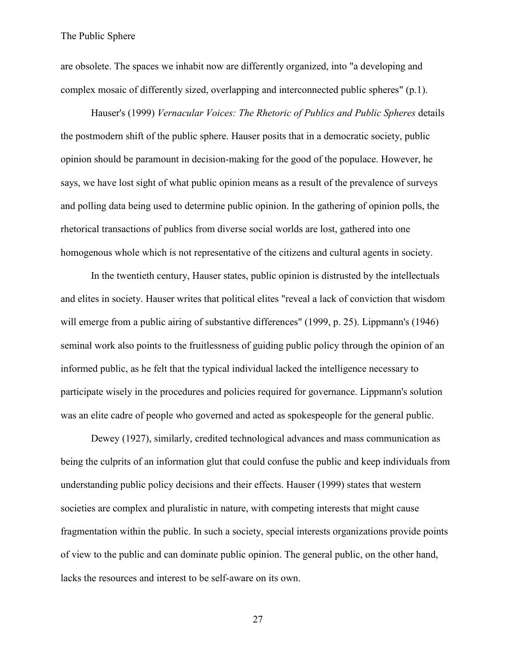are obsolete. The spaces we inhabit now are differently organized, into "a developing and complex mosaic of differently sized, overlapping and interconnected public spheres" (p.1).

Hauser's (1999) *Vernacular Voices: The Rhetoric of Publics and Public Spheres* details the postmodern shift of the public sphere. Hauser posits that in a democratic society, public opinion should be paramount in decision-making for the good of the populace. However, he says, we have lost sight of what public opinion means as a result of the prevalence of surveys and polling data being used to determine public opinion. In the gathering of opinion polls, the rhetorical transactions of publics from diverse social worlds are lost, gathered into one homogenous whole which is not representative of the citizens and cultural agents in society.

In the twentieth century, Hauser states, public opinion is distrusted by the intellectuals and elites in society. Hauser writes that political elites "reveal a lack of conviction that wisdom will emerge from a public airing of substantive differences" (1999, p. 25). Lippmann's (1946) seminal work also points to the fruitlessness of guiding public policy through the opinion of an informed public, as he felt that the typical individual lacked the intelligence necessary to participate wisely in the procedures and policies required for governance. Lippmann's solution was an elite cadre of people who governed and acted as spokespeople for the general public.

Dewey (1927), similarly, credited technological advances and mass communication as being the culprits of an information glut that could confuse the public and keep individuals from understanding public policy decisions and their effects. Hauser (1999) states that western societies are complex and pluralistic in nature, with competing interests that might cause fragmentation within the public. In such a society, special interests organizations provide points of view to the public and can dominate public opinion. The general public, on the other hand, lacks the resources and interest to be self-aware on its own.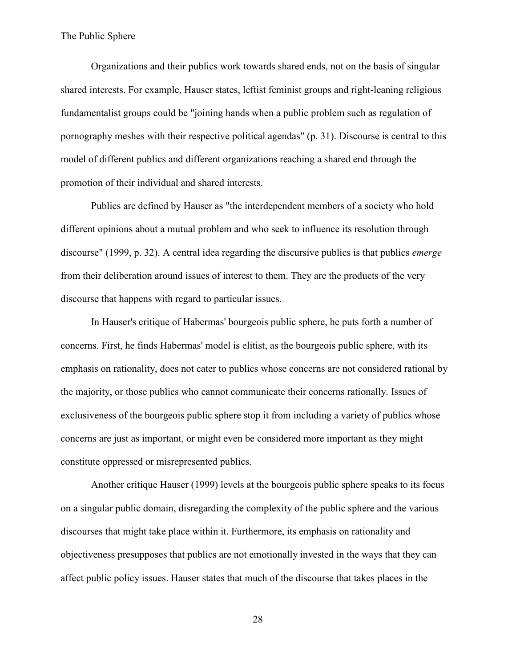Organizations and their publics work towards shared ends, not on the basis of singular shared interests. For example, Hauser states, leftist feminist groups and right-leaning religious fundamentalist groups could be "joining hands when a public problem such as regulation of pornography meshes with their respective political agendas" (p. 31). Discourse is central to this model of different publics and different organizations reaching a shared end through the promotion of their individual and shared interests.

Publics are defined by Hauser as "the interdependent members of a society who hold different opinions about a mutual problem and who seek to influence its resolution through discourse" (1999, p. 32). A central idea regarding the discursive publics is that publics *emerge* from their deliberation around issues of interest to them. They are the products of the very discourse that happens with regard to particular issues.

In Hauser's critique of Habermas' bourgeois public sphere, he puts forth a number of concerns. First, he finds Habermas' model is elitist, as the bourgeois public sphere, with its emphasis on rationality, does not cater to publics whose concerns are not considered rational by the majority, or those publics who cannot communicate their concerns rationally. Issues of exclusiveness of the bourgeois public sphere stop it from including a variety of publics whose concerns are just as important, or might even be considered more important as they might constitute oppressed or misrepresented publics.

Another critique Hauser (1999) levels at the bourgeois public sphere speaks to its focus on a singular public domain, disregarding the complexity of the public sphere and the various discourses that might take place within it. Furthermore, its emphasis on rationality and objectiveness presupposes that publics are not emotionally invested in the ways that they can affect public policy issues. Hauser states that much of the discourse that takes places in the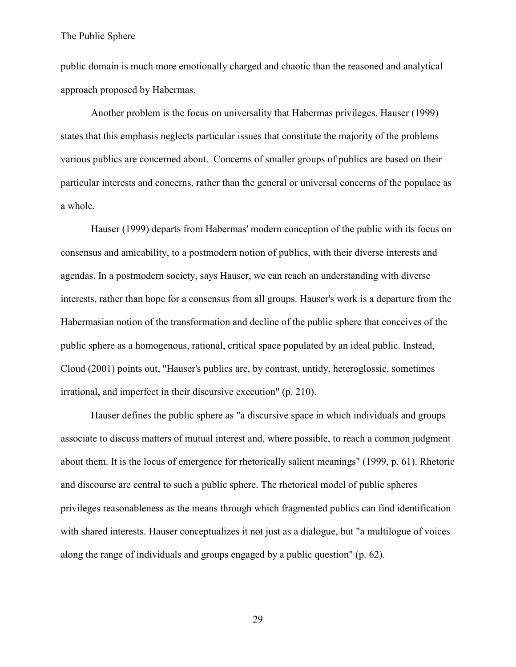public domain is much more emotionally charged and chaotic than the reasoned and analytical approach proposed by Habermas.

Another problem is the focus on universality that Habermas privileges. Hauser (1999) states that this emphasis neglects particular issues that constitute the majority of the problems various publics are concerned about. Concerns of smaller groups of publics are based on their particular interests and concerns, rather than the general or universal concerns of the populace as a whole.

Hauser (1999) departs from Habermas' modern conception of the public with its focus on consensus and amicability, to a postmodern notion of publics, with their diverse interests and agendas. In a postmodern society, says Hauser, we can reach an understanding with diverse interests, rather than hope for a consensus from all groups. Hauser's work is a departure from the Habermasian notion of the transformation and decline of the public sphere that conceives of the public sphere as a homogenous, rational, critical space populated by an ideal public. Instead, Cloud (2001) points out, "Hauser's publics are, by contrast, untidy, heteroglossic, sometimes irrational, and imperfect in their discursive execution" (p. 210).

Hauser defines the public sphere as "a discursive space in which individuals and groups associate to discuss matters of mutual interest and, where possible, to reach a common judgment about them. It is the locus of emergence for rhetorically salient meanings" (1999, p. 61). Rhetoric and discourse are central to such a public sphere. The rhetorical model of public spheres privileges reasonableness as the means through which fragmented publics can find identification with shared interests. Hauser conceptualizes it not just as a dialogue, but "a multilogue of voices along the range of individuals and groups engaged by a public question" (p. 62).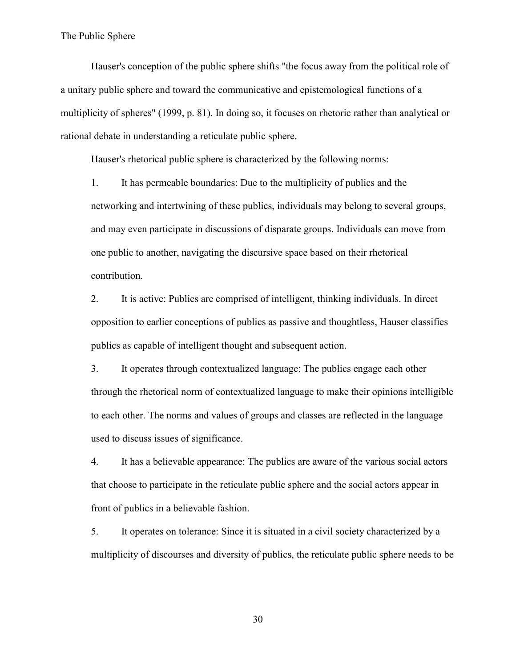Hauser's conception of the public sphere shifts "the focus away from the political role of a unitary public sphere and toward the communicative and epistemological functions of a multiplicity of spheres" (1999, p. 81). In doing so, it focuses on rhetoric rather than analytical or rational debate in understanding a reticulate public sphere.

Hauser's rhetorical public sphere is characterized by the following norms:

1. It has permeable boundaries: Due to the multiplicity of publics and the networking and intertwining of these publics, individuals may belong to several groups, and may even participate in discussions of disparate groups. Individuals can move from one public to another, navigating the discursive space based on their rhetorical contribution.

2. It is active: Publics are comprised of intelligent, thinking individuals. In direct opposition to earlier conceptions of publics as passive and thoughtless, Hauser classifies publics as capable of intelligent thought and subsequent action.

3. It operates through contextualized language: The publics engage each other through the rhetorical norm of contextualized language to make their opinions intelligible to each other. The norms and values of groups and classes are reflected in the language used to discuss issues of significance.

4. It has a believable appearance: The publics are aware of the various social actors that choose to participate in the reticulate public sphere and the social actors appear in front of publics in a believable fashion.

5. It operates on tolerance: Since it is situated in a civil society characterized by a multiplicity of discourses and diversity of publics, the reticulate public sphere needs to be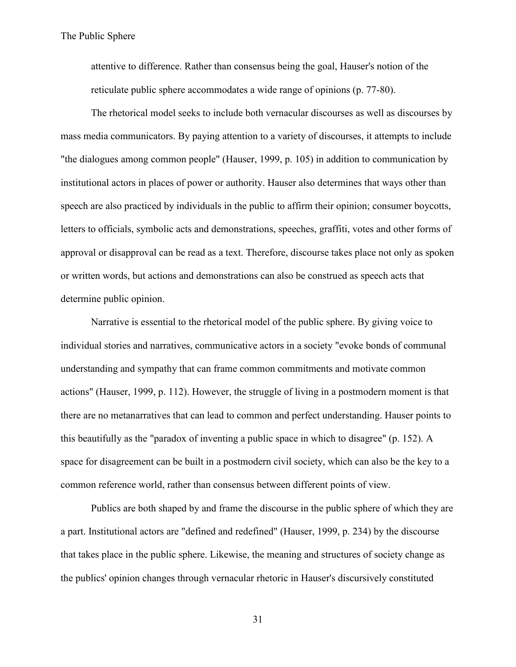attentive to difference. Rather than consensus being the goal, Hauser's notion of the reticulate public sphere accommodates a wide range of opinions (p. 77-80).

The rhetorical model seeks to include both vernacular discourses as well as discourses by mass media communicators. By paying attention to a variety of discourses, it attempts to include "the dialogues among common people" (Hauser, 1999, p. 105) in addition to communication by institutional actors in places of power or authority. Hauser also determines that ways other than speech are also practiced by individuals in the public to affirm their opinion; consumer boycotts, letters to officials, symbolic acts and demonstrations, speeches, graffiti, votes and other forms of approval or disapproval can be read as a text. Therefore, discourse takes place not only as spoken or written words, but actions and demonstrations can also be construed as speech acts that determine public opinion.

Narrative is essential to the rhetorical model of the public sphere. By giving voice to individual stories and narratives, communicative actors in a society "evoke bonds of communal understanding and sympathy that can frame common commitments and motivate common actions" (Hauser, 1999, p. 112). However, the struggle of living in a postmodern moment is that there are no metanarratives that can lead to common and perfect understanding. Hauser points to this beautifully as the "paradox of inventing a public space in which to disagree" (p. 152). A space for disagreement can be built in a postmodern civil society, which can also be the key to a common reference world, rather than consensus between different points of view.

Publics are both shaped by and frame the discourse in the public sphere of which they are a part. Institutional actors are "defined and redefined" (Hauser, 1999, p. 234) by the discourse that takes place in the public sphere. Likewise, the meaning and structures of society change as the publics' opinion changes through vernacular rhetoric in Hauser's discursively constituted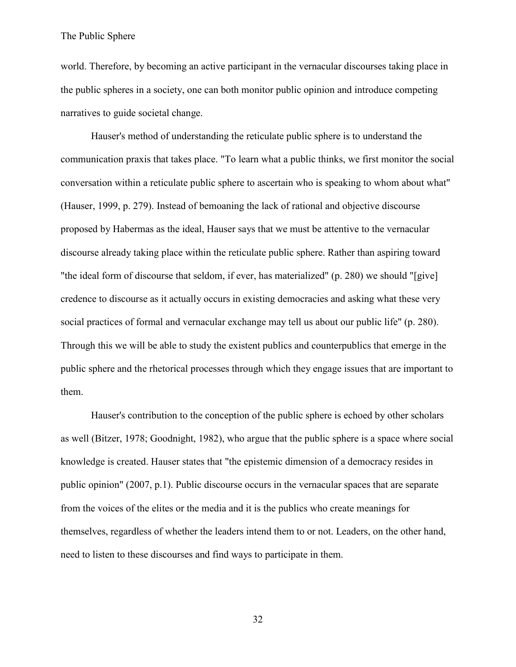world. Therefore, by becoming an active participant in the vernacular discourses taking place in the public spheres in a society, one can both monitor public opinion and introduce competing narratives to guide societal change.

Hauser's method of understanding the reticulate public sphere is to understand the communication praxis that takes place. "To learn what a public thinks, we first monitor the social conversation within a reticulate public sphere to ascertain who is speaking to whom about what" (Hauser, 1999, p. 279). Instead of bemoaning the lack of rational and objective discourse proposed by Habermas as the ideal, Hauser says that we must be attentive to the vernacular discourse already taking place within the reticulate public sphere. Rather than aspiring toward "the ideal form of discourse that seldom, if ever, has materialized" (p. 280) we should "[give] credence to discourse as it actually occurs in existing democracies and asking what these very social practices of formal and vernacular exchange may tell us about our public life" (p. 280). Through this we will be able to study the existent publics and counterpublics that emerge in the public sphere and the rhetorical processes through which they engage issues that are important to them.

Hauser's contribution to the conception of the public sphere is echoed by other scholars as well (Bitzer, 1978; Goodnight, 1982), who argue that the public sphere is a space where social knowledge is created. Hauser states that "the epistemic dimension of a democracy resides in public opinion" (2007, p.1). Public discourse occurs in the vernacular spaces that are separate from the voices of the elites or the media and it is the publics who create meanings for themselves, regardless of whether the leaders intend them to or not. Leaders, on the other hand, need to listen to these discourses and find ways to participate in them.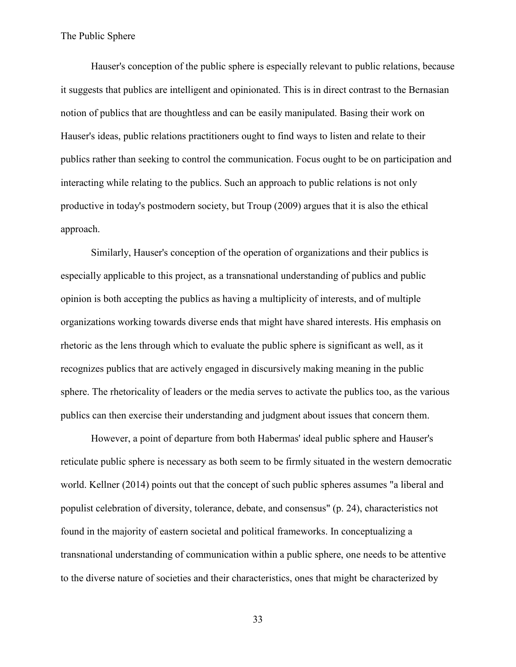Hauser's conception of the public sphere is especially relevant to public relations, because it suggests that publics are intelligent and opinionated. This is in direct contrast to the Bernasian notion of publics that are thoughtless and can be easily manipulated. Basing their work on Hauser's ideas, public relations practitioners ought to find ways to listen and relate to their publics rather than seeking to control the communication. Focus ought to be on participation and interacting while relating to the publics. Such an approach to public relations is not only productive in today's postmodern society, but Troup (2009) argues that it is also the ethical approach.

Similarly, Hauser's conception of the operation of organizations and their publics is especially applicable to this project, as a transnational understanding of publics and public opinion is both accepting the publics as having a multiplicity of interests, and of multiple organizations working towards diverse ends that might have shared interests. His emphasis on rhetoric as the lens through which to evaluate the public sphere is significant as well, as it recognizes publics that are actively engaged in discursively making meaning in the public sphere. The rhetoricality of leaders or the media serves to activate the publics too, as the various publics can then exercise their understanding and judgment about issues that concern them.

However, a point of departure from both Habermas' ideal public sphere and Hauser's reticulate public sphere is necessary as both seem to be firmly situated in the western democratic world. Kellner (2014) points out that the concept of such public spheres assumes "a liberal and populist celebration of diversity, tolerance, debate, and consensus" (p. 24), characteristics not found in the majority of eastern societal and political frameworks. In conceptualizing a transnational understanding of communication within a public sphere, one needs to be attentive to the diverse nature of societies and their characteristics, ones that might be characterized by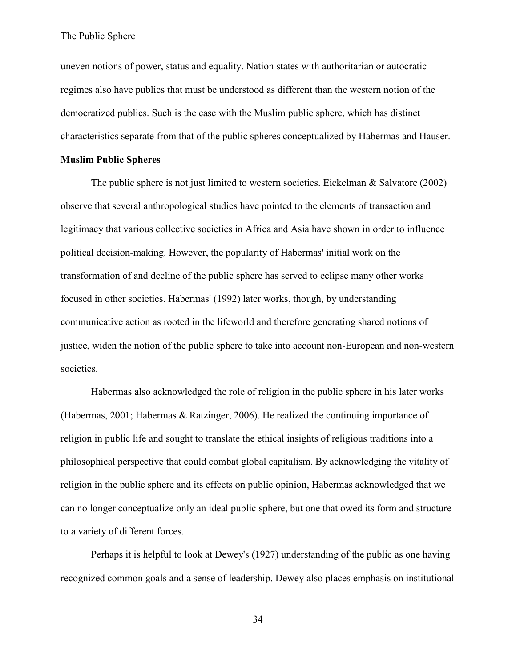uneven notions of power, status and equality. Nation states with authoritarian or autocratic regimes also have publics that must be understood as different than the western notion of the democratized publics. Such is the case with the Muslim public sphere, which has distinct characteristics separate from that of the public spheres conceptualized by Habermas and Hauser.

# **Muslim Public Spheres**

The public sphere is not just limited to western societies. Eickelman  $\&$  Salvatore (2002) observe that several anthropological studies have pointed to the elements of transaction and legitimacy that various collective societies in Africa and Asia have shown in order to influence political decision-making. However, the popularity of Habermas' initial work on the transformation of and decline of the public sphere has served to eclipse many other works focused in other societies. Habermas' (1992) later works, though, by understanding communicative action as rooted in the lifeworld and therefore generating shared notions of justice, widen the notion of the public sphere to take into account non-European and non-western societies.

Habermas also acknowledged the role of religion in the public sphere in his later works (Habermas, 2001; Habermas & Ratzinger, 2006). He realized the continuing importance of religion in public life and sought to translate the ethical insights of religious traditions into a philosophical perspective that could combat global capitalism. By acknowledging the vitality of religion in the public sphere and its effects on public opinion, Habermas acknowledged that we can no longer conceptualize only an ideal public sphere, but one that owed its form and structure to a variety of different forces.

Perhaps it is helpful to look at Dewey's (1927) understanding of the public as one having recognized common goals and a sense of leadership. Dewey also places emphasis on institutional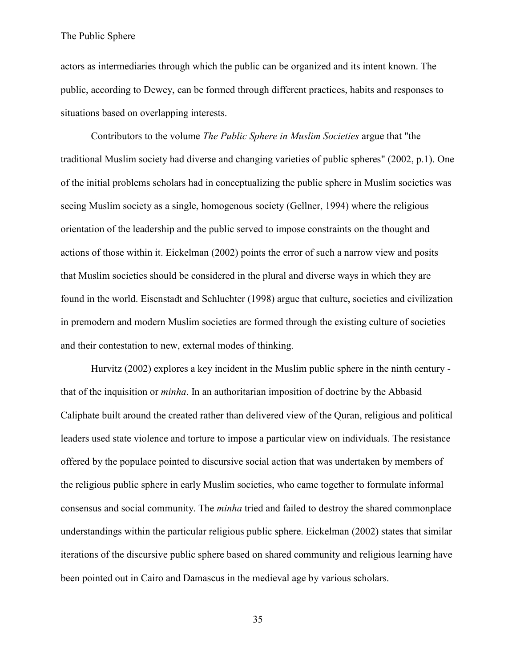actors as intermediaries through which the public can be organized and its intent known. The public, according to Dewey, can be formed through different practices, habits and responses to situations based on overlapping interests.

Contributors to the volume *The Public Sphere in Muslim Societies* argue that "the traditional Muslim society had diverse and changing varieties of public spheres" (2002, p.1). One of the initial problems scholars had in conceptualizing the public sphere in Muslim societies was seeing Muslim society as a single, homogenous society (Gellner, 1994) where the religious orientation of the leadership and the public served to impose constraints on the thought and actions of those within it. Eickelman (2002) points the error of such a narrow view and posits that Muslim societies should be considered in the plural and diverse ways in which they are found in the world. Eisenstadt and Schluchter (1998) argue that culture, societies and civilization in premodern and modern Muslim societies are formed through the existing culture of societies and their contestation to new, external modes of thinking.

Hurvitz (2002) explores a key incident in the Muslim public sphere in the ninth century that of the inquisition or *minha*. In an authoritarian imposition of doctrine by the Abbasid Caliphate built around the created rather than delivered view of the Quran, religious and political leaders used state violence and torture to impose a particular view on individuals. The resistance offered by the populace pointed to discursive social action that was undertaken by members of the religious public sphere in early Muslim societies, who came together to formulate informal consensus and social community. The *minha* tried and failed to destroy the shared commonplace understandings within the particular religious public sphere. Eickelman (2002) states that similar iterations of the discursive public sphere based on shared community and religious learning have been pointed out in Cairo and Damascus in the medieval age by various scholars.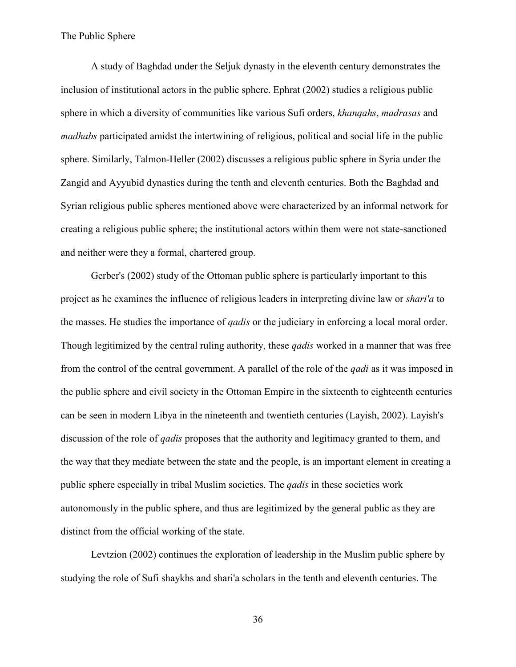A study of Baghdad under the Seljuk dynasty in the eleventh century demonstrates the inclusion of institutional actors in the public sphere. Ephrat (2002) studies a religious public sphere in which a diversity of communities like various Sufi orders, *khanqahs*, *madrasas* and *madhabs* participated amidst the intertwining of religious, political and social life in the public sphere. Similarly, Talmon-Heller (2002) discusses a religious public sphere in Syria under the Zangid and Ayyubid dynasties during the tenth and eleventh centuries. Both the Baghdad and Syrian religious public spheres mentioned above were characterized by an informal network for creating a religious public sphere; the institutional actors within them were not state-sanctioned and neither were they a formal, chartered group.

Gerber's (2002) study of the Ottoman public sphere is particularly important to this project as he examines the influence of religious leaders in interpreting divine law or *shari'a* to the masses. He studies the importance of *qadis* or the judiciary in enforcing a local moral order. Though legitimized by the central ruling authority, these *qadis* worked in a manner that was free from the control of the central government. A parallel of the role of the *qadi* as it was imposed in the public sphere and civil society in the Ottoman Empire in the sixteenth to eighteenth centuries can be seen in modern Libya in the nineteenth and twentieth centuries (Layish, 2002). Layish's discussion of the role of *qadis* proposes that the authority and legitimacy granted to them, and the way that they mediate between the state and the people, is an important element in creating a public sphere especially in tribal Muslim societies. The *qadis* in these societies work autonomously in the public sphere, and thus are legitimized by the general public as they are distinct from the official working of the state.

Levtzion (2002) continues the exploration of leadership in the Muslim public sphere by studying the role of Sufi shaykhs and shari'a scholars in the tenth and eleventh centuries. The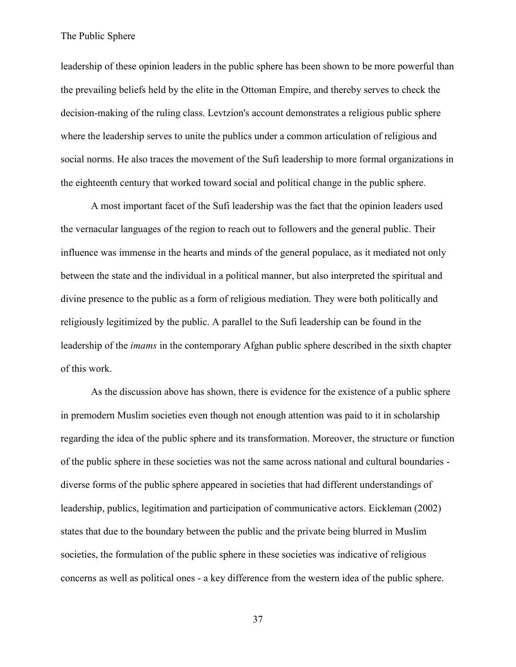leadership of these opinion leaders in the public sphere has been shown to be more powerful than the prevailing beliefs held by the elite in the Ottoman Empire, and thereby serves to check the decision-making of the ruling class. Levtzion's account demonstrates a religious public sphere where the leadership serves to unite the publics under a common articulation of religious and social norms. He also traces the movement of the Sufi leadership to more formal organizations in the eighteenth century that worked toward social and political change in the public sphere.

A most important facet of the Sufi leadership was the fact that the opinion leaders used the vernacular languages of the region to reach out to followers and the general public. Their influence was immense in the hearts and minds of the general populace, as it mediated not only between the state and the individual in a political manner, but also interpreted the spiritual and divine presence to the public as a form of religious mediation. They were both politically and religiously legitimized by the public. A parallel to the Sufi leadership can be found in the leadership of the *imams* in the contemporary Afghan public sphere described in the sixth chapter of this work.

As the discussion above has shown, there is evidence for the existence of a public sphere in premodern Muslim societies even though not enough attention was paid to it in scholarship regarding the idea of the public sphere and its transformation. Moreover, the structure or function of the public sphere in these societies was not the same across national and cultural boundaries diverse forms of the public sphere appeared in societies that had different understandings of leadership, publics, legitimation and participation of communicative actors. Eickleman (2002) states that due to the boundary between the public and the private being blurred in Muslim societies, the formulation of the public sphere in these societies was indicative of religious concerns as well as political ones - a key difference from the western idea of the public sphere.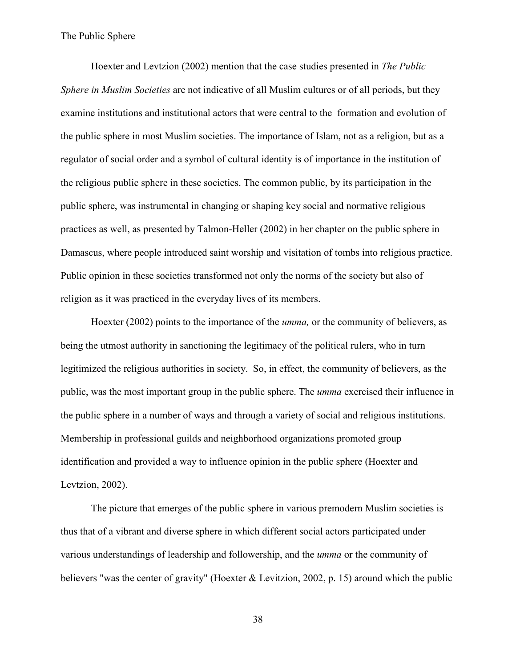Hoexter and Levtzion (2002) mention that the case studies presented in *The Public Sphere in Muslim Societies* are not indicative of all Muslim cultures or of all periods, but they examine institutions and institutional actors that were central to the formation and evolution of the public sphere in most Muslim societies. The importance of Islam, not as a religion, but as a regulator of social order and a symbol of cultural identity is of importance in the institution of the religious public sphere in these societies. The common public, by its participation in the public sphere, was instrumental in changing or shaping key social and normative religious practices as well, as presented by Talmon-Heller (2002) in her chapter on the public sphere in Damascus, where people introduced saint worship and visitation of tombs into religious practice. Public opinion in these societies transformed not only the norms of the society but also of religion as it was practiced in the everyday lives of its members.

Hoexter (2002) points to the importance of the *umma,* or the community of believers, as being the utmost authority in sanctioning the legitimacy of the political rulers, who in turn legitimized the religious authorities in society. So, in effect, the community of believers, as the public, was the most important group in the public sphere. The *umma* exercised their influence in the public sphere in a number of ways and through a variety of social and religious institutions. Membership in professional guilds and neighborhood organizations promoted group identification and provided a way to influence opinion in the public sphere (Hoexter and Levtzion, 2002).

The picture that emerges of the public sphere in various premodern Muslim societies is thus that of a vibrant and diverse sphere in which different social actors participated under various understandings of leadership and followership, and the *umma* or the community of believers "was the center of gravity" (Hoexter & Levitzion, 2002, p. 15) around which the public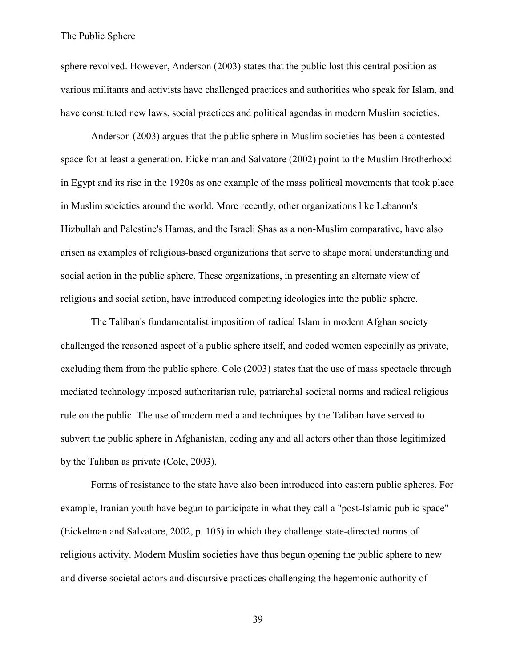sphere revolved. However, Anderson (2003) states that the public lost this central position as various militants and activists have challenged practices and authorities who speak for Islam, and have constituted new laws, social practices and political agendas in modern Muslim societies.

Anderson (2003) argues that the public sphere in Muslim societies has been a contested space for at least a generation. Eickelman and Salvatore (2002) point to the Muslim Brotherhood in Egypt and its rise in the 1920s as one example of the mass political movements that took place in Muslim societies around the world. More recently, other organizations like Lebanon's Hizbullah and Palestine's Hamas, and the Israeli Shas as a non-Muslim comparative, have also arisen as examples of religious-based organizations that serve to shape moral understanding and social action in the public sphere. These organizations, in presenting an alternate view of religious and social action, have introduced competing ideologies into the public sphere.

The Taliban's fundamentalist imposition of radical Islam in modern Afghan society challenged the reasoned aspect of a public sphere itself, and coded women especially as private, excluding them from the public sphere. Cole (2003) states that the use of mass spectacle through mediated technology imposed authoritarian rule, patriarchal societal norms and radical religious rule on the public. The use of modern media and techniques by the Taliban have served to subvert the public sphere in Afghanistan, coding any and all actors other than those legitimized by the Taliban as private (Cole, 2003).

Forms of resistance to the state have also been introduced into eastern public spheres. For example, Iranian youth have begun to participate in what they call a "post-Islamic public space" (Eickelman and Salvatore, 2002, p. 105) in which they challenge state-directed norms of religious activity. Modern Muslim societies have thus begun opening the public sphere to new and diverse societal actors and discursive practices challenging the hegemonic authority of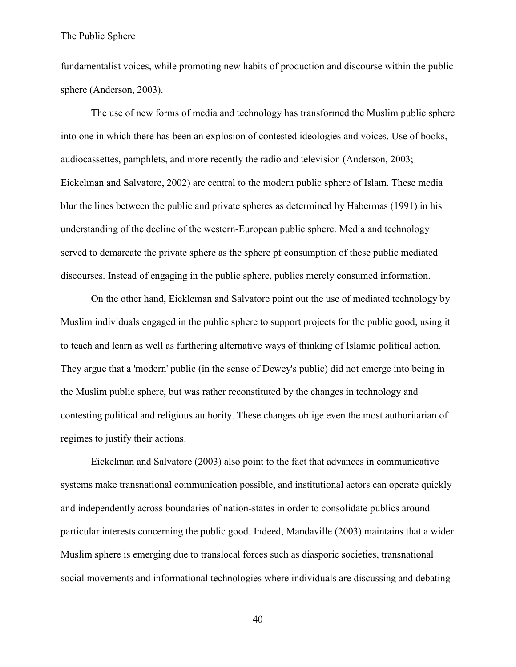fundamentalist voices, while promoting new habits of production and discourse within the public sphere (Anderson, 2003).

The use of new forms of media and technology has transformed the Muslim public sphere into one in which there has been an explosion of contested ideologies and voices. Use of books, audiocassettes, pamphlets, and more recently the radio and television (Anderson, 2003; Eickelman and Salvatore, 2002) are central to the modern public sphere of Islam. These media blur the lines between the public and private spheres as determined by Habermas (1991) in his understanding of the decline of the western-European public sphere. Media and technology served to demarcate the private sphere as the sphere pf consumption of these public mediated discourses. Instead of engaging in the public sphere, publics merely consumed information.

On the other hand, Eickleman and Salvatore point out the use of mediated technology by Muslim individuals engaged in the public sphere to support projects for the public good, using it to teach and learn as well as furthering alternative ways of thinking of Islamic political action. They argue that a 'modern' public (in the sense of Dewey's public) did not emerge into being in the Muslim public sphere, but was rather reconstituted by the changes in technology and contesting political and religious authority. These changes oblige even the most authoritarian of regimes to justify their actions.

Eickelman and Salvatore (2003) also point to the fact that advances in communicative systems make transnational communication possible, and institutional actors can operate quickly and independently across boundaries of nation-states in order to consolidate publics around particular interests concerning the public good. Indeed, Mandaville (2003) maintains that a wider Muslim sphere is emerging due to translocal forces such as diasporic societies, transnational social movements and informational technologies where individuals are discussing and debating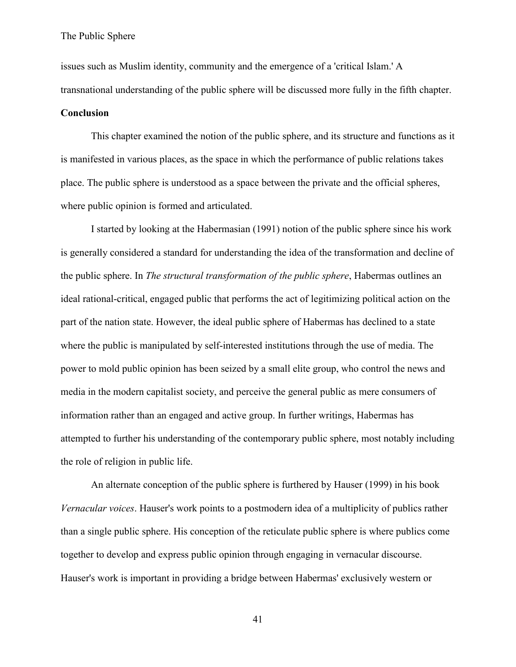issues such as Muslim identity, community and the emergence of a 'critical Islam.' A transnational understanding of the public sphere will be discussed more fully in the fifth chapter.

### **Conclusion**

This chapter examined the notion of the public sphere, and its structure and functions as it is manifested in various places, as the space in which the performance of public relations takes place. The public sphere is understood as a space between the private and the official spheres, where public opinion is formed and articulated.

I started by looking at the Habermasian (1991) notion of the public sphere since his work is generally considered a standard for understanding the idea of the transformation and decline of the public sphere. In *The structural transformation of the public sphere*, Habermas outlines an ideal rational-critical, engaged public that performs the act of legitimizing political action on the part of the nation state. However, the ideal public sphere of Habermas has declined to a state where the public is manipulated by self-interested institutions through the use of media. The power to mold public opinion has been seized by a small elite group, who control the news and media in the modern capitalist society, and perceive the general public as mere consumers of information rather than an engaged and active group. In further writings, Habermas has attempted to further his understanding of the contemporary public sphere, most notably including the role of religion in public life.

An alternate conception of the public sphere is furthered by Hauser (1999) in his book *Vernacular voices*. Hauser's work points to a postmodern idea of a multiplicity of publics rather than a single public sphere. His conception of the reticulate public sphere is where publics come together to develop and express public opinion through engaging in vernacular discourse. Hauser's work is important in providing a bridge between Habermas' exclusively western or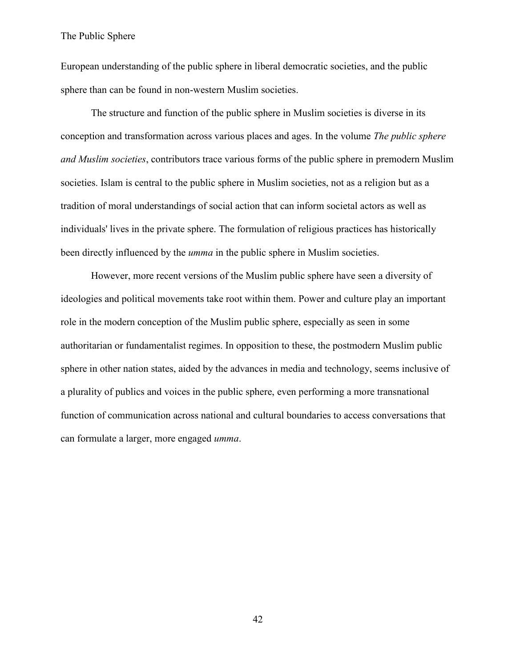European understanding of the public sphere in liberal democratic societies, and the public sphere than can be found in non-western Muslim societies.

The structure and function of the public sphere in Muslim societies is diverse in its conception and transformation across various places and ages. In the volume *The public sphere and Muslim societies*, contributors trace various forms of the public sphere in premodern Muslim societies. Islam is central to the public sphere in Muslim societies, not as a religion but as a tradition of moral understandings of social action that can inform societal actors as well as individuals' lives in the private sphere. The formulation of religious practices has historically been directly influenced by the *umma* in the public sphere in Muslim societies.

However, more recent versions of the Muslim public sphere have seen a diversity of ideologies and political movements take root within them. Power and culture play an important role in the modern conception of the Muslim public sphere, especially as seen in some authoritarian or fundamentalist regimes. In opposition to these, the postmodern Muslim public sphere in other nation states, aided by the advances in media and technology, seems inclusive of a plurality of publics and voices in the public sphere, even performing a more transnational function of communication across national and cultural boundaries to access conversations that can formulate a larger, more engaged *umma*.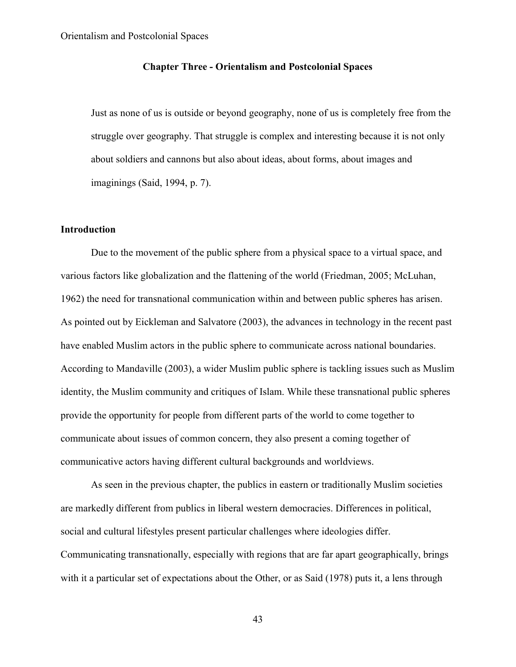# **Chapter Three - Orientalism and Postcolonial Spaces**

Just as none of us is outside or beyond geography, none of us is completely free from the struggle over geography. That struggle is complex and interesting because it is not only about soldiers and cannons but also about ideas, about forms, about images and imaginings (Said, 1994, p. 7).

### **Introduction**

Due to the movement of the public sphere from a physical space to a virtual space, and various factors like globalization and the flattening of the world (Friedman, 2005; McLuhan, 1962) the need for transnational communication within and between public spheres has arisen. As pointed out by Eickleman and Salvatore (2003), the advances in technology in the recent past have enabled Muslim actors in the public sphere to communicate across national boundaries. According to Mandaville (2003), a wider Muslim public sphere is tackling issues such as Muslim identity, the Muslim community and critiques of Islam. While these transnational public spheres provide the opportunity for people from different parts of the world to come together to communicate about issues of common concern, they also present a coming together of communicative actors having different cultural backgrounds and worldviews.

As seen in the previous chapter, the publics in eastern or traditionally Muslim societies are markedly different from publics in liberal western democracies. Differences in political, social and cultural lifestyles present particular challenges where ideologies differ. Communicating transnationally, especially with regions that are far apart geographically, brings with it a particular set of expectations about the Other, or as Said (1978) puts it, a lens through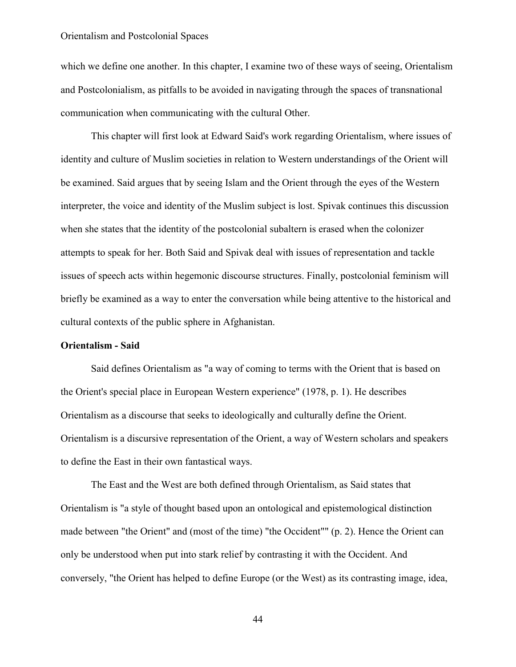which we define one another. In this chapter, I examine two of these ways of seeing, Orientalism and Postcolonialism, as pitfalls to be avoided in navigating through the spaces of transnational communication when communicating with the cultural Other.

This chapter will first look at Edward Said's work regarding Orientalism, where issues of identity and culture of Muslim societies in relation to Western understandings of the Orient will be examined. Said argues that by seeing Islam and the Orient through the eyes of the Western interpreter, the voice and identity of the Muslim subject is lost. Spivak continues this discussion when she states that the identity of the postcolonial subaltern is erased when the colonizer attempts to speak for her. Both Said and Spivak deal with issues of representation and tackle issues of speech acts within hegemonic discourse structures. Finally, postcolonial feminism will briefly be examined as a way to enter the conversation while being attentive to the historical and cultural contexts of the public sphere in Afghanistan.

### **Orientalism - Said**

Said defines Orientalism as "a way of coming to terms with the Orient that is based on the Orient's special place in European Western experience" (1978, p. 1). He describes Orientalism as a discourse that seeks to ideologically and culturally define the Orient. Orientalism is a discursive representation of the Orient, a way of Western scholars and speakers to define the East in their own fantastical ways.

The East and the West are both defined through Orientalism, as Said states that Orientalism is "a style of thought based upon an ontological and epistemological distinction made between "the Orient" and (most of the time) "the Occident"" (p. 2). Hence the Orient can only be understood when put into stark relief by contrasting it with the Occident. And conversely, "the Orient has helped to define Europe (or the West) as its contrasting image, idea,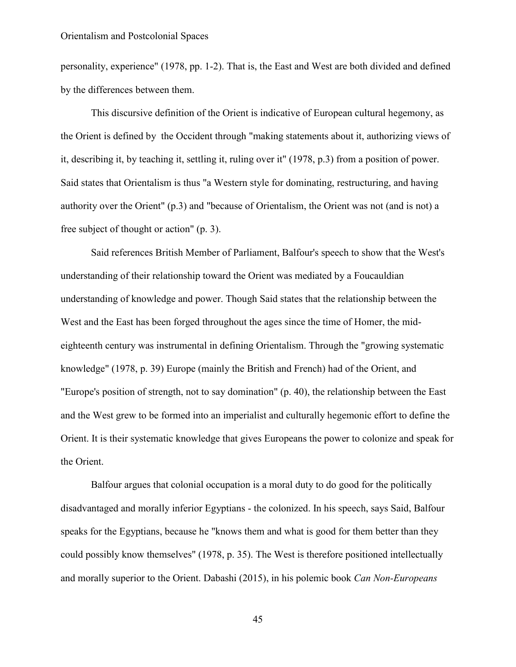personality, experience" (1978, pp. 1-2). That is, the East and West are both divided and defined by the differences between them.

This discursive definition of the Orient is indicative of European cultural hegemony, as the Orient is defined by the Occident through "making statements about it, authorizing views of it, describing it, by teaching it, settling it, ruling over it" (1978, p.3) from a position of power. Said states that Orientalism is thus "a Western style for dominating, restructuring, and having authority over the Orient" (p.3) and "because of Orientalism, the Orient was not (and is not) a free subject of thought or action" (p. 3).

Said references British Member of Parliament, Balfour's speech to show that the West's understanding of their relationship toward the Orient was mediated by a Foucauldian understanding of knowledge and power. Though Said states that the relationship between the West and the East has been forged throughout the ages since the time of Homer, the mideighteenth century was instrumental in defining Orientalism. Through the "growing systematic knowledge" (1978, p. 39) Europe (mainly the British and French) had of the Orient, and "Europe's position of strength, not to say domination" (p. 40), the relationship between the East and the West grew to be formed into an imperialist and culturally hegemonic effort to define the Orient. It is their systematic knowledge that gives Europeans the power to colonize and speak for the Orient.

Balfour argues that colonial occupation is a moral duty to do good for the politically disadvantaged and morally inferior Egyptians - the colonized. In his speech, says Said, Balfour speaks for the Egyptians, because he "knows them and what is good for them better than they could possibly know themselves" (1978, p. 35). The West is therefore positioned intellectually and morally superior to the Orient. Dabashi (2015), in his polemic book *Can Non-Europeans*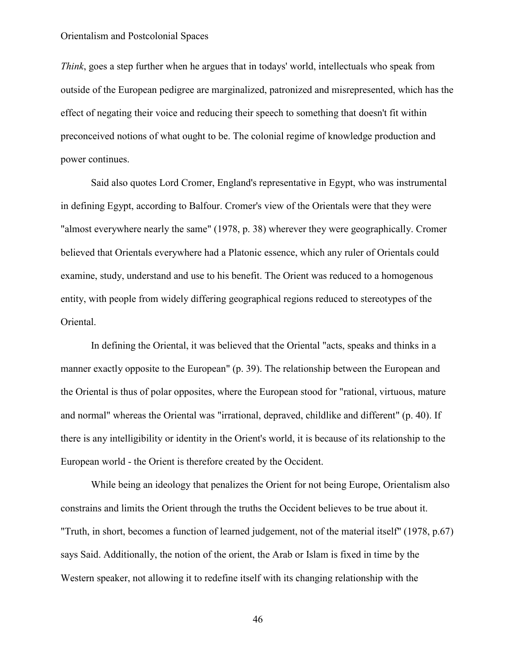*Think*, goes a step further when he argues that in todays' world, intellectuals who speak from outside of the European pedigree are marginalized, patronized and misrepresented, which has the effect of negating their voice and reducing their speech to something that doesn't fit within preconceived notions of what ought to be. The colonial regime of knowledge production and power continues.

Said also quotes Lord Cromer, England's representative in Egypt, who was instrumental in defining Egypt, according to Balfour. Cromer's view of the Orientals were that they were "almost everywhere nearly the same" (1978, p. 38) wherever they were geographically. Cromer believed that Orientals everywhere had a Platonic essence, which any ruler of Orientals could examine, study, understand and use to his benefit. The Orient was reduced to a homogenous entity, with people from widely differing geographical regions reduced to stereotypes of the Oriental.

In defining the Oriental, it was believed that the Oriental "acts, speaks and thinks in a manner exactly opposite to the European" (p. 39). The relationship between the European and the Oriental is thus of polar opposites, where the European stood for "rational, virtuous, mature and normal" whereas the Oriental was "irrational, depraved, childlike and different" (p. 40). If there is any intelligibility or identity in the Orient's world, it is because of its relationship to the European world - the Orient is therefore created by the Occident.

While being an ideology that penalizes the Orient for not being Europe, Orientalism also constrains and limits the Orient through the truths the Occident believes to be true about it. "Truth, in short, becomes a function of learned judgement, not of the material itself" (1978, p.67) says Said. Additionally, the notion of the orient, the Arab or Islam is fixed in time by the Western speaker, not allowing it to redefine itself with its changing relationship with the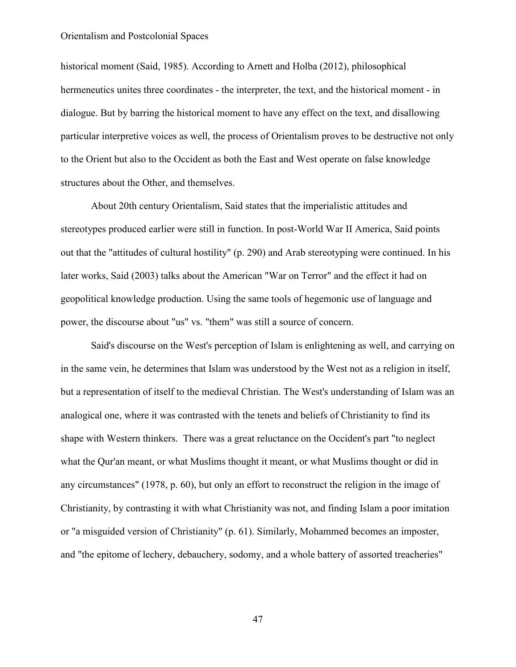historical moment (Said, 1985). According to Arnett and Holba (2012), philosophical hermeneutics unites three coordinates - the interpreter, the text, and the historical moment - in dialogue. But by barring the historical moment to have any effect on the text, and disallowing particular interpretive voices as well, the process of Orientalism proves to be destructive not only to the Orient but also to the Occident as both the East and West operate on false knowledge structures about the Other, and themselves.

About 20th century Orientalism, Said states that the imperialistic attitudes and stereotypes produced earlier were still in function. In post-World War II America, Said points out that the "attitudes of cultural hostility" (p. 290) and Arab stereotyping were continued. In his later works, Said (2003) talks about the American "War on Terror" and the effect it had on geopolitical knowledge production. Using the same tools of hegemonic use of language and power, the discourse about "us" vs. "them" was still a source of concern.

Said's discourse on the West's perception of Islam is enlightening as well, and carrying on in the same vein, he determines that Islam was understood by the West not as a religion in itself, but a representation of itself to the medieval Christian. The West's understanding of Islam was an analogical one, where it was contrasted with the tenets and beliefs of Christianity to find its shape with Western thinkers. There was a great reluctance on the Occident's part "to neglect what the Qur'an meant, or what Muslims thought it meant, or what Muslims thought or did in any circumstances" (1978, p. 60), but only an effort to reconstruct the religion in the image of Christianity, by contrasting it with what Christianity was not, and finding Islam a poor imitation or "a misguided version of Christianity" (p. 61). Similarly, Mohammed becomes an imposter, and "the epitome of lechery, debauchery, sodomy, and a whole battery of assorted treacheries"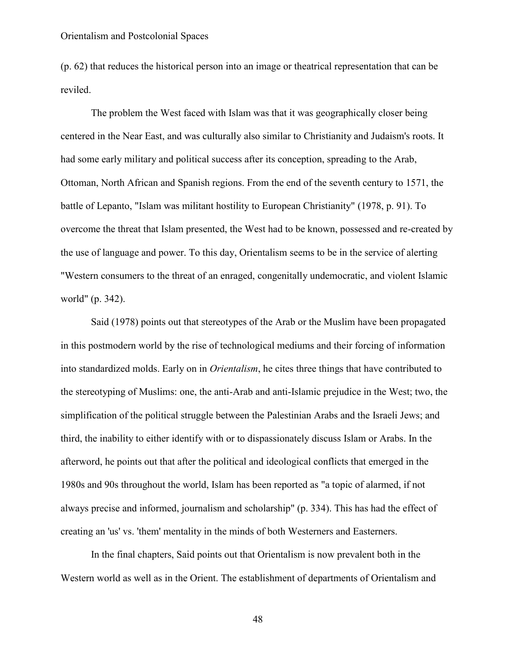(p. 62) that reduces the historical person into an image or theatrical representation that can be reviled.

The problem the West faced with Islam was that it was geographically closer being centered in the Near East, and was culturally also similar to Christianity and Judaism's roots. It had some early military and political success after its conception, spreading to the Arab, Ottoman, North African and Spanish regions. From the end of the seventh century to 1571, the battle of Lepanto, "Islam was militant hostility to European Christianity" (1978, p. 91). To overcome the threat that Islam presented, the West had to be known, possessed and re-created by the use of language and power. To this day, Orientalism seems to be in the service of alerting "Western consumers to the threat of an enraged, congenitally undemocratic, and violent Islamic world" (p. 342).

Said (1978) points out that stereotypes of the Arab or the Muslim have been propagated in this postmodern world by the rise of technological mediums and their forcing of information into standardized molds. Early on in *Orientalism*, he cites three things that have contributed to the stereotyping of Muslims: one, the anti-Arab and anti-Islamic prejudice in the West; two, the simplification of the political struggle between the Palestinian Arabs and the Israeli Jews; and third, the inability to either identify with or to dispassionately discuss Islam or Arabs. In the afterword, he points out that after the political and ideological conflicts that emerged in the 1980s and 90s throughout the world, Islam has been reported as "a topic of alarmed, if not always precise and informed, journalism and scholarship" (p. 334). This has had the effect of creating an 'us' vs. 'them' mentality in the minds of both Westerners and Easterners.

In the final chapters, Said points out that Orientalism is now prevalent both in the Western world as well as in the Orient. The establishment of departments of Orientalism and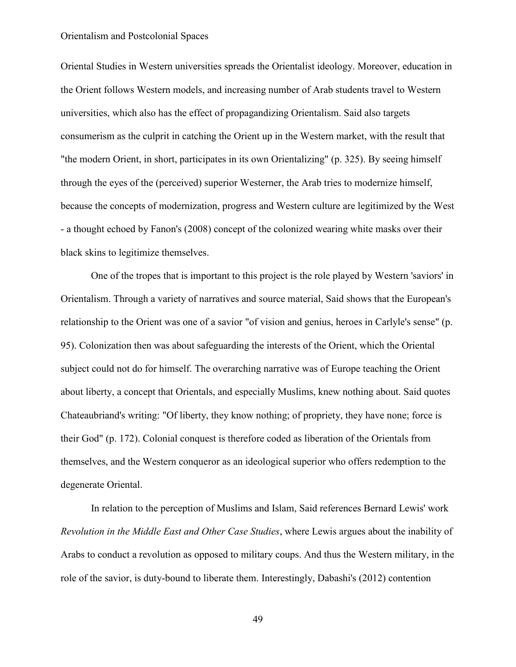Oriental Studies in Western universities spreads the Orientalist ideology. Moreover, education in the Orient follows Western models, and increasing number of Arab students travel to Western universities, which also has the effect of propagandizing Orientalism. Said also targets consumerism as the culprit in catching the Orient up in the Western market, with the result that "the modern Orient, in short, participates in its own Orientalizing" (p. 325). By seeing himself through the eyes of the (perceived) superior Westerner, the Arab tries to modernize himself, because the concepts of modernization, progress and Western culture are legitimized by the West - a thought echoed by Fanon's (2008) concept of the colonized wearing white masks over their black skins to legitimize themselves.

One of the tropes that is important to this project is the role played by Western 'saviors' in Orientalism. Through a variety of narratives and source material, Said shows that the European's relationship to the Orient was one of a savior "of vision and genius, heroes in Carlyle's sense" (p. 95). Colonization then was about safeguarding the interests of the Orient, which the Oriental subject could not do for himself. The overarching narrative was of Europe teaching the Orient about liberty, a concept that Orientals, and especially Muslims, knew nothing about. Said quotes Chateaubriand's writing: "Of liberty, they know nothing; of propriety, they have none; force is their God" (p. 172). Colonial conquest is therefore coded as liberation of the Orientals from themselves, and the Western conqueror as an ideological superior who offers redemption to the degenerate Oriental.

In relation to the perception of Muslims and Islam, Said references Bernard Lewis' work *Revolution in the Middle East and Other Case Studies*, where Lewis argues about the inability of Arabs to conduct a revolution as opposed to military coups. And thus the Western military, in the role of the savior, is duty-bound to liberate them. Interestingly, Dabashi's (2012) contention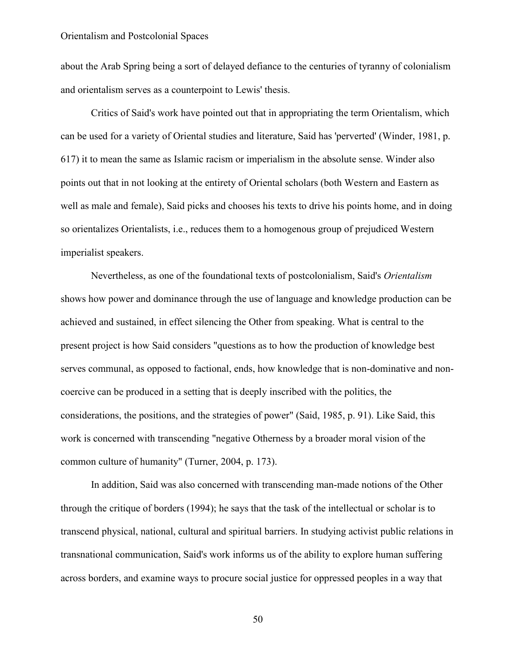about the Arab Spring being a sort of delayed defiance to the centuries of tyranny of colonialism and orientalism serves as a counterpoint to Lewis' thesis.

Critics of Said's work have pointed out that in appropriating the term Orientalism, which can be used for a variety of Oriental studies and literature, Said has 'perverted' (Winder, 1981, p. 617) it to mean the same as Islamic racism or imperialism in the absolute sense. Winder also points out that in not looking at the entirety of Oriental scholars (both Western and Eastern as well as male and female), Said picks and chooses his texts to drive his points home, and in doing so orientalizes Orientalists, i.e., reduces them to a homogenous group of prejudiced Western imperialist speakers.

Nevertheless, as one of the foundational texts of postcolonialism, Said's *Orientalism* shows how power and dominance through the use of language and knowledge production can be achieved and sustained, in effect silencing the Other from speaking. What is central to the present project is how Said considers "questions as to how the production of knowledge best serves communal, as opposed to factional, ends, how knowledge that is non-dominative and noncoercive can be produced in a setting that is deeply inscribed with the politics, the considerations, the positions, and the strategies of power" (Said, 1985, p. 91). Like Said, this work is concerned with transcending "negative Otherness by a broader moral vision of the common culture of humanity" (Turner, 2004, p. 173).

In addition, Said was also concerned with transcending man-made notions of the Other through the critique of borders (1994); he says that the task of the intellectual or scholar is to transcend physical, national, cultural and spiritual barriers. In studying activist public relations in transnational communication, Said's work informs us of the ability to explore human suffering across borders, and examine ways to procure social justice for oppressed peoples in a way that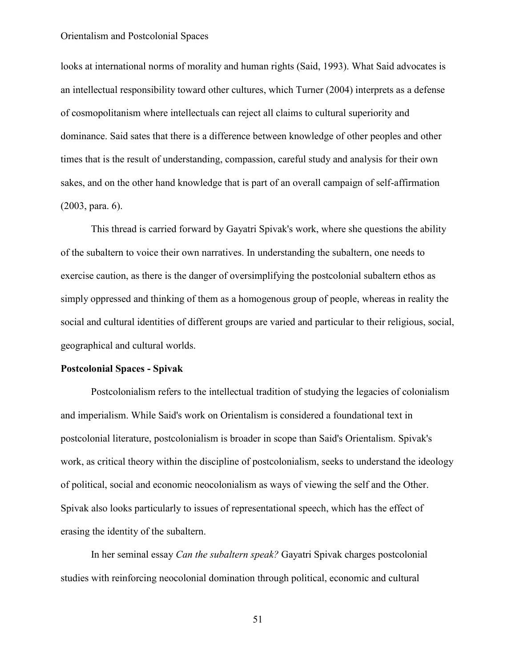looks at international norms of morality and human rights (Said, 1993). What Said advocates is an intellectual responsibility toward other cultures, which Turner (2004) interprets as a defense of cosmopolitanism where intellectuals can reject all claims to cultural superiority and dominance. Said sates that there is a difference between knowledge of other peoples and other times that is the result of understanding, compassion, careful study and analysis for their own sakes, and on the other hand knowledge that is part of an overall campaign of self-affirmation (2003, para. 6).

This thread is carried forward by Gayatri Spivak's work, where she questions the ability of the subaltern to voice their own narratives. In understanding the subaltern, one needs to exercise caution, as there is the danger of oversimplifying the postcolonial subaltern ethos as simply oppressed and thinking of them as a homogenous group of people, whereas in reality the social and cultural identities of different groups are varied and particular to their religious, social, geographical and cultural worlds.

# **Postcolonial Spaces - Spivak**

Postcolonialism refers to the intellectual tradition of studying the legacies of colonialism and imperialism. While Said's work on Orientalism is considered a foundational text in postcolonial literature, postcolonialism is broader in scope than Said's Orientalism. Spivak's work, as critical theory within the discipline of postcolonialism, seeks to understand the ideology of political, social and economic neocolonialism as ways of viewing the self and the Other. Spivak also looks particularly to issues of representational speech, which has the effect of erasing the identity of the subaltern.

In her seminal essay *Can the subaltern speak?* Gayatri Spivak charges postcolonial studies with reinforcing neocolonial domination through political, economic and cultural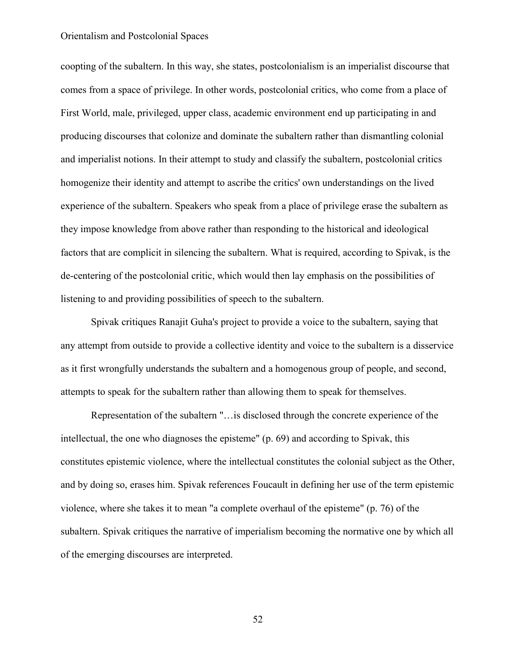coopting of the subaltern. In this way, she states, postcolonialism is an imperialist discourse that comes from a space of privilege. In other words, postcolonial critics, who come from a place of First World, male, privileged, upper class, academic environment end up participating in and producing discourses that colonize and dominate the subaltern rather than dismantling colonial and imperialist notions. In their attempt to study and classify the subaltern, postcolonial critics homogenize their identity and attempt to ascribe the critics' own understandings on the lived experience of the subaltern. Speakers who speak from a place of privilege erase the subaltern as they impose knowledge from above rather than responding to the historical and ideological factors that are complicit in silencing the subaltern. What is required, according to Spivak, is the de-centering of the postcolonial critic, which would then lay emphasis on the possibilities of listening to and providing possibilities of speech to the subaltern.

Spivak critiques Ranajit Guha's project to provide a voice to the subaltern, saying that any attempt from outside to provide a collective identity and voice to the subaltern is a disservice as it first wrongfully understands the subaltern and a homogenous group of people, and second, attempts to speak for the subaltern rather than allowing them to speak for themselves.

Representation of the subaltern "…is disclosed through the concrete experience of the intellectual, the one who diagnoses the episteme" (p. 69) and according to Spivak, this constitutes epistemic violence, where the intellectual constitutes the colonial subject as the Other, and by doing so, erases him. Spivak references Foucault in defining her use of the term epistemic violence, where she takes it to mean "a complete overhaul of the episteme" (p. 76) of the subaltern. Spivak critiques the narrative of imperialism becoming the normative one by which all of the emerging discourses are interpreted.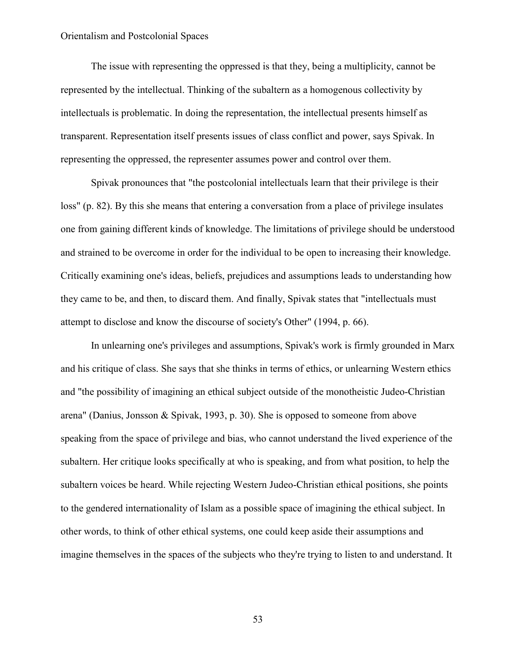The issue with representing the oppressed is that they, being a multiplicity, cannot be represented by the intellectual. Thinking of the subaltern as a homogenous collectivity by intellectuals is problematic. In doing the representation, the intellectual presents himself as transparent. Representation itself presents issues of class conflict and power, says Spivak. In representing the oppressed, the representer assumes power and control over them.

Spivak pronounces that "the postcolonial intellectuals learn that their privilege is their loss" (p. 82). By this she means that entering a conversation from a place of privilege insulates one from gaining different kinds of knowledge. The limitations of privilege should be understood and strained to be overcome in order for the individual to be open to increasing their knowledge. Critically examining one's ideas, beliefs, prejudices and assumptions leads to understanding how they came to be, and then, to discard them. And finally, Spivak states that "intellectuals must attempt to disclose and know the discourse of society's Other" (1994, p. 66).

In unlearning one's privileges and assumptions, Spivak's work is firmly grounded in Marx and his critique of class. She says that she thinks in terms of ethics, or unlearning Western ethics and "the possibility of imagining an ethical subject outside of the monotheistic Judeo-Christian arena" (Danius, Jonsson & Spivak, 1993, p. 30). She is opposed to someone from above speaking from the space of privilege and bias, who cannot understand the lived experience of the subaltern. Her critique looks specifically at who is speaking, and from what position, to help the subaltern voices be heard. While rejecting Western Judeo-Christian ethical positions, she points to the gendered internationality of Islam as a possible space of imagining the ethical subject. In other words, to think of other ethical systems, one could keep aside their assumptions and imagine themselves in the spaces of the subjects who they're trying to listen to and understand. It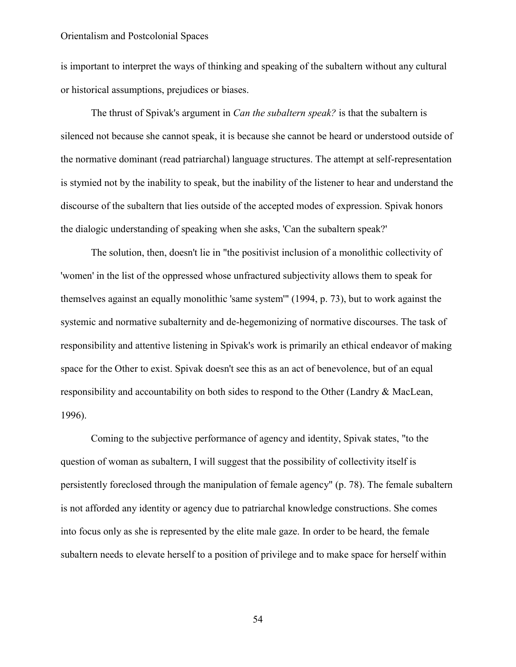is important to interpret the ways of thinking and speaking of the subaltern without any cultural or historical assumptions, prejudices or biases.

The thrust of Spivak's argument in *Can the subaltern speak?* is that the subaltern is silenced not because she cannot speak, it is because she cannot be heard or understood outside of the normative dominant (read patriarchal) language structures. The attempt at self-representation is stymied not by the inability to speak, but the inability of the listener to hear and understand the discourse of the subaltern that lies outside of the accepted modes of expression. Spivak honors the dialogic understanding of speaking when she asks, 'Can the subaltern speak?'

The solution, then, doesn't lie in "the positivist inclusion of a monolithic collectivity of 'women' in the list of the oppressed whose unfractured subjectivity allows them to speak for themselves against an equally monolithic 'same system'" (1994, p. 73), but to work against the systemic and normative subalternity and de-hegemonizing of normative discourses. The task of responsibility and attentive listening in Spivak's work is primarily an ethical endeavor of making space for the Other to exist. Spivak doesn't see this as an act of benevolence, but of an equal responsibility and accountability on both sides to respond to the Other (Landry & MacLean, 1996).

Coming to the subjective performance of agency and identity, Spivak states, "to the question of woman as subaltern, I will suggest that the possibility of collectivity itself is persistently foreclosed through the manipulation of female agency" (p. 78). The female subaltern is not afforded any identity or agency due to patriarchal knowledge constructions. She comes into focus only as she is represented by the elite male gaze. In order to be heard, the female subaltern needs to elevate herself to a position of privilege and to make space for herself within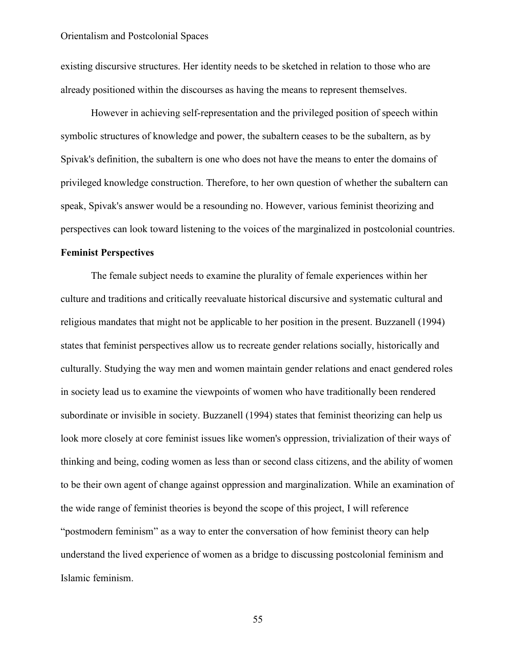existing discursive structures. Her identity needs to be sketched in relation to those who are already positioned within the discourses as having the means to represent themselves.

However in achieving self-representation and the privileged position of speech within symbolic structures of knowledge and power, the subaltern ceases to be the subaltern, as by Spivak's definition, the subaltern is one who does not have the means to enter the domains of privileged knowledge construction. Therefore, to her own question of whether the subaltern can speak, Spivak's answer would be a resounding no. However, various feminist theorizing and perspectives can look toward listening to the voices of the marginalized in postcolonial countries.

# **Feminist Perspectives**

The female subject needs to examine the plurality of female experiences within her culture and traditions and critically reevaluate historical discursive and systematic cultural and religious mandates that might not be applicable to her position in the present. Buzzanell (1994) states that feminist perspectives allow us to recreate gender relations socially, historically and culturally. Studying the way men and women maintain gender relations and enact gendered roles in society lead us to examine the viewpoints of women who have traditionally been rendered subordinate or invisible in society. Buzzanell (1994) states that feminist theorizing can help us look more closely at core feminist issues like women's oppression, trivialization of their ways of thinking and being, coding women as less than or second class citizens, and the ability of women to be their own agent of change against oppression and marginalization. While an examination of the wide range of feminist theories is beyond the scope of this project, I will reference "postmodern feminism" as a way to enter the conversation of how feminist theory can help understand the lived experience of women as a bridge to discussing postcolonial feminism and Islamic feminism.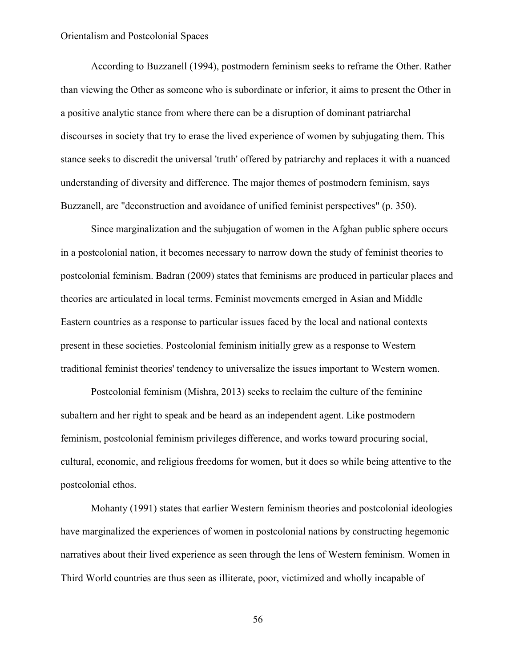According to Buzzanell (1994), postmodern feminism seeks to reframe the Other. Rather than viewing the Other as someone who is subordinate or inferior, it aims to present the Other in a positive analytic stance from where there can be a disruption of dominant patriarchal discourses in society that try to erase the lived experience of women by subjugating them. This stance seeks to discredit the universal 'truth' offered by patriarchy and replaces it with a nuanced understanding of diversity and difference. The major themes of postmodern feminism, says Buzzanell, are "deconstruction and avoidance of unified feminist perspectives" (p. 350).

Since marginalization and the subjugation of women in the Afghan public sphere occurs in a postcolonial nation, it becomes necessary to narrow down the study of feminist theories to postcolonial feminism. Badran (2009) states that feminisms are produced in particular places and theories are articulated in local terms. Feminist movements emerged in Asian and Middle Eastern countries as a response to particular issues faced by the local and national contexts present in these societies. Postcolonial feminism initially grew as a response to Western traditional feminist theories' tendency to universalize the issues important to Western women.

Postcolonial feminism (Mishra, 2013) seeks to reclaim the culture of the feminine subaltern and her right to speak and be heard as an independent agent. Like postmodern feminism, postcolonial feminism privileges difference, and works toward procuring social, cultural, economic, and religious freedoms for women, but it does so while being attentive to the postcolonial ethos.

Mohanty (1991) states that earlier Western feminism theories and postcolonial ideologies have marginalized the experiences of women in postcolonial nations by constructing hegemonic narratives about their lived experience as seen through the lens of Western feminism. Women in Third World countries are thus seen as illiterate, poor, victimized and wholly incapable of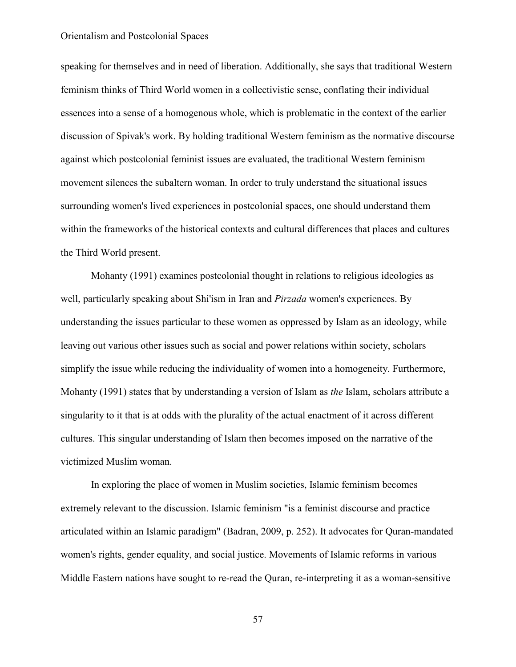speaking for themselves and in need of liberation. Additionally, she says that traditional Western feminism thinks of Third World women in a collectivistic sense, conflating their individual essences into a sense of a homogenous whole, which is problematic in the context of the earlier discussion of Spivak's work. By holding traditional Western feminism as the normative discourse against which postcolonial feminist issues are evaluated, the traditional Western feminism movement silences the subaltern woman. In order to truly understand the situational issues surrounding women's lived experiences in postcolonial spaces, one should understand them within the frameworks of the historical contexts and cultural differences that places and cultures the Third World present.

Mohanty (1991) examines postcolonial thought in relations to religious ideologies as well, particularly speaking about Shi'ism in Iran and *Pirzada* women's experiences. By understanding the issues particular to these women as oppressed by Islam as an ideology, while leaving out various other issues such as social and power relations within society, scholars simplify the issue while reducing the individuality of women into a homogeneity. Furthermore, Mohanty (1991) states that by understanding a version of Islam as *the* Islam, scholars attribute a singularity to it that is at odds with the plurality of the actual enactment of it across different cultures. This singular understanding of Islam then becomes imposed on the narrative of the victimized Muslim woman.

In exploring the place of women in Muslim societies, Islamic feminism becomes extremely relevant to the discussion. Islamic feminism "is a feminist discourse and practice articulated within an Islamic paradigm" (Badran, 2009, p. 252). It advocates for Quran-mandated women's rights, gender equality, and social justice. Movements of Islamic reforms in various Middle Eastern nations have sought to re-read the Quran, re-interpreting it as a woman-sensitive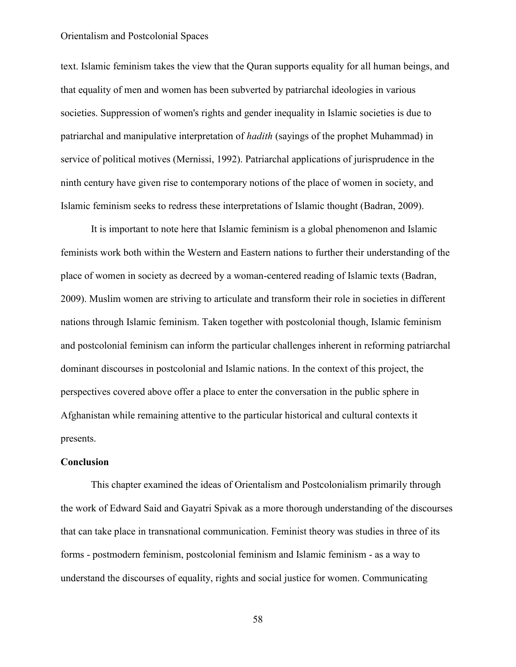text. Islamic feminism takes the view that the Quran supports equality for all human beings, and that equality of men and women has been subverted by patriarchal ideologies in various societies. Suppression of women's rights and gender inequality in Islamic societies is due to patriarchal and manipulative interpretation of *hadith* (sayings of the prophet Muhammad) in service of political motives (Mernissi, 1992). Patriarchal applications of jurisprudence in the ninth century have given rise to contemporary notions of the place of women in society, and Islamic feminism seeks to redress these interpretations of Islamic thought (Badran, 2009).

It is important to note here that Islamic feminism is a global phenomenon and Islamic feminists work both within the Western and Eastern nations to further their understanding of the place of women in society as decreed by a woman-centered reading of Islamic texts (Badran, 2009). Muslim women are striving to articulate and transform their role in societies in different nations through Islamic feminism. Taken together with postcolonial though, Islamic feminism and postcolonial feminism can inform the particular challenges inherent in reforming patriarchal dominant discourses in postcolonial and Islamic nations. In the context of this project, the perspectives covered above offer a place to enter the conversation in the public sphere in Afghanistan while remaining attentive to the particular historical and cultural contexts it presents.

#### **Conclusion**

This chapter examined the ideas of Orientalism and Postcolonialism primarily through the work of Edward Said and Gayatri Spivak as a more thorough understanding of the discourses that can take place in transnational communication. Feminist theory was studies in three of its forms - postmodern feminism, postcolonial feminism and Islamic feminism - as a way to understand the discourses of equality, rights and social justice for women. Communicating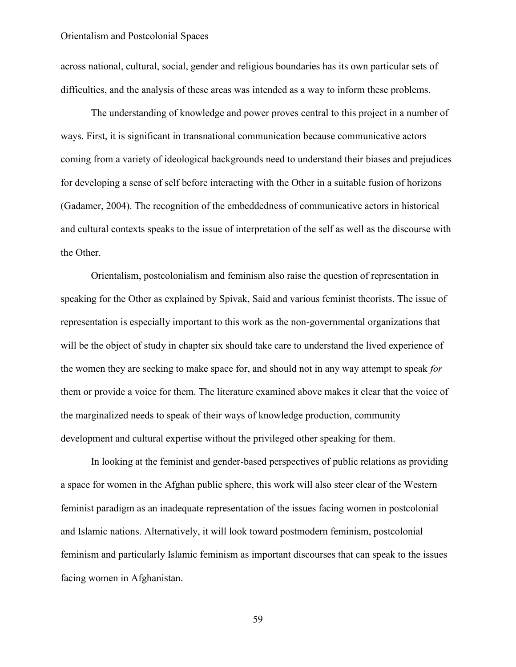across national, cultural, social, gender and religious boundaries has its own particular sets of difficulties, and the analysis of these areas was intended as a way to inform these problems.

The understanding of knowledge and power proves central to this project in a number of ways. First, it is significant in transnational communication because communicative actors coming from a variety of ideological backgrounds need to understand their biases and prejudices for developing a sense of self before interacting with the Other in a suitable fusion of horizons (Gadamer, 2004). The recognition of the embeddedness of communicative actors in historical and cultural contexts speaks to the issue of interpretation of the self as well as the discourse with the Other.

Orientalism, postcolonialism and feminism also raise the question of representation in speaking for the Other as explained by Spivak, Said and various feminist theorists. The issue of representation is especially important to this work as the non-governmental organizations that will be the object of study in chapter six should take care to understand the lived experience of the women they are seeking to make space for, and should not in any way attempt to speak *for* them or provide a voice for them. The literature examined above makes it clear that the voice of the marginalized needs to speak of their ways of knowledge production, community development and cultural expertise without the privileged other speaking for them.

In looking at the feminist and gender-based perspectives of public relations as providing a space for women in the Afghan public sphere, this work will also steer clear of the Western feminist paradigm as an inadequate representation of the issues facing women in postcolonial and Islamic nations. Alternatively, it will look toward postmodern feminism, postcolonial feminism and particularly Islamic feminism as important discourses that can speak to the issues facing women in Afghanistan.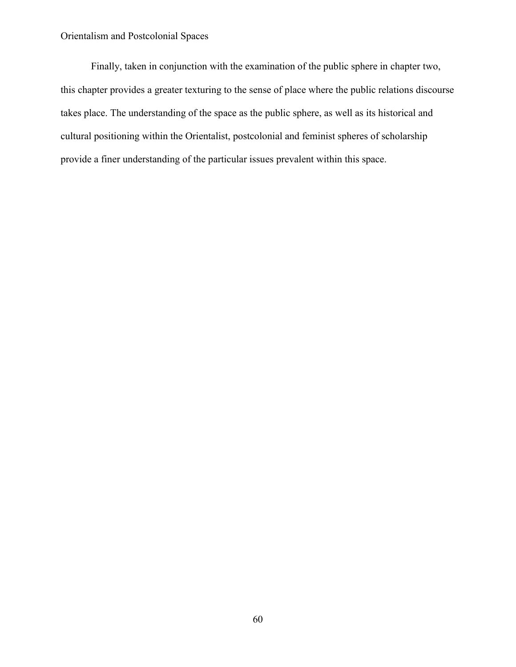Finally, taken in conjunction with the examination of the public sphere in chapter two, this chapter provides a greater texturing to the sense of place where the public relations discourse takes place. The understanding of the space as the public sphere, as well as its historical and cultural positioning within the Orientalist, postcolonial and feminist spheres of scholarship provide a finer understanding of the particular issues prevalent within this space.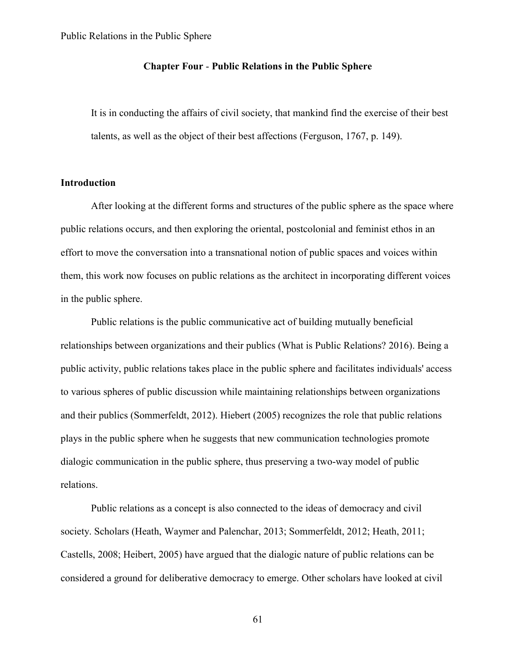# **Chapter Four** - **Public Relations in the Public Sphere**

It is in conducting the affairs of civil society, that mankind find the exercise of their best talents, as well as the object of their best affections (Ferguson, 1767, p. 149).

# **Introduction**

After looking at the different forms and structures of the public sphere as the space where public relations occurs, and then exploring the oriental, postcolonial and feminist ethos in an effort to move the conversation into a transnational notion of public spaces and voices within them, this work now focuses on public relations as the architect in incorporating different voices in the public sphere.

Public relations is the public communicative act of building mutually beneficial relationships between organizations and their publics (What is Public Relations? 2016). Being a public activity, public relations takes place in the public sphere and facilitates individuals' access to various spheres of public discussion while maintaining relationships between organizations and their publics (Sommerfeldt, 2012). Hiebert (2005) recognizes the role that public relations plays in the public sphere when he suggests that new communication technologies promote dialogic communication in the public sphere, thus preserving a two-way model of public relations.

Public relations as a concept is also connected to the ideas of democracy and civil society. Scholars (Heath, Waymer and Palenchar, 2013; Sommerfeldt, 2012; Heath, 2011; Castells, 2008; Heibert, 2005) have argued that the dialogic nature of public relations can be considered a ground for deliberative democracy to emerge. Other scholars have looked at civil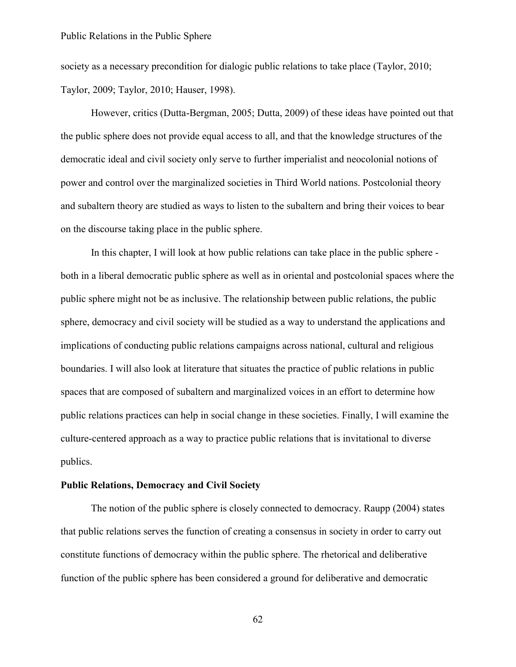society as a necessary precondition for dialogic public relations to take place (Taylor, 2010; Taylor, 2009; Taylor, 2010; Hauser, 1998).

However, critics (Dutta-Bergman, 2005; Dutta, 2009) of these ideas have pointed out that the public sphere does not provide equal access to all, and that the knowledge structures of the democratic ideal and civil society only serve to further imperialist and neocolonial notions of power and control over the marginalized societies in Third World nations. Postcolonial theory and subaltern theory are studied as ways to listen to the subaltern and bring their voices to bear on the discourse taking place in the public sphere.

In this chapter, I will look at how public relations can take place in the public sphere both in a liberal democratic public sphere as well as in oriental and postcolonial spaces where the public sphere might not be as inclusive. The relationship between public relations, the public sphere, democracy and civil society will be studied as a way to understand the applications and implications of conducting public relations campaigns across national, cultural and religious boundaries. I will also look at literature that situates the practice of public relations in public spaces that are composed of subaltern and marginalized voices in an effort to determine how public relations practices can help in social change in these societies. Finally, I will examine the culture-centered approach as a way to practice public relations that is invitational to diverse publics.

## **Public Relations, Democracy and Civil Society**

The notion of the public sphere is closely connected to democracy. Raupp (2004) states that public relations serves the function of creating a consensus in society in order to carry out constitute functions of democracy within the public sphere. The rhetorical and deliberative function of the public sphere has been considered a ground for deliberative and democratic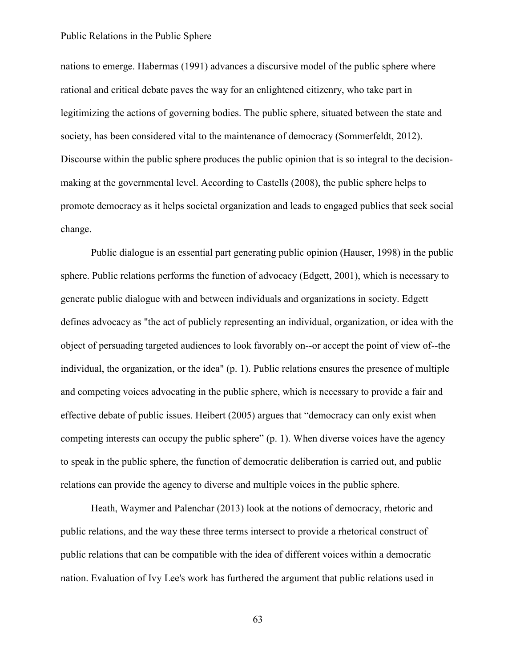nations to emerge. Habermas (1991) advances a discursive model of the public sphere where rational and critical debate paves the way for an enlightened citizenry, who take part in legitimizing the actions of governing bodies. The public sphere, situated between the state and society, has been considered vital to the maintenance of democracy (Sommerfeldt, 2012). Discourse within the public sphere produces the public opinion that is so integral to the decisionmaking at the governmental level. According to Castells (2008), the public sphere helps to promote democracy as it helps societal organization and leads to engaged publics that seek social change.

Public dialogue is an essential part generating public opinion (Hauser, 1998) in the public sphere. Public relations performs the function of advocacy (Edgett, 2001), which is necessary to generate public dialogue with and between individuals and organizations in society. Edgett defines advocacy as "the act of publicly representing an individual, organization, or idea with the object of persuading targeted audiences to look favorably on--or accept the point of view of--the individual, the organization, or the idea" (p. 1). Public relations ensures the presence of multiple and competing voices advocating in the public sphere, which is necessary to provide a fair and effective debate of public issues. Heibert (2005) argues that "democracy can only exist when competing interests can occupy the public sphere" (p. 1). When diverse voices have the agency to speak in the public sphere, the function of democratic deliberation is carried out, and public relations can provide the agency to diverse and multiple voices in the public sphere.

Heath, Waymer and Palenchar (2013) look at the notions of democracy, rhetoric and public relations, and the way these three terms intersect to provide a rhetorical construct of public relations that can be compatible with the idea of different voices within a democratic nation. Evaluation of Ivy Lee's work has furthered the argument that public relations used in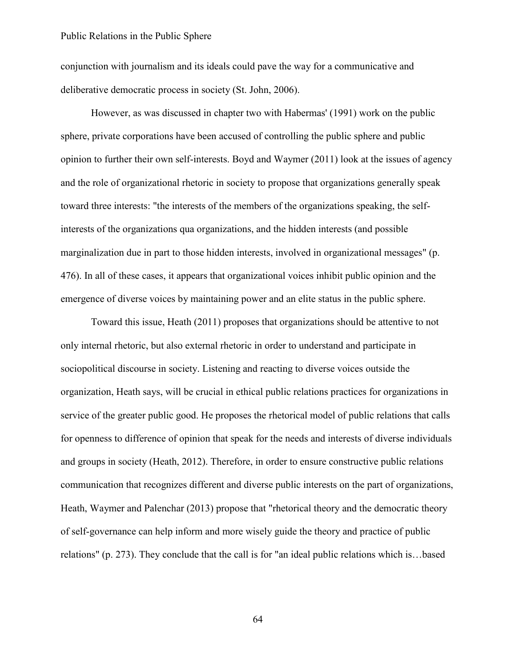conjunction with journalism and its ideals could pave the way for a communicative and deliberative democratic process in society (St. John, 2006).

However, as was discussed in chapter two with Habermas' (1991) work on the public sphere, private corporations have been accused of controlling the public sphere and public opinion to further their own self-interests. Boyd and Waymer (2011) look at the issues of agency and the role of organizational rhetoric in society to propose that organizations generally speak toward three interests: "the interests of the members of the organizations speaking, the selfinterests of the organizations qua organizations, and the hidden interests (and possible marginalization due in part to those hidden interests, involved in organizational messages" (p. 476). In all of these cases, it appears that organizational voices inhibit public opinion and the emergence of diverse voices by maintaining power and an elite status in the public sphere.

Toward this issue, Heath (2011) proposes that organizations should be attentive to not only internal rhetoric, but also external rhetoric in order to understand and participate in sociopolitical discourse in society. Listening and reacting to diverse voices outside the organization, Heath says, will be crucial in ethical public relations practices for organizations in service of the greater public good. He proposes the rhetorical model of public relations that calls for openness to difference of opinion that speak for the needs and interests of diverse individuals and groups in society (Heath, 2012). Therefore, in order to ensure constructive public relations communication that recognizes different and diverse public interests on the part of organizations, Heath, Waymer and Palenchar (2013) propose that "rhetorical theory and the democratic theory of self-governance can help inform and more wisely guide the theory and practice of public relations" (p. 273). They conclude that the call is for "an ideal public relations which is…based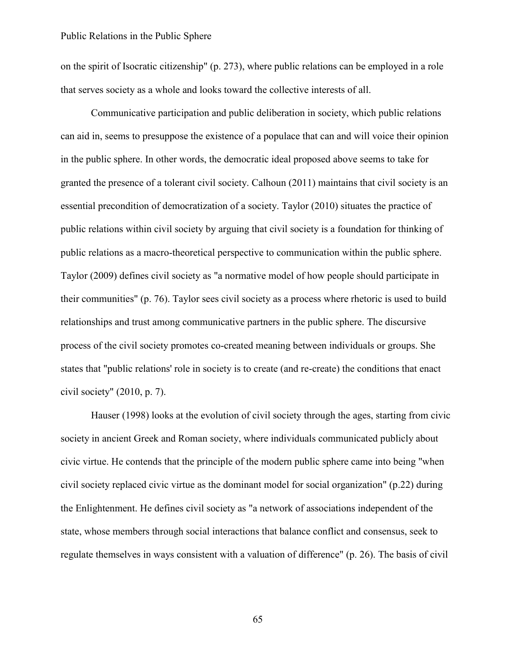on the spirit of Isocratic citizenship" (p. 273), where public relations can be employed in a role that serves society as a whole and looks toward the collective interests of all.

Communicative participation and public deliberation in society, which public relations can aid in, seems to presuppose the existence of a populace that can and will voice their opinion in the public sphere. In other words, the democratic ideal proposed above seems to take for granted the presence of a tolerant civil society. Calhoun (2011) maintains that civil society is an essential precondition of democratization of a society. Taylor (2010) situates the practice of public relations within civil society by arguing that civil society is a foundation for thinking of public relations as a macro-theoretical perspective to communication within the public sphere. Taylor (2009) defines civil society as "a normative model of how people should participate in their communities" (p. 76). Taylor sees civil society as a process where rhetoric is used to build relationships and trust among communicative partners in the public sphere. The discursive process of the civil society promotes co-created meaning between individuals or groups. She states that "public relations' role in society is to create (and re-create) the conditions that enact civil society" (2010, p. 7).

Hauser (1998) looks at the evolution of civil society through the ages, starting from civic society in ancient Greek and Roman society, where individuals communicated publicly about civic virtue. He contends that the principle of the modern public sphere came into being "when civil society replaced civic virtue as the dominant model for social organization" (p.22) during the Enlightenment. He defines civil society as "a network of associations independent of the state, whose members through social interactions that balance conflict and consensus, seek to regulate themselves in ways consistent with a valuation of difference" (p. 26). The basis of civil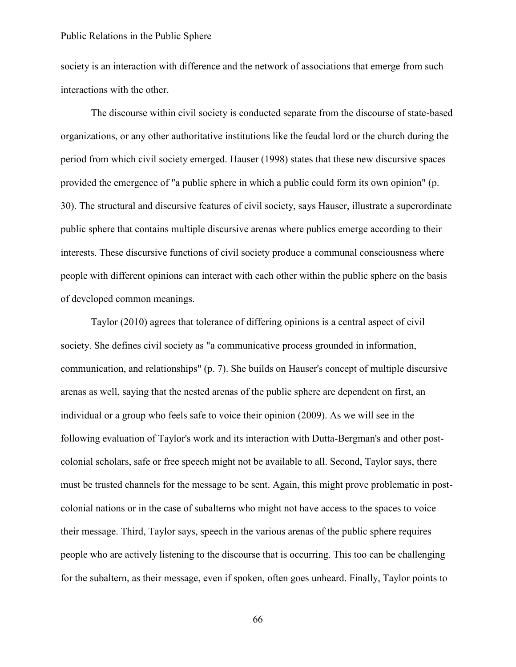society is an interaction with difference and the network of associations that emerge from such interactions with the other.

The discourse within civil society is conducted separate from the discourse of state-based organizations, or any other authoritative institutions like the feudal lord or the church during the period from which civil society emerged. Hauser (1998) states that these new discursive spaces provided the emergence of "a public sphere in which a public could form its own opinion" (p. 30). The structural and discursive features of civil society, says Hauser, illustrate a superordinate public sphere that contains multiple discursive arenas where publics emerge according to their interests. These discursive functions of civil society produce a communal consciousness where people with different opinions can interact with each other within the public sphere on the basis of developed common meanings.

Taylor (2010) agrees that tolerance of differing opinions is a central aspect of civil society. She defines civil society as "a communicative process grounded in information, communication, and relationships" (p. 7). She builds on Hauser's concept of multiple discursive arenas as well, saying that the nested arenas of the public sphere are dependent on first, an individual or a group who feels safe to voice their opinion (2009). As we will see in the following evaluation of Taylor's work and its interaction with Dutta-Bergman's and other postcolonial scholars, safe or free speech might not be available to all. Second, Taylor says, there must be trusted channels for the message to be sent. Again, this might prove problematic in postcolonial nations or in the case of subalterns who might not have access to the spaces to voice their message. Third, Taylor says, speech in the various arenas of the public sphere requires people who are actively listening to the discourse that is occurring. This too can be challenging for the subaltern, as their message, even if spoken, often goes unheard. Finally, Taylor points to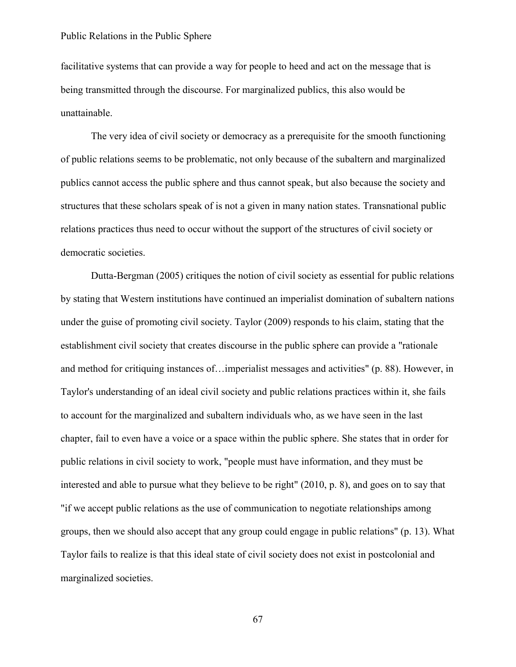facilitative systems that can provide a way for people to heed and act on the message that is being transmitted through the discourse. For marginalized publics, this also would be unattainable.

The very idea of civil society or democracy as a prerequisite for the smooth functioning of public relations seems to be problematic, not only because of the subaltern and marginalized publics cannot access the public sphere and thus cannot speak, but also because the society and structures that these scholars speak of is not a given in many nation states. Transnational public relations practices thus need to occur without the support of the structures of civil society or democratic societies.

Dutta-Bergman (2005) critiques the notion of civil society as essential for public relations by stating that Western institutions have continued an imperialist domination of subaltern nations under the guise of promoting civil society. Taylor (2009) responds to his claim, stating that the establishment civil society that creates discourse in the public sphere can provide a "rationale and method for critiquing instances of…imperialist messages and activities" (p. 88). However, in Taylor's understanding of an ideal civil society and public relations practices within it, she fails to account for the marginalized and subaltern individuals who, as we have seen in the last chapter, fail to even have a voice or a space within the public sphere. She states that in order for public relations in civil society to work, "people must have information, and they must be interested and able to pursue what they believe to be right" (2010, p. 8), and goes on to say that "if we accept public relations as the use of communication to negotiate relationships among groups, then we should also accept that any group could engage in public relations" (p. 13). What Taylor fails to realize is that this ideal state of civil society does not exist in postcolonial and marginalized societies.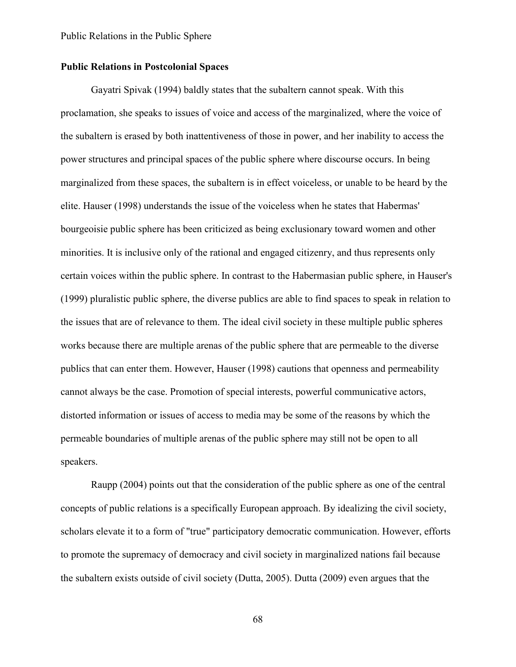# **Public Relations in Postcolonial Spaces**

Gayatri Spivak (1994) baldly states that the subaltern cannot speak. With this proclamation, she speaks to issues of voice and access of the marginalized, where the voice of the subaltern is erased by both inattentiveness of those in power, and her inability to access the power structures and principal spaces of the public sphere where discourse occurs. In being marginalized from these spaces, the subaltern is in effect voiceless, or unable to be heard by the elite. Hauser (1998) understands the issue of the voiceless when he states that Habermas' bourgeoisie public sphere has been criticized as being exclusionary toward women and other minorities. It is inclusive only of the rational and engaged citizenry, and thus represents only certain voices within the public sphere. In contrast to the Habermasian public sphere, in Hauser's (1999) pluralistic public sphere, the diverse publics are able to find spaces to speak in relation to the issues that are of relevance to them. The ideal civil society in these multiple public spheres works because there are multiple arenas of the public sphere that are permeable to the diverse publics that can enter them. However, Hauser (1998) cautions that openness and permeability cannot always be the case. Promotion of special interests, powerful communicative actors, distorted information or issues of access to media may be some of the reasons by which the permeable boundaries of multiple arenas of the public sphere may still not be open to all speakers.

Raupp (2004) points out that the consideration of the public sphere as one of the central concepts of public relations is a specifically European approach. By idealizing the civil society, scholars elevate it to a form of "true" participatory democratic communication. However, efforts to promote the supremacy of democracy and civil society in marginalized nations fail because the subaltern exists outside of civil society (Dutta, 2005). Dutta (2009) even argues that the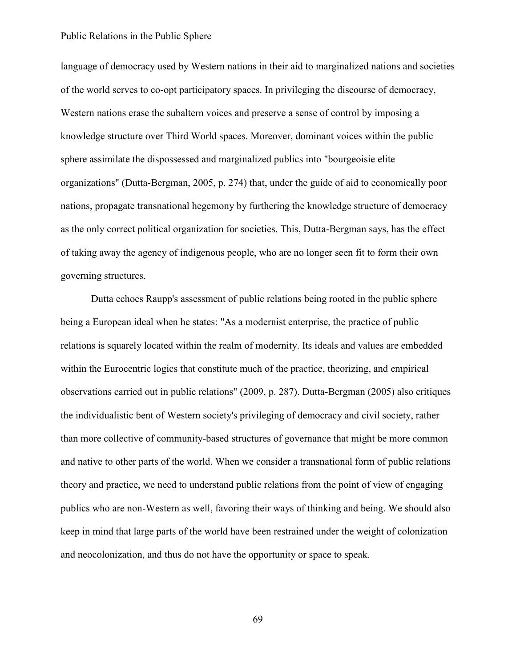language of democracy used by Western nations in their aid to marginalized nations and societies of the world serves to co-opt participatory spaces. In privileging the discourse of democracy, Western nations erase the subaltern voices and preserve a sense of control by imposing a knowledge structure over Third World spaces. Moreover, dominant voices within the public sphere assimilate the dispossessed and marginalized publics into "bourgeoisie elite organizations" (Dutta-Bergman, 2005, p. 274) that, under the guide of aid to economically poor nations, propagate transnational hegemony by furthering the knowledge structure of democracy as the only correct political organization for societies. This, Dutta-Bergman says, has the effect of taking away the agency of indigenous people, who are no longer seen fit to form their own governing structures.

Dutta echoes Raupp's assessment of public relations being rooted in the public sphere being a European ideal when he states: "As a modernist enterprise, the practice of public relations is squarely located within the realm of modernity. Its ideals and values are embedded within the Eurocentric logics that constitute much of the practice, theorizing, and empirical observations carried out in public relations" (2009, p. 287). Dutta-Bergman (2005) also critiques the individualistic bent of Western society's privileging of democracy and civil society, rather than more collective of community-based structures of governance that might be more common and native to other parts of the world. When we consider a transnational form of public relations theory and practice, we need to understand public relations from the point of view of engaging publics who are non-Western as well, favoring their ways of thinking and being. We should also keep in mind that large parts of the world have been restrained under the weight of colonization and neocolonization, and thus do not have the opportunity or space to speak.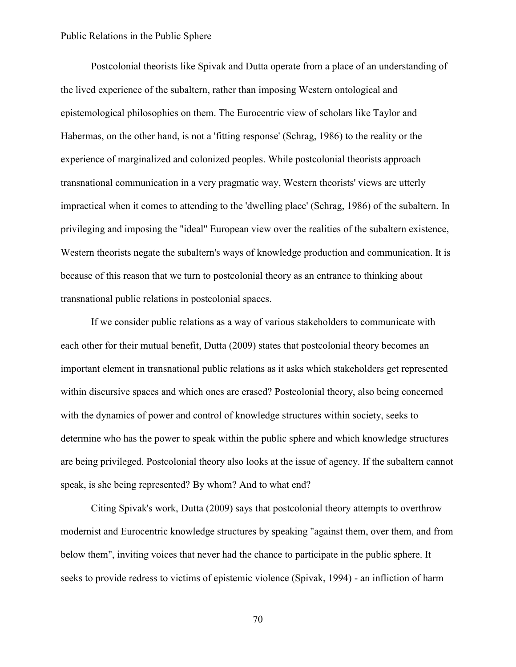Postcolonial theorists like Spivak and Dutta operate from a place of an understanding of the lived experience of the subaltern, rather than imposing Western ontological and epistemological philosophies on them. The Eurocentric view of scholars like Taylor and Habermas, on the other hand, is not a 'fitting response' (Schrag, 1986) to the reality or the experience of marginalized and colonized peoples. While postcolonial theorists approach transnational communication in a very pragmatic way, Western theorists' views are utterly impractical when it comes to attending to the 'dwelling place' (Schrag, 1986) of the subaltern. In privileging and imposing the "ideal" European view over the realities of the subaltern existence, Western theorists negate the subaltern's ways of knowledge production and communication. It is because of this reason that we turn to postcolonial theory as an entrance to thinking about transnational public relations in postcolonial spaces.

If we consider public relations as a way of various stakeholders to communicate with each other for their mutual benefit, Dutta (2009) states that postcolonial theory becomes an important element in transnational public relations as it asks which stakeholders get represented within discursive spaces and which ones are erased? Postcolonial theory, also being concerned with the dynamics of power and control of knowledge structures within society, seeks to determine who has the power to speak within the public sphere and which knowledge structures are being privileged. Postcolonial theory also looks at the issue of agency. If the subaltern cannot speak, is she being represented? By whom? And to what end?

Citing Spivak's work, Dutta (2009) says that postcolonial theory attempts to overthrow modernist and Eurocentric knowledge structures by speaking "against them, over them, and from below them", inviting voices that never had the chance to participate in the public sphere. It seeks to provide redress to victims of epistemic violence (Spivak, 1994) - an infliction of harm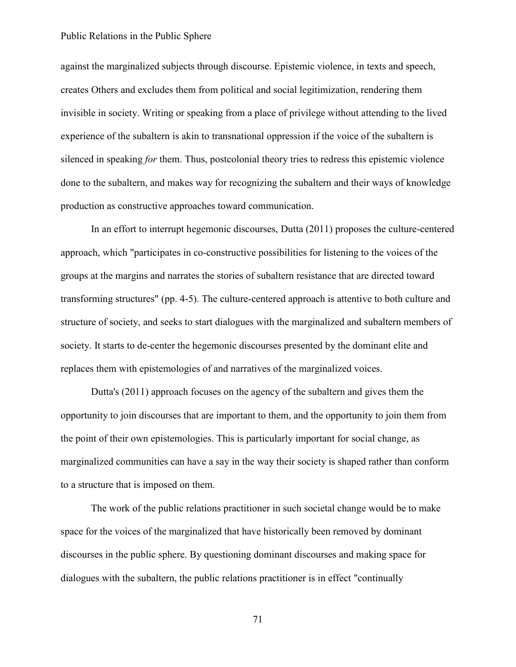against the marginalized subjects through discourse. Epistemic violence, in texts and speech, creates Others and excludes them from political and social legitimization, rendering them invisible in society. Writing or speaking from a place of privilege without attending to the lived experience of the subaltern is akin to transnational oppression if the voice of the subaltern is silenced in speaking *for* them. Thus, postcolonial theory tries to redress this epistemic violence done to the subaltern, and makes way for recognizing the subaltern and their ways of knowledge production as constructive approaches toward communication.

In an effort to interrupt hegemonic discourses, Dutta (2011) proposes the culture-centered approach, which "participates in co-constructive possibilities for listening to the voices of the groups at the margins and narrates the stories of subaltern resistance that are directed toward transforming structures" (pp. 4-5). The culture-centered approach is attentive to both culture and structure of society, and seeks to start dialogues with the marginalized and subaltern members of society. It starts to de-center the hegemonic discourses presented by the dominant elite and replaces them with epistemologies of and narratives of the marginalized voices.

Dutta's (2011) approach focuses on the agency of the subaltern and gives them the opportunity to join discourses that are important to them, and the opportunity to join them from the point of their own epistemologies. This is particularly important for social change, as marginalized communities can have a say in the way their society is shaped rather than conform to a structure that is imposed on them.

The work of the public relations practitioner in such societal change would be to make space for the voices of the marginalized that have historically been removed by dominant discourses in the public sphere. By questioning dominant discourses and making space for dialogues with the subaltern, the public relations practitioner is in effect "continually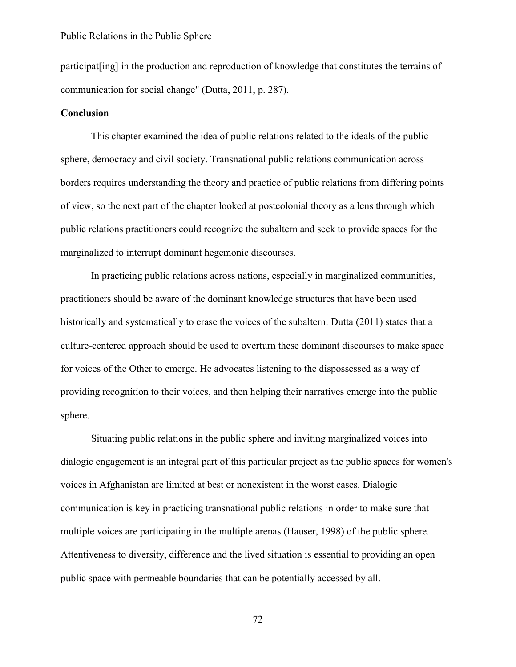participat[ing] in the production and reproduction of knowledge that constitutes the terrains of communication for social change" (Dutta, 2011, p. 287).

## **Conclusion**

This chapter examined the idea of public relations related to the ideals of the public sphere, democracy and civil society. Transnational public relations communication across borders requires understanding the theory and practice of public relations from differing points of view, so the next part of the chapter looked at postcolonial theory as a lens through which public relations practitioners could recognize the subaltern and seek to provide spaces for the marginalized to interrupt dominant hegemonic discourses.

In practicing public relations across nations, especially in marginalized communities, practitioners should be aware of the dominant knowledge structures that have been used historically and systematically to erase the voices of the subaltern. Dutta (2011) states that a culture-centered approach should be used to overturn these dominant discourses to make space for voices of the Other to emerge. He advocates listening to the dispossessed as a way of providing recognition to their voices, and then helping their narratives emerge into the public sphere.

Situating public relations in the public sphere and inviting marginalized voices into dialogic engagement is an integral part of this particular project as the public spaces for women's voices in Afghanistan are limited at best or nonexistent in the worst cases. Dialogic communication is key in practicing transnational public relations in order to make sure that multiple voices are participating in the multiple arenas (Hauser, 1998) of the public sphere. Attentiveness to diversity, difference and the lived situation is essential to providing an open public space with permeable boundaries that can be potentially accessed by all.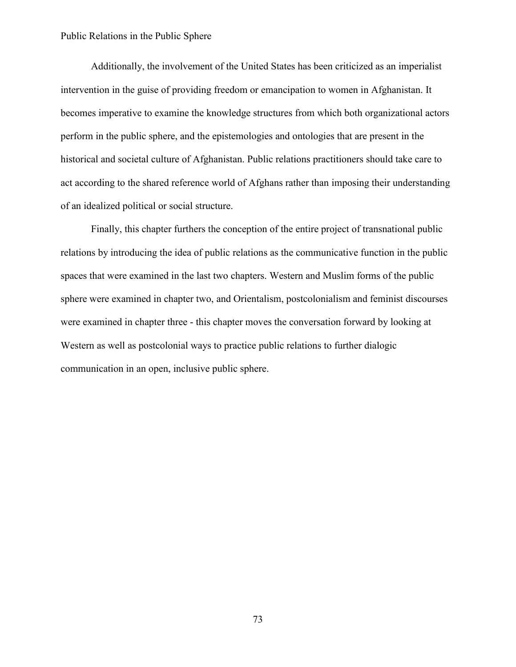Additionally, the involvement of the United States has been criticized as an imperialist intervention in the guise of providing freedom or emancipation to women in Afghanistan. It becomes imperative to examine the knowledge structures from which both organizational actors perform in the public sphere, and the epistemologies and ontologies that are present in the historical and societal culture of Afghanistan. Public relations practitioners should take care to act according to the shared reference world of Afghans rather than imposing their understanding of an idealized political or social structure.

Finally, this chapter furthers the conception of the entire project of transnational public relations by introducing the idea of public relations as the communicative function in the public spaces that were examined in the last two chapters. Western and Muslim forms of the public sphere were examined in chapter two, and Orientalism, postcolonialism and feminist discourses were examined in chapter three - this chapter moves the conversation forward by looking at Western as well as postcolonial ways to practice public relations to further dialogic communication in an open, inclusive public sphere.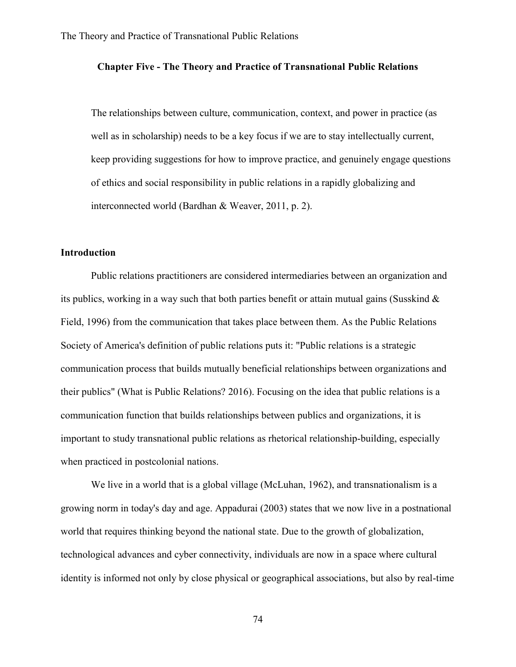## **Chapter Five - The Theory and Practice of Transnational Public Relations**

The relationships between culture, communication, context, and power in practice (as well as in scholarship) needs to be a key focus if we are to stay intellectually current, keep providing suggestions for how to improve practice, and genuinely engage questions of ethics and social responsibility in public relations in a rapidly globalizing and interconnected world (Bardhan & Weaver, 2011, p. 2).

# **Introduction**

Public relations practitioners are considered intermediaries between an organization and its publics, working in a way such that both parties benefit or attain mutual gains (Susskind & Field, 1996) from the communication that takes place between them. As the Public Relations Society of America's definition of public relations puts it: "Public relations is a strategic communication process that builds mutually beneficial relationships between organizations and their publics" (What is Public Relations? 2016). Focusing on the idea that public relations is a communication function that builds relationships between publics and organizations, it is important to study transnational public relations as rhetorical relationship-building, especially when practiced in postcolonial nations.

We live in a world that is a global village (McLuhan, 1962), and transnationalism is a growing norm in today's day and age. Appadurai (2003) states that we now live in a postnational world that requires thinking beyond the national state. Due to the growth of globalization, technological advances and cyber connectivity, individuals are now in a space where cultural identity is informed not only by close physical or geographical associations, but also by real-time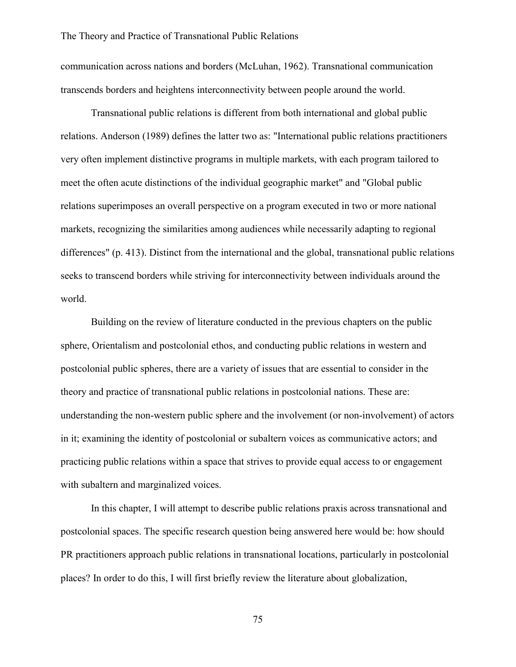communication across nations and borders (McLuhan, 1962). Transnational communication transcends borders and heightens interconnectivity between people around the world.

Transnational public relations is different from both international and global public relations. Anderson (1989) defines the latter two as: "International public relations practitioners very often implement distinctive programs in multiple markets, with each program tailored to meet the often acute distinctions of the individual geographic market" and "Global public relations superimposes an overall perspective on a program executed in two or more national markets, recognizing the similarities among audiences while necessarily adapting to regional differences" (p. 413). Distinct from the international and the global, transnational public relations seeks to transcend borders while striving for interconnectivity between individuals around the world.

Building on the review of literature conducted in the previous chapters on the public sphere, Orientalism and postcolonial ethos, and conducting public relations in western and postcolonial public spheres, there are a variety of issues that are essential to consider in the theory and practice of transnational public relations in postcolonial nations. These are: understanding the non-western public sphere and the involvement (or non-involvement) of actors in it; examining the identity of postcolonial or subaltern voices as communicative actors; and practicing public relations within a space that strives to provide equal access to or engagement with subaltern and marginalized voices.

In this chapter, I will attempt to describe public relations praxis across transnational and postcolonial spaces. The specific research question being answered here would be: how should PR practitioners approach public relations in transnational locations, particularly in postcolonial places? In order to do this, I will first briefly review the literature about globalization,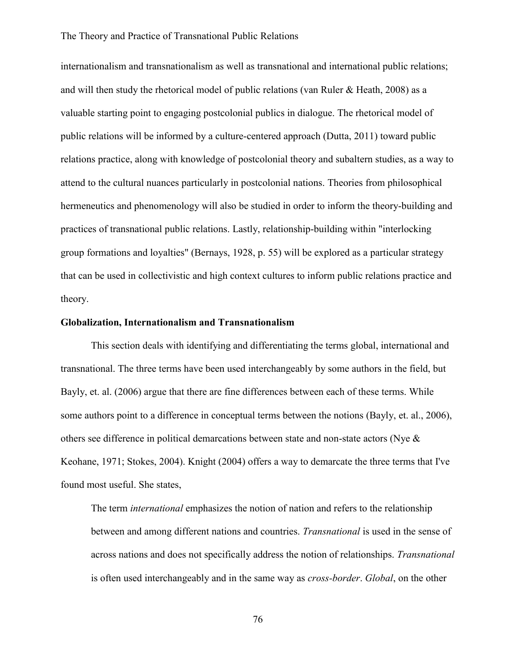internationalism and transnationalism as well as transnational and international public relations; and will then study the rhetorical model of public relations (van Ruler & Heath, 2008) as a valuable starting point to engaging postcolonial publics in dialogue. The rhetorical model of public relations will be informed by a culture-centered approach (Dutta, 2011) toward public relations practice, along with knowledge of postcolonial theory and subaltern studies, as a way to attend to the cultural nuances particularly in postcolonial nations. Theories from philosophical hermeneutics and phenomenology will also be studied in order to inform the theory-building and practices of transnational public relations. Lastly, relationship-building within "interlocking group formations and loyalties" (Bernays, 1928, p. 55) will be explored as a particular strategy that can be used in collectivistic and high context cultures to inform public relations practice and theory.

## **Globalization, Internationalism and Transnationalism**

This section deals with identifying and differentiating the terms global, international and transnational. The three terms have been used interchangeably by some authors in the field, but Bayly, et. al. (2006) argue that there are fine differences between each of these terms. While some authors point to a difference in conceptual terms between the notions (Bayly, et. al., 2006), others see difference in political demarcations between state and non-state actors (Nye & Keohane, 1971; Stokes, 2004). Knight (2004) offers a way to demarcate the three terms that I've found most useful. She states,

The term *international* emphasizes the notion of nation and refers to the relationship between and among different nations and countries. *Transnational* is used in the sense of across nations and does not specifically address the notion of relationships. *Transnational*  is often used interchangeably and in the same way as *cross-border*. *Global*, on the other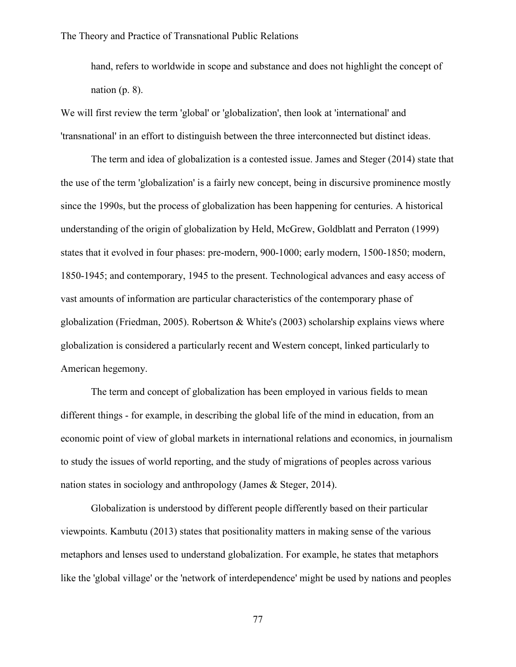hand, refers to worldwide in scope and substance and does not highlight the concept of nation  $(p, 8)$ .

We will first review the term 'global' or 'globalization', then look at 'international' and 'transnational' in an effort to distinguish between the three interconnected but distinct ideas.

The term and idea of globalization is a contested issue. James and Steger (2014) state that the use of the term 'globalization' is a fairly new concept, being in discursive prominence mostly since the 1990s, but the process of globalization has been happening for centuries. A historical understanding of the origin of globalization by Held, McGrew, Goldblatt and Perraton (1999) states that it evolved in four phases: pre-modern, 900-1000; early modern, 1500-1850; modern, 1850-1945; and contemporary, 1945 to the present. Technological advances and easy access of vast amounts of information are particular characteristics of the contemporary phase of globalization (Friedman, 2005). Robertson & White's (2003) scholarship explains views where globalization is considered a particularly recent and Western concept, linked particularly to American hegemony.

The term and concept of globalization has been employed in various fields to mean different things - for example, in describing the global life of the mind in education, from an economic point of view of global markets in international relations and economics, in journalism to study the issues of world reporting, and the study of migrations of peoples across various nation states in sociology and anthropology (James & Steger, 2014).

Globalization is understood by different people differently based on their particular viewpoints. Kambutu (2013) states that positionality matters in making sense of the various metaphors and lenses used to understand globalization. For example, he states that metaphors like the 'global village' or the 'network of interdependence' might be used by nations and peoples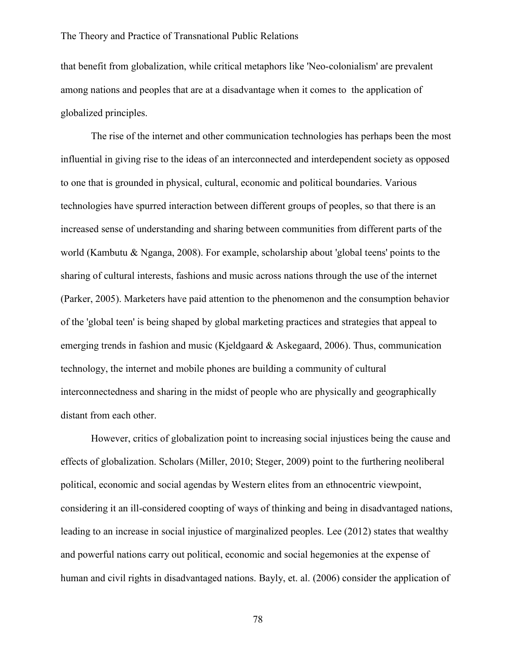that benefit from globalization, while critical metaphors like 'Neo-colonialism' are prevalent among nations and peoples that are at a disadvantage when it comes to the application of globalized principles.

The rise of the internet and other communication technologies has perhaps been the most influential in giving rise to the ideas of an interconnected and interdependent society as opposed to one that is grounded in physical, cultural, economic and political boundaries. Various technologies have spurred interaction between different groups of peoples, so that there is an increased sense of understanding and sharing between communities from different parts of the world (Kambutu & Nganga, 2008). For example, scholarship about 'global teens' points to the sharing of cultural interests, fashions and music across nations through the use of the internet (Parker, 2005). Marketers have paid attention to the phenomenon and the consumption behavior of the 'global teen' is being shaped by global marketing practices and strategies that appeal to emerging trends in fashion and music (Kjeldgaard & Askegaard, 2006). Thus, communication technology, the internet and mobile phones are building a community of cultural interconnectedness and sharing in the midst of people who are physically and geographically distant from each other.

However, critics of globalization point to increasing social injustices being the cause and effects of globalization. Scholars (Miller, 2010; Steger, 2009) point to the furthering neoliberal political, economic and social agendas by Western elites from an ethnocentric viewpoint, considering it an ill-considered coopting of ways of thinking and being in disadvantaged nations, leading to an increase in social injustice of marginalized peoples. Lee (2012) states that wealthy and powerful nations carry out political, economic and social hegemonies at the expense of human and civil rights in disadvantaged nations. Bayly, et. al. (2006) consider the application of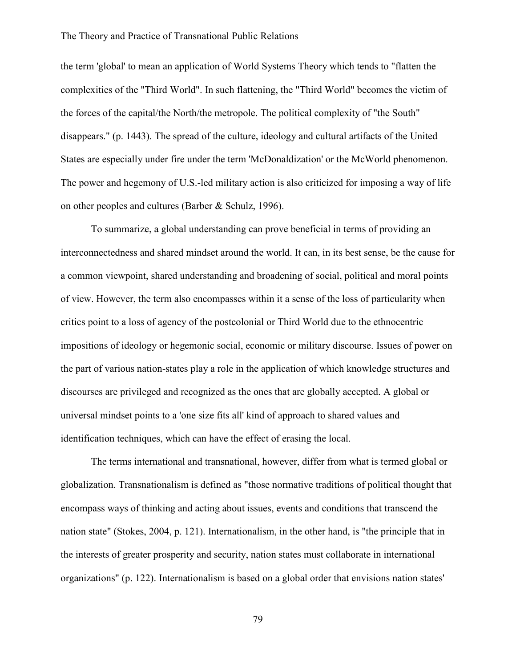the term 'global' to mean an application of World Systems Theory which tends to "flatten the complexities of the "Third World". In such flattening, the "Third World" becomes the victim of the forces of the capital/the North/the metropole. The political complexity of "the South" disappears." (p. 1443). The spread of the culture, ideology and cultural artifacts of the United States are especially under fire under the term 'McDonaldization' or the McWorld phenomenon. The power and hegemony of U.S.-led military action is also criticized for imposing a way of life on other peoples and cultures (Barber & Schulz, 1996).

To summarize, a global understanding can prove beneficial in terms of providing an interconnectedness and shared mindset around the world. It can, in its best sense, be the cause for a common viewpoint, shared understanding and broadening of social, political and moral points of view. However, the term also encompasses within it a sense of the loss of particularity when critics point to a loss of agency of the postcolonial or Third World due to the ethnocentric impositions of ideology or hegemonic social, economic or military discourse. Issues of power on the part of various nation-states play a role in the application of which knowledge structures and discourses are privileged and recognized as the ones that are globally accepted. A global or universal mindset points to a 'one size fits all' kind of approach to shared values and identification techniques, which can have the effect of erasing the local.

The terms international and transnational, however, differ from what is termed global or globalization. Transnationalism is defined as "those normative traditions of political thought that encompass ways of thinking and acting about issues, events and conditions that transcend the nation state" (Stokes, 2004, p. 121). Internationalism, in the other hand, is "the principle that in the interests of greater prosperity and security, nation states must collaborate in international organizations" (p. 122). Internationalism is based on a global order that envisions nation states'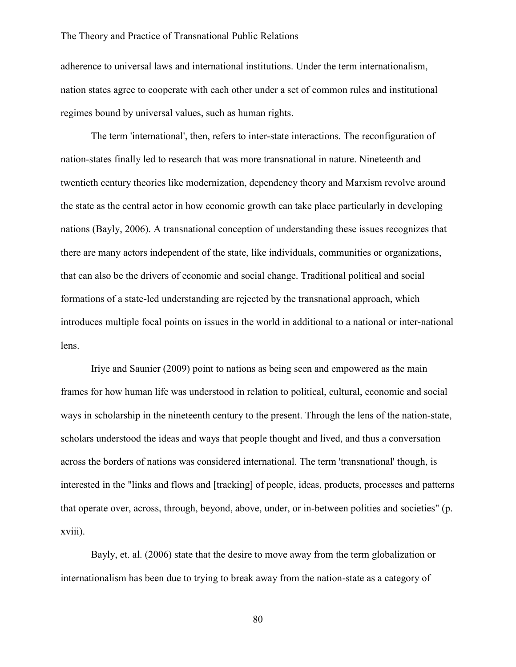adherence to universal laws and international institutions. Under the term internationalism, nation states agree to cooperate with each other under a set of common rules and institutional regimes bound by universal values, such as human rights.

The term 'international', then, refers to inter-state interactions. The reconfiguration of nation-states finally led to research that was more transnational in nature. Nineteenth and twentieth century theories like modernization, dependency theory and Marxism revolve around the state as the central actor in how economic growth can take place particularly in developing nations (Bayly, 2006). A transnational conception of understanding these issues recognizes that there are many actors independent of the state, like individuals, communities or organizations, that can also be the drivers of economic and social change. Traditional political and social formations of a state-led understanding are rejected by the transnational approach, which introduces multiple focal points on issues in the world in additional to a national or inter-national lens.

Iriye and Saunier (2009) point to nations as being seen and empowered as the main frames for how human life was understood in relation to political, cultural, economic and social ways in scholarship in the nineteenth century to the present. Through the lens of the nation-state, scholars understood the ideas and ways that people thought and lived, and thus a conversation across the borders of nations was considered international. The term 'transnational' though, is interested in the "links and flows and [tracking] of people, ideas, products, processes and patterns that operate over, across, through, beyond, above, under, or in-between polities and societies" (p. xviii).

Bayly, et. al. (2006) state that the desire to move away from the term globalization or internationalism has been due to trying to break away from the nation-state as a category of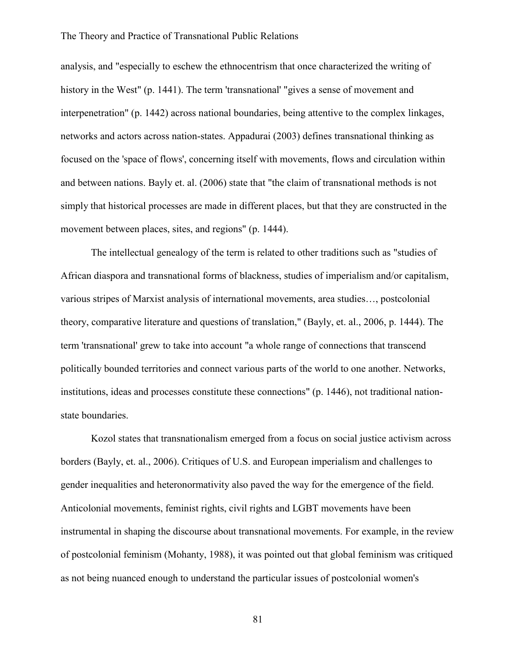analysis, and "especially to eschew the ethnocentrism that once characterized the writing of history in the West" (p. 1441). The term 'transnational' "gives a sense of movement and interpenetration" (p. 1442) across national boundaries, being attentive to the complex linkages, networks and actors across nation-states. Appadurai (2003) defines transnational thinking as focused on the 'space of flows', concerning itself with movements, flows and circulation within and between nations. Bayly et. al. (2006) state that "the claim of transnational methods is not simply that historical processes are made in different places, but that they are constructed in the movement between places, sites, and regions" (p. 1444).

The intellectual genealogy of the term is related to other traditions such as "studies of African diaspora and transnational forms of blackness, studies of imperialism and/or capitalism, various stripes of Marxist analysis of international movements, area studies…, postcolonial theory, comparative literature and questions of translation," (Bayly, et. al., 2006, p. 1444). The term 'transnational' grew to take into account "a whole range of connections that transcend politically bounded territories and connect various parts of the world to one another. Networks, institutions, ideas and processes constitute these connections" (p. 1446), not traditional nationstate boundaries.

Kozol states that transnationalism emerged from a focus on social justice activism across borders (Bayly, et. al., 2006). Critiques of U.S. and European imperialism and challenges to gender inequalities and heteronormativity also paved the way for the emergence of the field. Anticolonial movements, feminist rights, civil rights and LGBT movements have been instrumental in shaping the discourse about transnational movements. For example, in the review of postcolonial feminism (Mohanty, 1988), it was pointed out that global feminism was critiqued as not being nuanced enough to understand the particular issues of postcolonial women's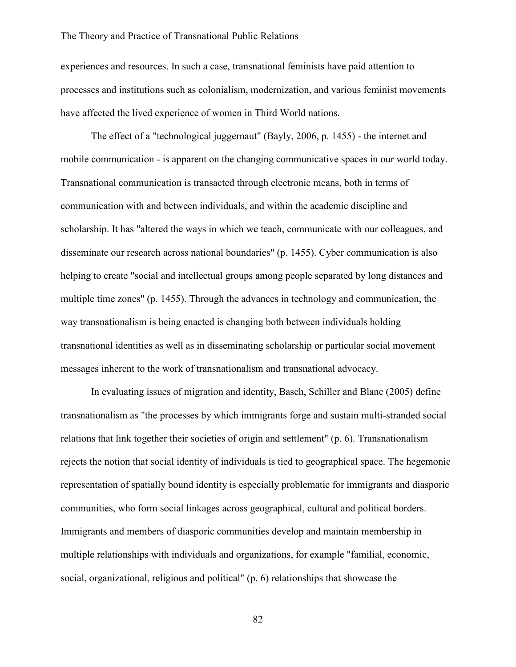experiences and resources. In such a case, transnational feminists have paid attention to processes and institutions such as colonialism, modernization, and various feminist movements have affected the lived experience of women in Third World nations.

The effect of a "technological juggernaut" (Bayly, 2006, p. 1455) - the internet and mobile communication - is apparent on the changing communicative spaces in our world today. Transnational communication is transacted through electronic means, both in terms of communication with and between individuals, and within the academic discipline and scholarship. It has "altered the ways in which we teach, communicate with our colleagues, and disseminate our research across national boundaries" (p. 1455). Cyber communication is also helping to create "social and intellectual groups among people separated by long distances and multiple time zones" (p. 1455). Through the advances in technology and communication, the way transnationalism is being enacted is changing both between individuals holding transnational identities as well as in disseminating scholarship or particular social movement messages inherent to the work of transnationalism and transnational advocacy.

In evaluating issues of migration and identity, Basch, Schiller and Blanc (2005) define transnationalism as "the processes by which immigrants forge and sustain multi-stranded social relations that link together their societies of origin and settlement" (p. 6). Transnationalism rejects the notion that social identity of individuals is tied to geographical space. The hegemonic representation of spatially bound identity is especially problematic for immigrants and diasporic communities, who form social linkages across geographical, cultural and political borders. Immigrants and members of diasporic communities develop and maintain membership in multiple relationships with individuals and organizations, for example "familial, economic, social, organizational, religious and political" (p. 6) relationships that showcase the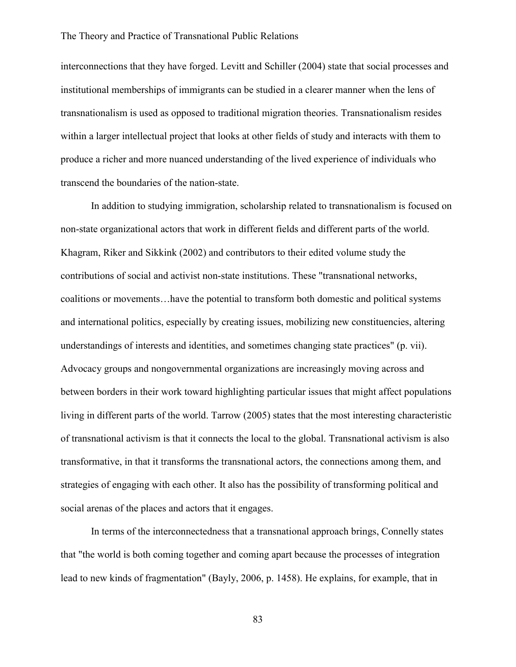interconnections that they have forged. Levitt and Schiller (2004) state that social processes and institutional memberships of immigrants can be studied in a clearer manner when the lens of transnationalism is used as opposed to traditional migration theories. Transnationalism resides within a larger intellectual project that looks at other fields of study and interacts with them to produce a richer and more nuanced understanding of the lived experience of individuals who transcend the boundaries of the nation-state.

In addition to studying immigration, scholarship related to transnationalism is focused on non-state organizational actors that work in different fields and different parts of the world. Khagram, Riker and Sikkink (2002) and contributors to their edited volume study the contributions of social and activist non-state institutions. These "transnational networks, coalitions or movements…have the potential to transform both domestic and political systems and international politics, especially by creating issues, mobilizing new constituencies, altering understandings of interests and identities, and sometimes changing state practices" (p. vii). Advocacy groups and nongovernmental organizations are increasingly moving across and between borders in their work toward highlighting particular issues that might affect populations living in different parts of the world. Tarrow (2005) states that the most interesting characteristic of transnational activism is that it connects the local to the global. Transnational activism is also transformative, in that it transforms the transnational actors, the connections among them, and strategies of engaging with each other. It also has the possibility of transforming political and social arenas of the places and actors that it engages.

In terms of the interconnectedness that a transnational approach brings, Connelly states that "the world is both coming together and coming apart because the processes of integration lead to new kinds of fragmentation" (Bayly, 2006, p. 1458). He explains, for example, that in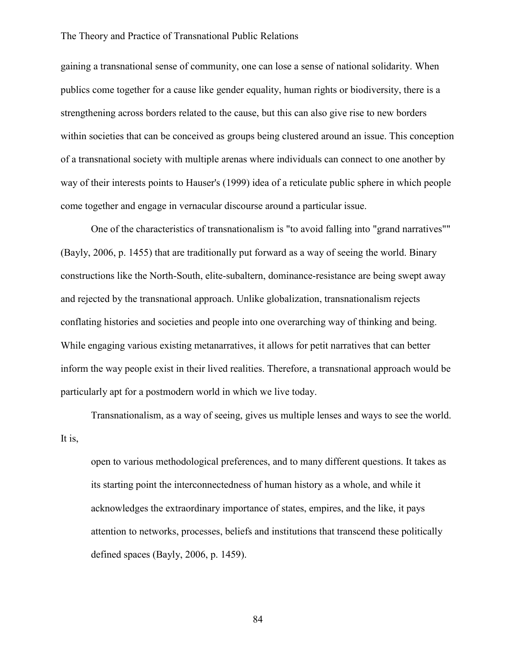gaining a transnational sense of community, one can lose a sense of national solidarity. When publics come together for a cause like gender equality, human rights or biodiversity, there is a strengthening across borders related to the cause, but this can also give rise to new borders within societies that can be conceived as groups being clustered around an issue. This conception of a transnational society with multiple arenas where individuals can connect to one another by way of their interests points to Hauser's (1999) idea of a reticulate public sphere in which people come together and engage in vernacular discourse around a particular issue.

One of the characteristics of transnationalism is "to avoid falling into "grand narratives"" (Bayly, 2006, p. 1455) that are traditionally put forward as a way of seeing the world. Binary constructions like the North-South, elite-subaltern, dominance-resistance are being swept away and rejected by the transnational approach. Unlike globalization, transnationalism rejects conflating histories and societies and people into one overarching way of thinking and being. While engaging various existing metanarratives, it allows for petit narratives that can better inform the way people exist in their lived realities. Therefore, a transnational approach would be particularly apt for a postmodern world in which we live today.

Transnationalism, as a way of seeing, gives us multiple lenses and ways to see the world. It is,

open to various methodological preferences, and to many different questions. It takes as its starting point the interconnectedness of human history as a whole, and while it acknowledges the extraordinary importance of states, empires, and the like, it pays attention to networks, processes, beliefs and institutions that transcend these politically defined spaces (Bayly, 2006, p. 1459).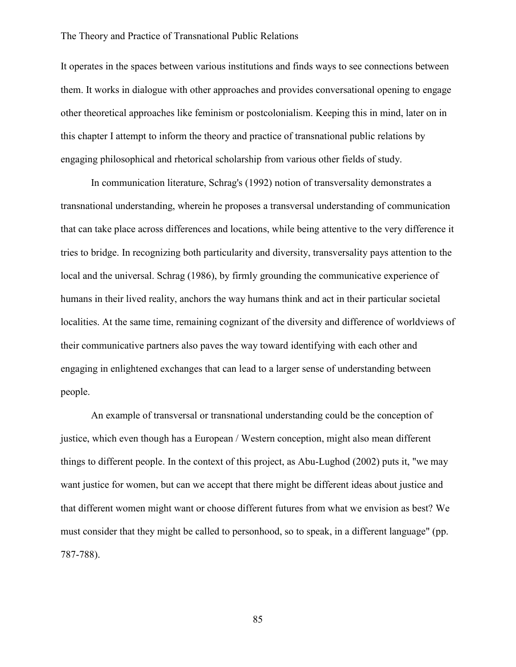It operates in the spaces between various institutions and finds ways to see connections between them. It works in dialogue with other approaches and provides conversational opening to engage other theoretical approaches like feminism or postcolonialism. Keeping this in mind, later on in this chapter I attempt to inform the theory and practice of transnational public relations by engaging philosophical and rhetorical scholarship from various other fields of study.

In communication literature, Schrag's (1992) notion of transversality demonstrates a transnational understanding, wherein he proposes a transversal understanding of communication that can take place across differences and locations, while being attentive to the very difference it tries to bridge. In recognizing both particularity and diversity, transversality pays attention to the local and the universal. Schrag (1986), by firmly grounding the communicative experience of humans in their lived reality, anchors the way humans think and act in their particular societal localities. At the same time, remaining cognizant of the diversity and difference of worldviews of their communicative partners also paves the way toward identifying with each other and engaging in enlightened exchanges that can lead to a larger sense of understanding between people.

An example of transversal or transnational understanding could be the conception of justice, which even though has a European / Western conception, might also mean different things to different people. In the context of this project, as Abu-Lughod (2002) puts it, "we may want justice for women, but can we accept that there might be different ideas about justice and that different women might want or choose different futures from what we envision as best? We must consider that they might be called to personhood, so to speak, in a different language" (pp. 787-788).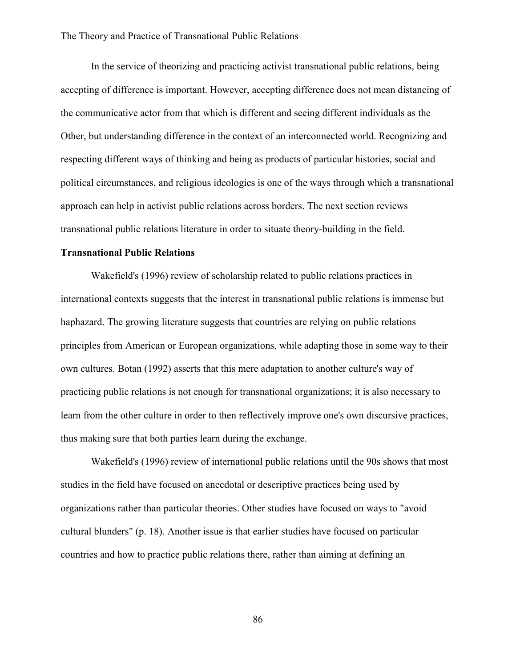In the service of theorizing and practicing activist transnational public relations, being accepting of difference is important. However, accepting difference does not mean distancing of the communicative actor from that which is different and seeing different individuals as the Other, but understanding difference in the context of an interconnected world. Recognizing and respecting different ways of thinking and being as products of particular histories, social and political circumstances, and religious ideologies is one of the ways through which a transnational approach can help in activist public relations across borders. The next section reviews transnational public relations literature in order to situate theory-building in the field.

# **Transnational Public Relations**

Wakefield's (1996) review of scholarship related to public relations practices in international contexts suggests that the interest in transnational public relations is immense but haphazard. The growing literature suggests that countries are relying on public relations principles from American or European organizations, while adapting those in some way to their own cultures. Botan (1992) asserts that this mere adaptation to another culture's way of practicing public relations is not enough for transnational organizations; it is also necessary to learn from the other culture in order to then reflectively improve one's own discursive practices, thus making sure that both parties learn during the exchange.

Wakefield's (1996) review of international public relations until the 90s shows that most studies in the field have focused on anecdotal or descriptive practices being used by organizations rather than particular theories. Other studies have focused on ways to "avoid cultural blunders" (p. 18). Another issue is that earlier studies have focused on particular countries and how to practice public relations there, rather than aiming at defining an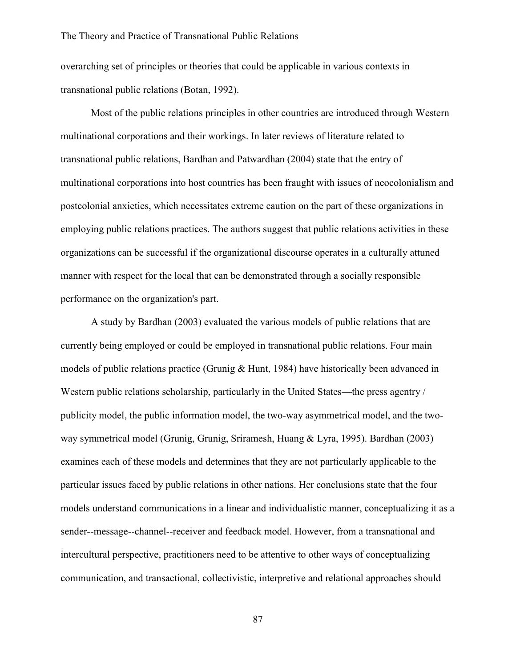overarching set of principles or theories that could be applicable in various contexts in transnational public relations (Botan, 1992).

Most of the public relations principles in other countries are introduced through Western multinational corporations and their workings. In later reviews of literature related to transnational public relations, Bardhan and Patwardhan (2004) state that the entry of multinational corporations into host countries has been fraught with issues of neocolonialism and postcolonial anxieties, which necessitates extreme caution on the part of these organizations in employing public relations practices. The authors suggest that public relations activities in these organizations can be successful if the organizational discourse operates in a culturally attuned manner with respect for the local that can be demonstrated through a socially responsible performance on the organization's part.

A study by Bardhan (2003) evaluated the various models of public relations that are currently being employed or could be employed in transnational public relations. Four main models of public relations practice (Grunig & Hunt, 1984) have historically been advanced in Western public relations scholarship, particularly in the United States—the press agentry / publicity model, the public information model, the two-way asymmetrical model, and the twoway symmetrical model (Grunig, Grunig, Sriramesh, Huang & Lyra, 1995). Bardhan (2003) examines each of these models and determines that they are not particularly applicable to the particular issues faced by public relations in other nations. Her conclusions state that the four models understand communications in a linear and individualistic manner, conceptualizing it as a sender--message--channel--receiver and feedback model. However, from a transnational and intercultural perspective, practitioners need to be attentive to other ways of conceptualizing communication, and transactional, collectivistic, interpretive and relational approaches should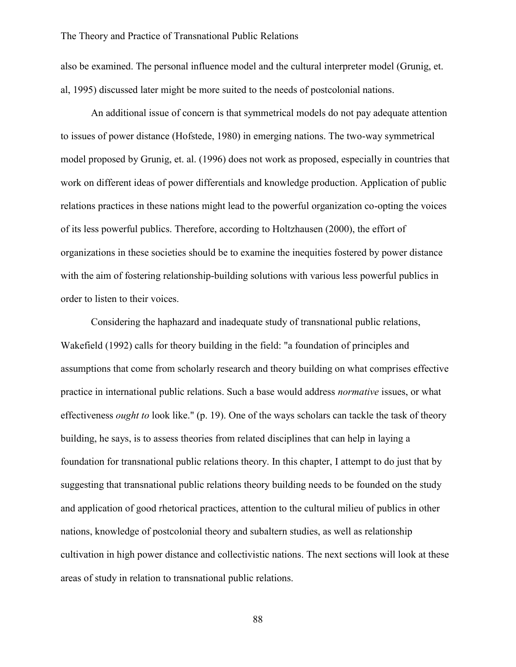also be examined. The personal influence model and the cultural interpreter model (Grunig, et. al, 1995) discussed later might be more suited to the needs of postcolonial nations.

An additional issue of concern is that symmetrical models do not pay adequate attention to issues of power distance (Hofstede, 1980) in emerging nations. The two-way symmetrical model proposed by Grunig, et. al. (1996) does not work as proposed, especially in countries that work on different ideas of power differentials and knowledge production. Application of public relations practices in these nations might lead to the powerful organization co-opting the voices of its less powerful publics. Therefore, according to Holtzhausen (2000), the effort of organizations in these societies should be to examine the inequities fostered by power distance with the aim of fostering relationship-building solutions with various less powerful publics in order to listen to their voices.

Considering the haphazard and inadequate study of transnational public relations, Wakefield (1992) calls for theory building in the field: "a foundation of principles and assumptions that come from scholarly research and theory building on what comprises effective practice in international public relations. Such a base would address *normative* issues, or what effectiveness *ought to* look like." (p. 19). One of the ways scholars can tackle the task of theory building, he says, is to assess theories from related disciplines that can help in laying a foundation for transnational public relations theory. In this chapter, I attempt to do just that by suggesting that transnational public relations theory building needs to be founded on the study and application of good rhetorical practices, attention to the cultural milieu of publics in other nations, knowledge of postcolonial theory and subaltern studies, as well as relationship cultivation in high power distance and collectivistic nations. The next sections will look at these areas of study in relation to transnational public relations.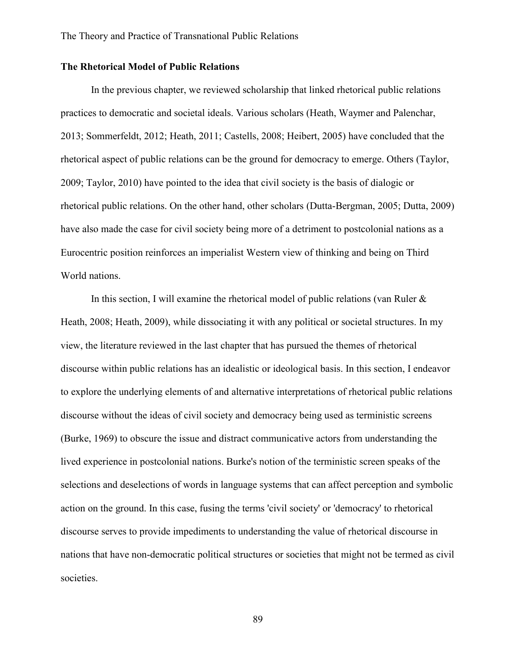# **The Rhetorical Model of Public Relations**

In the previous chapter, we reviewed scholarship that linked rhetorical public relations practices to democratic and societal ideals. Various scholars (Heath, Waymer and Palenchar, 2013; Sommerfeldt, 2012; Heath, 2011; Castells, 2008; Heibert, 2005) have concluded that the rhetorical aspect of public relations can be the ground for democracy to emerge. Others (Taylor, 2009; Taylor, 2010) have pointed to the idea that civil society is the basis of dialogic or rhetorical public relations. On the other hand, other scholars (Dutta-Bergman, 2005; Dutta, 2009) have also made the case for civil society being more of a detriment to postcolonial nations as a Eurocentric position reinforces an imperialist Western view of thinking and being on Third World nations.

In this section, I will examine the rhetorical model of public relations (van Ruler  $\&$ Heath, 2008; Heath, 2009), while dissociating it with any political or societal structures. In my view, the literature reviewed in the last chapter that has pursued the themes of rhetorical discourse within public relations has an idealistic or ideological basis. In this section, I endeavor to explore the underlying elements of and alternative interpretations of rhetorical public relations discourse without the ideas of civil society and democracy being used as terministic screens (Burke, 1969) to obscure the issue and distract communicative actors from understanding the lived experience in postcolonial nations. Burke's notion of the terministic screen speaks of the selections and deselections of words in language systems that can affect perception and symbolic action on the ground. In this case, fusing the terms 'civil society' or 'democracy' to rhetorical discourse serves to provide impediments to understanding the value of rhetorical discourse in nations that have non-democratic political structures or societies that might not be termed as civil societies.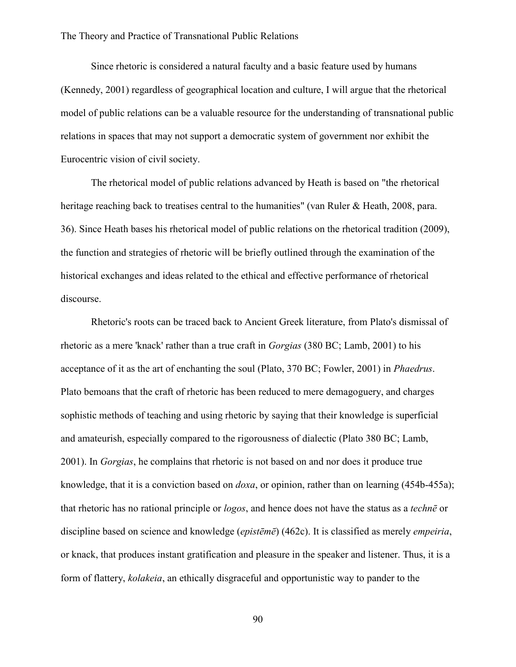Since rhetoric is considered a natural faculty and a basic feature used by humans (Kennedy, 2001) regardless of geographical location and culture, I will argue that the rhetorical model of public relations can be a valuable resource for the understanding of transnational public relations in spaces that may not support a democratic system of government nor exhibit the Eurocentric vision of civil society.

The rhetorical model of public relations advanced by Heath is based on "the rhetorical heritage reaching back to treatises central to the humanities" (van Ruler & Heath, 2008, para. 36). Since Heath bases his rhetorical model of public relations on the rhetorical tradition (2009), the function and strategies of rhetoric will be briefly outlined through the examination of the historical exchanges and ideas related to the ethical and effective performance of rhetorical discourse.

Rhetoric's roots can be traced back to Ancient Greek literature, from Plato's dismissal of rhetoric as a mere 'knack' rather than a true craft in *Gorgias* (380 BC; Lamb, 2001) to his acceptance of it as the art of enchanting the soul (Plato, 370 BC; Fowler, 2001) in *Phaedrus*. Plato bemoans that the craft of rhetoric has been reduced to mere demagoguery, and charges sophistic methods of teaching and using rhetoric by saying that their knowledge is superficial and amateurish, especially compared to the rigorousness of dialectic (Plato 380 BC; Lamb, 2001). In *Gorgias*, he complains that rhetoric is not based on and nor does it produce true knowledge, that it is a conviction based on *doxa*, or opinion, rather than on learning (454b-455a); that rhetoric has no rational principle or *logos*, and hence does not have the status as a *technē* or discipline based on science and knowledge (*epistēmē*) (462c). It is classified as merely *empeiria*, or knack, that produces instant gratification and pleasure in the speaker and listener. Thus, it is a form of flattery, *kolakeia*, an ethically disgraceful and opportunistic way to pander to the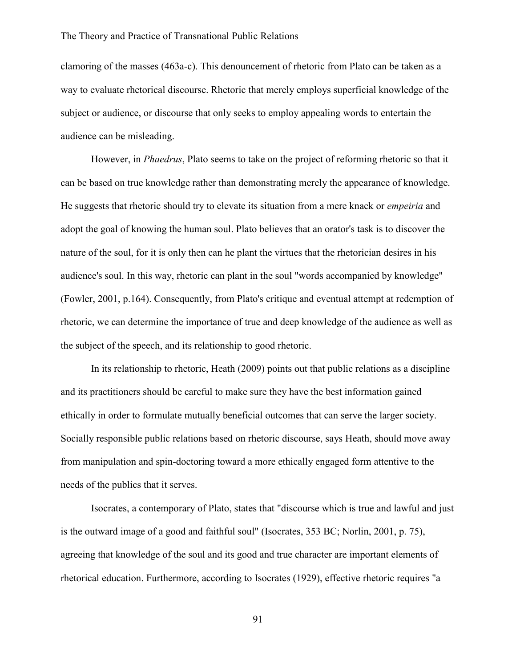clamoring of the masses (463a-c). This denouncement of rhetoric from Plato can be taken as a way to evaluate rhetorical discourse. Rhetoric that merely employs superficial knowledge of the subject or audience, or discourse that only seeks to employ appealing words to entertain the audience can be misleading.

However, in *Phaedrus*, Plato seems to take on the project of reforming rhetoric so that it can be based on true knowledge rather than demonstrating merely the appearance of knowledge. He suggests that rhetoric should try to elevate its situation from a mere knack or *empeiria* and adopt the goal of knowing the human soul. Plato believes that an orator's task is to discover the nature of the soul, for it is only then can he plant the virtues that the rhetorician desires in his audience's soul. In this way, rhetoric can plant in the soul "words accompanied by knowledge" (Fowler, 2001, p.164). Consequently, from Plato's critique and eventual attempt at redemption of rhetoric, we can determine the importance of true and deep knowledge of the audience as well as the subject of the speech, and its relationship to good rhetoric.

In its relationship to rhetoric, Heath (2009) points out that public relations as a discipline and its practitioners should be careful to make sure they have the best information gained ethically in order to formulate mutually beneficial outcomes that can serve the larger society. Socially responsible public relations based on rhetoric discourse, says Heath, should move away from manipulation and spin-doctoring toward a more ethically engaged form attentive to the needs of the publics that it serves.

Isocrates, a contemporary of Plato, states that "discourse which is true and lawful and just is the outward image of a good and faithful soul" (Isocrates, 353 BC; Norlin, 2001, p. 75), agreeing that knowledge of the soul and its good and true character are important elements of rhetorical education. Furthermore, according to Isocrates (1929), effective rhetoric requires "a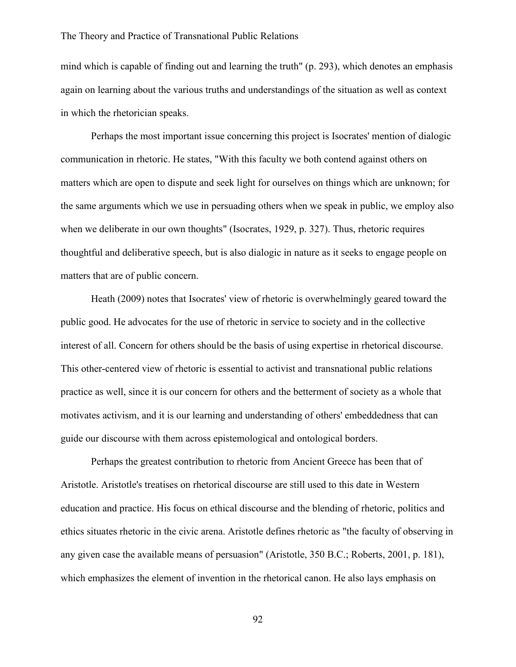mind which is capable of finding out and learning the truth" (p. 293), which denotes an emphasis again on learning about the various truths and understandings of the situation as well as context in which the rhetorician speaks.

Perhaps the most important issue concerning this project is Isocrates' mention of dialogic communication in rhetoric. He states, "With this faculty we both contend against others on matters which are open to dispute and seek light for ourselves on things which are unknown; for the same arguments which we use in persuading others when we speak in public, we employ also when we deliberate in our own thoughts" (Isocrates, 1929, p. 327). Thus, rhetoric requires thoughtful and deliberative speech, but is also dialogic in nature as it seeks to engage people on matters that are of public concern.

Heath (2009) notes that Isocrates' view of rhetoric is overwhelmingly geared toward the public good. He advocates for the use of rhetoric in service to society and in the collective interest of all. Concern for others should be the basis of using expertise in rhetorical discourse. This other-centered view of rhetoric is essential to activist and transnational public relations practice as well, since it is our concern for others and the betterment of society as a whole that motivates activism, and it is our learning and understanding of others' embeddedness that can guide our discourse with them across epistemological and ontological borders.

Perhaps the greatest contribution to rhetoric from Ancient Greece has been that of Aristotle. Aristotle's treatises on rhetorical discourse are still used to this date in Western education and practice. His focus on ethical discourse and the blending of rhetoric, politics and ethics situates rhetoric in the civic arena. Aristotle defines rhetoric as "the faculty of observing in any given case the available means of persuasion" (Aristotle, 350 B.C.; Roberts, 2001, p. 181), which emphasizes the element of invention in the rhetorical canon. He also lays emphasis on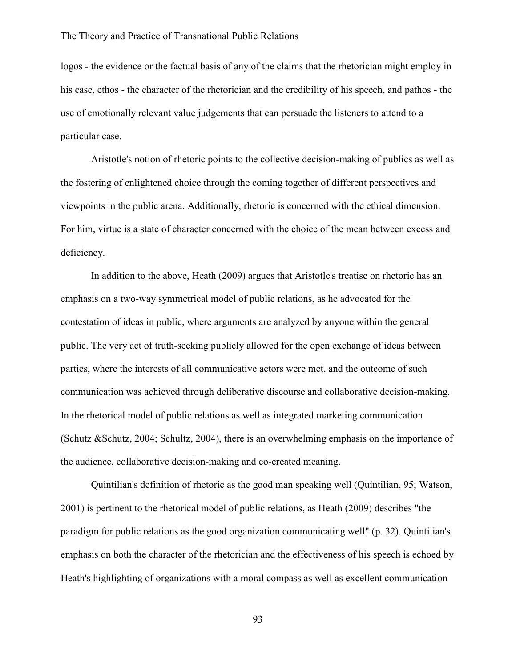logos - the evidence or the factual basis of any of the claims that the rhetorician might employ in his case, ethos - the character of the rhetorician and the credibility of his speech, and pathos - the use of emotionally relevant value judgements that can persuade the listeners to attend to a particular case.

Aristotle's notion of rhetoric points to the collective decision-making of publics as well as the fostering of enlightened choice through the coming together of different perspectives and viewpoints in the public arena. Additionally, rhetoric is concerned with the ethical dimension. For him, virtue is a state of character concerned with the choice of the mean between excess and deficiency.

In addition to the above, Heath (2009) argues that Aristotle's treatise on rhetoric has an emphasis on a two-way symmetrical model of public relations, as he advocated for the contestation of ideas in public, where arguments are analyzed by anyone within the general public. The very act of truth-seeking publicly allowed for the open exchange of ideas between parties, where the interests of all communicative actors were met, and the outcome of such communication was achieved through deliberative discourse and collaborative decision-making. In the rhetorical model of public relations as well as integrated marketing communication (Schutz &Schutz, 2004; Schultz, 2004), there is an overwhelming emphasis on the importance of the audience, collaborative decision-making and co-created meaning.

Quintilian's definition of rhetoric as the good man speaking well (Quintilian, 95; Watson, 2001) is pertinent to the rhetorical model of public relations, as Heath (2009) describes "the paradigm for public relations as the good organization communicating well" (p. 32). Quintilian's emphasis on both the character of the rhetorician and the effectiveness of his speech is echoed by Heath's highlighting of organizations with a moral compass as well as excellent communication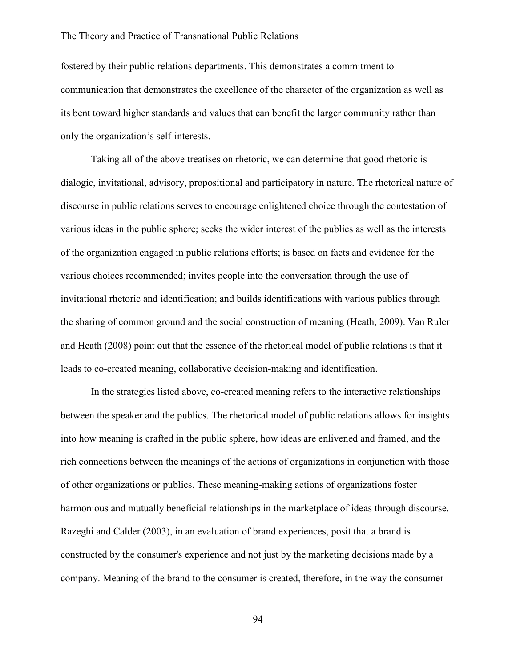fostered by their public relations departments. This demonstrates a commitment to communication that demonstrates the excellence of the character of the organization as well as its bent toward higher standards and values that can benefit the larger community rather than only the organization's self-interests.

Taking all of the above treatises on rhetoric, we can determine that good rhetoric is dialogic, invitational, advisory, propositional and participatory in nature. The rhetorical nature of discourse in public relations serves to encourage enlightened choice through the contestation of various ideas in the public sphere; seeks the wider interest of the publics as well as the interests of the organization engaged in public relations efforts; is based on facts and evidence for the various choices recommended; invites people into the conversation through the use of invitational rhetoric and identification; and builds identifications with various publics through the sharing of common ground and the social construction of meaning (Heath, 2009). Van Ruler and Heath (2008) point out that the essence of the rhetorical model of public relations is that it leads to co-created meaning, collaborative decision-making and identification.

In the strategies listed above, co-created meaning refers to the interactive relationships between the speaker and the publics. The rhetorical model of public relations allows for insights into how meaning is crafted in the public sphere, how ideas are enlivened and framed, and the rich connections between the meanings of the actions of organizations in conjunction with those of other organizations or publics. These meaning-making actions of organizations foster harmonious and mutually beneficial relationships in the marketplace of ideas through discourse. Razeghi and Calder (2003), in an evaluation of brand experiences, posit that a brand is constructed by the consumer's experience and not just by the marketing decisions made by a company. Meaning of the brand to the consumer is created, therefore, in the way the consumer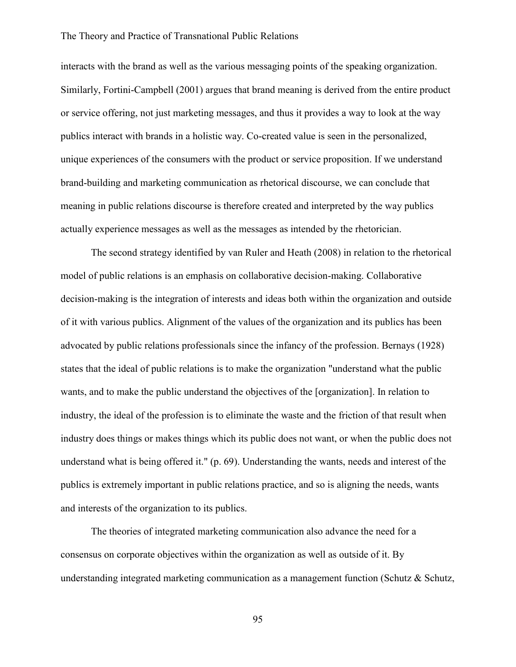interacts with the brand as well as the various messaging points of the speaking organization. Similarly, Fortini-Campbell (2001) argues that brand meaning is derived from the entire product or service offering, not just marketing messages, and thus it provides a way to look at the way publics interact with brands in a holistic way. Co-created value is seen in the personalized, unique experiences of the consumers with the product or service proposition. If we understand brand-building and marketing communication as rhetorical discourse, we can conclude that meaning in public relations discourse is therefore created and interpreted by the way publics actually experience messages as well as the messages as intended by the rhetorician.

The second strategy identified by van Ruler and Heath (2008) in relation to the rhetorical model of public relations is an emphasis on collaborative decision-making. Collaborative decision-making is the integration of interests and ideas both within the organization and outside of it with various publics. Alignment of the values of the organization and its publics has been advocated by public relations professionals since the infancy of the profession. Bernays (1928) states that the ideal of public relations is to make the organization "understand what the public wants, and to make the public understand the objectives of the [organization]. In relation to industry, the ideal of the profession is to eliminate the waste and the friction of that result when industry does things or makes things which its public does not want, or when the public does not understand what is being offered it." (p. 69). Understanding the wants, needs and interest of the publics is extremely important in public relations practice, and so is aligning the needs, wants and interests of the organization to its publics.

The theories of integrated marketing communication also advance the need for a consensus on corporate objectives within the organization as well as outside of it. By understanding integrated marketing communication as a management function (Schutz & Schutz,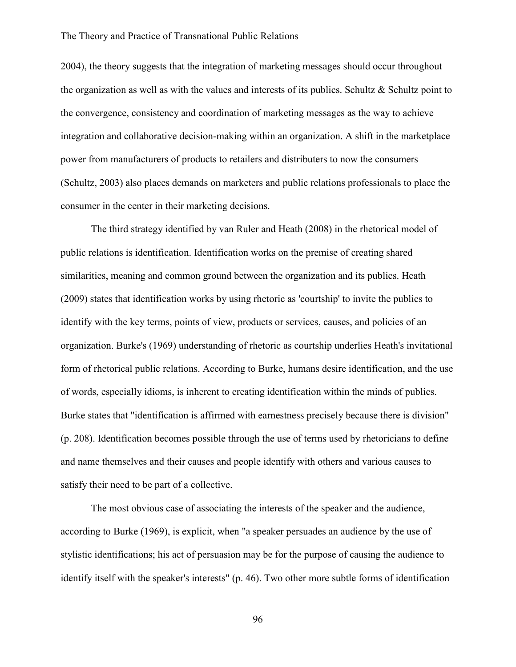2004), the theory suggests that the integration of marketing messages should occur throughout the organization as well as with the values and interests of its publics. Schultz  $\&$  Schultz point to the convergence, consistency and coordination of marketing messages as the way to achieve integration and collaborative decision-making within an organization. A shift in the marketplace power from manufacturers of products to retailers and distributers to now the consumers (Schultz, 2003) also places demands on marketers and public relations professionals to place the consumer in the center in their marketing decisions.

The third strategy identified by van Ruler and Heath (2008) in the rhetorical model of public relations is identification. Identification works on the premise of creating shared similarities, meaning and common ground between the organization and its publics. Heath (2009) states that identification works by using rhetoric as 'courtship' to invite the publics to identify with the key terms, points of view, products or services, causes, and policies of an organization. Burke's (1969) understanding of rhetoric as courtship underlies Heath's invitational form of rhetorical public relations. According to Burke, humans desire identification, and the use of words, especially idioms, is inherent to creating identification within the minds of publics. Burke states that "identification is affirmed with earnestness precisely because there is division" (p. 208). Identification becomes possible through the use of terms used by rhetoricians to define and name themselves and their causes and people identify with others and various causes to satisfy their need to be part of a collective.

The most obvious case of associating the interests of the speaker and the audience, according to Burke (1969), is explicit, when "a speaker persuades an audience by the use of stylistic identifications; his act of persuasion may be for the purpose of causing the audience to identify itself with the speaker's interests" (p. 46). Two other more subtle forms of identification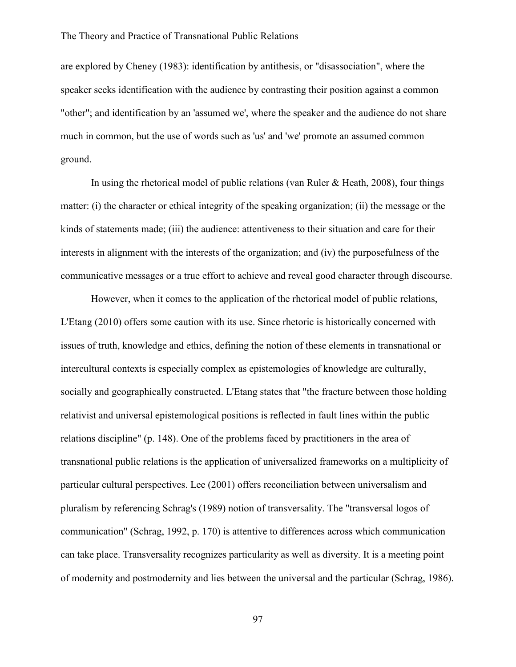are explored by Cheney (1983): identification by antithesis, or "disassociation", where the speaker seeks identification with the audience by contrasting their position against a common "other"; and identification by an 'assumed we', where the speaker and the audience do not share much in common, but the use of words such as 'us' and 'we' promote an assumed common ground.

In using the rhetorical model of public relations (van Ruler  $\&$  Heath, 2008), four things matter: (i) the character or ethical integrity of the speaking organization; (ii) the message or the kinds of statements made; (iii) the audience: attentiveness to their situation and care for their interests in alignment with the interests of the organization; and (iv) the purposefulness of the communicative messages or a true effort to achieve and reveal good character through discourse.

However, when it comes to the application of the rhetorical model of public relations, L'Etang (2010) offers some caution with its use. Since rhetoric is historically concerned with issues of truth, knowledge and ethics, defining the notion of these elements in transnational or intercultural contexts is especially complex as epistemologies of knowledge are culturally, socially and geographically constructed. L'Etang states that "the fracture between those holding relativist and universal epistemological positions is reflected in fault lines within the public relations discipline" (p. 148). One of the problems faced by practitioners in the area of transnational public relations is the application of universalized frameworks on a multiplicity of particular cultural perspectives. Lee (2001) offers reconciliation between universalism and pluralism by referencing Schrag's (1989) notion of transversality. The "transversal logos of communication" (Schrag, 1992, p. 170) is attentive to differences across which communication can take place. Transversality recognizes particularity as well as diversity. It is a meeting point of modernity and postmodernity and lies between the universal and the particular (Schrag, 1986).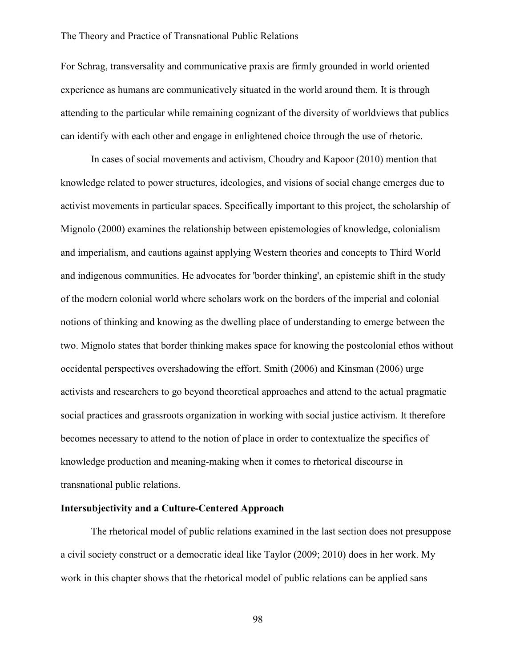For Schrag, transversality and communicative praxis are firmly grounded in world oriented experience as humans are communicatively situated in the world around them. It is through attending to the particular while remaining cognizant of the diversity of worldviews that publics can identify with each other and engage in enlightened choice through the use of rhetoric.

In cases of social movements and activism, Choudry and Kapoor (2010) mention that knowledge related to power structures, ideologies, and visions of social change emerges due to activist movements in particular spaces. Specifically important to this project, the scholarship of Mignolo (2000) examines the relationship between epistemologies of knowledge, colonialism and imperialism, and cautions against applying Western theories and concepts to Third World and indigenous communities. He advocates for 'border thinking', an epistemic shift in the study of the modern colonial world where scholars work on the borders of the imperial and colonial notions of thinking and knowing as the dwelling place of understanding to emerge between the two. Mignolo states that border thinking makes space for knowing the postcolonial ethos without occidental perspectives overshadowing the effort. Smith (2006) and Kinsman (2006) urge activists and researchers to go beyond theoretical approaches and attend to the actual pragmatic social practices and grassroots organization in working with social justice activism. It therefore becomes necessary to attend to the notion of place in order to contextualize the specifics of knowledge production and meaning-making when it comes to rhetorical discourse in transnational public relations.

## **Intersubjectivity and a Culture-Centered Approach**

The rhetorical model of public relations examined in the last section does not presuppose a civil society construct or a democratic ideal like Taylor (2009; 2010) does in her work. My work in this chapter shows that the rhetorical model of public relations can be applied sans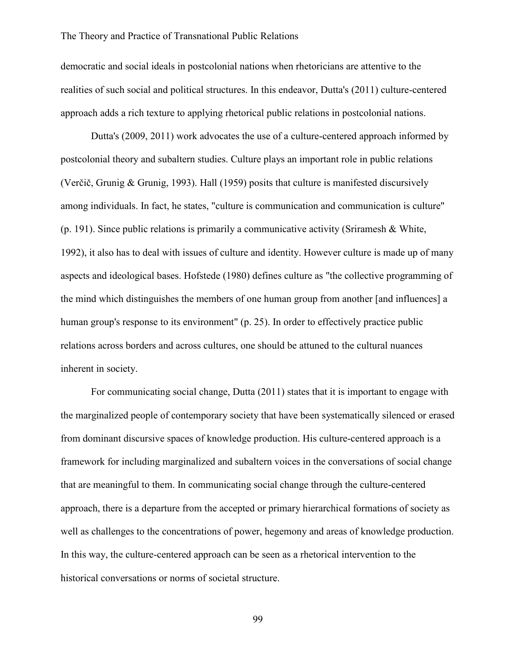democratic and social ideals in postcolonial nations when rhetoricians are attentive to the realities of such social and political structures. In this endeavor, Dutta's (2011) culture-centered approach adds a rich texture to applying rhetorical public relations in postcolonial nations.

Dutta's (2009, 2011) work advocates the use of a culture-centered approach informed by postcolonial theory and subaltern studies. Culture plays an important role in public relations (Verčič, Grunig & Grunig, 1993). Hall (1959) posits that culture is manifested discursively among individuals. In fact, he states, "culture is communication and communication is culture" (p. 191). Since public relations is primarily a communicative activity (Sriramesh & White, 1992), it also has to deal with issues of culture and identity. However culture is made up of many aspects and ideological bases. Hofstede (1980) defines culture as "the collective programming of the mind which distinguishes the members of one human group from another [and influences] a human group's response to its environment" (p. 25). In order to effectively practice public relations across borders and across cultures, one should be attuned to the cultural nuances inherent in society.

For communicating social change, Dutta (2011) states that it is important to engage with the marginalized people of contemporary society that have been systematically silenced or erased from dominant discursive spaces of knowledge production. His culture-centered approach is a framework for including marginalized and subaltern voices in the conversations of social change that are meaningful to them. In communicating social change through the culture-centered approach, there is a departure from the accepted or primary hierarchical formations of society as well as challenges to the concentrations of power, hegemony and areas of knowledge production. In this way, the culture-centered approach can be seen as a rhetorical intervention to the historical conversations or norms of societal structure.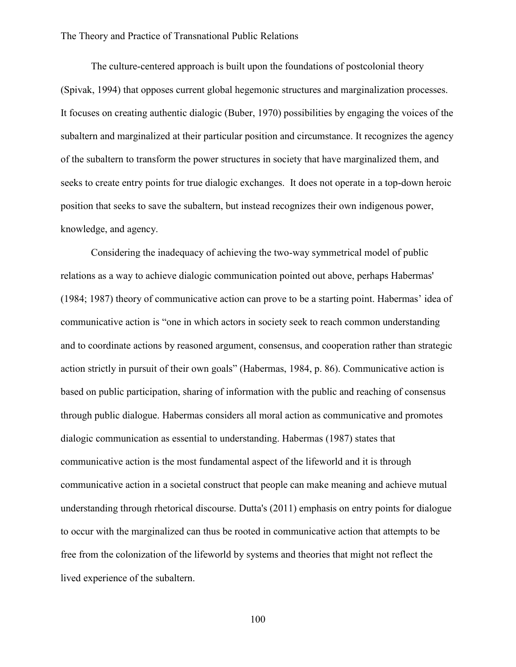The culture-centered approach is built upon the foundations of postcolonial theory (Spivak, 1994) that opposes current global hegemonic structures and marginalization processes. It focuses on creating authentic dialogic (Buber, 1970) possibilities by engaging the voices of the subaltern and marginalized at their particular position and circumstance. It recognizes the agency of the subaltern to transform the power structures in society that have marginalized them, and seeks to create entry points for true dialogic exchanges. It does not operate in a top-down heroic position that seeks to save the subaltern, but instead recognizes their own indigenous power, knowledge, and agency.

Considering the inadequacy of achieving the two-way symmetrical model of public relations as a way to achieve dialogic communication pointed out above, perhaps Habermas' (1984; 1987) theory of communicative action can prove to be a starting point. Habermas' idea of communicative action is "one in which actors in society seek to reach common understanding and to coordinate actions by reasoned argument, consensus, and cooperation rather than strategic action strictly in pursuit of their own goals" (Habermas, 1984, p. 86). Communicative action is based on public participation, sharing of information with the public and reaching of consensus through public dialogue. Habermas considers all moral action as communicative and promotes dialogic communication as essential to understanding. Habermas (1987) states that communicative action is the most fundamental aspect of the lifeworld and it is through communicative action in a societal construct that people can make meaning and achieve mutual understanding through rhetorical discourse. Dutta's (2011) emphasis on entry points for dialogue to occur with the marginalized can thus be rooted in communicative action that attempts to be free from the colonization of the lifeworld by systems and theories that might not reflect the lived experience of the subaltern.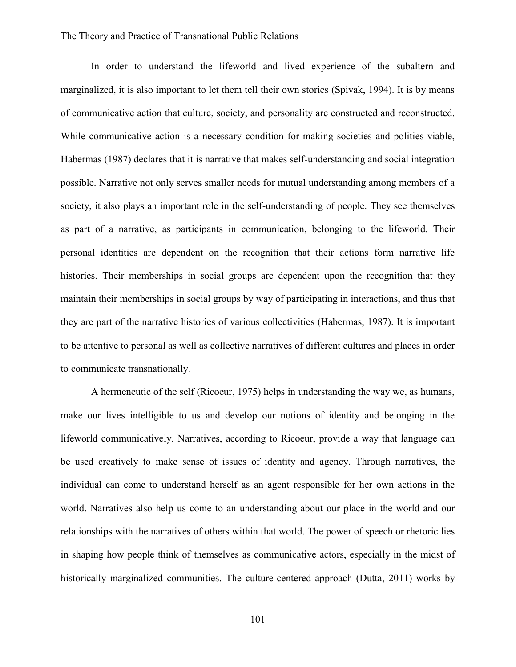In order to understand the lifeworld and lived experience of the subaltern and marginalized, it is also important to let them tell their own stories (Spivak, 1994). It is by means of communicative action that culture, society, and personality are constructed and reconstructed. While communicative action is a necessary condition for making societies and polities viable, Habermas (1987) declares that it is narrative that makes self-understanding and social integration possible. Narrative not only serves smaller needs for mutual understanding among members of a society, it also plays an important role in the self-understanding of people. They see themselves as part of a narrative, as participants in communication, belonging to the lifeworld. Their personal identities are dependent on the recognition that their actions form narrative life histories. Their memberships in social groups are dependent upon the recognition that they maintain their memberships in social groups by way of participating in interactions, and thus that they are part of the narrative histories of various collectivities (Habermas, 1987). It is important to be attentive to personal as well as collective narratives of different cultures and places in order to communicate transnationally.

A hermeneutic of the self (Ricoeur, 1975) helps in understanding the way we, as humans, make our lives intelligible to us and develop our notions of identity and belonging in the lifeworld communicatively. Narratives, according to Ricoeur, provide a way that language can be used creatively to make sense of issues of identity and agency. Through narratives, the individual can come to understand herself as an agent responsible for her own actions in the world. Narratives also help us come to an understanding about our place in the world and our relationships with the narratives of others within that world. The power of speech or rhetoric lies in shaping how people think of themselves as communicative actors, especially in the midst of historically marginalized communities. The culture-centered approach (Dutta, 2011) works by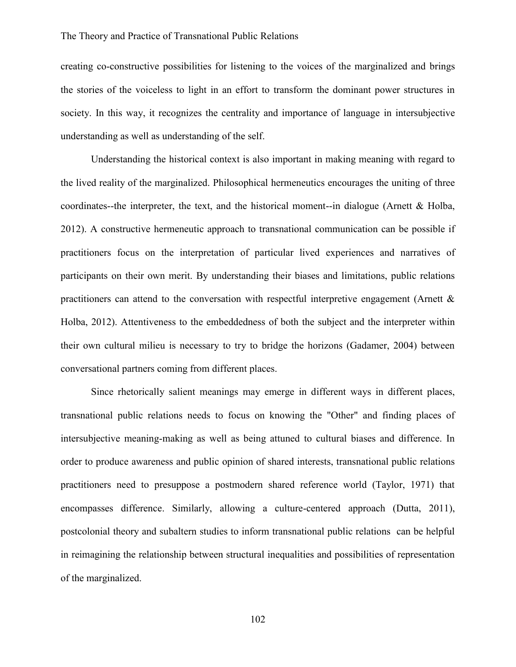creating co-constructive possibilities for listening to the voices of the marginalized and brings the stories of the voiceless to light in an effort to transform the dominant power structures in society. In this way, it recognizes the centrality and importance of language in intersubjective understanding as well as understanding of the self.

Understanding the historical context is also important in making meaning with regard to the lived reality of the marginalized. Philosophical hermeneutics encourages the uniting of three coordinates--the interpreter, the text, and the historical moment--in dialogue (Arnett  $\&$  Holba, 2012). A constructive hermeneutic approach to transnational communication can be possible if practitioners focus on the interpretation of particular lived experiences and narratives of participants on their own merit. By understanding their biases and limitations, public relations practitioners can attend to the conversation with respectful interpretive engagement (Arnett  $\&$ Holba, 2012). Attentiveness to the embeddedness of both the subject and the interpreter within their own cultural milieu is necessary to try to bridge the horizons (Gadamer, 2004) between conversational partners coming from different places.

Since rhetorically salient meanings may emerge in different ways in different places, transnational public relations needs to focus on knowing the "Other" and finding places of intersubjective meaning-making as well as being attuned to cultural biases and difference. In order to produce awareness and public opinion of shared interests, transnational public relations practitioners need to presuppose a postmodern shared reference world (Taylor, 1971) that encompasses difference. Similarly, allowing a culture-centered approach (Dutta, 2011), postcolonial theory and subaltern studies to inform transnational public relations can be helpful in reimagining the relationship between structural inequalities and possibilities of representation of the marginalized.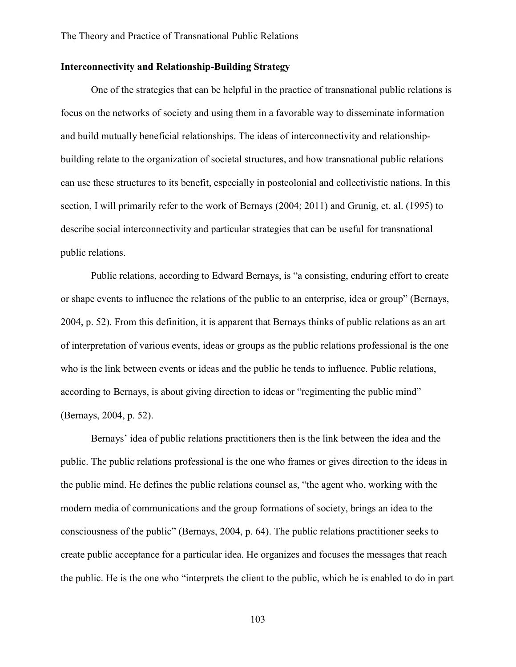# **Interconnectivity and Relationship-Building Strategy**

One of the strategies that can be helpful in the practice of transnational public relations is focus on the networks of society and using them in a favorable way to disseminate information and build mutually beneficial relationships. The ideas of interconnectivity and relationshipbuilding relate to the organization of societal structures, and how transnational public relations can use these structures to its benefit, especially in postcolonial and collectivistic nations. In this section, I will primarily refer to the work of Bernays (2004; 2011) and Grunig, et. al. (1995) to describe social interconnectivity and particular strategies that can be useful for transnational public relations.

Public relations, according to Edward Bernays, is "a consisting, enduring effort to create or shape events to influence the relations of the public to an enterprise, idea or group" (Bernays, 2004, p. 52). From this definition, it is apparent that Bernays thinks of public relations as an art of interpretation of various events, ideas or groups as the public relations professional is the one who is the link between events or ideas and the public he tends to influence. Public relations, according to Bernays, is about giving direction to ideas or "regimenting the public mind" (Bernays, 2004, p. 52).

Bernays' idea of public relations practitioners then is the link between the idea and the public. The public relations professional is the one who frames or gives direction to the ideas in the public mind. He defines the public relations counsel as, "the agent who, working with the modern media of communications and the group formations of society, brings an idea to the consciousness of the public" (Bernays, 2004, p. 64). The public relations practitioner seeks to create public acceptance for a particular idea. He organizes and focuses the messages that reach the public. He is the one who "interprets the client to the public, which he is enabled to do in part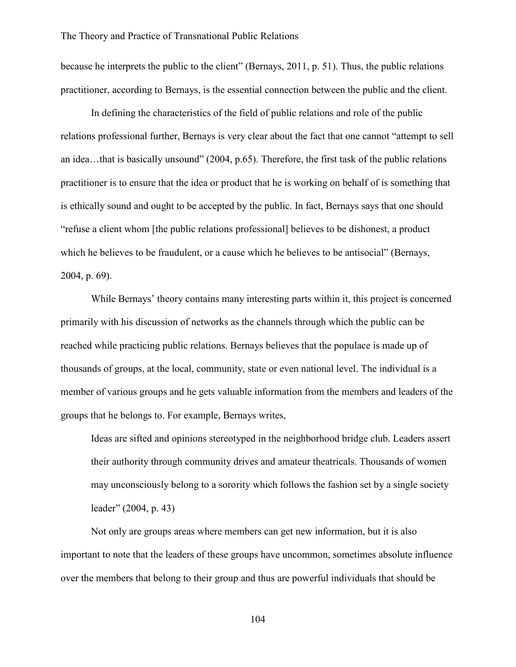because he interprets the public to the client" (Bernays, 2011, p. 51). Thus, the public relations practitioner, according to Bernays, is the essential connection between the public and the client.

In defining the characteristics of the field of public relations and role of the public relations professional further, Bernays is very clear about the fact that one cannot "attempt to sell an idea…that is basically unsound" (2004, p.65). Therefore, the first task of the public relations practitioner is to ensure that the idea or product that he is working on behalf of is something that is ethically sound and ought to be accepted by the public. In fact, Bernays says that one should "refuse a client whom [the public relations professional] believes to be dishonest, a product which he believes to be fraudulent, or a cause which he believes to be antisocial" (Bernays, 2004, p. 69).

While Bernays' theory contains many interesting parts within it, this project is concerned primarily with his discussion of networks as the channels through which the public can be reached while practicing public relations. Bernays believes that the populace is made up of thousands of groups, at the local, community, state or even national level. The individual is a member of various groups and he gets valuable information from the members and leaders of the groups that he belongs to. For example, Bernays writes,

Ideas are sifted and opinions stereotyped in the neighborhood bridge club. Leaders assert their authority through community drives and amateur theatricals. Thousands of women may unconsciously belong to a sorority which follows the fashion set by a single society leader" (2004, p. 43)

Not only are groups areas where members can get new information, but it is also important to note that the leaders of these groups have uncommon, sometimes absolute influence over the members that belong to their group and thus are powerful individuals that should be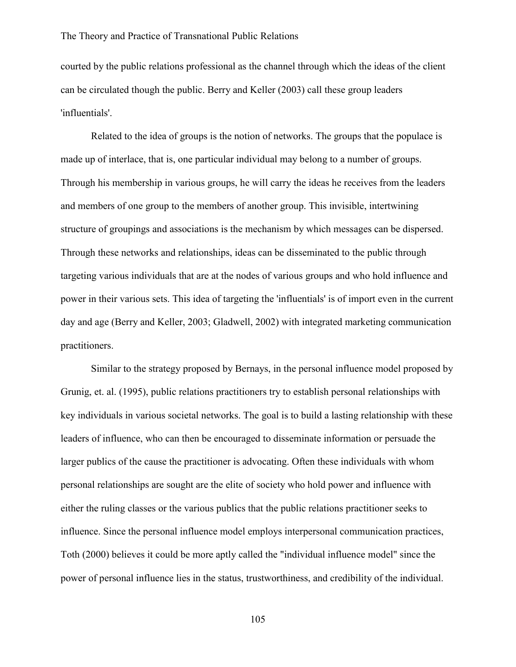courted by the public relations professional as the channel through which the ideas of the client can be circulated though the public. Berry and Keller (2003) call these group leaders 'influentials'.

Related to the idea of groups is the notion of networks. The groups that the populace is made up of interlace, that is, one particular individual may belong to a number of groups. Through his membership in various groups, he will carry the ideas he receives from the leaders and members of one group to the members of another group. This invisible, intertwining structure of groupings and associations is the mechanism by which messages can be dispersed. Through these networks and relationships, ideas can be disseminated to the public through targeting various individuals that are at the nodes of various groups and who hold influence and power in their various sets. This idea of targeting the 'influentials' is of import even in the current day and age (Berry and Keller, 2003; Gladwell, 2002) with integrated marketing communication practitioners.

Similar to the strategy proposed by Bernays, in the personal influence model proposed by Grunig, et. al. (1995), public relations practitioners try to establish personal relationships with key individuals in various societal networks. The goal is to build a lasting relationship with these leaders of influence, who can then be encouraged to disseminate information or persuade the larger publics of the cause the practitioner is advocating. Often these individuals with whom personal relationships are sought are the elite of society who hold power and influence with either the ruling classes or the various publics that the public relations practitioner seeks to influence. Since the personal influence model employs interpersonal communication practices, Toth (2000) believes it could be more aptly called the "individual influence model" since the power of personal influence lies in the status, trustworthiness, and credibility of the individual.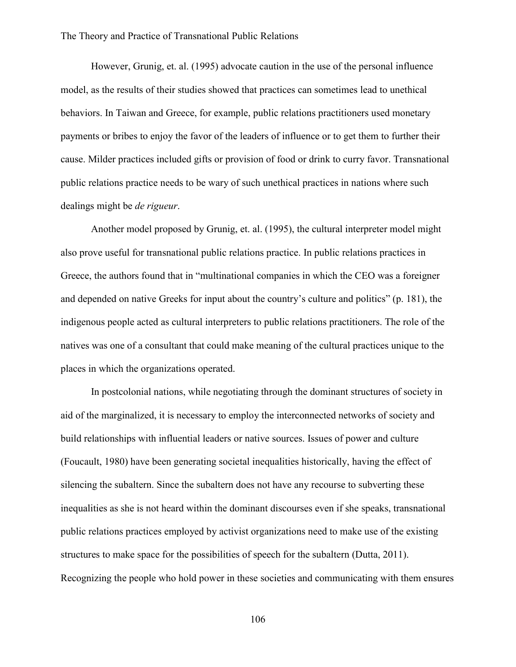However, Grunig, et. al. (1995) advocate caution in the use of the personal influence model, as the results of their studies showed that practices can sometimes lead to unethical behaviors. In Taiwan and Greece, for example, public relations practitioners used monetary payments or bribes to enjoy the favor of the leaders of influence or to get them to further their cause. Milder practices included gifts or provision of food or drink to curry favor. Transnational public relations practice needs to be wary of such unethical practices in nations where such dealings might be *de rigueur*.

Another model proposed by Grunig, et. al. (1995), the cultural interpreter model might also prove useful for transnational public relations practice. In public relations practices in Greece, the authors found that in "multinational companies in which the CEO was a foreigner and depended on native Greeks for input about the country's culture and politics" (p. 181), the indigenous people acted as cultural interpreters to public relations practitioners. The role of the natives was one of a consultant that could make meaning of the cultural practices unique to the places in which the organizations operated.

In postcolonial nations, while negotiating through the dominant structures of society in aid of the marginalized, it is necessary to employ the interconnected networks of society and build relationships with influential leaders or native sources. Issues of power and culture (Foucault, 1980) have been generating societal inequalities historically, having the effect of silencing the subaltern. Since the subaltern does not have any recourse to subverting these inequalities as she is not heard within the dominant discourses even if she speaks, transnational public relations practices employed by activist organizations need to make use of the existing structures to make space for the possibilities of speech for the subaltern (Dutta, 2011). Recognizing the people who hold power in these societies and communicating with them ensures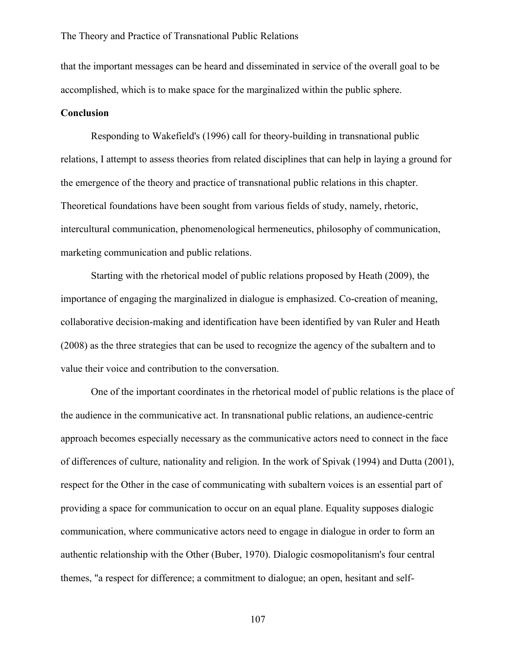that the important messages can be heard and disseminated in service of the overall goal to be accomplished, which is to make space for the marginalized within the public sphere.

## **Conclusion**

Responding to Wakefield's (1996) call for theory-building in transnational public relations, I attempt to assess theories from related disciplines that can help in laying a ground for the emergence of the theory and practice of transnational public relations in this chapter. Theoretical foundations have been sought from various fields of study, namely, rhetoric, intercultural communication, phenomenological hermeneutics, philosophy of communication, marketing communication and public relations.

Starting with the rhetorical model of public relations proposed by Heath (2009), the importance of engaging the marginalized in dialogue is emphasized. Co-creation of meaning, collaborative decision-making and identification have been identified by van Ruler and Heath (2008) as the three strategies that can be used to recognize the agency of the subaltern and to value their voice and contribution to the conversation.

One of the important coordinates in the rhetorical model of public relations is the place of the audience in the communicative act. In transnational public relations, an audience-centric approach becomes especially necessary as the communicative actors need to connect in the face of differences of culture, nationality and religion. In the work of Spivak (1994) and Dutta (2001), respect for the Other in the case of communicating with subaltern voices is an essential part of providing a space for communication to occur on an equal plane. Equality supposes dialogic communication, where communicative actors need to engage in dialogue in order to form an authentic relationship with the Other (Buber, 1970). Dialogic cosmopolitanism's four central themes, "a respect for difference; a commitment to dialogue; an open, hesitant and self-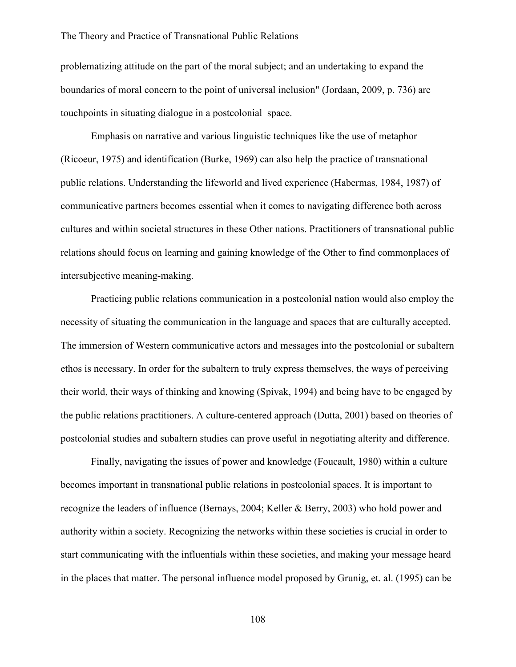problematizing attitude on the part of the moral subject; and an undertaking to expand the boundaries of moral concern to the point of universal inclusion" (Jordaan, 2009, p. 736) are touchpoints in situating dialogue in a postcolonial space.

Emphasis on narrative and various linguistic techniques like the use of metaphor (Ricoeur, 1975) and identification (Burke, 1969) can also help the practice of transnational public relations. Understanding the lifeworld and lived experience (Habermas, 1984, 1987) of communicative partners becomes essential when it comes to navigating difference both across cultures and within societal structures in these Other nations. Practitioners of transnational public relations should focus on learning and gaining knowledge of the Other to find commonplaces of intersubjective meaning-making.

Practicing public relations communication in a postcolonial nation would also employ the necessity of situating the communication in the language and spaces that are culturally accepted. The immersion of Western communicative actors and messages into the postcolonial or subaltern ethos is necessary. In order for the subaltern to truly express themselves, the ways of perceiving their world, their ways of thinking and knowing (Spivak, 1994) and being have to be engaged by the public relations practitioners. A culture-centered approach (Dutta, 2001) based on theories of postcolonial studies and subaltern studies can prove useful in negotiating alterity and difference.

Finally, navigating the issues of power and knowledge (Foucault, 1980) within a culture becomes important in transnational public relations in postcolonial spaces. It is important to recognize the leaders of influence (Bernays, 2004; Keller & Berry, 2003) who hold power and authority within a society. Recognizing the networks within these societies is crucial in order to start communicating with the influentials within these societies, and making your message heard in the places that matter. The personal influence model proposed by Grunig, et. al. (1995) can be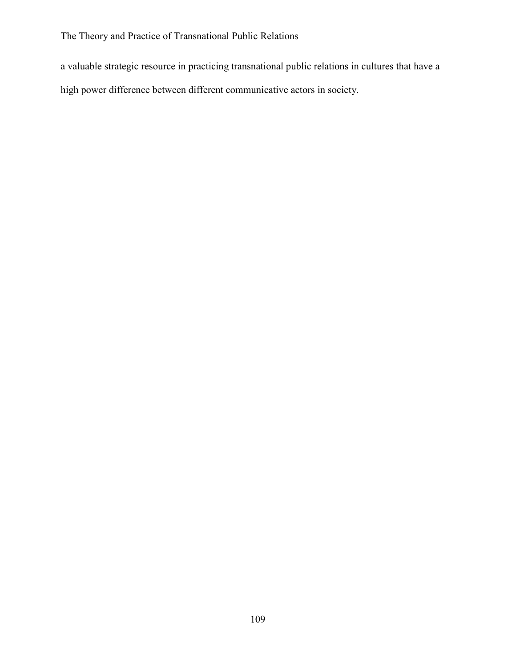a valuable strategic resource in practicing transnational public relations in cultures that have a high power difference between different communicative actors in society.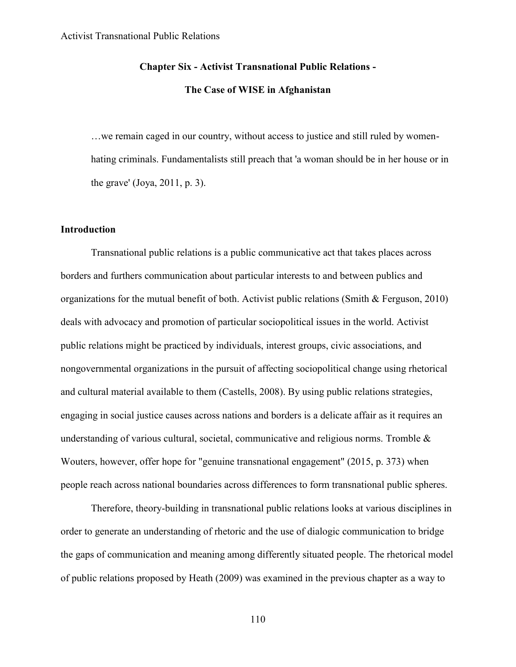## **Chapter Six - Activist Transnational Public Relations -**

# **The Case of WISE in Afghanistan**

…we remain caged in our country, without access to justice and still ruled by womenhating criminals. Fundamentalists still preach that 'a woman should be in her house or in the grave' (Joya, 2011, p. 3).

## **Introduction**

Transnational public relations is a public communicative act that takes places across borders and furthers communication about particular interests to and between publics and organizations for the mutual benefit of both. Activist public relations (Smith & Ferguson, 2010) deals with advocacy and promotion of particular sociopolitical issues in the world. Activist public relations might be practiced by individuals, interest groups, civic associations, and nongovernmental organizations in the pursuit of affecting sociopolitical change using rhetorical and cultural material available to them (Castells, 2008). By using public relations strategies, engaging in social justice causes across nations and borders is a delicate affair as it requires an understanding of various cultural, societal, communicative and religious norms. Tromble & Wouters, however, offer hope for "genuine transnational engagement" (2015, p. 373) when people reach across national boundaries across differences to form transnational public spheres.

Therefore, theory-building in transnational public relations looks at various disciplines in order to generate an understanding of rhetoric and the use of dialogic communication to bridge the gaps of communication and meaning among differently situated people. The rhetorical model of public relations proposed by Heath (2009) was examined in the previous chapter as a way to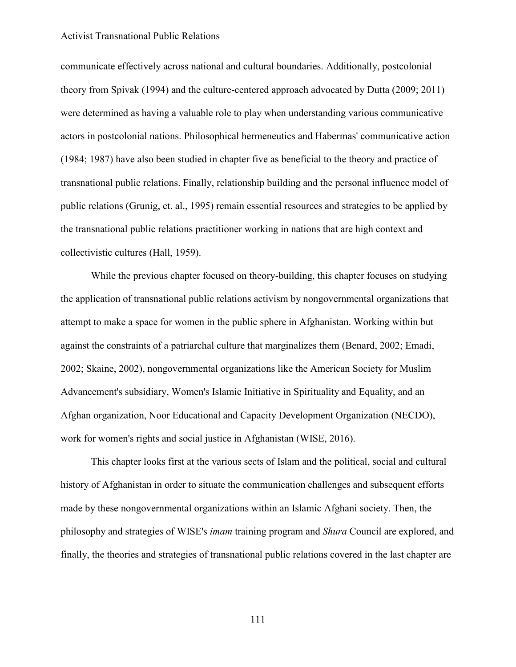communicate effectively across national and cultural boundaries. Additionally, postcolonial theory from Spivak (1994) and the culture-centered approach advocated by Dutta (2009; 2011) were determined as having a valuable role to play when understanding various communicative actors in postcolonial nations. Philosophical hermeneutics and Habermas' communicative action (1984; 1987) have also been studied in chapter five as beneficial to the theory and practice of transnational public relations. Finally, relationship building and the personal influence model of public relations (Grunig, et. al., 1995) remain essential resources and strategies to be applied by the transnational public relations practitioner working in nations that are high context and collectivistic cultures (Hall, 1959).

While the previous chapter focused on theory-building, this chapter focuses on studying the application of transnational public relations activism by nongovernmental organizations that attempt to make a space for women in the public sphere in Afghanistan. Working within but against the constraints of a patriarchal culture that marginalizes them (Benard, 2002; Emadi, 2002; Skaine, 2002), nongovernmental organizations like the American Society for Muslim Advancement's subsidiary, Women's Islamic Initiative in Spirituality and Equality, and an Afghan organization, Noor Educational and Capacity Development Organization (NECDO), work for women's rights and social justice in Afghanistan (WISE, 2016).

This chapter looks first at the various sects of Islam and the political, social and cultural history of Afghanistan in order to situate the communication challenges and subsequent efforts made by these nongovernmental organizations within an Islamic Afghani society. Then, the philosophy and strategies of WISE's *imam* training program and *Shura* Council are explored, and finally, the theories and strategies of transnational public relations covered in the last chapter are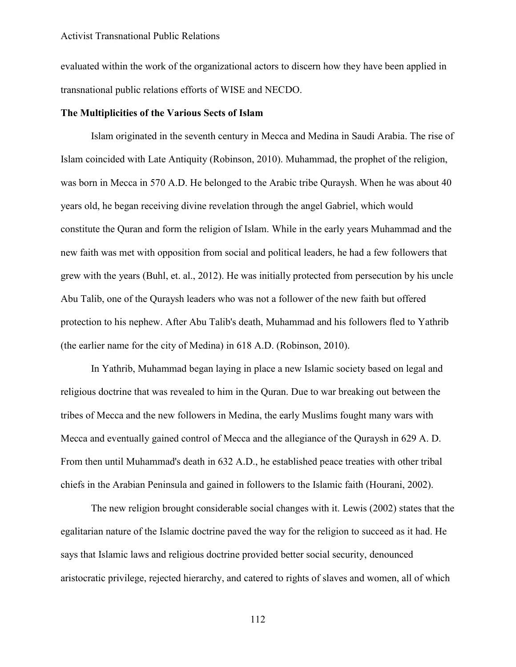evaluated within the work of the organizational actors to discern how they have been applied in transnational public relations efforts of WISE and NECDO.

## **The Multiplicities of the Various Sects of Islam**

Islam originated in the seventh century in Mecca and Medina in Saudi Arabia. The rise of Islam coincided with Late Antiquity (Robinson, 2010). Muhammad, the prophet of the religion, was born in Mecca in 570 A.D. He belonged to the Arabic tribe Quraysh. When he was about 40 years old, he began receiving divine revelation through the angel Gabriel, which would constitute the Quran and form the religion of Islam. While in the early years Muhammad and the new faith was met with opposition from social and political leaders, he had a few followers that grew with the years (Buhl, et. al., 2012). He was initially protected from persecution by his uncle Abu Talib, one of the Quraysh leaders who was not a follower of the new faith but offered protection to his nephew. After Abu Talib's death, Muhammad and his followers fled to Yathrib (the earlier name for the city of Medina) in 618 A.D. (Robinson, 2010).

In Yathrib, Muhammad began laying in place a new Islamic society based on legal and religious doctrine that was revealed to him in the Quran. Due to war breaking out between the tribes of Mecca and the new followers in Medina, the early Muslims fought many wars with Mecca and eventually gained control of Mecca and the allegiance of the Quraysh in 629 A. D. From then until Muhammad's death in 632 A.D., he established peace treaties with other tribal chiefs in the Arabian Peninsula and gained in followers to the Islamic faith (Hourani, 2002).

The new religion brought considerable social changes with it. Lewis (2002) states that the egalitarian nature of the Islamic doctrine paved the way for the religion to succeed as it had. He says that Islamic laws and religious doctrine provided better social security, denounced aristocratic privilege, rejected hierarchy, and catered to rights of slaves and women, all of which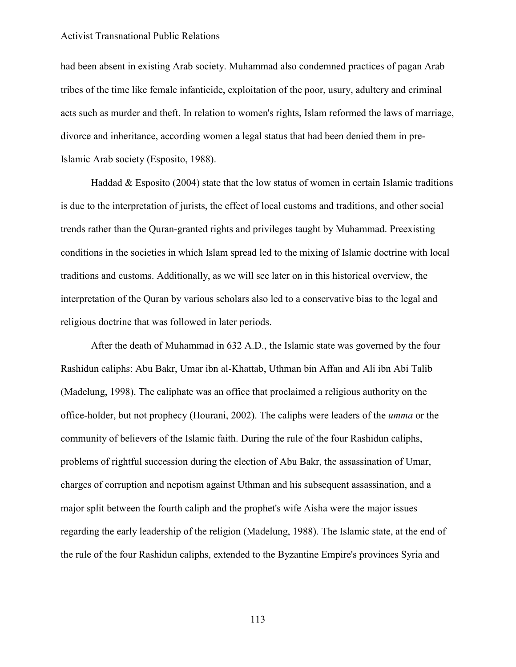had been absent in existing Arab society. Muhammad also condemned practices of pagan Arab tribes of the time like female infanticide, exploitation of the poor, usury, adultery and criminal acts such as murder and theft. In relation to women's rights, Islam reformed the laws of marriage, divorce and inheritance, according women a legal status that had been denied them in pre-Islamic Arab society (Esposito, 1988).

Haddad  $\&$  Esposito (2004) state that the low status of women in certain Islamic traditions is due to the interpretation of jurists, the effect of local customs and traditions, and other social trends rather than the Quran-granted rights and privileges taught by Muhammad. Preexisting conditions in the societies in which Islam spread led to the mixing of Islamic doctrine with local traditions and customs. Additionally, as we will see later on in this historical overview, the interpretation of the Quran by various scholars also led to a conservative bias to the legal and religious doctrine that was followed in later periods.

After the death of Muhammad in 632 A.D., the Islamic state was governed by the four Rashidun caliphs: Abu Bakr, Umar ibn al-Khattab, Uthman bin Affan and Ali ibn Abi Talib (Madelung, 1998). The caliphate was an office that proclaimed a religious authority on the office-holder, but not prophecy (Hourani, 2002). The caliphs were leaders of the *umma* or the community of believers of the Islamic faith. During the rule of the four Rashidun caliphs, problems of rightful succession during the election of Abu Bakr, the assassination of Umar, charges of corruption and nepotism against Uthman and his subsequent assassination, and a major split between the fourth caliph and the prophet's wife Aisha were the major issues regarding the early leadership of the religion (Madelung, 1988). The Islamic state, at the end of the rule of the four Rashidun caliphs, extended to the Byzantine Empire's provinces Syria and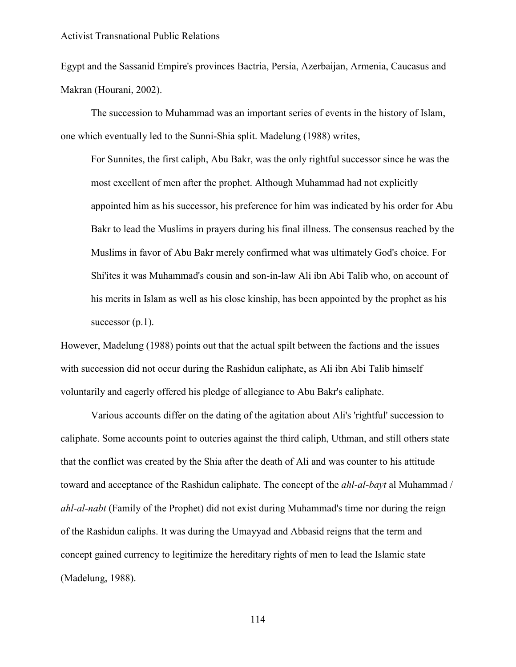Egypt and the Sassanid Empire's provinces Bactria, Persia, Azerbaijan, Armenia, Caucasus and Makran (Hourani, 2002).

The succession to Muhammad was an important series of events in the history of Islam, one which eventually led to the Sunni-Shia split. Madelung (1988) writes,

For Sunnites, the first caliph, Abu Bakr, was the only rightful successor since he was the most excellent of men after the prophet. Although Muhammad had not explicitly appointed him as his successor, his preference for him was indicated by his order for Abu Bakr to lead the Muslims in prayers during his final illness. The consensus reached by the Muslims in favor of Abu Bakr merely confirmed what was ultimately God's choice. For Shi'ites it was Muhammad's cousin and son-in-law Ali ibn Abi Talib who, on account of his merits in Islam as well as his close kinship, has been appointed by the prophet as his successor  $(p,1)$ .

However, Madelung (1988) points out that the actual spilt between the factions and the issues with succession did not occur during the Rashidun caliphate, as Ali ibn Abi Talib himself voluntarily and eagerly offered his pledge of allegiance to Abu Bakr's caliphate.

Various accounts differ on the dating of the agitation about Ali's 'rightful' succession to caliphate. Some accounts point to outcries against the third caliph, Uthman, and still others state that the conflict was created by the Shia after the death of Ali and was counter to his attitude toward and acceptance of the Rashidun caliphate. The concept of the *ahl-al-bayt* al Muhammad / *ahl-al-nabt* (Family of the Prophet) did not exist during Muhammad's time nor during the reign of the Rashidun caliphs. It was during the Umayyad and Abbasid reigns that the term and concept gained currency to legitimize the hereditary rights of men to lead the Islamic state (Madelung, 1988).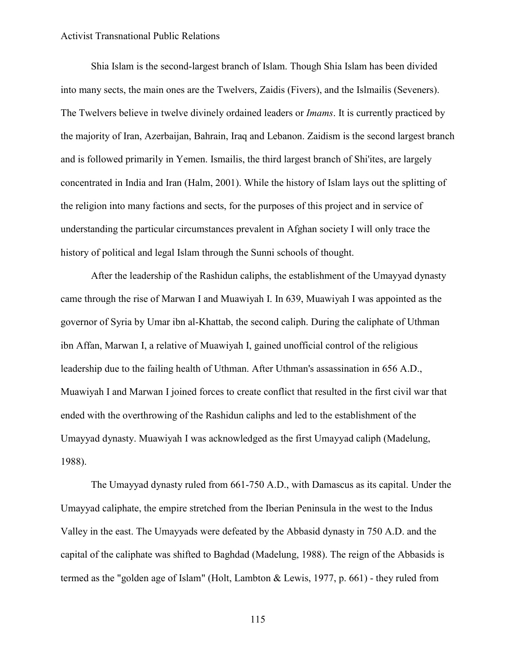Shia Islam is the second-largest branch of Islam. Though Shia Islam has been divided into many sects, the main ones are the Twelvers, Zaidis (Fivers), and the Islmailis (Seveners). The Twelvers believe in twelve divinely ordained leaders or *Imams*. It is currently practiced by the majority of Iran, Azerbaijan, Bahrain, Iraq and Lebanon. Zaidism is the second largest branch and is followed primarily in Yemen. Ismailis, the third largest branch of Shi'ites, are largely concentrated in India and Iran (Halm, 2001). While the history of Islam lays out the splitting of the religion into many factions and sects, for the purposes of this project and in service of understanding the particular circumstances prevalent in Afghan society I will only trace the history of political and legal Islam through the Sunni schools of thought.

After the leadership of the Rashidun caliphs, the establishment of the Umayyad dynasty came through the rise of Marwan I and Muawiyah I. In 639, Muawiyah I was appointed as the governor of Syria by Umar ibn al-Khattab, the second caliph. During the caliphate of Uthman ibn Affan, Marwan I, a relative of Muawiyah I, gained unofficial control of the religious leadership due to the failing health of Uthman. After Uthman's assassination in 656 A.D., Muawiyah I and Marwan I joined forces to create conflict that resulted in the first civil war that ended with the overthrowing of the Rashidun caliphs and led to the establishment of the Umayyad dynasty. Muawiyah I was acknowledged as the first Umayyad caliph (Madelung, 1988).

The Umayyad dynasty ruled from 661-750 A.D., with Damascus as its capital. Under the Umayyad caliphate, the empire stretched from the Iberian Peninsula in the west to the Indus Valley in the east. The Umayyads were defeated by the Abbasid dynasty in 750 A.D. and the capital of the caliphate was shifted to Baghdad (Madelung, 1988). The reign of the Abbasids is termed as the "golden age of Islam" (Holt, Lambton & Lewis, 1977, p. 661) - they ruled from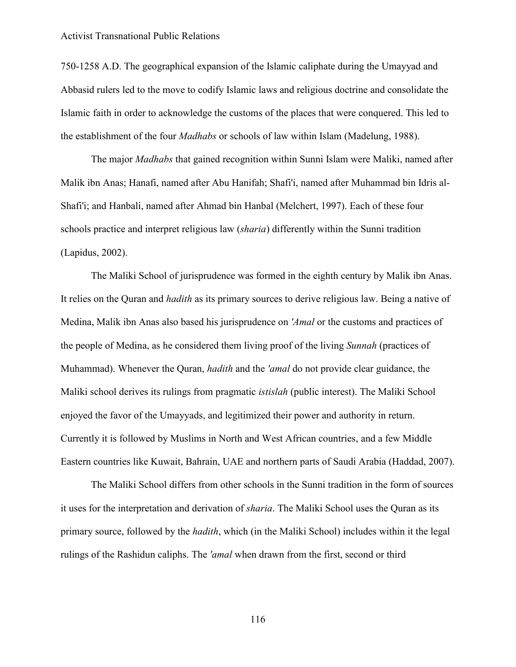750-1258 A.D. The geographical expansion of the Islamic caliphate during the Umayyad and Abbasid rulers led to the move to codify Islamic laws and religious doctrine and consolidate the Islamic faith in order to acknowledge the customs of the places that were conquered. This led to the establishment of the four *Madhabs* or schools of law within Islam (Madelung, 1988).

The major *Madhabs* that gained recognition within Sunni Islam were Maliki, named after Malik ibn Anas; Hanafi, named after Abu Hanifah; Shafi'i, named after Muhammad bin Idris al-Shafi'i; and Hanbali, named after Ahmad bin Hanbal (Melchert, 1997). Each of these four schools practice and interpret religious law (*sharia*) differently within the Sunni tradition (Lapidus, 2002).

The Maliki School of jurisprudence was formed in the eighth century by Malik ibn Anas. It relies on the Quran and *hadith* as its primary sources to derive religious law. Being a native of Medina, Malik ibn Anas also based his jurisprudence on *'Amal* or the customs and practices of the people of Medina, as he considered them living proof of the living *Sunnah* (practices of Muhammad). Whenever the Quran, *hadith* and the *'amal* do not provide clear guidance, the Maliki school derives its rulings from pragmatic *istislah* (public interest). The Maliki School enjoyed the favor of the Umayyads, and legitimized their power and authority in return. Currently it is followed by Muslims in North and West African countries, and a few Middle Eastern countries like Kuwait, Bahrain, UAE and northern parts of Saudi Arabia (Haddad, 2007).

The Maliki School differs from other schools in the Sunni tradition in the form of sources it uses for the interpretation and derivation of *sharia*. The Maliki School uses the Quran as its primary source, followed by the *hadith*, which (in the Maliki School) includes within it the legal rulings of the Rashidun caliphs. The *'amal* when drawn from the first, second or third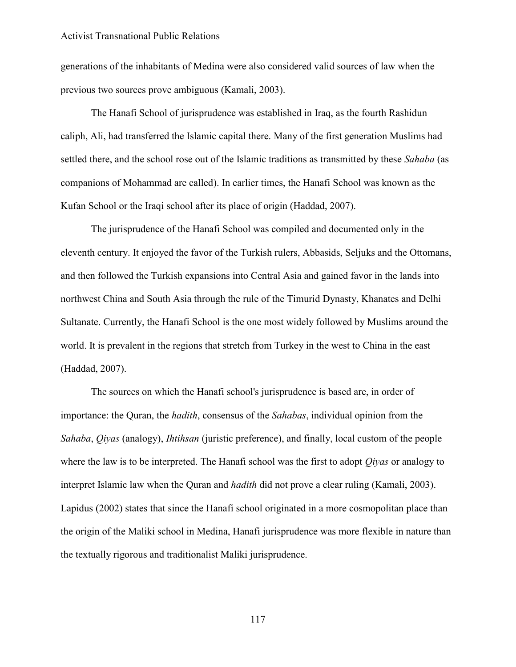generations of the inhabitants of Medina were also considered valid sources of law when the previous two sources prove ambiguous (Kamali, 2003).

The Hanafi School of jurisprudence was established in Iraq, as the fourth Rashidun caliph, Ali, had transferred the Islamic capital there. Many of the first generation Muslims had settled there, and the school rose out of the Islamic traditions as transmitted by these *Sahaba* (as companions of Mohammad are called). In earlier times, the Hanafi School was known as the Kufan School or the Iraqi school after its place of origin (Haddad, 2007).

The jurisprudence of the Hanafi School was compiled and documented only in the eleventh century. It enjoyed the favor of the Turkish rulers, Abbasids, Seljuks and the Ottomans, and then followed the Turkish expansions into Central Asia and gained favor in the lands into northwest China and South Asia through the rule of the Timurid Dynasty, Khanates and Delhi Sultanate. Currently, the Hanafi School is the one most widely followed by Muslims around the world. It is prevalent in the regions that stretch from Turkey in the west to China in the east (Haddad, 2007).

The sources on which the Hanafi school's jurisprudence is based are, in order of importance: the Quran, the *hadith*, consensus of the *Sahabas*, individual opinion from the *Sahaba*, *Qiyas* (analogy), *Ihtihsan* (juristic preference), and finally, local custom of the people where the law is to be interpreted. The Hanafi school was the first to adopt *Qiyas* or analogy to interpret Islamic law when the Quran and *hadith* did not prove a clear ruling (Kamali, 2003). Lapidus (2002) states that since the Hanafi school originated in a more cosmopolitan place than the origin of the Maliki school in Medina, Hanafi jurisprudence was more flexible in nature than the textually rigorous and traditionalist Maliki jurisprudence.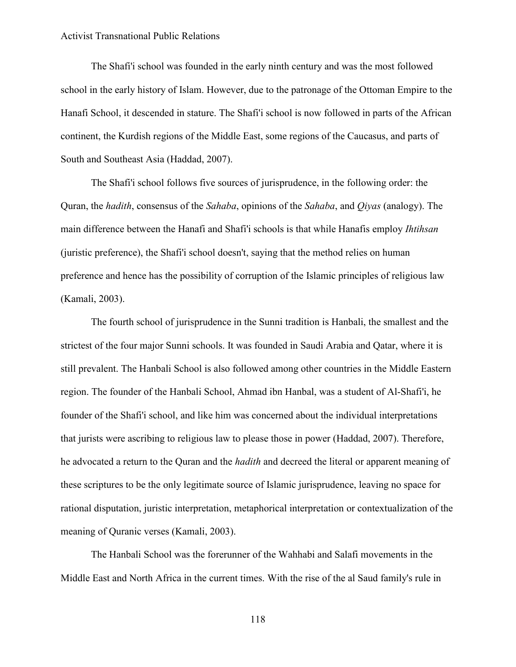The Shafi'i school was founded in the early ninth century and was the most followed school in the early history of Islam. However, due to the patronage of the Ottoman Empire to the Hanafi School, it descended in stature. The Shafi'i school is now followed in parts of the African continent, the Kurdish regions of the Middle East, some regions of the Caucasus, and parts of South and Southeast Asia (Haddad, 2007).

The Shafi'i school follows five sources of jurisprudence, in the following order: the Quran, the *hadith*, consensus of the *Sahaba*, opinions of the *Sahaba*, and *Qiyas* (analogy). The main difference between the Hanafi and Shafi'i schools is that while Hanafis employ *Ihtihsan* (juristic preference), the Shafi'i school doesn't, saying that the method relies on human preference and hence has the possibility of corruption of the Islamic principles of religious law (Kamali, 2003).

The fourth school of jurisprudence in the Sunni tradition is Hanbali, the smallest and the strictest of the four major Sunni schools. It was founded in Saudi Arabia and Qatar, where it is still prevalent. The Hanbali School is also followed among other countries in the Middle Eastern region. The founder of the Hanbali School, Ahmad ibn Hanbal, was a student of Al-Shafi'i, he founder of the Shafi'i school, and like him was concerned about the individual interpretations that jurists were ascribing to religious law to please those in power (Haddad, 2007). Therefore, he advocated a return to the Quran and the *hadith* and decreed the literal or apparent meaning of these scriptures to be the only legitimate source of Islamic jurisprudence, leaving no space for rational disputation, juristic interpretation, metaphorical interpretation or contextualization of the meaning of Quranic verses (Kamali, 2003).

The Hanbali School was the forerunner of the Wahhabi and Salafi movements in the Middle East and North Africa in the current times. With the rise of the al Saud family's rule in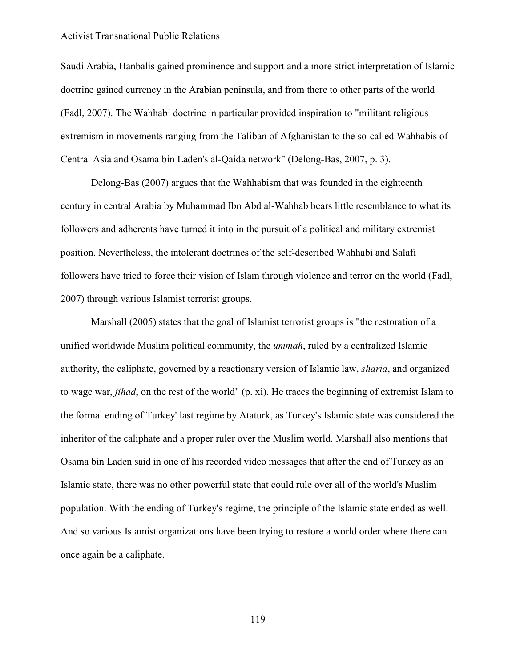Saudi Arabia, Hanbalis gained prominence and support and a more strict interpretation of Islamic doctrine gained currency in the Arabian peninsula, and from there to other parts of the world (Fadl, 2007). The Wahhabi doctrine in particular provided inspiration to "militant religious extremism in movements ranging from the Taliban of Afghanistan to the so-called Wahhabis of Central Asia and Osama bin Laden's al-Qaida network" (Delong-Bas, 2007, p. 3).

Delong-Bas (2007) argues that the Wahhabism that was founded in the eighteenth century in central Arabia by Muhammad Ibn Abd al-Wahhab bears little resemblance to what its followers and adherents have turned it into in the pursuit of a political and military extremist position. Nevertheless, the intolerant doctrines of the self-described Wahhabi and Salafi followers have tried to force their vision of Islam through violence and terror on the world (Fadl, 2007) through various Islamist terrorist groups.

Marshall (2005) states that the goal of Islamist terrorist groups is "the restoration of a unified worldwide Muslim political community, the *ummah*, ruled by a centralized Islamic authority, the caliphate, governed by a reactionary version of Islamic law, *sharia*, and organized to wage war, *jihad*, on the rest of the world" (p. xi). He traces the beginning of extremist Islam to the formal ending of Turkey' last regime by Ataturk, as Turkey's Islamic state was considered the inheritor of the caliphate and a proper ruler over the Muslim world. Marshall also mentions that Osama bin Laden said in one of his recorded video messages that after the end of Turkey as an Islamic state, there was no other powerful state that could rule over all of the world's Muslim population. With the ending of Turkey's regime, the principle of the Islamic state ended as well. And so various Islamist organizations have been trying to restore a world order where there can once again be a caliphate.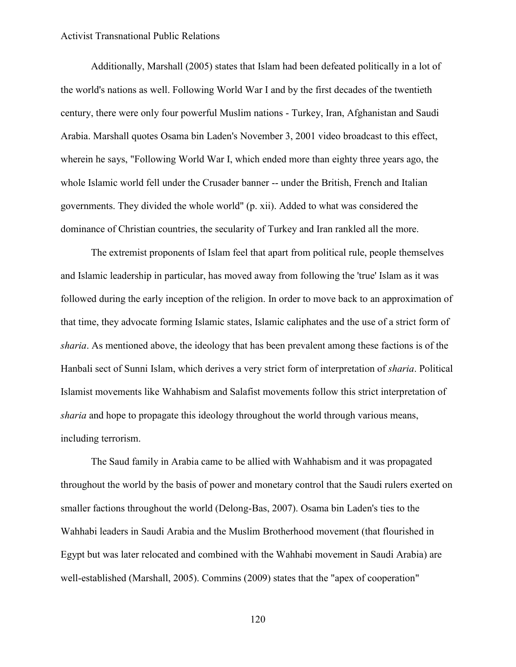Additionally, Marshall (2005) states that Islam had been defeated politically in a lot of the world's nations as well. Following World War I and by the first decades of the twentieth century, there were only four powerful Muslim nations - Turkey, Iran, Afghanistan and Saudi Arabia. Marshall quotes Osama bin Laden's November 3, 2001 video broadcast to this effect, wherein he says, "Following World War I, which ended more than eighty three years ago, the whole Islamic world fell under the Crusader banner -- under the British, French and Italian governments. They divided the whole world" (p. xii). Added to what was considered the dominance of Christian countries, the secularity of Turkey and Iran rankled all the more.

The extremist proponents of Islam feel that apart from political rule, people themselves and Islamic leadership in particular, has moved away from following the 'true' Islam as it was followed during the early inception of the religion. In order to move back to an approximation of that time, they advocate forming Islamic states, Islamic caliphates and the use of a strict form of *sharia*. As mentioned above, the ideology that has been prevalent among these factions is of the Hanbali sect of Sunni Islam, which derives a very strict form of interpretation of *sharia*. Political Islamist movements like Wahhabism and Salafist movements follow this strict interpretation of *sharia* and hope to propagate this ideology throughout the world through various means, including terrorism.

The Saud family in Arabia came to be allied with Wahhabism and it was propagated throughout the world by the basis of power and monetary control that the Saudi rulers exerted on smaller factions throughout the world (Delong-Bas, 2007). Osama bin Laden's ties to the Wahhabi leaders in Saudi Arabia and the Muslim Brotherhood movement (that flourished in Egypt but was later relocated and combined with the Wahhabi movement in Saudi Arabia) are well-established (Marshall, 2005). Commins (2009) states that the "apex of cooperation"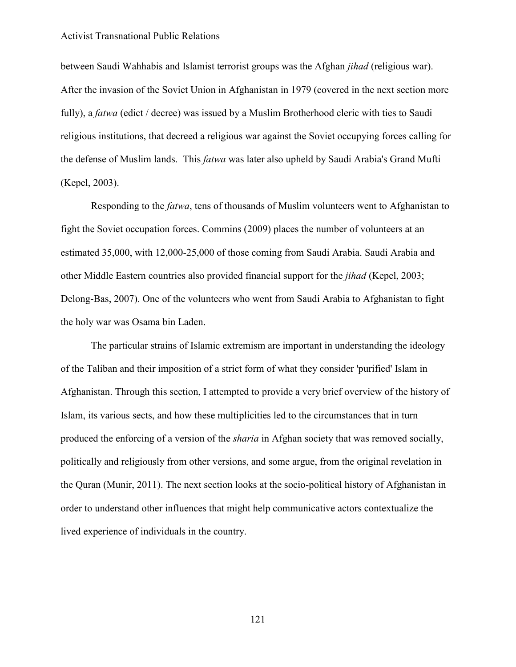between Saudi Wahhabis and Islamist terrorist groups was the Afghan *jihad* (religious war). After the invasion of the Soviet Union in Afghanistan in 1979 (covered in the next section more fully), a *fatwa* (edict / decree) was issued by a Muslim Brotherhood cleric with ties to Saudi religious institutions, that decreed a religious war against the Soviet occupying forces calling for the defense of Muslim lands. This *fatwa* was later also upheld by Saudi Arabia's Grand Mufti (Kepel, 2003).

Responding to the *fatwa*, tens of thousands of Muslim volunteers went to Afghanistan to fight the Soviet occupation forces. Commins (2009) places the number of volunteers at an estimated 35,000, with 12,000-25,000 of those coming from Saudi Arabia. Saudi Arabia and other Middle Eastern countries also provided financial support for the *jihad* (Kepel, 2003; Delong-Bas, 2007). One of the volunteers who went from Saudi Arabia to Afghanistan to fight the holy war was Osama bin Laden.

The particular strains of Islamic extremism are important in understanding the ideology of the Taliban and their imposition of a strict form of what they consider 'purified' Islam in Afghanistan. Through this section, I attempted to provide a very brief overview of the history of Islam, its various sects, and how these multiplicities led to the circumstances that in turn produced the enforcing of a version of the *sharia* in Afghan society that was removed socially, politically and religiously from other versions, and some argue, from the original revelation in the Quran (Munir, 2011). The next section looks at the socio-political history of Afghanistan in order to understand other influences that might help communicative actors contextualize the lived experience of individuals in the country.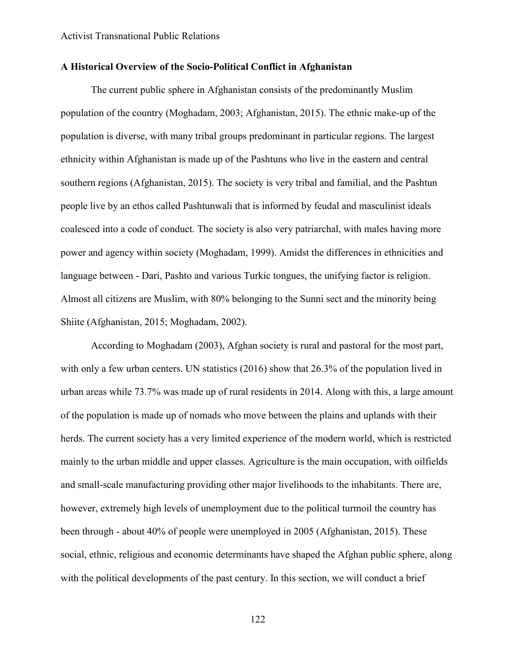# **A Historical Overview of the Socio-Political Conflict in Afghanistan**

The current public sphere in Afghanistan consists of the predominantly Muslim population of the country (Moghadam, 2003; Afghanistan, 2015). The ethnic make-up of the population is diverse, with many tribal groups predominant in particular regions. The largest ethnicity within Afghanistan is made up of the Pashtuns who live in the eastern and central southern regions (Afghanistan, 2015). The society is very tribal and familial, and the Pashtun people live by an ethos called Pashtunwali that is informed by feudal and masculinist ideals coalesced into a code of conduct. The society is also very patriarchal, with males having more power and agency within society (Moghadam, 1999). Amidst the differences in ethnicities and language between - Dari, Pashto and various Turkic tongues, the unifying factor is religion. Almost all citizens are Muslim, with 80% belonging to the Sunni sect and the minority being Shiite (Afghanistan, 2015; Moghadam, 2002).

According to Moghadam (2003), Afghan society is rural and pastoral for the most part, with only a few urban centers. UN statistics (2016) show that 26.3% of the population lived in urban areas while 73.7% was made up of rural residents in 2014. Along with this, a large amount of the population is made up of nomads who move between the plains and uplands with their herds. The current society has a very limited experience of the modern world, which is restricted mainly to the urban middle and upper classes. Agriculture is the main occupation, with oilfields and small-scale manufacturing providing other major livelihoods to the inhabitants. There are, however, extremely high levels of unemployment due to the political turmoil the country has been through - about 40% of people were unemployed in 2005 (Afghanistan, 2015). These social, ethnic, religious and economic determinants have shaped the Afghan public sphere, along with the political developments of the past century. In this section, we will conduct a brief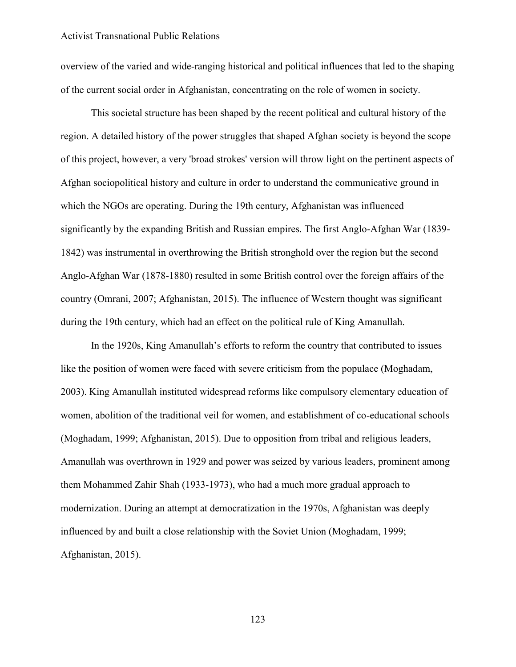overview of the varied and wide-ranging historical and political influences that led to the shaping of the current social order in Afghanistan, concentrating on the role of women in society.

This societal structure has been shaped by the recent political and cultural history of the region. A detailed history of the power struggles that shaped Afghan society is beyond the scope of this project, however, a very 'broad strokes' version will throw light on the pertinent aspects of Afghan sociopolitical history and culture in order to understand the communicative ground in which the NGOs are operating. During the 19th century, Afghanistan was influenced significantly by the expanding British and Russian empires. The first Anglo-Afghan War (1839- 1842) was instrumental in overthrowing the British stronghold over the region but the second Anglo-Afghan War (1878-1880) resulted in some British control over the foreign affairs of the country (Omrani, 2007; Afghanistan, 2015). The influence of Western thought was significant during the 19th century, which had an effect on the political rule of King Amanullah.

In the 1920s, King Amanullah's efforts to reform the country that contributed to issues like the position of women were faced with severe criticism from the populace (Moghadam, 2003). King Amanullah instituted widespread reforms like compulsory elementary education of women, abolition of the traditional veil for women, and establishment of co-educational schools (Moghadam, 1999; Afghanistan, 2015). Due to opposition from tribal and religious leaders, Amanullah was overthrown in 1929 and power was seized by various leaders, prominent among them Mohammed Zahir Shah (1933-1973), who had a much more gradual approach to modernization. During an attempt at democratization in the 1970s, Afghanistan was deeply influenced by and built a close relationship with the Soviet Union (Moghadam, 1999; Afghanistan, 2015).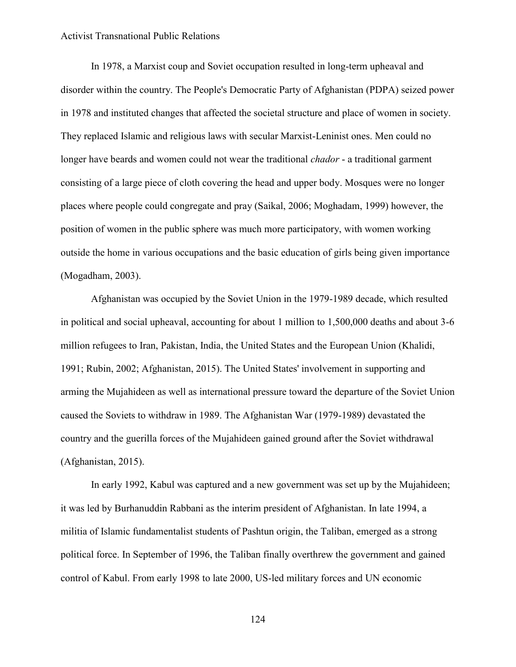In 1978, a Marxist coup and Soviet occupation resulted in long-term upheaval and disorder within the country. The People's Democratic Party of Afghanistan (PDPA) seized power in 1978 and instituted changes that affected the societal structure and place of women in society. They replaced Islamic and religious laws with secular Marxist-Leninist ones. Men could no longer have beards and women could not wear the traditional *chador* - a traditional garment consisting of a large piece of cloth covering the head and upper body. Mosques were no longer places where people could congregate and pray (Saikal, 2006; Moghadam, 1999) however, the position of women in the public sphere was much more participatory, with women working outside the home in various occupations and the basic education of girls being given importance (Mogadham, 2003).

Afghanistan was occupied by the Soviet Union in the 1979-1989 decade, which resulted in political and social upheaval, accounting for about 1 million to 1,500,000 deaths and about 3-6 million refugees to Iran, Pakistan, India, the United States and the European Union (Khalidi, 1991; Rubin, 2002; Afghanistan, 2015). The United States' involvement in supporting and arming the Mujahideen as well as international pressure toward the departure of the Soviet Union caused the Soviets to withdraw in 1989. The Afghanistan War (1979-1989) devastated the country and the guerilla forces of the Mujahideen gained ground after the Soviet withdrawal (Afghanistan, 2015).

In early 1992, Kabul was captured and a new government was set up by the Mujahideen; it was led by Burhanuddin Rabbani as the interim president of Afghanistan. In late 1994, a militia of Islamic fundamentalist students of Pashtun origin, the Taliban, emerged as a strong political force. In September of 1996, the Taliban finally overthrew the government and gained control of Kabul. From early 1998 to late 2000, US-led military forces and UN economic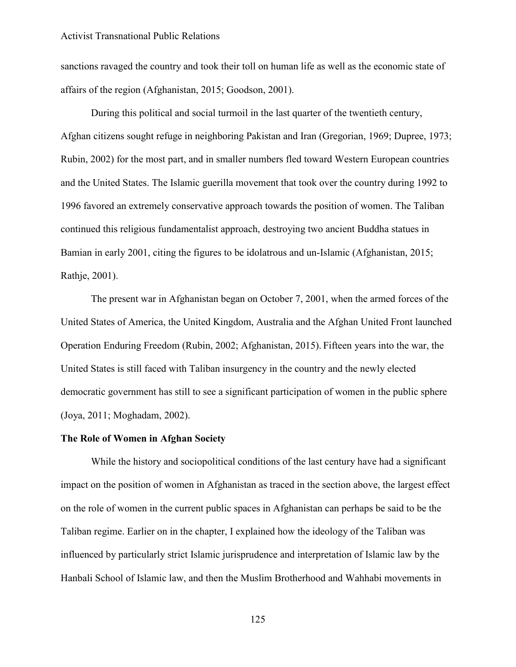sanctions ravaged the country and took their toll on human life as well as the economic state of affairs of the region (Afghanistan, 2015; Goodson, 2001).

During this political and social turmoil in the last quarter of the twentieth century, Afghan citizens sought refuge in neighboring Pakistan and Iran (Gregorian, 1969; Dupree, 1973; Rubin, 2002) for the most part, and in smaller numbers fled toward Western European countries and the United States. The Islamic guerilla movement that took over the country during 1992 to 1996 favored an extremely conservative approach towards the position of women. The Taliban continued this religious fundamentalist approach, destroying two ancient Buddha statues in Bamian in early 2001, citing the figures to be idolatrous and un-Islamic (Afghanistan, 2015; Rathje, 2001).

The present war in Afghanistan began on October 7, 2001, when the armed forces of the United States of America, the United Kingdom, Australia and the Afghan United Front launched Operation Enduring Freedom (Rubin, 2002; Afghanistan, 2015). Fifteen years into the war, the United States is still faced with Taliban insurgency in the country and the newly elected democratic government has still to see a significant participation of women in the public sphere (Joya, 2011; Moghadam, 2002).

## **The Role of Women in Afghan Society**

While the history and sociopolitical conditions of the last century have had a significant impact on the position of women in Afghanistan as traced in the section above, the largest effect on the role of women in the current public spaces in Afghanistan can perhaps be said to be the Taliban regime. Earlier on in the chapter, I explained how the ideology of the Taliban was influenced by particularly strict Islamic jurisprudence and interpretation of Islamic law by the Hanbali School of Islamic law, and then the Muslim Brotherhood and Wahhabi movements in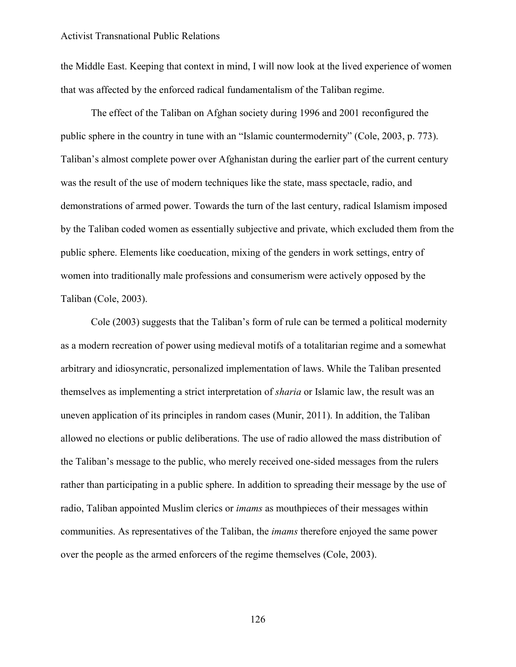the Middle East. Keeping that context in mind, I will now look at the lived experience of women that was affected by the enforced radical fundamentalism of the Taliban regime.

The effect of the Taliban on Afghan society during 1996 and 2001 reconfigured the public sphere in the country in tune with an "Islamic countermodernity" (Cole, 2003, p. 773). Taliban's almost complete power over Afghanistan during the earlier part of the current century was the result of the use of modern techniques like the state, mass spectacle, radio, and demonstrations of armed power. Towards the turn of the last century, radical Islamism imposed by the Taliban coded women as essentially subjective and private, which excluded them from the public sphere. Elements like coeducation, mixing of the genders in work settings, entry of women into traditionally male professions and consumerism were actively opposed by the Taliban (Cole, 2003).

Cole (2003) suggests that the Taliban's form of rule can be termed a political modernity as a modern recreation of power using medieval motifs of a totalitarian regime and a somewhat arbitrary and idiosyncratic, personalized implementation of laws. While the Taliban presented themselves as implementing a strict interpretation of *sharia* or Islamic law, the result was an uneven application of its principles in random cases (Munir, 2011). In addition, the Taliban allowed no elections or public deliberations. The use of radio allowed the mass distribution of the Taliban's message to the public, who merely received one-sided messages from the rulers rather than participating in a public sphere. In addition to spreading their message by the use of radio, Taliban appointed Muslim clerics or *imams* as mouthpieces of their messages within communities. As representatives of the Taliban, the *imams* therefore enjoyed the same power over the people as the armed enforcers of the regime themselves (Cole, 2003).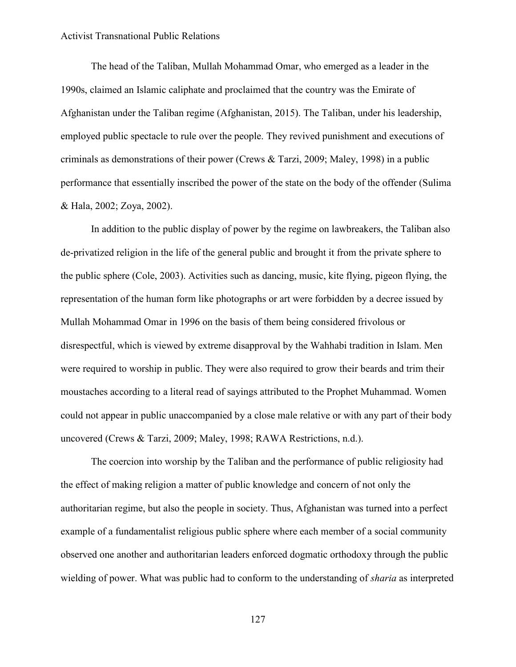The head of the Taliban, Mullah Mohammad Omar, who emerged as a leader in the 1990s, claimed an Islamic caliphate and proclaimed that the country was the Emirate of Afghanistan under the Taliban regime (Afghanistan, 2015). The Taliban, under his leadership, employed public spectacle to rule over the people. They revived punishment and executions of criminals as demonstrations of their power (Crews & Tarzi, 2009; Maley, 1998) in a public performance that essentially inscribed the power of the state on the body of the offender (Sulima & Hala, 2002; Zoya, 2002).

In addition to the public display of power by the regime on lawbreakers, the Taliban also de-privatized religion in the life of the general public and brought it from the private sphere to the public sphere (Cole, 2003). Activities such as dancing, music, kite flying, pigeon flying, the representation of the human form like photographs or art were forbidden by a decree issued by Mullah Mohammad Omar in 1996 on the basis of them being considered frivolous or disrespectful, which is viewed by extreme disapproval by the Wahhabi tradition in Islam. Men were required to worship in public. They were also required to grow their beards and trim their moustaches according to a literal read of sayings attributed to the Prophet Muhammad. Women could not appear in public unaccompanied by a close male relative or with any part of their body uncovered (Crews & Tarzi, 2009; Maley, 1998; RAWA Restrictions, n.d.).

The coercion into worship by the Taliban and the performance of public religiosity had the effect of making religion a matter of public knowledge and concern of not only the authoritarian regime, but also the people in society. Thus, Afghanistan was turned into a perfect example of a fundamentalist religious public sphere where each member of a social community observed one another and authoritarian leaders enforced dogmatic orthodoxy through the public wielding of power. What was public had to conform to the understanding of *sharia* as interpreted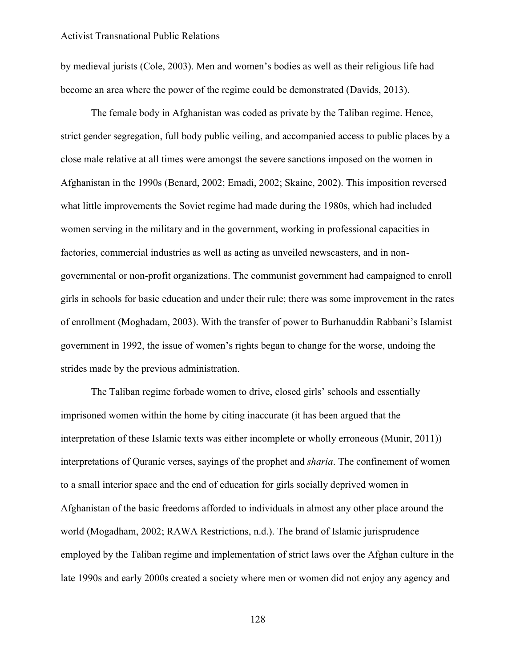by medieval jurists (Cole, 2003). Men and women's bodies as well as their religious life had become an area where the power of the regime could be demonstrated (Davids, 2013).

The female body in Afghanistan was coded as private by the Taliban regime. Hence, strict gender segregation, full body public veiling, and accompanied access to public places by a close male relative at all times were amongst the severe sanctions imposed on the women in Afghanistan in the 1990s (Benard, 2002; Emadi, 2002; Skaine, 2002). This imposition reversed what little improvements the Soviet regime had made during the 1980s, which had included women serving in the military and in the government, working in professional capacities in factories, commercial industries as well as acting as unveiled newscasters, and in nongovernmental or non-profit organizations. The communist government had campaigned to enroll girls in schools for basic education and under their rule; there was some improvement in the rates of enrollment (Moghadam, 2003). With the transfer of power to Burhanuddin Rabbani's Islamist government in 1992, the issue of women's rights began to change for the worse, undoing the strides made by the previous administration.

The Taliban regime forbade women to drive, closed girls' schools and essentially imprisoned women within the home by citing inaccurate (it has been argued that the interpretation of these Islamic texts was either incomplete or wholly erroneous (Munir, 2011)) interpretations of Quranic verses, sayings of the prophet and *sharia*. The confinement of women to a small interior space and the end of education for girls socially deprived women in Afghanistan of the basic freedoms afforded to individuals in almost any other place around the world (Mogadham, 2002; RAWA Restrictions, n.d.). The brand of Islamic jurisprudence employed by the Taliban regime and implementation of strict laws over the Afghan culture in the late 1990s and early 2000s created a society where men or women did not enjoy any agency and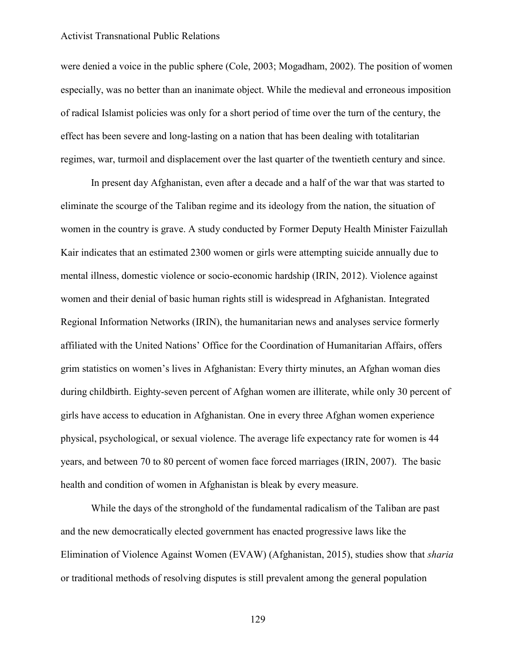were denied a voice in the public sphere (Cole, 2003; Mogadham, 2002). The position of women especially, was no better than an inanimate object. While the medieval and erroneous imposition of radical Islamist policies was only for a short period of time over the turn of the century, the effect has been severe and long-lasting on a nation that has been dealing with totalitarian regimes, war, turmoil and displacement over the last quarter of the twentieth century and since.

In present day Afghanistan, even after a decade and a half of the war that was started to eliminate the scourge of the Taliban regime and its ideology from the nation, the situation of women in the country is grave. A study conducted by Former Deputy Health Minister Faizullah Kair indicates that an estimated 2300 women or girls were attempting suicide annually due to mental illness, domestic violence or socio-economic hardship (IRIN, 2012). Violence against women and their denial of basic human rights still is widespread in Afghanistan. Integrated Regional Information Networks (IRIN), the humanitarian news and analyses service formerly affiliated with the United Nations' Office for the Coordination of Humanitarian Affairs, offers grim statistics on women's lives in Afghanistan: Every thirty minutes, an Afghan woman dies during childbirth. Eighty-seven percent of Afghan women are illiterate, while only 30 percent of girls have access to education in Afghanistan. One in every three Afghan women experience physical, psychological, or sexual violence. The average life expectancy rate for women is 44 years, and between 70 to 80 percent of women face forced marriages (IRIN, 2007). The basic health and condition of women in Afghanistan is bleak by every measure.

While the days of the stronghold of the fundamental radicalism of the Taliban are past and the new democratically elected government has enacted progressive laws like the Elimination of Violence Against Women (EVAW) (Afghanistan, 2015), studies show that *sharia*  or traditional methods of resolving disputes is still prevalent among the general population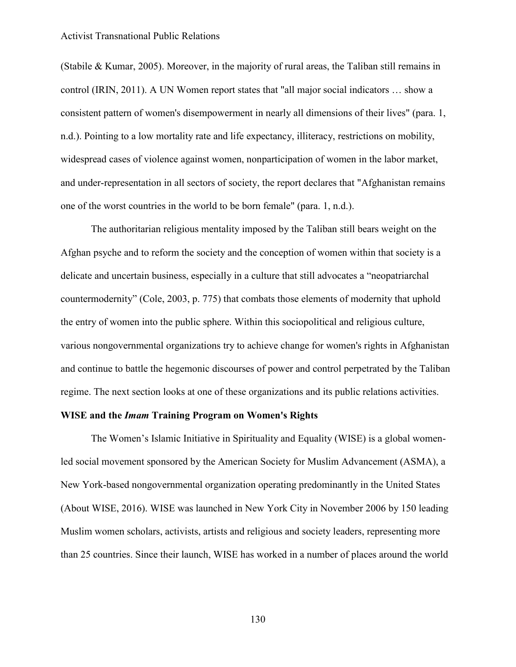(Stabile & Kumar, 2005). Moreover, in the majority of rural areas, the Taliban still remains in control (IRIN, 2011). A UN Women report states that "all major social indicators … show a consistent pattern of women's disempowerment in nearly all dimensions of their lives" (para. 1, n.d.). Pointing to a low mortality rate and life expectancy, illiteracy, restrictions on mobility, widespread cases of violence against women, nonparticipation of women in the labor market, and under-representation in all sectors of society, the report declares that "Afghanistan remains one of the worst countries in the world to be born female" (para. 1, n.d.).

The authoritarian religious mentality imposed by the Taliban still bears weight on the Afghan psyche and to reform the society and the conception of women within that society is a delicate and uncertain business, especially in a culture that still advocates a "neopatriarchal countermodernity" (Cole, 2003, p. 775) that combats those elements of modernity that uphold the entry of women into the public sphere. Within this sociopolitical and religious culture, various nongovernmental organizations try to achieve change for women's rights in Afghanistan and continue to battle the hegemonic discourses of power and control perpetrated by the Taliban regime. The next section looks at one of these organizations and its public relations activities.

# **WISE and the** *Imam* **Training Program on Women's Rights**

The Women's Islamic Initiative in Spirituality and Equality (WISE) is a global womenled social movement sponsored by the American Society for Muslim Advancement (ASMA), a New York-based nongovernmental organization operating predominantly in the United States (About WISE, 2016). WISE was launched in New York City in November 2006 by 150 leading Muslim women scholars, activists, artists and religious and society leaders, representing more than 25 countries. Since their launch, WISE has worked in a number of places around the world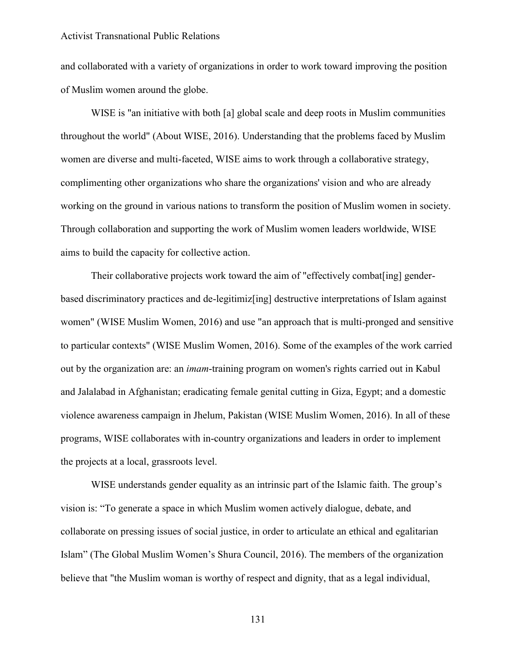and collaborated with a variety of organizations in order to work toward improving the position of Muslim women around the globe.

WISE is "an initiative with both [a] global scale and deep roots in Muslim communities throughout the world" (About WISE, 2016). Understanding that the problems faced by Muslim women are diverse and multi-faceted, WISE aims to work through a collaborative strategy, complimenting other organizations who share the organizations' vision and who are already working on the ground in various nations to transform the position of Muslim women in society. Through collaboration and supporting the work of Muslim women leaders worldwide, WISE aims to build the capacity for collective action.

Their collaborative projects work toward the aim of "effectively combat[ing] genderbased discriminatory practices and de-legitimiz[ing] destructive interpretations of Islam against women" (WISE Muslim Women, 2016) and use "an approach that is multi-pronged and sensitive to particular contexts" (WISE Muslim Women, 2016). Some of the examples of the work carried out by the organization are: an *imam*-training program on women's rights carried out in Kabul and Jalalabad in Afghanistan; eradicating female genital cutting in Giza, Egypt; and a domestic violence awareness campaign in Jhelum, Pakistan (WISE Muslim Women, 2016). In all of these programs, WISE collaborates with in-country organizations and leaders in order to implement the projects at a local, grassroots level.

WISE understands gender equality as an intrinsic part of the Islamic faith. The group's vision is: "To generate a space in which Muslim women actively dialogue, debate, and collaborate on pressing issues of social justice, in order to articulate an ethical and egalitarian Islam" (The Global Muslim Women's Shura Council, 2016). The members of the organization believe that "the Muslim woman is worthy of respect and dignity, that as a legal individual,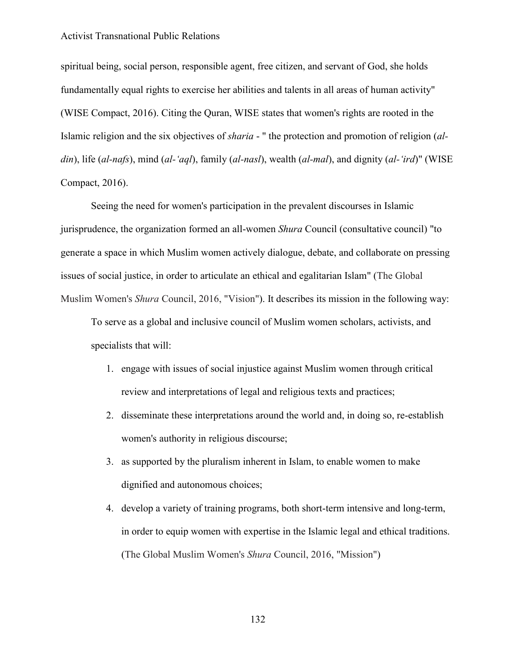spiritual being, social person, responsible agent, free citizen, and servant of God, she holds fundamentally equal rights to exercise her abilities and talents in all areas of human activity" (WISE Compact, 2016). Citing the Quran, WISE states that women's rights are rooted in the Islamic religion and the six objectives of *sharia* - " the protection and promotion of religion (*aldin*), life (*al-nafs*), mind (*al-'aql*), family (*al-nasl*), wealth (*al-mal*), and dignity (*al-'ird*)" (WISE Compact, 2016).

Seeing the need for women's participation in the prevalent discourses in Islamic jurisprudence, the organization formed an all-women *Shura* Council (consultative council) "to generate a space in which Muslim women actively dialogue, debate, and collaborate on pressing issues of social justice, in order to articulate an ethical and egalitarian Islam" (The Global Muslim Women's *Shura* Council, 2016, "Vision"). It describes its mission in the following way:

To serve as a global and inclusive council of Muslim women scholars, activists, and specialists that will:

- 1. engage with issues of social injustice against Muslim women through critical review and interpretations of legal and religious texts and practices;
- 2. disseminate these interpretations around the world and, in doing so, re-establish women's authority in religious discourse;
- 3. as supported by the pluralism inherent in Islam, to enable women to make dignified and autonomous choices;
- 4. develop a variety of training programs, both short-term intensive and long-term, in order to equip women with expertise in the Islamic legal and ethical traditions. (The Global Muslim Women's *Shura* Council, 2016, "Mission")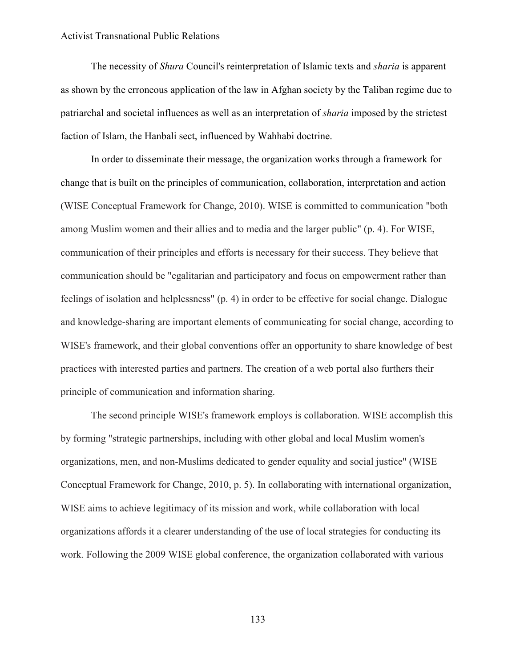The necessity of *Shura* Council's reinterpretation of Islamic texts and *sharia* is apparent as shown by the erroneous application of the law in Afghan society by the Taliban regime due to patriarchal and societal influences as well as an interpretation of *sharia* imposed by the strictest faction of Islam, the Hanbali sect, influenced by Wahhabi doctrine.

In order to disseminate their message, the organization works through a framework for change that is built on the principles of communication, collaboration, interpretation and action (WISE Conceptual Framework for Change, 2010). WISE is committed to communication "both among Muslim women and their allies and to media and the larger public" (p. 4). For WISE, communication of their principles and efforts is necessary for their success. They believe that communication should be "egalitarian and participatory and focus on empowerment rather than feelings of isolation and helplessness" (p. 4) in order to be effective for social change. Dialogue and knowledge-sharing are important elements of communicating for social change, according to WISE's framework, and their global conventions offer an opportunity to share knowledge of best practices with interested parties and partners. The creation of a web portal also furthers their principle of communication and information sharing.

The second principle WISE's framework employs is collaboration. WISE accomplish this by forming "strategic partnerships, including with other global and local Muslim women's organizations, men, and non-Muslims dedicated to gender equality and social justice" (WISE Conceptual Framework for Change, 2010, p. 5). In collaborating with international organization, WISE aims to achieve legitimacy of its mission and work, while collaboration with local organizations affords it a clearer understanding of the use of local strategies for conducting its work. Following the 2009 WISE global conference, the organization collaborated with various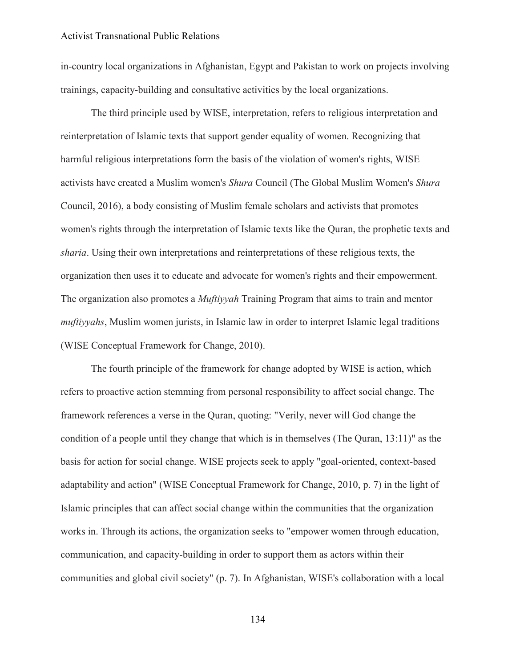in-country local organizations in Afghanistan, Egypt and Pakistan to work on projects involving trainings, capacity-building and consultative activities by the local organizations.

The third principle used by WISE, interpretation, refers to religious interpretation and reinterpretation of Islamic texts that support gender equality of women. Recognizing that harmful religious interpretations form the basis of the violation of women's rights, WISE activists have created a Muslim women's *Shura* Council (The Global Muslim Women's *Shura* Council, 2016), a body consisting of Muslim female scholars and activists that promotes women's rights through the interpretation of Islamic texts like the Quran, the prophetic texts and *sharia*. Using their own interpretations and reinterpretations of these religious texts, the organization then uses it to educate and advocate for women's rights and their empowerment. The organization also promotes a *Muftiyyah* Training Program that aims to train and mentor *muftiyyahs*, Muslim women jurists, in Islamic law in order to interpret Islamic legal traditions (WISE Conceptual Framework for Change, 2010).

The fourth principle of the framework for change adopted by WISE is action, which refers to proactive action stemming from personal responsibility to affect social change. The framework references a verse in the Quran, quoting: "Verily, never will God change the condition of a people until they change that which is in themselves (The Quran, 13:11)" as the basis for action for social change. WISE projects seek to apply "goal-oriented, context-based adaptability and action" (WISE Conceptual Framework for Change, 2010, p. 7) in the light of Islamic principles that can affect social change within the communities that the organization works in. Through its actions, the organization seeks to "empower women through education, communication, and capacity-building in order to support them as actors within their communities and global civil society" (p. 7). In Afghanistan, WISE's collaboration with a local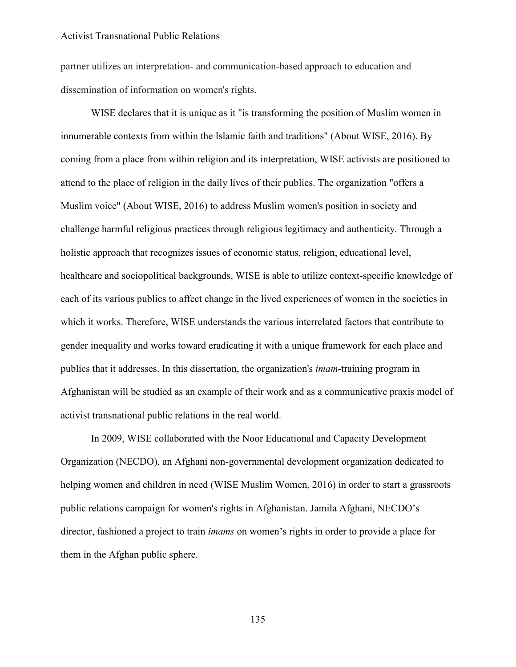partner utilizes an interpretation- and communication-based approach to education and dissemination of information on women's rights.

WISE declares that it is unique as it "is transforming the position of Muslim women in innumerable contexts from within the Islamic faith and traditions" (About WISE, 2016). By coming from a place from within religion and its interpretation, WISE activists are positioned to attend to the place of religion in the daily lives of their publics. The organization "offers a Muslim voice" (About WISE, 2016) to address Muslim women's position in society and challenge harmful religious practices through religious legitimacy and authenticity. Through a holistic approach that recognizes issues of economic status, religion, educational level, healthcare and sociopolitical backgrounds, WISE is able to utilize context-specific knowledge of each of its various publics to affect change in the lived experiences of women in the societies in which it works. Therefore, WISE understands the various interrelated factors that contribute to gender inequality and works toward eradicating it with a unique framework for each place and publics that it addresses. In this dissertation, the organization's *imam*-training program in Afghanistan will be studied as an example of their work and as a communicative praxis model of activist transnational public relations in the real world.

In 2009, WISE collaborated with the Noor Educational and Capacity Development Organization (NECDO), an Afghani non-governmental development organization dedicated to helping women and children in need (WISE Muslim Women, 2016) in order to start a grassroots public relations campaign for women's rights in Afghanistan. Jamila Afghani, NECDO's director, fashioned a project to train *imams* on women's rights in order to provide a place for them in the Afghan public sphere.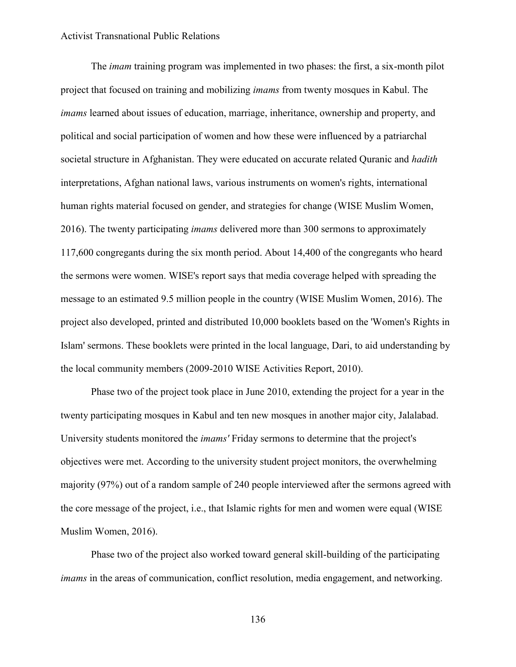The *imam* training program was implemented in two phases: the first, a six-month pilot project that focused on training and mobilizing *imams* from twenty mosques in Kabul. The *imams* learned about issues of education, marriage, inheritance, ownership and property, and political and social participation of women and how these were influenced by a patriarchal societal structure in Afghanistan. They were educated on accurate related Quranic and *hadith* interpretations, Afghan national laws, various instruments on women's rights, international human rights material focused on gender, and strategies for change (WISE Muslim Women, 2016). The twenty participating *imams* delivered more than 300 sermons to approximately 117,600 congregants during the six month period. About 14,400 of the congregants who heard the sermons were women. WISE's report says that media coverage helped with spreading the message to an estimated 9.5 million people in the country (WISE Muslim Women, 2016). The project also developed, printed and distributed 10,000 booklets based on the 'Women's Rights in Islam' sermons. These booklets were printed in the local language, Dari, to aid understanding by the local community members (2009-2010 WISE Activities Report, 2010).

Phase two of the project took place in June 2010, extending the project for a year in the twenty participating mosques in Kabul and ten new mosques in another major city, Jalalabad. University students monitored the *imams'* Friday sermons to determine that the project's objectives were met. According to the university student project monitors, the overwhelming majority (97%) out of a random sample of 240 people interviewed after the sermons agreed with the core message of the project, i.e., that Islamic rights for men and women were equal (WISE Muslim Women, 2016).

Phase two of the project also worked toward general skill-building of the participating *imams* in the areas of communication, conflict resolution, media engagement, and networking.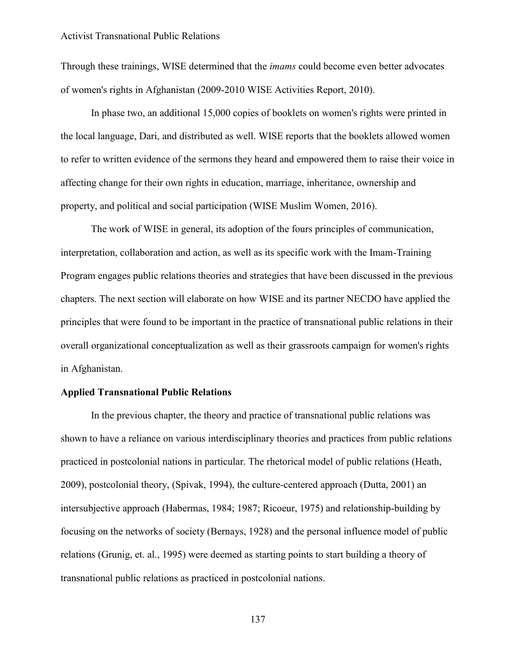Through these trainings, WISE determined that the *imams* could become even better advocates of women's rights in Afghanistan (2009-2010 WISE Activities Report, 2010).

In phase two, an additional 15,000 copies of booklets on women's rights were printed in the local language, Dari, and distributed as well. WISE reports that the booklets allowed women to refer to written evidence of the sermons they heard and empowered them to raise their voice in affecting change for their own rights in education, marriage, inheritance, ownership and property, and political and social participation (WISE Muslim Women, 2016).

The work of WISE in general, its adoption of the fours principles of communication, interpretation, collaboration and action, as well as its specific work with the Imam-Training Program engages public relations theories and strategies that have been discussed in the previous chapters. The next section will elaborate on how WISE and its partner NECDO have applied the principles that were found to be important in the practice of transnational public relations in their overall organizational conceptualization as well as their grassroots campaign for women's rights in Afghanistan.

# **Applied Transnational Public Relations**

In the previous chapter, the theory and practice of transnational public relations was shown to have a reliance on various interdisciplinary theories and practices from public relations practiced in postcolonial nations in particular. The rhetorical model of public relations (Heath, 2009), postcolonial theory, (Spivak, 1994), the culture-centered approach (Dutta, 2001) an intersubjective approach (Habermas, 1984; 1987; Ricoeur, 1975) and relationship-building by focusing on the networks of society (Bernays, 1928) and the personal influence model of public relations (Grunig, et. al., 1995) were deemed as starting points to start building a theory of transnational public relations as practiced in postcolonial nations.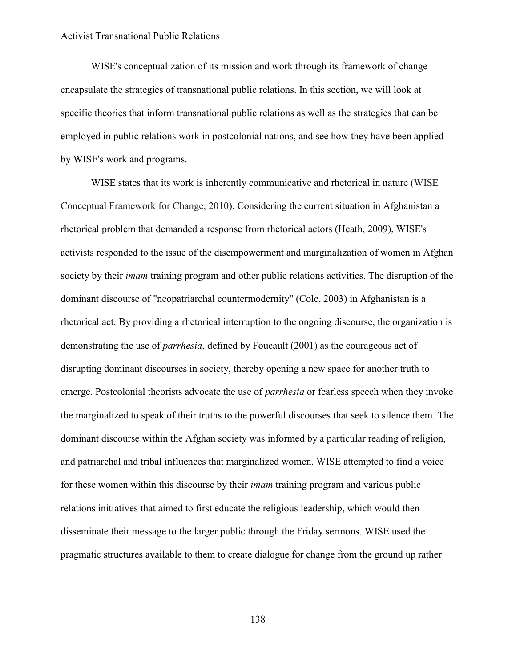WISE's conceptualization of its mission and work through its framework of change encapsulate the strategies of transnational public relations. In this section, we will look at specific theories that inform transnational public relations as well as the strategies that can be employed in public relations work in postcolonial nations, and see how they have been applied by WISE's work and programs.

WISE states that its work is inherently communicative and rhetorical in nature (WISE Conceptual Framework for Change, 2010). Considering the current situation in Afghanistan a rhetorical problem that demanded a response from rhetorical actors (Heath, 2009), WISE's activists responded to the issue of the disempowerment and marginalization of women in Afghan society by their *imam* training program and other public relations activities. The disruption of the dominant discourse of "neopatriarchal countermodernity" (Cole, 2003) in Afghanistan is a rhetorical act. By providing a rhetorical interruption to the ongoing discourse, the organization is demonstrating the use of *parrhesia*, defined by Foucault (2001) as the courageous act of disrupting dominant discourses in society, thereby opening a new space for another truth to emerge. Postcolonial theorists advocate the use of *parrhesia* or fearless speech when they invoke the marginalized to speak of their truths to the powerful discourses that seek to silence them. The dominant discourse within the Afghan society was informed by a particular reading of religion, and patriarchal and tribal influences that marginalized women. WISE attempted to find a voice for these women within this discourse by their *imam* training program and various public relations initiatives that aimed to first educate the religious leadership, which would then disseminate their message to the larger public through the Friday sermons. WISE used the pragmatic structures available to them to create dialogue for change from the ground up rather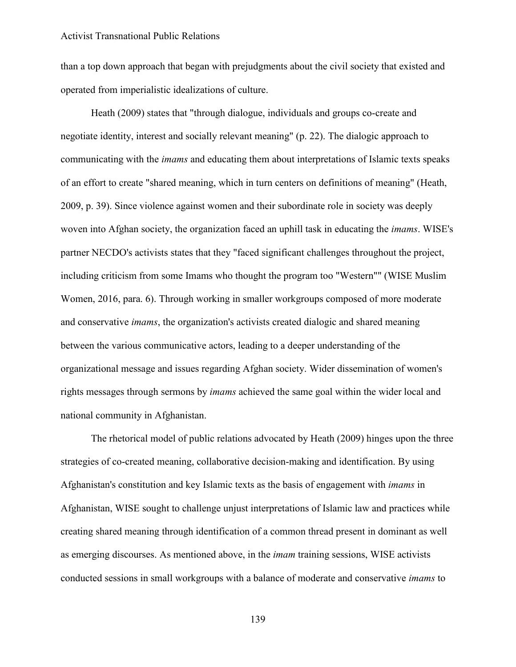than a top down approach that began with prejudgments about the civil society that existed and operated from imperialistic idealizations of culture.

Heath (2009) states that "through dialogue, individuals and groups co-create and negotiate identity, interest and socially relevant meaning" (p. 22). The dialogic approach to communicating with the *imams* and educating them about interpretations of Islamic texts speaks of an effort to create "shared meaning, which in turn centers on definitions of meaning" (Heath, 2009, p. 39). Since violence against women and their subordinate role in society was deeply woven into Afghan society, the organization faced an uphill task in educating the *imams*. WISE's partner NECDO's activists states that they "faced significant challenges throughout the project, including criticism from some Imams who thought the program too "Western"" (WISE Muslim Women, 2016, para. 6). Through working in smaller workgroups composed of more moderate and conservative *imams*, the organization's activists created dialogic and shared meaning between the various communicative actors, leading to a deeper understanding of the organizational message and issues regarding Afghan society. Wider dissemination of women's rights messages through sermons by *imams* achieved the same goal within the wider local and national community in Afghanistan.

The rhetorical model of public relations advocated by Heath (2009) hinges upon the three strategies of co-created meaning, collaborative decision-making and identification. By using Afghanistan's constitution and key Islamic texts as the basis of engagement with *imams* in Afghanistan, WISE sought to challenge unjust interpretations of Islamic law and practices while creating shared meaning through identification of a common thread present in dominant as well as emerging discourses. As mentioned above, in the *imam* training sessions, WISE activists conducted sessions in small workgroups with a balance of moderate and conservative *imams* to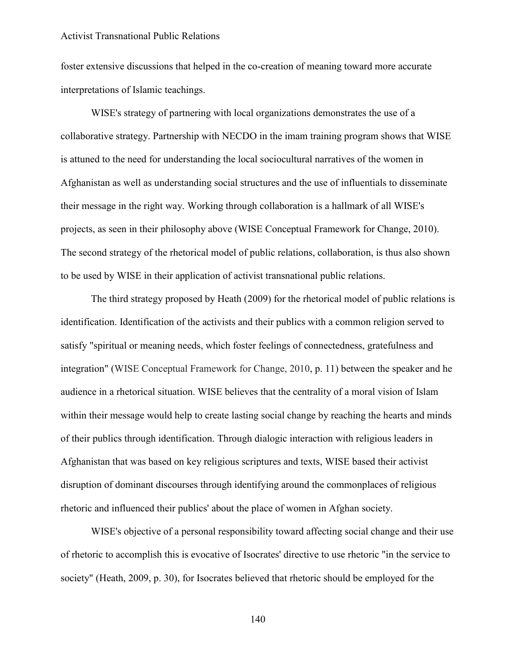foster extensive discussions that helped in the co-creation of meaning toward more accurate interpretations of Islamic teachings.

WISE's strategy of partnering with local organizations demonstrates the use of a collaborative strategy. Partnership with NECDO in the imam training program shows that WISE is attuned to the need for understanding the local sociocultural narratives of the women in Afghanistan as well as understanding social structures and the use of influentials to disseminate their message in the right way. Working through collaboration is a hallmark of all WISE's projects, as seen in their philosophy above (WISE Conceptual Framework for Change, 2010). The second strategy of the rhetorical model of public relations, collaboration, is thus also shown to be used by WISE in their application of activist transnational public relations.

The third strategy proposed by Heath (2009) for the rhetorical model of public relations is identification. Identification of the activists and their publics with a common religion served to satisfy "spiritual or meaning needs, which foster feelings of connectedness, gratefulness and integration" (WISE Conceptual Framework for Change, 2010, p. 11) between the speaker and he audience in a rhetorical situation. WISE believes that the centrality of a moral vision of Islam within their message would help to create lasting social change by reaching the hearts and minds of their publics through identification. Through dialogic interaction with religious leaders in Afghanistan that was based on key religious scriptures and texts, WISE based their activist disruption of dominant discourses through identifying around the commonplaces of religious rhetoric and influenced their publics' about the place of women in Afghan society.

WISE's objective of a personal responsibility toward affecting social change and their use of rhetoric to accomplish this is evocative of Isocrates' directive to use rhetoric "in the service to society" (Heath, 2009, p. 30), for Isocrates believed that rhetoric should be employed for the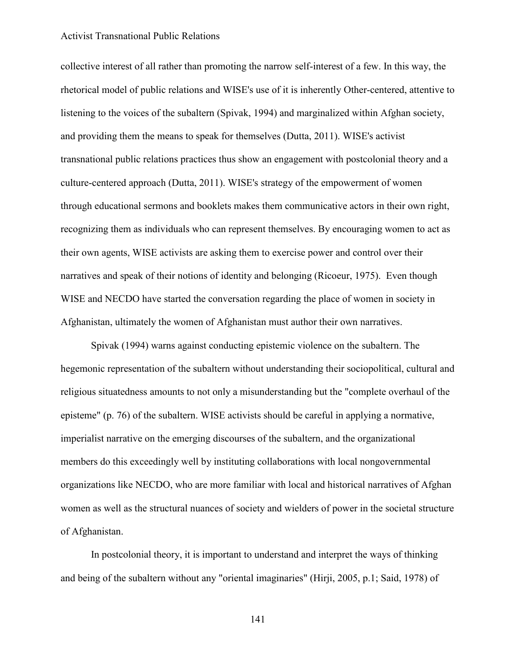collective interest of all rather than promoting the narrow self-interest of a few. In this way, the rhetorical model of public relations and WISE's use of it is inherently Other-centered, attentive to listening to the voices of the subaltern (Spivak, 1994) and marginalized within Afghan society, and providing them the means to speak for themselves (Dutta, 2011). WISE's activist transnational public relations practices thus show an engagement with postcolonial theory and a culture-centered approach (Dutta, 2011). WISE's strategy of the empowerment of women through educational sermons and booklets makes them communicative actors in their own right, recognizing them as individuals who can represent themselves. By encouraging women to act as their own agents, WISE activists are asking them to exercise power and control over their narratives and speak of their notions of identity and belonging (Ricoeur, 1975). Even though WISE and NECDO have started the conversation regarding the place of women in society in Afghanistan, ultimately the women of Afghanistan must author their own narratives.

Spivak (1994) warns against conducting epistemic violence on the subaltern. The hegemonic representation of the subaltern without understanding their sociopolitical, cultural and religious situatedness amounts to not only a misunderstanding but the "complete overhaul of the episteme" (p. 76) of the subaltern. WISE activists should be careful in applying a normative, imperialist narrative on the emerging discourses of the subaltern, and the organizational members do this exceedingly well by instituting collaborations with local nongovernmental organizations like NECDO, who are more familiar with local and historical narratives of Afghan women as well as the structural nuances of society and wielders of power in the societal structure of Afghanistan.

In postcolonial theory, it is important to understand and interpret the ways of thinking and being of the subaltern without any "oriental imaginaries" (Hirji, 2005, p.1; Said, 1978) of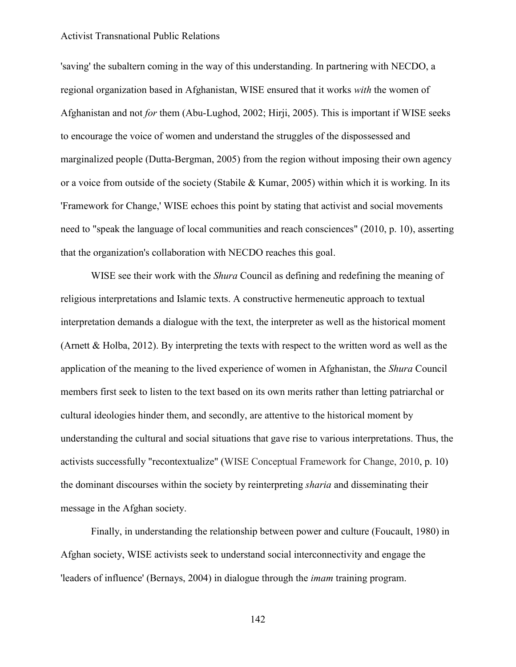'saving' the subaltern coming in the way of this understanding. In partnering with NECDO, a regional organization based in Afghanistan, WISE ensured that it works *with* the women of Afghanistan and not *for* them (Abu-Lughod, 2002; Hirji, 2005). This is important if WISE seeks to encourage the voice of women and understand the struggles of the dispossessed and marginalized people (Dutta-Bergman, 2005) from the region without imposing their own agency or a voice from outside of the society (Stabile & Kumar, 2005) within which it is working. In its 'Framework for Change,' WISE echoes this point by stating that activist and social movements need to "speak the language of local communities and reach consciences" (2010, p. 10), asserting that the organization's collaboration with NECDO reaches this goal.

WISE see their work with the *Shura* Council as defining and redefining the meaning of religious interpretations and Islamic texts. A constructive hermeneutic approach to textual interpretation demands a dialogue with the text, the interpreter as well as the historical moment (Arnett & Holba, 2012). By interpreting the texts with respect to the written word as well as the application of the meaning to the lived experience of women in Afghanistan, the *Shura* Council members first seek to listen to the text based on its own merits rather than letting patriarchal or cultural ideologies hinder them, and secondly, are attentive to the historical moment by understanding the cultural and social situations that gave rise to various interpretations. Thus, the activists successfully "recontextualize" (WISE Conceptual Framework for Change, 2010, p. 10) the dominant discourses within the society by reinterpreting *sharia* and disseminating their message in the Afghan society.

Finally, in understanding the relationship between power and culture (Foucault, 1980) in Afghan society, WISE activists seek to understand social interconnectivity and engage the 'leaders of influence' (Bernays, 2004) in dialogue through the *imam* training program.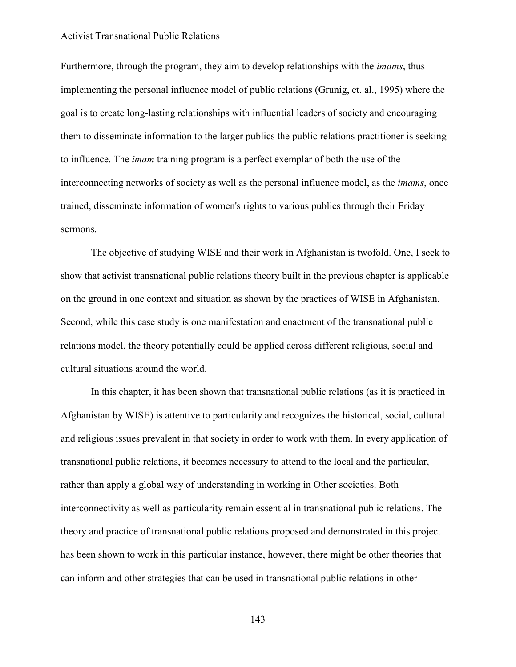Furthermore, through the program, they aim to develop relationships with the *imams*, thus implementing the personal influence model of public relations (Grunig, et. al., 1995) where the goal is to create long-lasting relationships with influential leaders of society and encouraging them to disseminate information to the larger publics the public relations practitioner is seeking to influence. The *imam* training program is a perfect exemplar of both the use of the interconnecting networks of society as well as the personal influence model, as the *imams*, once trained, disseminate information of women's rights to various publics through their Friday sermons.

The objective of studying WISE and their work in Afghanistan is twofold. One, I seek to show that activist transnational public relations theory built in the previous chapter is applicable on the ground in one context and situation as shown by the practices of WISE in Afghanistan. Second, while this case study is one manifestation and enactment of the transnational public relations model, the theory potentially could be applied across different religious, social and cultural situations around the world.

In this chapter, it has been shown that transnational public relations (as it is practiced in Afghanistan by WISE) is attentive to particularity and recognizes the historical, social, cultural and religious issues prevalent in that society in order to work with them. In every application of transnational public relations, it becomes necessary to attend to the local and the particular, rather than apply a global way of understanding in working in Other societies. Both interconnectivity as well as particularity remain essential in transnational public relations. The theory and practice of transnational public relations proposed and demonstrated in this project has been shown to work in this particular instance, however, there might be other theories that can inform and other strategies that can be used in transnational public relations in other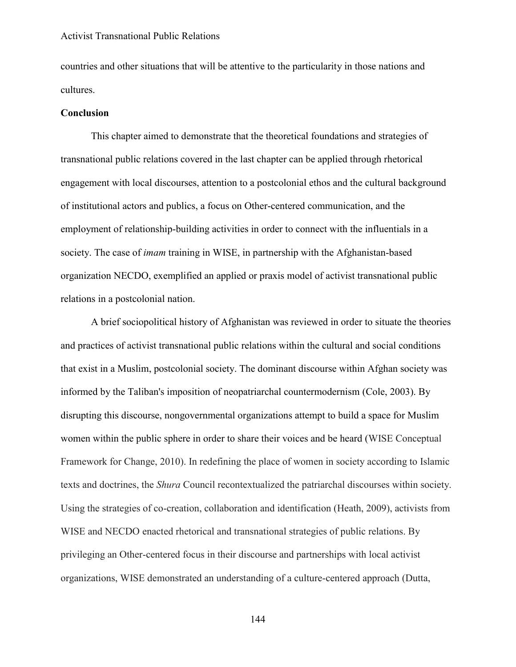countries and other situations that will be attentive to the particularity in those nations and cultures.

#### **Conclusion**

This chapter aimed to demonstrate that the theoretical foundations and strategies of transnational public relations covered in the last chapter can be applied through rhetorical engagement with local discourses, attention to a postcolonial ethos and the cultural background of institutional actors and publics, a focus on Other-centered communication, and the employment of relationship-building activities in order to connect with the influentials in a society. The case of *imam* training in WISE, in partnership with the Afghanistan-based organization NECDO, exemplified an applied or praxis model of activist transnational public relations in a postcolonial nation.

A brief sociopolitical history of Afghanistan was reviewed in order to situate the theories and practices of activist transnational public relations within the cultural and social conditions that exist in a Muslim, postcolonial society. The dominant discourse within Afghan society was informed by the Taliban's imposition of neopatriarchal countermodernism (Cole, 2003). By disrupting this discourse, nongovernmental organizations attempt to build a space for Muslim women within the public sphere in order to share their voices and be heard (WISE Conceptual Framework for Change, 2010). In redefining the place of women in society according to Islamic texts and doctrines, the *Shura* Council recontextualized the patriarchal discourses within society. Using the strategies of co-creation, collaboration and identification (Heath, 2009), activists from WISE and NECDO enacted rhetorical and transnational strategies of public relations. By privileging an Other-centered focus in their discourse and partnerships with local activist organizations, WISE demonstrated an understanding of a culture-centered approach (Dutta,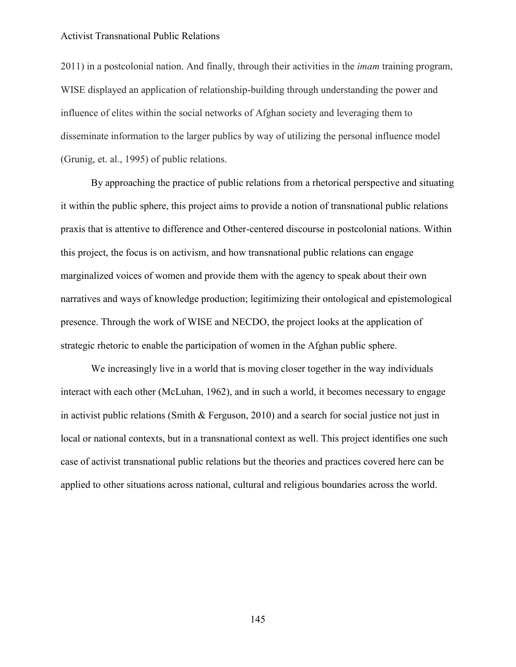2011) in a postcolonial nation. And finally, through their activities in the *imam* training program, WISE displayed an application of relationship-building through understanding the power and influence of elites within the social networks of Afghan society and leveraging them to disseminate information to the larger publics by way of utilizing the personal influence model (Grunig, et. al., 1995) of public relations.

By approaching the practice of public relations from a rhetorical perspective and situating it within the public sphere, this project aims to provide a notion of transnational public relations praxis that is attentive to difference and Other-centered discourse in postcolonial nations. Within this project, the focus is on activism, and how transnational public relations can engage marginalized voices of women and provide them with the agency to speak about their own narratives and ways of knowledge production; legitimizing their ontological and epistemological presence. Through the work of WISE and NECDO, the project looks at the application of strategic rhetoric to enable the participation of women in the Afghan public sphere.

We increasingly live in a world that is moving closer together in the way individuals interact with each other (McLuhan, 1962), and in such a world, it becomes necessary to engage in activist public relations (Smith & Ferguson, 2010) and a search for social justice not just in local or national contexts, but in a transnational context as well. This project identifies one such case of activist transnational public relations but the theories and practices covered here can be applied to other situations across national, cultural and religious boundaries across the world.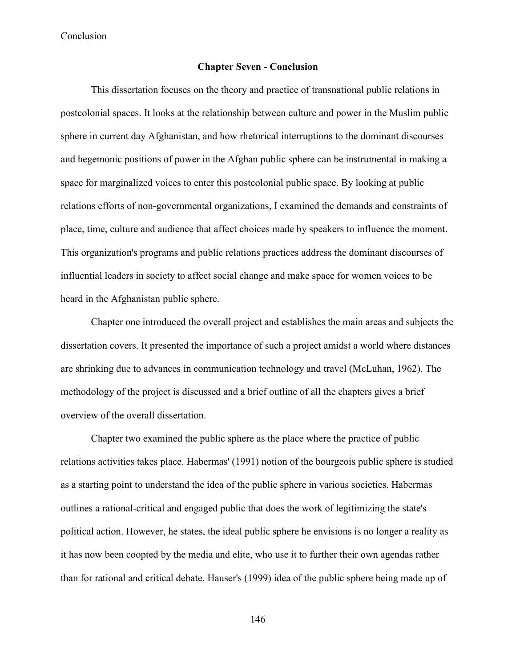# **Chapter Seven - Conclusion**

This dissertation focuses on the theory and practice of transnational public relations in postcolonial spaces. It looks at the relationship between culture and power in the Muslim public sphere in current day Afghanistan, and how rhetorical interruptions to the dominant discourses and hegemonic positions of power in the Afghan public sphere can be instrumental in making a space for marginalized voices to enter this postcolonial public space. By looking at public relations efforts of non-governmental organizations, I examined the demands and constraints of place, time, culture and audience that affect choices made by speakers to influence the moment. This organization's programs and public relations practices address the dominant discourses of influential leaders in society to affect social change and make space for women voices to be heard in the Afghanistan public sphere.

Chapter one introduced the overall project and establishes the main areas and subjects the dissertation covers. It presented the importance of such a project amidst a world where distances are shrinking due to advances in communication technology and travel (McLuhan, 1962). The methodology of the project is discussed and a brief outline of all the chapters gives a brief overview of the overall dissertation.

Chapter two examined the public sphere as the place where the practice of public relations activities takes place. Habermas' (1991) notion of the bourgeois public sphere is studied as a starting point to understand the idea of the public sphere in various societies. Habermas outlines a rational-critical and engaged public that does the work of legitimizing the state's political action. However, he states, the ideal public sphere he envisions is no longer a reality as it has now been coopted by the media and elite, who use it to further their own agendas rather than for rational and critical debate. Hauser's (1999) idea of the public sphere being made up of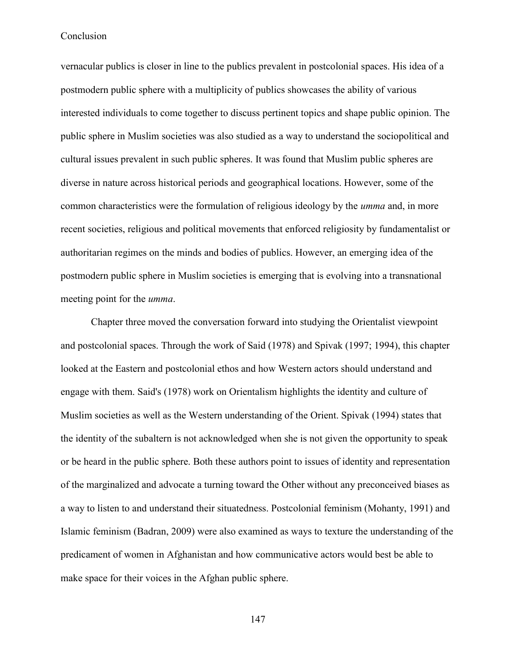vernacular publics is closer in line to the publics prevalent in postcolonial spaces. His idea of a postmodern public sphere with a multiplicity of publics showcases the ability of various interested individuals to come together to discuss pertinent topics and shape public opinion. The public sphere in Muslim societies was also studied as a way to understand the sociopolitical and cultural issues prevalent in such public spheres. It was found that Muslim public spheres are diverse in nature across historical periods and geographical locations. However, some of the common characteristics were the formulation of religious ideology by the *umma* and, in more recent societies, religious and political movements that enforced religiosity by fundamentalist or authoritarian regimes on the minds and bodies of publics. However, an emerging idea of the postmodern public sphere in Muslim societies is emerging that is evolving into a transnational meeting point for the *umma*.

Chapter three moved the conversation forward into studying the Orientalist viewpoint and postcolonial spaces. Through the work of Said (1978) and Spivak (1997; 1994), this chapter looked at the Eastern and postcolonial ethos and how Western actors should understand and engage with them. Said's (1978) work on Orientalism highlights the identity and culture of Muslim societies as well as the Western understanding of the Orient. Spivak (1994) states that the identity of the subaltern is not acknowledged when she is not given the opportunity to speak or be heard in the public sphere. Both these authors point to issues of identity and representation of the marginalized and advocate a turning toward the Other without any preconceived biases as a way to listen to and understand their situatedness. Postcolonial feminism (Mohanty, 1991) and Islamic feminism (Badran, 2009) were also examined as ways to texture the understanding of the predicament of women in Afghanistan and how communicative actors would best be able to make space for their voices in the Afghan public sphere.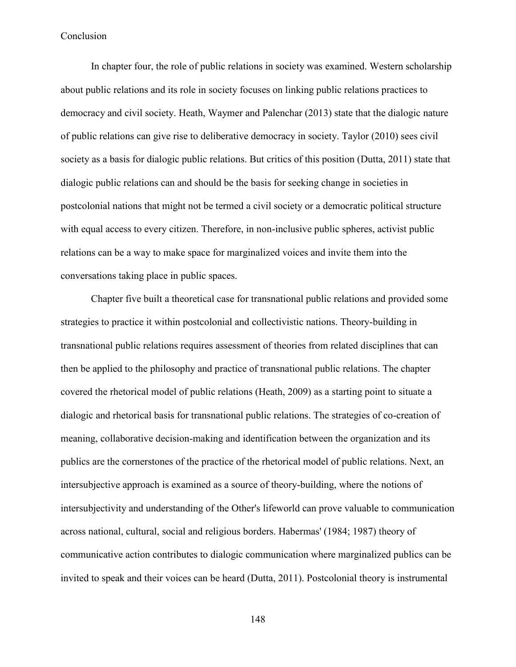In chapter four, the role of public relations in society was examined. Western scholarship about public relations and its role in society focuses on linking public relations practices to democracy and civil society. Heath, Waymer and Palenchar (2013) state that the dialogic nature of public relations can give rise to deliberative democracy in society. Taylor (2010) sees civil society as a basis for dialogic public relations. But critics of this position (Dutta, 2011) state that dialogic public relations can and should be the basis for seeking change in societies in postcolonial nations that might not be termed a civil society or a democratic political structure with equal access to every citizen. Therefore, in non-inclusive public spheres, activist public relations can be a way to make space for marginalized voices and invite them into the conversations taking place in public spaces.

Chapter five built a theoretical case for transnational public relations and provided some strategies to practice it within postcolonial and collectivistic nations. Theory-building in transnational public relations requires assessment of theories from related disciplines that can then be applied to the philosophy and practice of transnational public relations. The chapter covered the rhetorical model of public relations (Heath, 2009) as a starting point to situate a dialogic and rhetorical basis for transnational public relations. The strategies of co-creation of meaning, collaborative decision-making and identification between the organization and its publics are the cornerstones of the practice of the rhetorical model of public relations. Next, an intersubjective approach is examined as a source of theory-building, where the notions of intersubjectivity and understanding of the Other's lifeworld can prove valuable to communication across national, cultural, social and religious borders. Habermas' (1984; 1987) theory of communicative action contributes to dialogic communication where marginalized publics can be invited to speak and their voices can be heard (Dutta, 2011). Postcolonial theory is instrumental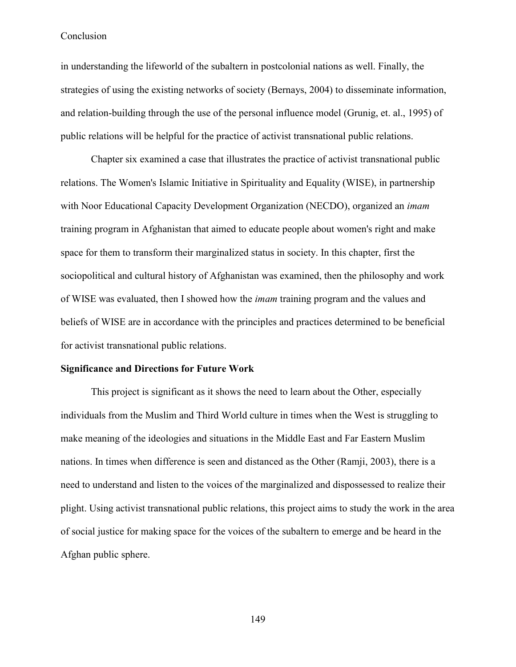in understanding the lifeworld of the subaltern in postcolonial nations as well. Finally, the strategies of using the existing networks of society (Bernays, 2004) to disseminate information, and relation-building through the use of the personal influence model (Grunig, et. al., 1995) of public relations will be helpful for the practice of activist transnational public relations.

Chapter six examined a case that illustrates the practice of activist transnational public relations. The Women's Islamic Initiative in Spirituality and Equality (WISE), in partnership with Noor Educational Capacity Development Organization (NECDO), organized an *imam*  training program in Afghanistan that aimed to educate people about women's right and make space for them to transform their marginalized status in society. In this chapter, first the sociopolitical and cultural history of Afghanistan was examined, then the philosophy and work of WISE was evaluated, then I showed how the *imam* training program and the values and beliefs of WISE are in accordance with the principles and practices determined to be beneficial for activist transnational public relations.

# **Significance and Directions for Future Work**

This project is significant as it shows the need to learn about the Other, especially individuals from the Muslim and Third World culture in times when the West is struggling to make meaning of the ideologies and situations in the Middle East and Far Eastern Muslim nations. In times when difference is seen and distanced as the Other (Ramji, 2003), there is a need to understand and listen to the voices of the marginalized and dispossessed to realize their plight. Using activist transnational public relations, this project aims to study the work in the area of social justice for making space for the voices of the subaltern to emerge and be heard in the Afghan public sphere.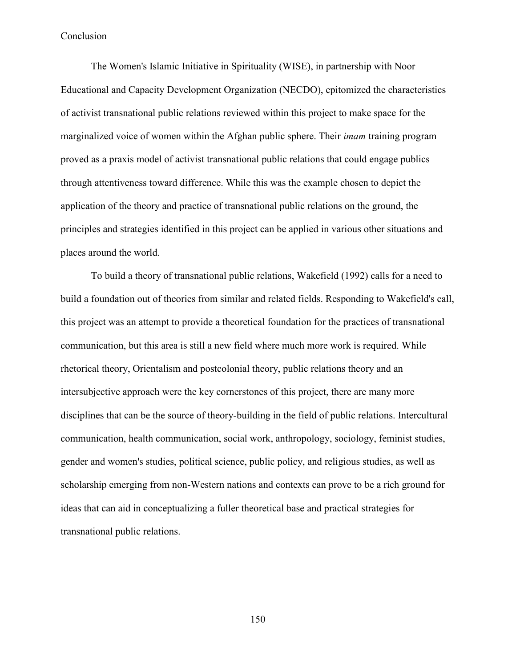The Women's Islamic Initiative in Spirituality (WISE), in partnership with Noor Educational and Capacity Development Organization (NECDO), epitomized the characteristics of activist transnational public relations reviewed within this project to make space for the marginalized voice of women within the Afghan public sphere. Their *imam* training program proved as a praxis model of activist transnational public relations that could engage publics through attentiveness toward difference. While this was the example chosen to depict the application of the theory and practice of transnational public relations on the ground, the principles and strategies identified in this project can be applied in various other situations and places around the world.

To build a theory of transnational public relations, Wakefield (1992) calls for a need to build a foundation out of theories from similar and related fields. Responding to Wakefield's call, this project was an attempt to provide a theoretical foundation for the practices of transnational communication, but this area is still a new field where much more work is required. While rhetorical theory, Orientalism and postcolonial theory, public relations theory and an intersubjective approach were the key cornerstones of this project, there are many more disciplines that can be the source of theory-building in the field of public relations. Intercultural communication, health communication, social work, anthropology, sociology, feminist studies, gender and women's studies, political science, public policy, and religious studies, as well as scholarship emerging from non-Western nations and contexts can prove to be a rich ground for ideas that can aid in conceptualizing a fuller theoretical base and practical strategies for transnational public relations.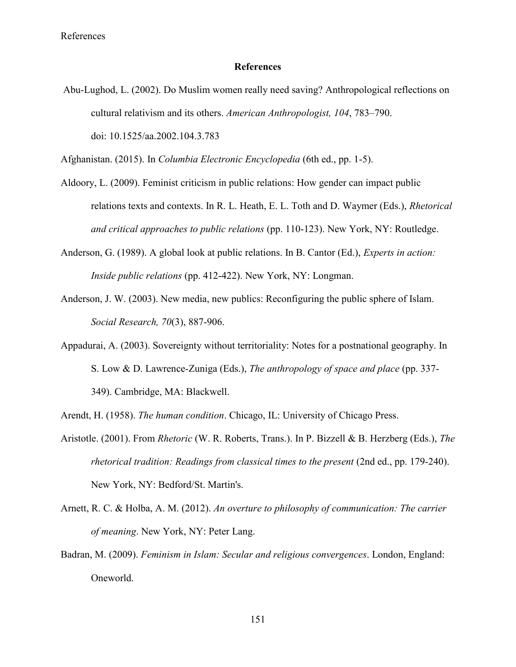References

# **References**

Abu-Lughod, L. (2002). Do Muslim women really need saving? Anthropological reflections on cultural relativism and its others. *American Anthropologist, 104*, 783–790. doi: 10.1525/aa.2002.104.3.783

Afghanistan. (2015). In *Columbia Electronic Encyclopedia* (6th ed., pp. 1-5).

- Aldoory, L. (2009). Feminist criticism in public relations: How gender can impact public relations texts and contexts. In R. L. Heath, E. L. Toth and D. Waymer (Eds.), *Rhetorical and critical approaches to public relations* (pp. 110-123). New York, NY: Routledge.
- Anderson, G. (1989). A global look at public relations. In B. Cantor (Ed.), *Experts in action: Inside public relations* (pp. 412-422). New York, NY: Longman.
- Anderson, J. W. (2003). New media, new publics: Reconfiguring the public sphere of Islam. *Social Research, 70*(3), 887-906.
- Appadurai, A. (2003). Sovereignty without territoriality: Notes for a postnational geography. In S. Low & D. Lawrence-Zuniga (Eds.), *The anthropology of space and place* (pp. 337- 349). Cambridge, MA: Blackwell.

Arendt, H. (1958). *The human condition*. Chicago, IL: University of Chicago Press.

- Aristotle. (2001). From *Rhetoric* (W. R. Roberts, Trans.). In P. Bizzell & B. Herzberg (Eds.), *The rhetorical tradition: Readings from classical times to the present* (2nd ed., pp. 179-240). New York, NY: Bedford/St. Martin's.
- Arnett, R. C. & Holba, A. M. (2012). *An overture to philosophy of communication: The carrier of meaning*. New York, NY: Peter Lang.
- Badran, M. (2009). *Feminism in Islam: Secular and religious convergences*. London, England: Oneworld.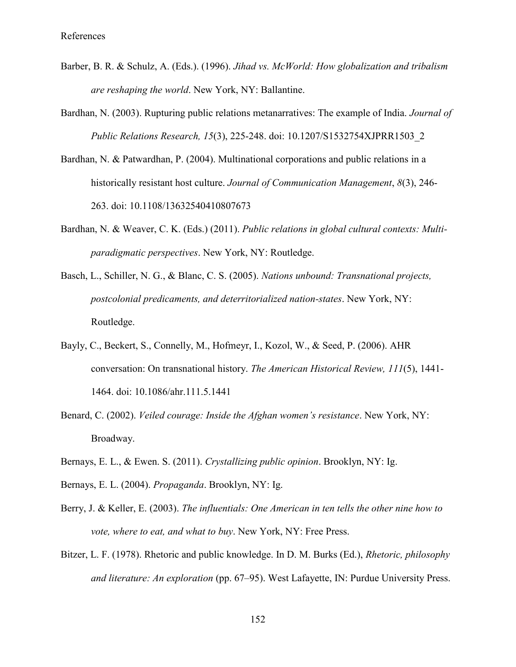- Barber, B. R. & Schulz, A. (Eds.). (1996). *Jihad vs. McWorld: How globalization and tribalism are reshaping the world*. New York, NY: Ballantine.
- Bardhan, N. (2003). Rupturing public relations metanarratives: The example of India. *Journal of Public Relations Research, 15*(3), 225-248. doi: 10.1207/S1532754XJPRR1503\_2
- Bardhan, N. & Patwardhan, P. (2004). Multinational corporations and public relations in a historically resistant host culture. *Journal of Communication Management*, *8*(3), 246- 263. doi: 10.1108/13632540410807673
- Bardhan, N. & Weaver, C. K. (Eds.) (2011). *Public relations in global cultural contexts: Multiparadigmatic perspectives*. New York, NY: Routledge.
- Basch, L., Schiller, N. G., & Blanc, C. S. (2005). *Nations unbound: Transnational projects, postcolonial predicaments, and deterritorialized nation-states*. New York, NY: Routledge.
- Bayly, C., Beckert, S., Connelly, M., Hofmeyr, I., Kozol, W., & Seed, P. (2006). AHR conversation: On transnational history. *The American Historical Review, 111*(5), 1441- 1464. doi: 10.1086/ahr.111.5.1441
- Benard, C. (2002). *Veiled courage: Inside the Afghan women's resistance*. New York, NY: Broadway.
- Bernays, E. L., & Ewen. S. (2011). *Crystallizing public opinion*. Brooklyn, NY: Ig.
- Bernays, E. L. (2004). *Propaganda*. Brooklyn, NY: Ig.
- Berry, J. & Keller, E. (2003). *The influentials: One American in ten tells the other nine how to vote, where to eat, and what to buy*. New York, NY: Free Press.
- Bitzer, L. F. (1978). Rhetoric and public knowledge. In D. M. Burks (Ed.), *Rhetoric, philosophy and literature: An exploration* (pp. 67–95). West Lafayette, IN: Purdue University Press.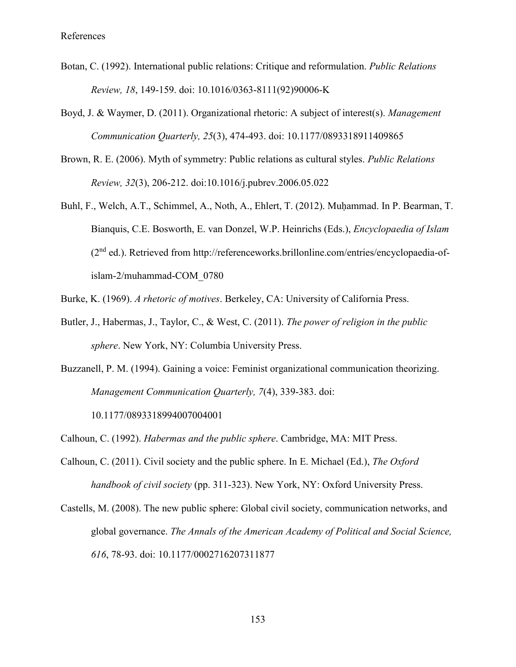- Botan, C. (1992). International public relations: Critique and reformulation. *Public Relations Review, 18*, 149-159. doi: 10.1016/0363-8111(92)90006-K
- Boyd, J. & Waymer, D. (2011). Organizational rhetoric: A subject of interest(s). *Management Communication Quarterly, 25*(3), 474-493. doi: 10.1177/0893318911409865
- Brown, R. E. (2006). Myth of symmetry: Public relations as cultural styles. *Public Relations Review, 32*(3), 206-212. doi:10.1016/j.pubrev.2006.05.022
- Buhl, F., Welch, A.T., Schimmel, A., Noth, A., Ehlert, T. (2012). Muḥammad. In P. Bearman, T. Bianquis, C.E. Bosworth, E. van Donzel, W.P. Heinrichs (Eds.), *Encyclopaedia of Islam* (2nd ed.). Retrieved from http://referenceworks.brillonline.com/entries/encyclopaedia-ofislam-2/muhammad-COM\_0780
- Burke, K. (1969). *A rhetoric of motives*. Berkeley, CA: University of California Press.
- Butler, J., Habermas, J., Taylor, C., & West, C. (2011). *The power of religion in the public sphere*. New York, NY: Columbia University Press.
- Buzzanell, P. M. (1994). Gaining a voice: Feminist organizational communication theorizing. *Management Communication Quarterly, 7*(4), 339-383. doi:

10.1177/0893318994007004001

Calhoun, C. (1992). *Habermas and the public sphere*. Cambridge, MA: MIT Press.

- Calhoun, C. (2011). Civil society and the public sphere. In E. Michael (Ed.), *The Oxford handbook of civil society* (pp. 311-323). New York, NY: Oxford University Press.
- Castells, M. (2008). The new public sphere: Global civil society, communication networks, and global governance. *The Annals of the American Academy of Political and Social Science, 616*, 78-93. doi: 10.1177/0002716207311877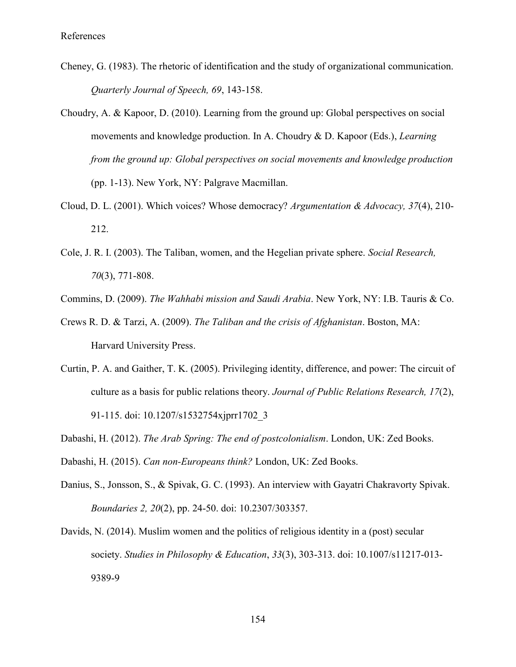- Cheney, G. (1983). The rhetoric of identification and the study of organizational communication. *Quarterly Journal of Speech, 69*, 143-158.
- Choudry, A. & Kapoor, D. (2010). Learning from the ground up: Global perspectives on social movements and knowledge production. In A. Choudry & D. Kapoor (Eds.), *Learning from the ground up: Global perspectives on social movements and knowledge production* (pp. 1-13). New York, NY: Palgrave Macmillan.
- Cloud, D. L. (2001). Which voices? Whose democracy? *Argumentation & Advocacy, 37*(4), 210- 212.
- Cole, J. R. I. (2003). The Taliban, women, and the Hegelian private sphere. *Social Research, 70*(3), 771-808.
- Commins, D. (2009). *The Wahhabi mission and Saudi Arabia*. New York, NY: I.B. Tauris & Co.
- Crews R. D. & Tarzi, A. (2009). *The Taliban and the crisis of Afghanistan*. Boston, MA: Harvard University Press.
- Curtin, P. A. and Gaither, T. K. (2005). Privileging identity, difference, and power: The circuit of culture as a basis for public relations theory. *Journal of Public Relations Research, 17*(2), 91-115. doi: 10.1207/s1532754xjprr1702\_3
- Dabashi, H. (2012). *The Arab Spring: The end of postcolonialism*. London, UK: Zed Books.
- Dabashi, H. (2015). *Can non-Europeans think?* London, UK: Zed Books.
- Danius, S., Jonsson, S., & Spivak, G. C. (1993). An interview with Gayatri Chakravorty Spivak. *Boundaries 2, 20*(2), pp. 24-50. doi: 10.2307/303357.
- Davids, N. (2014). Muslim women and the politics of religious identity in a (post) secular society. *Studies in Philosophy & Education*, *33*(3), 303-313. doi: 10.1007/s11217-013- 9389-9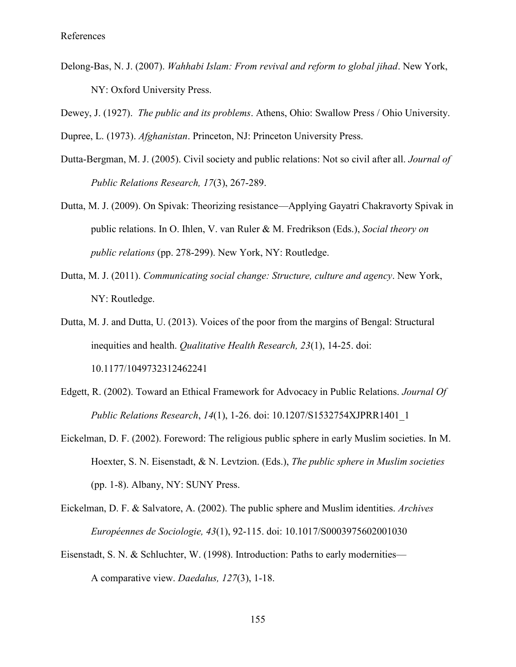- Delong-Bas, N. J. (2007). *Wahhabi Islam: From revival and reform to global jihad*. New York, NY: Oxford University Press.
- Dewey, J. (1927). *The public and its problems*. Athens, Ohio: Swallow Press / Ohio University.

Dupree, L. (1973). *Afghanistan*. Princeton, NJ: Princeton University Press.

- Dutta-Bergman, M. J. (2005). Civil society and public relations: Not so civil after all. *Journal of Public Relations Research, 17*(3), 267-289.
- Dutta, M. J. (2009). On Spivak: Theorizing resistance—Applying Gayatri Chakravorty Spivak in public relations. In O. Ihlen, V. van Ruler & M. Fredrikson (Eds.), *Social theory on public relations* (pp. 278-299). New York, NY: Routledge.
- Dutta, M. J. (2011). *Communicating social change: Structure, culture and agency*. New York, NY: Routledge.
- Dutta, M. J. and Dutta, U. (2013). Voices of the poor from the margins of Bengal: Structural inequities and health. *Qualitative Health Research, 23*(1), 14-25. doi: 10.1177/1049732312462241
- Edgett, R. (2002). Toward an Ethical Framework for Advocacy in Public Relations. *Journal Of Public Relations Research*, *14*(1), 1-26. doi: 10.1207/S1532754XJPRR1401\_1
- Eickelman, D. F. (2002). Foreword: The religious public sphere in early Muslim societies. In M. Hoexter, S. N. Eisenstadt, & N. Levtzion. (Eds.), *The public sphere in Muslim societies* (pp. 1-8). Albany, NY: SUNY Press.
- Eickelman, D. F. & Salvatore, A. (2002). The public sphere and Muslim identities. *Archives Européennes de Sociologie, 43*(1), 92-115. doi: 10.1017/S0003975602001030
- Eisenstadt, S. N. & Schluchter, W. (1998). Introduction: Paths to early modernities— A comparative view. *Daedalus, 127*(3), 1-18.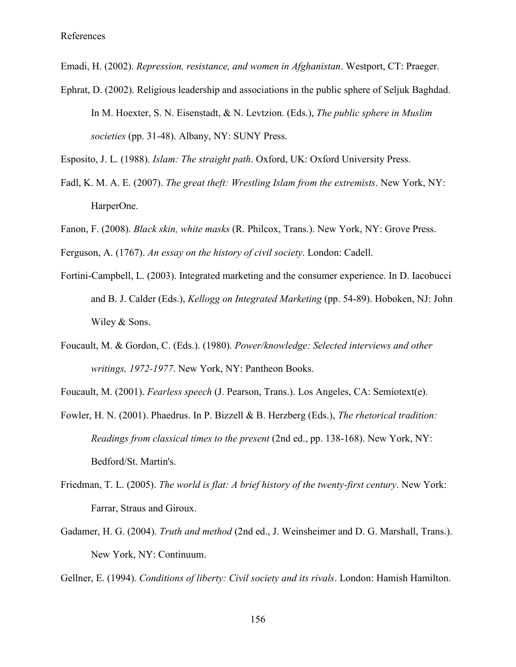Emadi, H. (2002). *Repression, resistance, and women in Afghanistan*. Westport, CT: Praeger.

Ephrat, D. (2002). Religious leadership and associations in the public sphere of Seljuk Baghdad. In M. Hoexter, S. N. Eisenstadt, & N. Levtzion. (Eds.), *The public sphere in Muslim societies* (pp. 31-48). Albany, NY: SUNY Press.

Esposito, J. L. (1988). *Islam: The straight path*. Oxford, UK: Oxford University Press.

- Fadl, K. M. A. E. (2007). *The great theft: Wrestling Islam from the extremists*. New York, NY: HarperOne.
- Fanon, F. (2008). *Black skin, white masks* (R. Philcox, Trans.). New York, NY: Grove Press.
- Ferguson, A. (1767). *An essay on the history of civil society*. London: Cadell.
- Fortini-Campbell, L. (2003). Integrated marketing and the consumer experience. In D. Iacobucci and B. J. Calder (Eds.), *Kellogg on Integrated Marketing* (pp. 54-89). Hoboken, NJ: John Wiley & Sons.
- Foucault, M. & Gordon, C. (Eds.). (1980). *Power/knowledge: Selected interviews and other writings, 1972-1977*. New York, NY: Pantheon Books.
- Foucault, M. (2001). *Fearless speech* (J. Pearson, Trans.). Los Angeles, CA: Semiotext(e).
- Fowler, H. N. (2001). Phaedrus. In P. Bizzell & B. Herzberg (Eds.), *The rhetorical tradition: Readings from classical times to the present* (2nd ed., pp. 138-168). New York, NY: Bedford/St. Martin's.
- Friedman, T. L. (2005). *The world is flat: A brief history of the twenty-first century*. New York: Farrar, Straus and Giroux.
- Gadamer, H. G. (2004). *Truth and method* (2nd ed., J. Weinsheimer and D. G. Marshall, Trans.). New York, NY: Continuum.

Gellner, E. (1994). *Conditions of liberty: Civil society and its rivals*. London: Hamish Hamilton.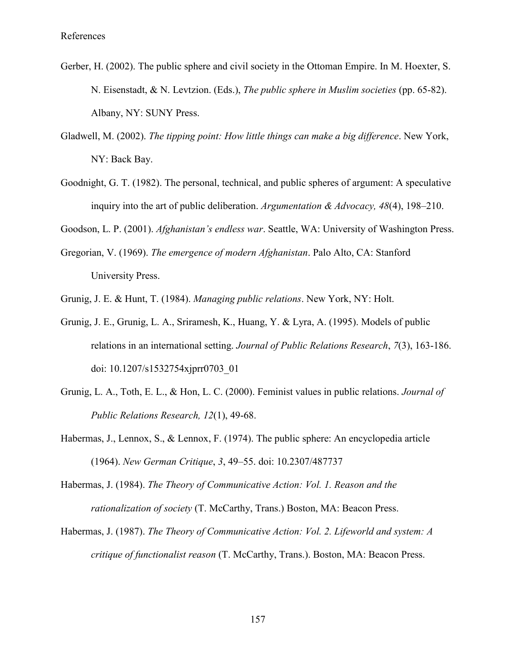- Gerber, H. (2002). The public sphere and civil society in the Ottoman Empire. In M. Hoexter, S. N. Eisenstadt, & N. Levtzion. (Eds.), *The public sphere in Muslim societies* (pp. 65-82). Albany, NY: SUNY Press.
- Gladwell, M. (2002). *The tipping point: How little things can make a big difference*. New York, NY: Back Bay.
- Goodnight, G. T. (1982). The personal, technical, and public spheres of argument: A speculative inquiry into the art of public deliberation. *Argumentation & Advocacy, 48*(4), 198–210.

Goodson, L. P. (2001). *Afghanistan's endless war*. Seattle, WA: University of Washington Press.

- Gregorian, V. (1969). *The emergence of modern Afghanistan*. Palo Alto, CA: Stanford University Press.
- Grunig, J. E. & Hunt, T. (1984). *Managing public relations*. New York, NY: Holt.
- Grunig, J. E., Grunig, L. A., Sriramesh, K., Huang, Y. & Lyra, A. (1995). Models of public relations in an international setting. *Journal of Public Relations Research*, *7*(3), 163-186. doi: 10.1207/s1532754xjprr0703\_01
- Grunig, L. A., Toth, E. L., & Hon, L. C. (2000). Feminist values in public relations. *Journal of Public Relations Research, 12*(1), 49-68.
- Habermas, J., Lennox, S., & Lennox, F. (1974). The public sphere: An encyclopedia article (1964). *New German Critique*, *3*, 49–55. doi: 10.2307/487737
- Habermas, J. (1984). *The Theory of Communicative Action: Vol. 1. Reason and the rationalization of society* (T. McCarthy, Trans.) Boston, MA: Beacon Press.
- Habermas, J. (1987). *The Theory of Communicative Action: Vol. 2. Lifeworld and system: A critique of functionalist reason* (T. McCarthy, Trans.). Boston, MA: Beacon Press.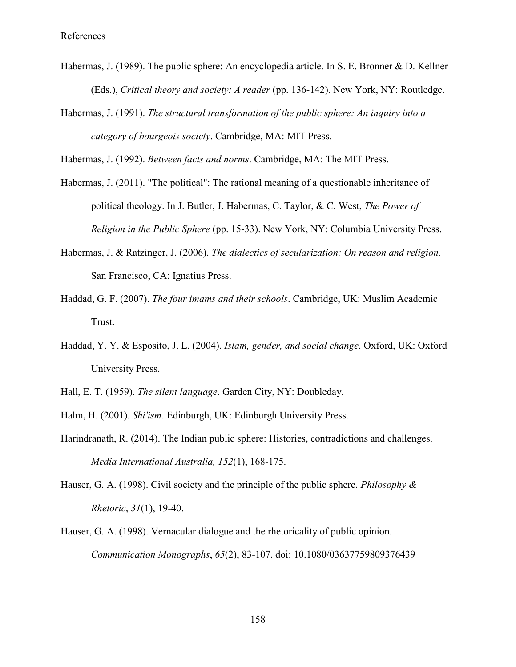- Habermas, J. (1989). The public sphere: An encyclopedia article. In S. E. Bronner & D. Kellner (Eds.), *Critical theory and society: A reader* (pp. 136-142). New York, NY: Routledge.
- Habermas, J. (1991). *The structural transformation of the public sphere: An inquiry into a category of bourgeois society*. Cambridge, MA: MIT Press.

Habermas, J. (1992). *Between facts and norms*. Cambridge, MA: The MIT Press.

- Habermas, J. (2011). "The political": The rational meaning of a questionable inheritance of political theology. In J. Butler, J. Habermas, C. Taylor, & C. West, *The Power of Religion in the Public Sphere* (pp. 15-33). New York, NY: Columbia University Press.
- Habermas, J. & Ratzinger, J. (2006). *The dialectics of secularization: On reason and religion.*  San Francisco, CA: Ignatius Press.
- Haddad, G. F. (2007). *The four imams and their schools*. Cambridge, UK: Muslim Academic Trust.
- Haddad, Y. Y. & Esposito, J. L. (2004). *Islam, gender, and social change*. Oxford, UK: Oxford University Press.
- Hall, E. T. (1959). *The silent language*. Garden City, NY: Doubleday.
- Halm, H. (2001). *Shi'ism*. Edinburgh, UK: Edinburgh University Press.
- Harindranath, R. (2014). The Indian public sphere: Histories, contradictions and challenges. *Media International Australia, 152*(1), 168-175.
- Hauser, G. A. (1998). Civil society and the principle of the public sphere. *Philosophy & Rhetoric*, *31*(1), 19-40.
- Hauser, G. A. (1998). Vernacular dialogue and the rhetoricality of public opinion. *Communication Monographs*, *65*(2), 83-107. doi: 10.1080/03637759809376439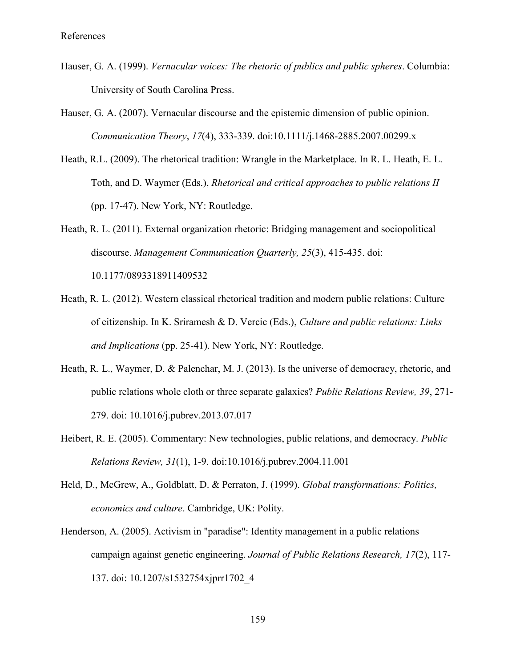- Hauser, G. A. (1999). *Vernacular voices: The rhetoric of publics and public spheres*. Columbia: University of South Carolina Press.
- Hauser, G. A. (2007). Vernacular discourse and the epistemic dimension of public opinion. *Communication Theory*, *17*(4), 333-339. doi:10.1111/j.1468-2885.2007.00299.x
- Heath, R.L. (2009). The rhetorical tradition: Wrangle in the Marketplace. In R. L. Heath, E. L. Toth, and D. Waymer (Eds.), *Rhetorical and critical approaches to public relations II* (pp. 17-47). New York, NY: Routledge.
- Heath, R. L. (2011). External organization rhetoric: Bridging management and sociopolitical discourse. *Management Communication Quarterly, 25*(3), 415-435. doi: 10.1177/0893318911409532
- Heath, R. L. (2012). Western classical rhetorical tradition and modern public relations: Culture of citizenship. In K. Sriramesh & D. Vercic (Eds.), *Culture and public relations: Links and Implications* (pp. 25-41). New York, NY: Routledge.
- Heath, R. L., Waymer, D. & Palenchar, M. J. (2013). Is the universe of democracy, rhetoric, and public relations whole cloth or three separate galaxies? *Public Relations Review, 39*, 271- 279. doi: 10.1016/j.pubrev.2013.07.017
- Heibert, R. E. (2005). Commentary: New technologies, public relations, and democracy. *Public Relations Review, 31*(1), 1-9. doi:10.1016/j.pubrev.2004.11.001
- Held, D., McGrew, A., Goldblatt, D. & Perraton, J. (1999). *Global transformations: Politics, economics and culture*. Cambridge, UK: Polity.
- Henderson, A. (2005). Activism in "paradise": Identity management in a public relations campaign against genetic engineering. *Journal of Public Relations Research, 17*(2), 117- 137. doi: 10.1207/s1532754xjprr1702\_4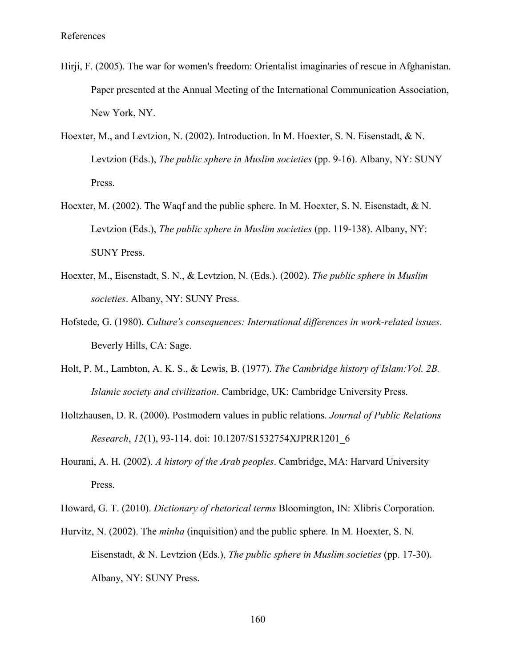- Hirji, F. (2005). The war for women's freedom: Orientalist imaginaries of rescue in Afghanistan. Paper presented at the Annual Meeting of the International Communication Association, [New](file:///C:/Users/Arshia/AppData/Local/Temp/New) York, NY.
- Hoexter, M., and Levtzion, N. (2002). Introduction. In M. Hoexter, S. N. Eisenstadt, & N. Levtzion (Eds.), *The public sphere in Muslim societies* (pp. 9-16). Albany, NY: SUNY Press.
- Hoexter, M. (2002). The Waqf and the public sphere. In M. Hoexter, S. N. Eisenstadt, & N. Levtzion (Eds.), *The public sphere in Muslim societies* (pp. 119-138). Albany, NY: SUNY Press.
- Hoexter, M., Eisenstadt, S. N., & Levtzion, N. (Eds.). (2002). *The public sphere in Muslim societies*. Albany, NY: SUNY Press.
- Hofstede, G. (1980). *Culture's consequences: International differences in work-related issues*. Beverly Hills, CA: Sage.
- Holt, P. M., Lambton, A. K. S., & Lewis, B. (1977). *The Cambridge history of Islam:Vol. 2B. Islamic society and civilization*. Cambridge, UK: Cambridge University Press.
- Holtzhausen, D. R. (2000). Postmodern values in public relations. *Journal of Public Relations Research*, *12*(1), 93-114. doi: 10.1207/S1532754XJPRR1201\_6
- Hourani, A. H. (2002). *A history of the Arab peoples*. Cambridge, MA: Harvard University Press.
- Howard, G. T. (2010). *Dictionary of rhetorical terms* Bloomington, IN: Xlibris Corporation.
- Hurvitz, N. (2002). The *minha* (inquisition) and the public sphere. In M. Hoexter, S. N. Eisenstadt, & N. Levtzion (Eds.), *The public sphere in Muslim societies* (pp. 17-30). Albany, NY: SUNY Press.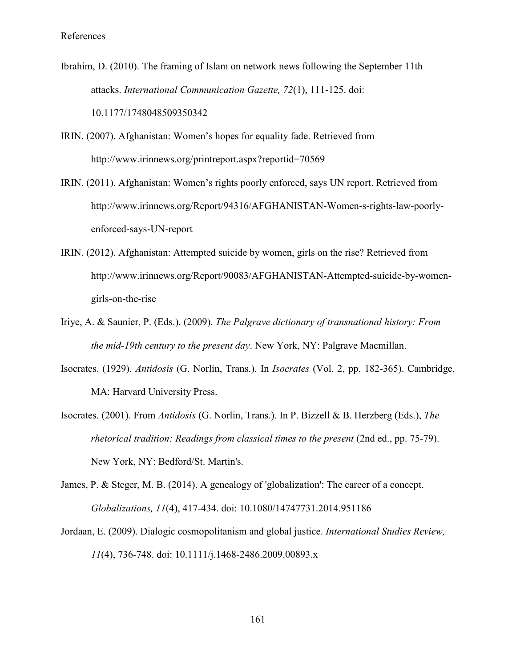Ibrahim, D. (2010). The framing of Islam on network news following the September 11th attacks. *International Communication Gazette, 72*(1), 111-125. doi: 10.1177/1748048509350342

IRIN. (2007). Afghanistan: Women's hopes for equality fade. Retrieved from http://www.irinnews.org/printreport.aspx?reportid=70569

IRIN. (2011). Afghanistan: Women's rights poorly enforced, says UN report. Retrieved from http://www.irinnews.org/Report/94316/AFGHANISTAN-Women-s-rights-law-poorlyenforced-says-UN-report

- IRIN. (2012). Afghanistan: Attempted suicide by women, girls on the rise? Retrieved from http://www.irinnews.org/Report/90083/AFGHANISTAN-Attempted-suicide-by-womengirls-on-the-rise
- Iriye, A. & Saunier, P. (Eds.). (2009). *The Palgrave dictionary of transnational history: From the mid-19th century to the present day*. New York, NY: Palgrave Macmillan.
- Isocrates. (1929). *Antidosis* (G. Norlin, Trans.). In *Isocrates* (Vol. 2, pp. 182-365). Cambridge, MA: Harvard University Press.
- Isocrates. (2001). From *Antidosis* (G. Norlin, Trans.). In P. Bizzell & B. Herzberg (Eds.), *The rhetorical tradition: Readings from classical times to the present* (2nd ed., pp. 75-79). New York, NY: Bedford/St. Martin's.
- James, P. & Steger, M. B. (2014). A genealogy of 'globalization': The career of a concept. *Globalizations, 11*(4), 417-434. doi: 10.1080/14747731.2014.951186
- Jordaan, E. (2009). Dialogic cosmopolitanism and global justice. *International Studies Review, 11*(4), 736-748. doi: 10.1111/j.1468-2486.2009.00893.x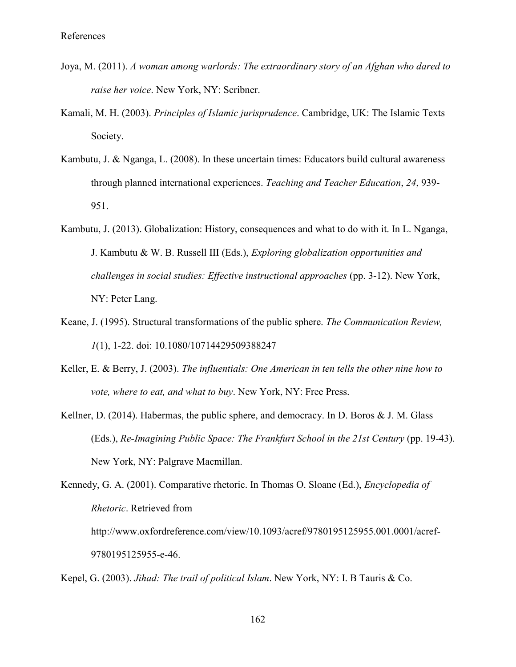- Joya, M. (2011). *A woman among warlords: The extraordinary story of an Afghan who dared to raise her voice*. New York, NY: Scribner.
- Kamali, M. H. (2003). *Principles of Islamic jurisprudence*. Cambridge, UK: The Islamic Texts Society.
- Kambutu, J. & Nganga, L. (2008). In these uncertain times: Educators build cultural awareness through planned international experiences. *Teaching and Teacher Education*, *24*, 939- 951.
- Kambutu, J. (2013). Globalization: History, consequences and what to do with it. In L. Nganga, J. Kambutu & W. B. Russell III (Eds.), *Exploring globalization opportunities and challenges in social studies: Effective instructional approaches* (pp. 3-12). New York, NY: Peter Lang.
- Keane, J. (1995). Structural transformations of the public sphere. *The Communication Review, 1*(1), 1-22. doi: 10.1080/10714429509388247
- Keller, E. & Berry, J. (2003). *The influentials: One American in ten tells the other nine how to vote, where to eat, and what to buy*. New York, NY: Free Press.
- Kellner, D. (2014). Habermas, the public sphere, and democracy. In D. Boros & J. M. Glass (Eds.), *Re-Imagining Public Space: The Frankfurt School in the 21st Century* (pp. 19-43). New York, NY: Palgrave Macmillan.

Kennedy, G. A. (2001). Comparative rhetoric. In Thomas O. Sloane (Ed.), *Encyclopedia of Rhetoric*. Retrieved from http://www.oxfordreference.com/view/10.1093/acref/9780195125955.001.0001/acref-9780195125955-e-46.

Kepel, G. (2003). *Jihad: The trail of political Islam*. New York, NY: I. B Tauris & Co.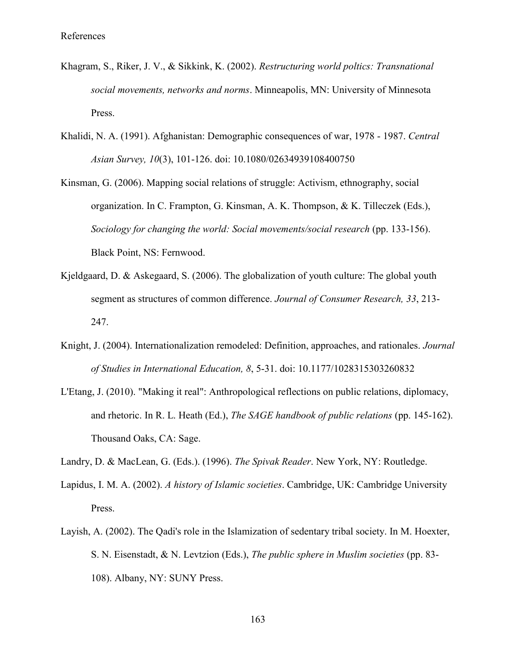- Khagram, S., Riker, J. V., & Sikkink, K. (2002). *Restructuring world poltics: Transnational social movements, networks and norms*. Minneapolis, MN: University of Minnesota Press.
- Khalidi, N. A. (1991). Afghanistan: Demographic consequences of war, 1978 1987. *Central Asian Survey, 10*(3), 101-126. doi: 10.1080/02634939108400750
- Kinsman, G. (2006). Mapping social relations of struggle: Activism, ethnography, social organization. In C. Frampton, G. Kinsman, A. K. Thompson, & K. Tilleczek (Eds.), *Sociology for changing the world: Social movements/social research* (pp. 133-156). Black Point, NS: Fernwood.
- Kjeldgaard, D. & Askegaard, S. (2006). The globalization of youth culture: The global youth segment as structures of common difference. *Journal of Consumer Research, 33*, 213- 247.
- Knight, J. (2004). Internationalization remodeled: Definition, approaches, and rationales. *Journal of Studies in International Education, 8*, 5-31. doi: 10.1177/1028315303260832
- L'Etang, J. (2010). "Making it real": Anthropological reflections on public relations, diplomacy, and rhetoric. In R. L. Heath (Ed.), *The SAGE handbook of public relations* (pp. 145-162). Thousand Oaks, CA: Sage.
- Landry, D. & MacLean, G. (Eds.). (1996). *The Spivak Reader*. New York, NY: Routledge.
- Lapidus, I. M. A. (2002). *A history of Islamic societies*. Cambridge, UK: Cambridge University Press.
- Layish, A. (2002). The Qadi's role in the Islamization of sedentary tribal society. In M. Hoexter, S. N. Eisenstadt, & N. Levtzion (Eds.), *The public sphere in Muslim societies* (pp. 83- 108). Albany, NY: SUNY Press.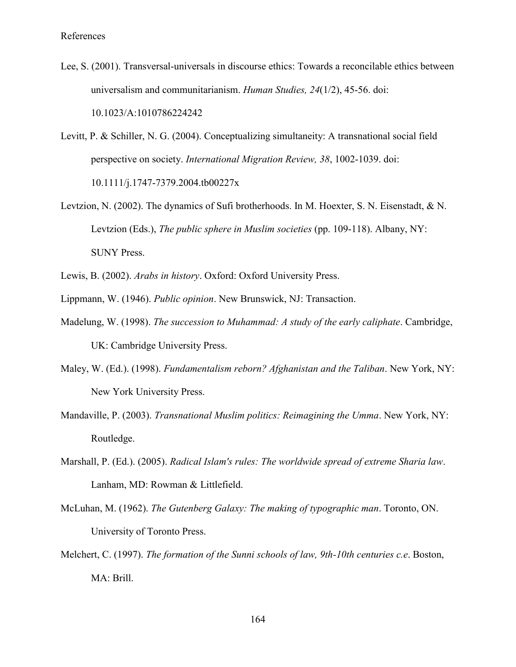- Lee, S. (2001). Transversal-universals in discourse ethics: Towards a reconcilable ethics between universalism and communitarianism. *Human Studies, 24*(1/2), 45-56. doi: 10.1023/A:1010786224242
- Levitt, P. & Schiller, N. G. (2004). Conceptualizing simultaneity: A transnational social field perspective on society. *International Migration Review, 38*, 1002-1039. doi: 10.1111/j.1747-7379.2004.tb00227x
- Levtzion, N. (2002). The dynamics of Sufi brotherhoods. In M. Hoexter, S. N. Eisenstadt, & N. Levtzion (Eds.), *The public sphere in Muslim societies* (pp. 109-118). Albany, NY: SUNY Press.
- Lewis, B. (2002). *Arabs in history*. Oxford: Oxford University Press.
- Lippmann, W. (1946). *Public opinion*. New Brunswick, NJ: Transaction.
- Madelung, W. (1998). *The succession to Muhammad: A study of the early caliphate*. Cambridge, UK: Cambridge University Press.
- Maley, W. (Ed.). (1998). *Fundamentalism reborn? Afghanistan and the Taliban*. New York, NY: New York University Press.
- Mandaville, P. (2003). *Transnational Muslim politics: Reimagining the Umma*. New York, NY: Routledge.
- Marshall, P. (Ed.). (2005). *Radical Islam's rules: The worldwide spread of extreme Sharia law*. Lanham, MD: Rowman & Littlefield.
- McLuhan, M. (1962). *The Gutenberg Galaxy: The making of typographic man*. Toronto, ON. University of Toronto Press.
- Melchert, C. (1997). *The formation of the Sunni schools of law, 9th-10th centuries c.e*. Boston, MA: Brill.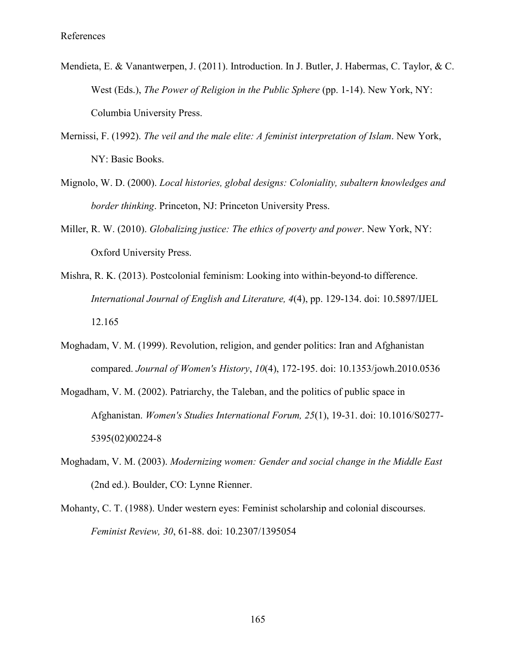- Mendieta, E. & Vanantwerpen, J. (2011). Introduction. In J. Butler, J. Habermas, C. Taylor, & C. West (Eds.), *The Power of Religion in the Public Sphere* (pp. 1-14). New York, NY: Columbia University Press.
- Mernissi, F. (1992). *The veil and the male elite: A feminist interpretation of Islam*. New York, NY: Basic Books.
- Mignolo, W. D. (2000). *Local histories, global designs: Coloniality, subaltern knowledges and border thinking*. Princeton, NJ: Princeton University Press.
- Miller, R. W. (2010). *Globalizing justice: The ethics of poverty and power*. New York, NY: Oxford University Press.
- Mishra, R. K. (2013). Postcolonial feminism: Looking into within-beyond-to difference. *International Journal of English and Literature, 4*(4), pp. 129-134. doi: 10.5897/IJEL 12.165
- Moghadam, V. M. (1999). Revolution, religion, and gender politics: Iran and Afghanistan compared. *Journal of Women's History*, *10*(4), 172-195. doi: 10.1353/jowh.2010.0536
- Mogadham, V. M. (2002). Patriarchy, the Taleban, and the politics of public space in Afghanistan. *Women's Studies International Forum, 25*(1), 19-31. doi: 10.1016/S0277- 5395(02)00224-8
- Moghadam, V. M. (2003). *Modernizing women: Gender and social change in the Middle East* (2nd ed.). Boulder, CO: Lynne Rienner.
- Mohanty, C. T. (1988). Under western eyes: Feminist scholarship and colonial discourses. *Feminist Review, 30*, 61-88. doi: 10.2307/1395054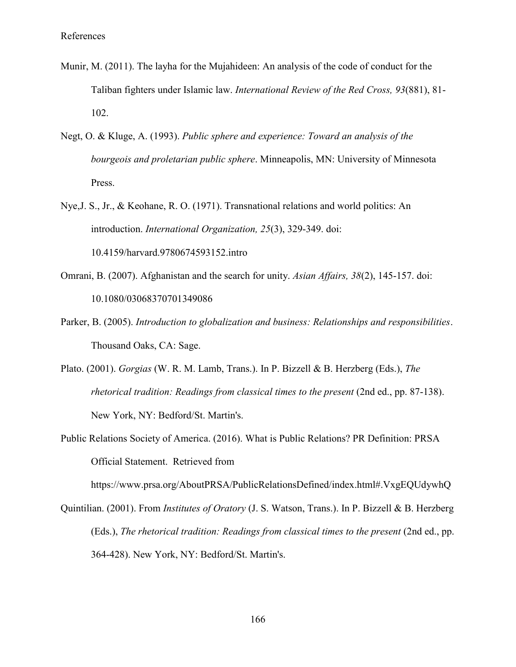- Munir, M. (2011). The layha for the Mujahideen: An analysis of the code of conduct for the Taliban fighters under Islamic law. *International Review of the Red Cross, 93*(881), 81- 102.
- Negt, O. & Kluge, A. (1993). *Public sphere and experience: Toward an analysis of the bourgeois and proletarian public sphere*. Minneapolis, MN: University of Minnesota Press.
- Nye,J. S., Jr., & Keohane, R. O. (1971). Transnational relations and world politics: An introduction. *International Organization, 25*(3), 329-349. doi: 10.4159/harvard.9780674593152.intro
- Omrani, B. (2007). Afghanistan and the search for unity. *Asian Affairs, 38*(2), 145-157. doi: 10.1080/03068370701349086
- Parker, B. (2005). *Introduction to globalization and business: Relationships and responsibilities*. Thousand Oaks, CA: Sage.
- Plato. (2001). *Gorgias* (W. R. M. Lamb, Trans.). In P. Bizzell & B. Herzberg (Eds.), *The rhetorical tradition: Readings from classical times to the present* (2nd ed., pp. 87-138). New York, NY: Bedford/St. Martin's.
- Public Relations Society of America. (2016). What is Public Relations? PR Definition: PRSA Official Statement. Retrieved from

https://www.prsa.org/AboutPRSA/PublicRelationsDefined/index.html#.VxgEQUdywhQ

Quintilian. (2001). From *Institutes of Oratory* (J. S. Watson, Trans.). In P. Bizzell & B. Herzberg (Eds.), *The rhetorical tradition: Readings from classical times to the present* (2nd ed., pp. 364-428). New York, NY: Bedford/St. Martin's.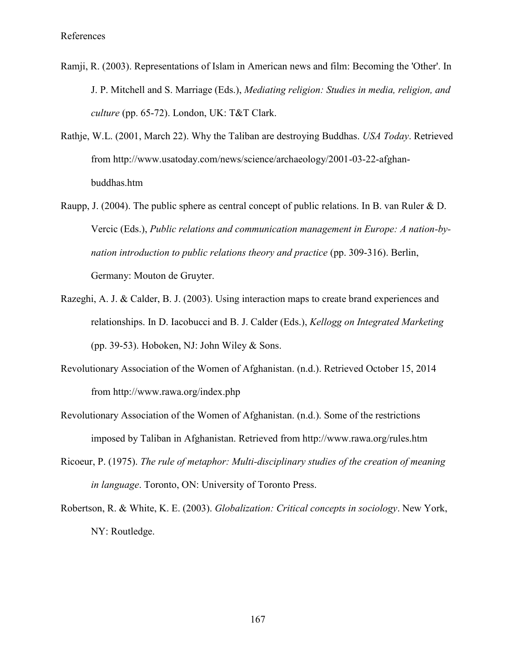- Ramji, R. (2003). Representations of Islam in American news and film: Becoming the 'Other'. In J. P. Mitchell and S. Marriage (Eds.), *Mediating religion: Studies in media, religion, and culture* (pp. 65-72). London, UK: T&T Clark.
- Rathje, W.L. (2001, March 22). Why the Taliban are destroying Buddhas. *USA Today*. Retrieved from http://www.usatoday.com/news/science/archaeology/2001-03-22-afghanbuddhas.htm
- Raupp, J. (2004). The public sphere as central concept of public relations. In B. van Ruler & D. Vercic (Eds.), *Public relations and communication management in Europe: A nation-bynation introduction to public relations theory and practice* (pp. 309-316). Berlin, Germany: Mouton de Gruyter.
- Razeghi, A. J. & Calder, B. J. (2003). Using interaction maps to create brand experiences and relationships. In D. Iacobucci and B. J. Calder (Eds.), *Kellogg on Integrated Marketing* (pp. 39-53). Hoboken, NJ: John Wiley & Sons.
- Revolutionary Association of the Women of Afghanistan. (n.d.). Retrieved October 15, 2014 from http://www.rawa.org/index.php
- Revolutionary Association of the Women of Afghanistan. (n.d.). Some of the restrictions imposed by Taliban in Afghanistan. Retrieved from http://www.rawa.org/rules.htm
- Ricoeur, P. (1975). *The rule of metaphor: Multi-disciplinary studies of the creation of meaning in language*. Toronto, ON: University of Toronto Press.
- Robertson, R. & White, K. E. (2003). *Globalization: Critical concepts in sociology*. New York, NY: Routledge.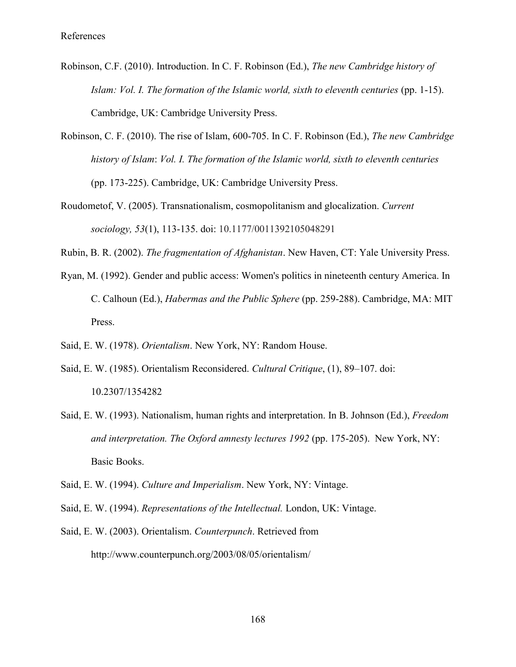- Robinson, C.F. (2010). Introduction. In C. F. Robinson (Ed.), *The new Cambridge history of Islam: Vol. I. The formation of the Islamic world, sixth to eleventh centuries* (pp. 1-15). Cambridge, UK: Cambridge University Press.
- Robinson, C. F. (2010). The rise of Islam, 600-705. In C. F. Robinson (Ed.), *The new Cambridge history of Islam*: *Vol. I. The formation of the Islamic world, sixth to eleventh centuries* (pp. 173-225). Cambridge, UK: Cambridge University Press.
- Roudometof, V. (2005). Transnationalism, cosmopolitanism and glocalization. *Current sociology, 53*(1), 113-135. doi: 10.1177/0011392105048291
- Rubin, B. R. (2002). *The fragmentation of Afghanistan*. New Haven, CT: Yale University Press.
- Ryan, M. (1992). Gender and public access: Women's politics in nineteenth century America. In C. Calhoun (Ed.), *Habermas and the Public Sphere* (pp. 259-288). Cambridge, MA: MIT Press.
- Said, E. W. (1978). *Orientalism*. New York, NY: Random House.
- Said, E. W. (1985). Orientalism Reconsidered. *Cultural Critique*, (1), 89–107. doi: 10.2307/1354282
- Said, E. W. (1993). Nationalism, human rights and interpretation. In B. Johnson (Ed.), *Freedom and interpretation. The Oxford amnesty lectures 1992* (pp. 175-205). New York, NY: Basic Books.
- Said, E. W. (1994). *Culture and Imperialism*. New York, NY: Vintage.
- Said, E. W. (1994). *Representations of the Intellectual.* London, UK: Vintage.
- Said, E. W. (2003). Orientalism. *Counterpunch*. Retrieved from http://www.counterpunch.org/2003/08/05/orientalism/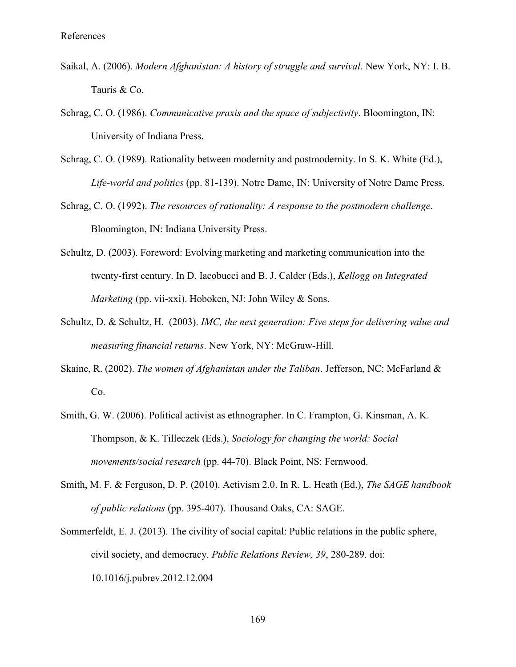- Saikal, A. (2006). *Modern Afghanistan: A history of struggle and survival*. New York, NY: I. B. Tauris & Co.
- Schrag, C. O. (1986). *Communicative praxis and the space of subjectivity*. Bloomington, IN: University of Indiana Press.
- Schrag, C. O. (1989). Rationality between modernity and postmodernity. In S. K. White (Ed.), *Life-world and politics* (pp. 81-139). Notre Dame, IN: University of Notre Dame Press.
- Schrag, C. O. (1992). *The resources of rationality: A response to the postmodern challenge*. Bloomington, IN: Indiana University Press.
- Schultz, D. (2003). Foreword: Evolving marketing and marketing communication into the twenty-first century. In D. Iacobucci and B. J. Calder (Eds.), *Kellogg on Integrated Marketing* (pp. vii-xxi). Hoboken, NJ: John Wiley & Sons.
- Schultz, D. & Schultz, H. (2003). *IMC, the next generation: Five steps for delivering value and measuring financial returns*. New York, NY: McGraw-Hill.
- Skaine, R. (2002). *The women of Afghanistan under the Taliban*. Jefferson, NC: McFarland & Co.
- Smith, G. W. (2006). Political activist as ethnographer. In C. Frampton, G. Kinsman, A. K. Thompson, & K. Tilleczek (Eds.), *Sociology for changing the world: Social movements/social research* (pp. 44-70). Black Point, NS: Fernwood.
- Smith, M. F. & Ferguson, D. P. (2010). Activism 2.0. In R. L. Heath (Ed.), *The SAGE handbook of public relations* (pp. 395-407). Thousand Oaks, CA: SAGE.
- Sommerfeldt, E. J. (2013). The civility of social capital: Public relations in the public sphere, civil society, and democracy. *Public Relations Review, 39*, 280-289. doi: 10.1016/j.pubrev.2012.12.004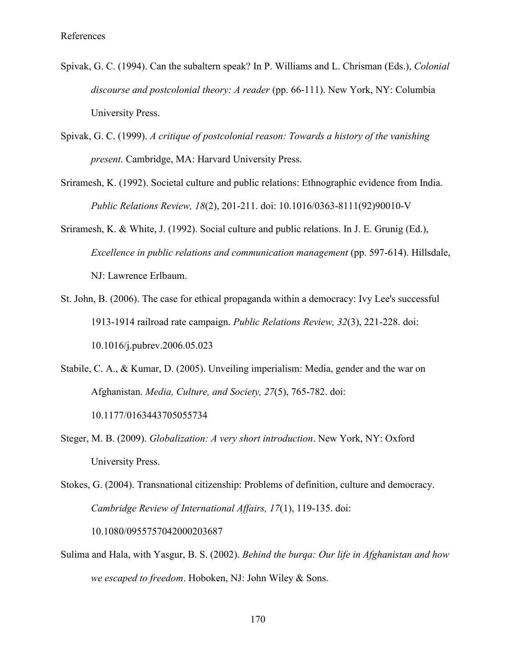- Spivak, G. C. (1994). Can the subaltern speak? In P. Williams and L. Chrisman (Eds.), *Colonial discourse and postcolonial theory: A reader* (pp. 66-111). New York, NY: Columbia University Press.
- Spivak, G. C. (1999). *A critique of postcolonial reason: Towards a history of the vanishing present*. Cambridge, MA: Harvard University Press.
- Sriramesh, K. (1992). Societal culture and public relations: Ethnographic evidence from India. *Public Relations Review, 18*(2), 201-211. doi: 10.1016/0363-8111(92)90010-V
- Sriramesh, K. & White, J. (1992). Social culture and public relations. In J. E. Grunig (Ed.), *Excellence in public relations and communication management* (pp. 597-614). Hillsdale, NJ: Lawrence Erlbaum.
- St. John, B. (2006). The case for ethical propaganda within a democracy: Ivy Lee's successful 1913-1914 railroad rate campaign. *Public Relations Review, 32*(3), 221-228. doi: 10.1016/j.pubrev.2006.05.023
- Stabile, C. A., & Kumar, D. (2005). Unveiling imperialism: Media, gender and the war on Afghanistan. *Media, Culture, and Society, 27*(5), 765-782. doi: 10.1177/0163443705055734
- Steger, M. B. (2009). *Globalization: A very short introduction*. New York, NY: Oxford University Press.
- Stokes, G. (2004). Transnational citizenship: Problems of definition, culture and democracy. *Cambridge Review of International Affairs, 17*(1), 119-135. doi: 10.1080/0955757042000203687
- Sulima and Hala, with Yasgur, B. S. (2002). *Behind the burqa: Our life in Afghanistan and how we escaped to freedom*. Hoboken, NJ: John Wiley & Sons.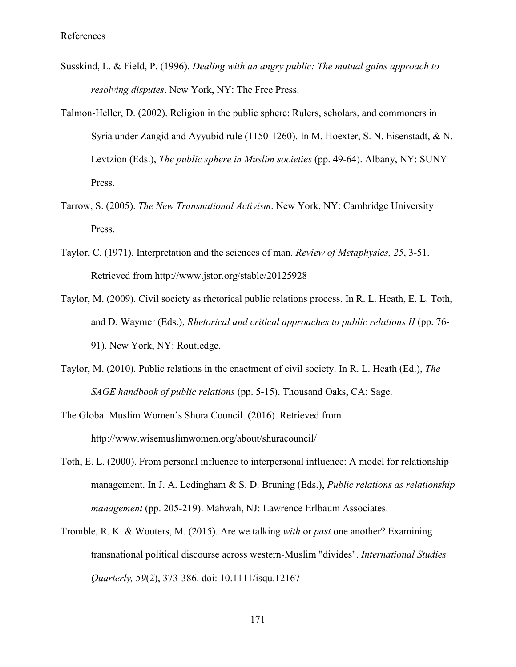- Susskind, L. & Field, P. (1996). *Dealing with an angry public: The mutual gains approach to resolving disputes*. New York, NY: The Free Press.
- Talmon-Heller, D. (2002). Religion in the public sphere: Rulers, scholars, and commoners in Syria under Zangid and Ayyubid rule (1150-1260). In M. Hoexter, S. N. Eisenstadt, & N. Levtzion (Eds.), *The public sphere in Muslim societies* (pp. 49-64). Albany, NY: SUNY Press.
- Tarrow, S. (2005). *The New Transnational Activism*. New York, NY: Cambridge University Press.
- Taylor, C. (1971). Interpretation and the sciences of man. *Review of Metaphysics, 25*, 3-51. Retrieved from http://www.jstor.org/stable/20125928
- Taylor, M. (2009). Civil society as rhetorical public relations process. In R. L. Heath, E. L. Toth, and D. Waymer (Eds.), *Rhetorical and critical approaches to public relations II* (pp. 76- 91). New York, NY: Routledge.
- Taylor, M. (2010). Public relations in the enactment of civil society. In R. L. Heath (Ed.), *The SAGE handbook of public relations* (pp. 5-15). Thousand Oaks, CA: Sage.
- The Global Muslim Women's Shura Council. (2016). Retrieved from http://www.wisemuslimwomen.org/about/shuracouncil/
- Toth, E. L. (2000). From personal influence to interpersonal influence: A model for relationship management. In J. A. Ledingham & S. D. Bruning (Eds.), *Public relations as relationship management* (pp. 205-219). Mahwah, NJ: Lawrence Erlbaum Associates.
- Tromble, R. K. & Wouters, M. (2015). Are we talking *with* or *past* one another? Examining transnational political discourse across western-Muslim "divides". *International Studies Quarterly, 59*(2), 373-386. doi: 10.1111/isqu.12167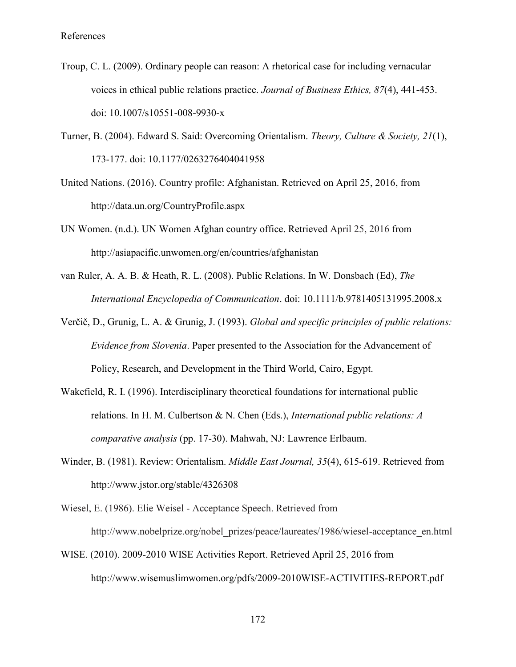- Troup, C. L. (2009). Ordinary people can reason: A rhetorical case for including vernacular voices in ethical public relations practice. *Journal of Business Ethics, 87*(4), 441-453. doi: 10.1007/s10551-008-9930-x
- Turner, B. (2004). Edward S. Said: Overcoming Orientalism. *Theory, Culture & Society, 21*(1), 173-177. doi: 10.1177/0263276404041958
- United Nations. (2016). Country profile: Afghanistan. Retrieved on April 25, 2016, from http://data.un.org/CountryProfile.aspx
- UN Women. (n.d.). UN Women Afghan country office. Retrieved April 25, 2016 from http://asiapacific.unwomen.org/en/countries/afghanistan
- van Ruler, A. A. B. & Heath, R. L. (2008). Public Relations. In W. Donsbach (Ed), *The International Encyclopedia of Communication*. doi: 10.1111/b.9781405131995.2008.x
- Verčič, D., Grunig, L. A. & Grunig, J. (1993). *Global and specific principles of public relations: Evidence from Slovenia*. Paper presented to the Association for the Advancement of Policy, Research, and Development in the Third World, Cairo, Egypt.
- Wakefield, R. I. (1996). Interdisciplinary theoretical foundations for international public relations. In H. M. Culbertson & N. Chen (Eds.), *International public relations: A comparative analysis* (pp. 17-30). Mahwah, NJ: Lawrence Erlbaum.
- Winder, B. (1981). Review: Orientalism. *Middle East Journal, 35*(4), 615-619. Retrieved from http://www.jstor.org/stable/4326308
- Wiesel, E. (1986). Elie Weisel Acceptance Speech. Retrieved from http://www.nobelprize.org/nobel\_prizes/peace/laureates/1986/wiesel-acceptance\_en.html
- WISE. (2010). 2009-2010 WISE Activities Report. Retrieved April 25, 2016 from http://www.wisemuslimwomen.org/pdfs/2009-2010WISE-ACTIVITIES-REPORT.pdf